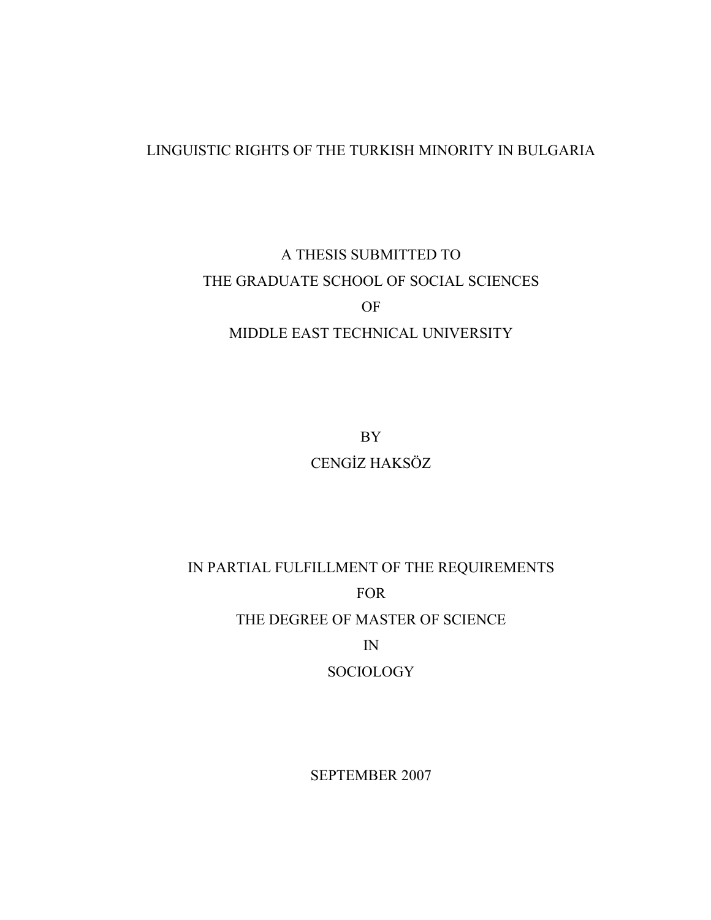## LINGUISTIC RIGHTS OF THE TURKISH MINORITY IN BULGARIA

# A THESIS SUBMITTED TO THE GRADUATE SCHOOL OF SOCIAL SCIENCES OF MIDDLE EAST TECHNICAL UNIVERSITY

BY CENGİZ HAKSÖZ

IN PARTIAL FULFILLMENT OF THE REQUIREMENTS FOR THE DEGREE OF MASTER OF SCIENCE IN

SOCIOLOGY

SEPTEMBER 2007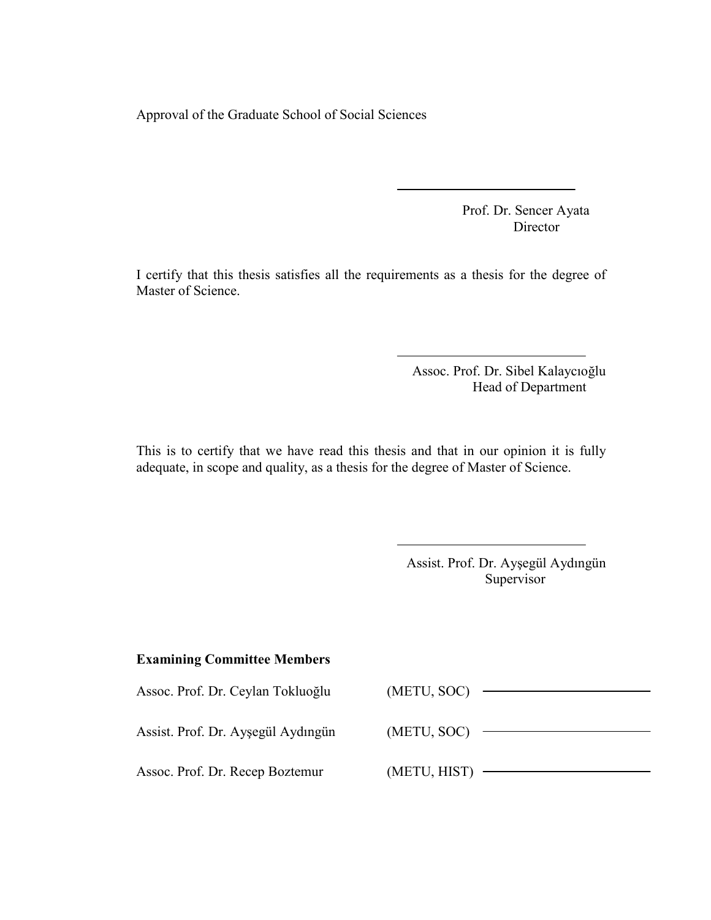Approval of the Graduate School of Social Sciences

 Prof. Dr. Sencer Ayata Director

I certify that this thesis satisfies all the requirements as a thesis for the degree of Master of Science.

> Assoc. Prof. Dr. Sibel Kalaycıoğlu Head of Department

This is to certify that we have read this thesis and that in our opinion it is fully adequate, in scope and quality, as a thesis for the degree of Master of Science.

| Assist. Prof. Dr. Ayşegül Aydıngün |
|------------------------------------|
| Supervisor                         |

### Examining Committee Members

| Assoc. Prof. Dr. Ceylan Tokluoğlu  | (METU, SOC)  |
|------------------------------------|--------------|
| Assist. Prof. Dr. Ayşegül Aydıngün | (METU, SOC)  |
| Assoc. Prof. Dr. Recep Boztemur    | (METU, HIST) |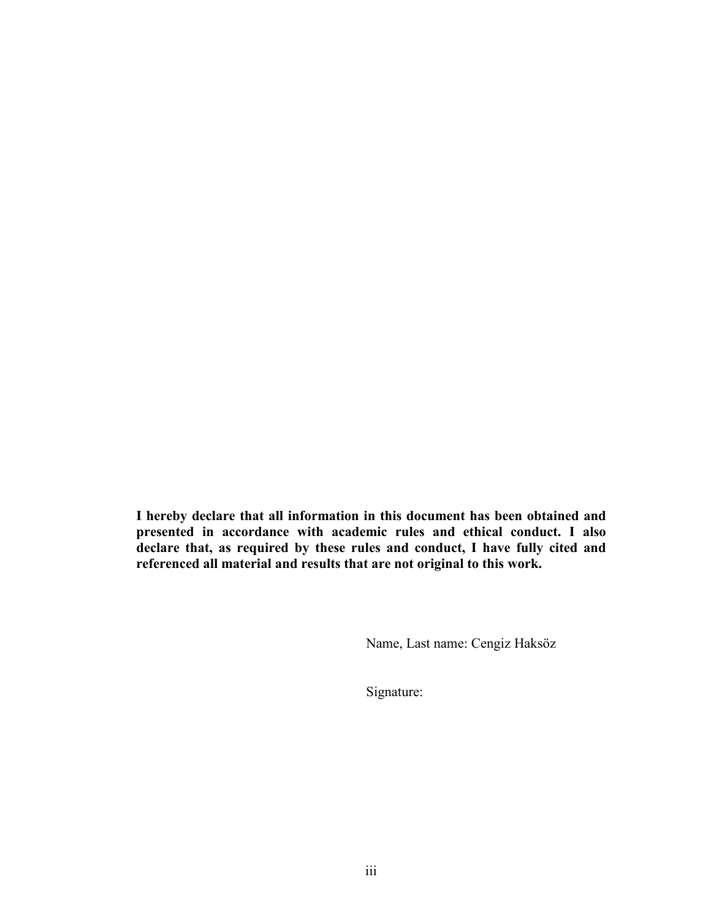I hereby declare that all information in this document has been obtained and presented in accordance with academic rules and ethical conduct. I also declare that, as required by these rules and conduct, I have fully cited and referenced all material and results that are not original to this work.

Name, Last name: Cengiz Haksöz

Signature: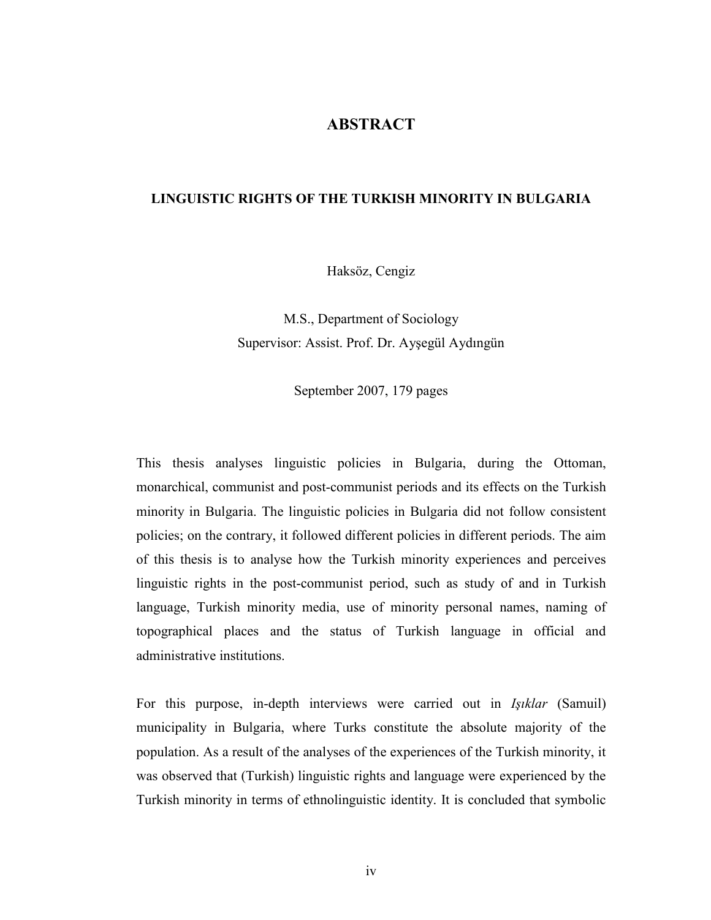### ABSTRACT

### LINGUISTIC RIGHTS OF THE TURKISH MINORITY IN BULGARIA

Haksöz, Cengiz

M.S., Department of Sociology Supervisor: Assist. Prof. Dr. Ayşegül Aydıngün

September 2007, 179 pages

This thesis analyses linguistic policies in Bulgaria, during the Ottoman, monarchical, communist and post-communist periods and its effects on the Turkish minority in Bulgaria. The linguistic policies in Bulgaria did not follow consistent policies; on the contrary, it followed different policies in different periods. The aim of this thesis is to analyse how the Turkish minority experiences and perceives linguistic rights in the post-communist period, such as study of and in Turkish language, Turkish minority media, use of minority personal names, naming of topographical places and the status of Turkish language in official and administrative institutions.

For this purpose, in-depth interviews were carried out in Işıklar (Samuil) municipality in Bulgaria, where Turks constitute the absolute majority of the population. As a result of the analyses of the experiences of the Turkish minority, it was observed that (Turkish) linguistic rights and language were experienced by the Turkish minority in terms of ethnolinguistic identity. It is concluded that symbolic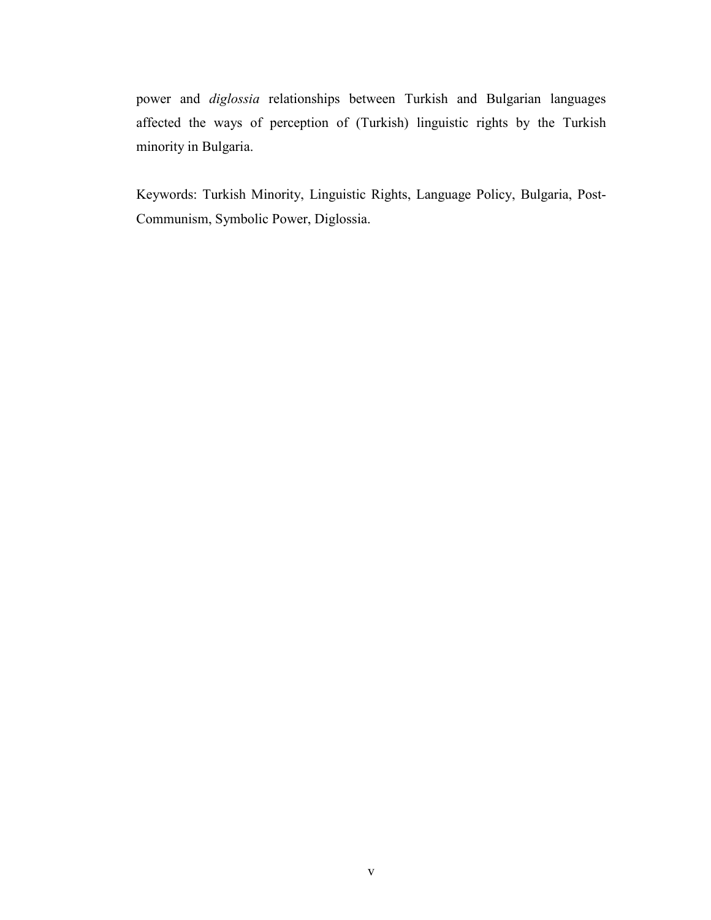power and diglossia relationships between Turkish and Bulgarian languages affected the ways of perception of (Turkish) linguistic rights by the Turkish minority in Bulgaria.

Keywords: Turkish Minority, Linguistic Rights, Language Policy, Bulgaria, Post-Communism, Symbolic Power, Diglossia.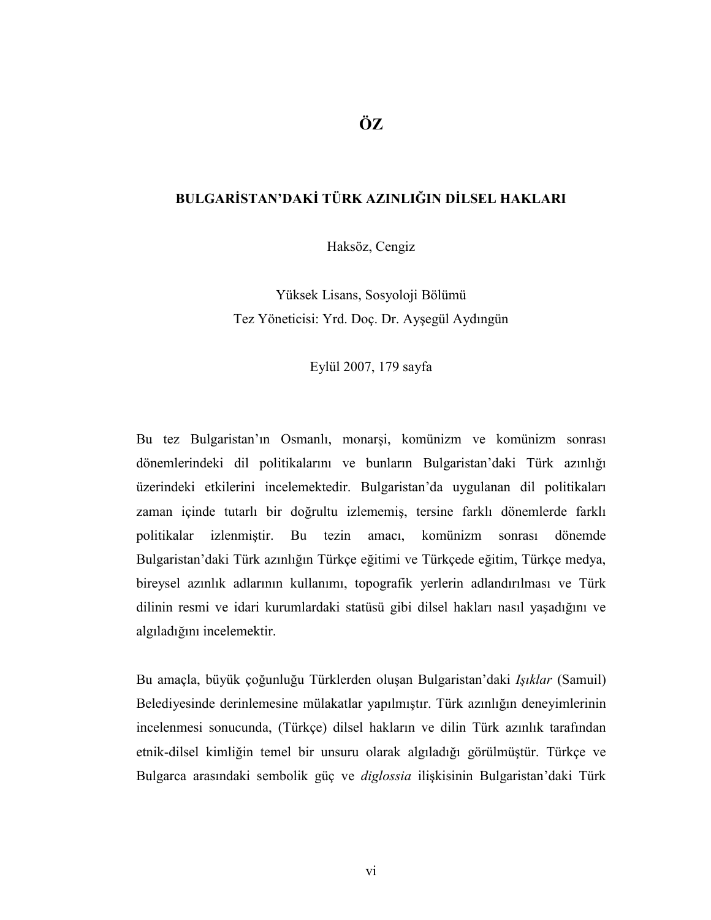## ÖZ

### BULGARİSTAN'DAKİ TÜRK AZINLIĞIN DİLSEL HAKLARI

Haksöz, Cengiz

Yüksek Lisans, Sosyoloji Bölümü Tez Yöneticisi: Yrd. Doç. Dr. Ayşegül Aydıngün

### Eylül 2007, 179 sayfa

Bu tez Bulgaristan'ın Osmanlı, monarşi, komünizm ve komünizm sonrası dönemlerindeki dil politikalarını ve bunların Bulgaristan'daki Türk azınlığı üzerindeki etkilerini incelemektedir. Bulgaristan'da uygulanan dil politikaları zaman içinde tutarlı bir doğrultu izlememiş, tersine farklı dönemlerde farklı politikalar izlenmiştir. Bu tezin amacı, komünizm sonrası dönemde Bulgaristan'daki Türk azınlığın Türkçe eğitimi ve Türkçede eğitim, Türkçe medya, bireysel azınlık adlarının kullanımı, topografik yerlerin adlandırılması ve Türk dilinin resmi ve idari kurumlardaki statüsü gibi dilsel hakları nasıl yaşadığını ve algıladığını incelemektir.

Bu amaçla, büyük çoğunluğu Türklerden oluşan Bulgaristan'daki Işıklar (Samuil) Belediyesinde derinlemesine mülakatlar yapılmıştır. Türk azınlığın deneyimlerinin incelenmesi sonucunda, (Türkçe) dilsel hakların ve dilin Türk azınlık tarafından etnik-dilsel kimliğin temel bir unsuru olarak algıladığı görülmüştür. Türkçe ve Bulgarca arasındaki sembolik güç ve diglossia ilişkisinin Bulgaristan'daki Türk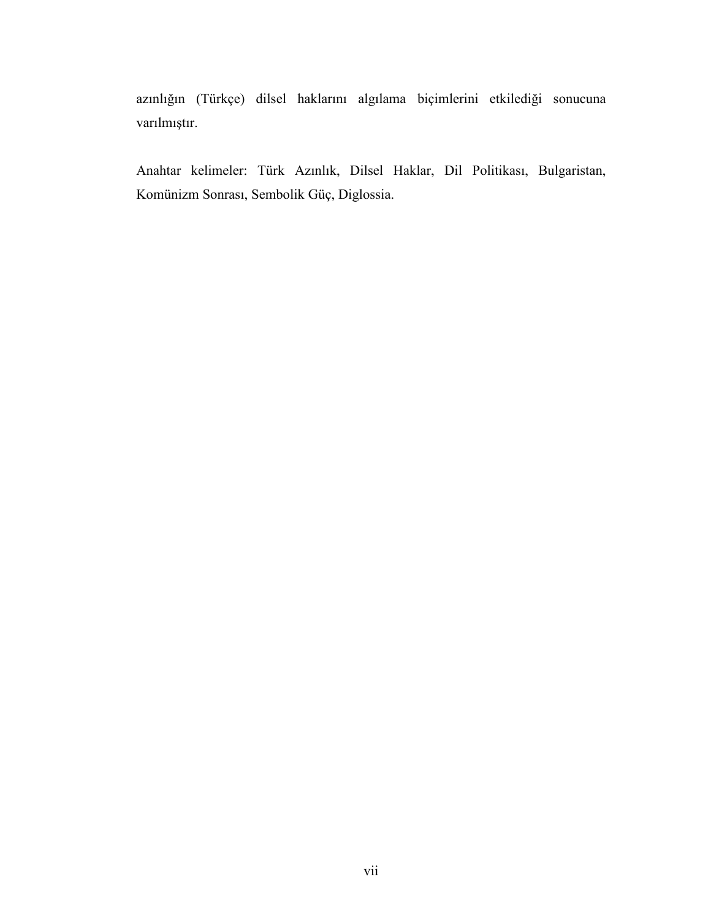azınlığın (Türkçe) dilsel haklarını algılama biçimlerini etkilediği sonucuna varılmıştır.

Anahtar kelimeler: Türk Azınlık, Dilsel Haklar, Dil Politikası, Bulgaristan, Komünizm Sonrası, Sembolik Güç, Diglossia.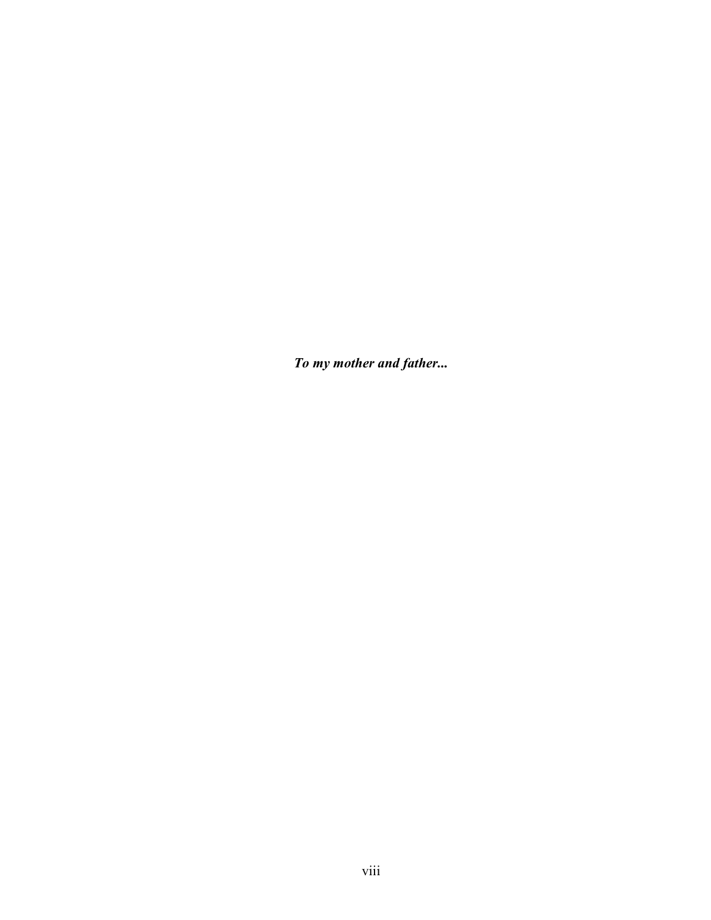To my mother and father...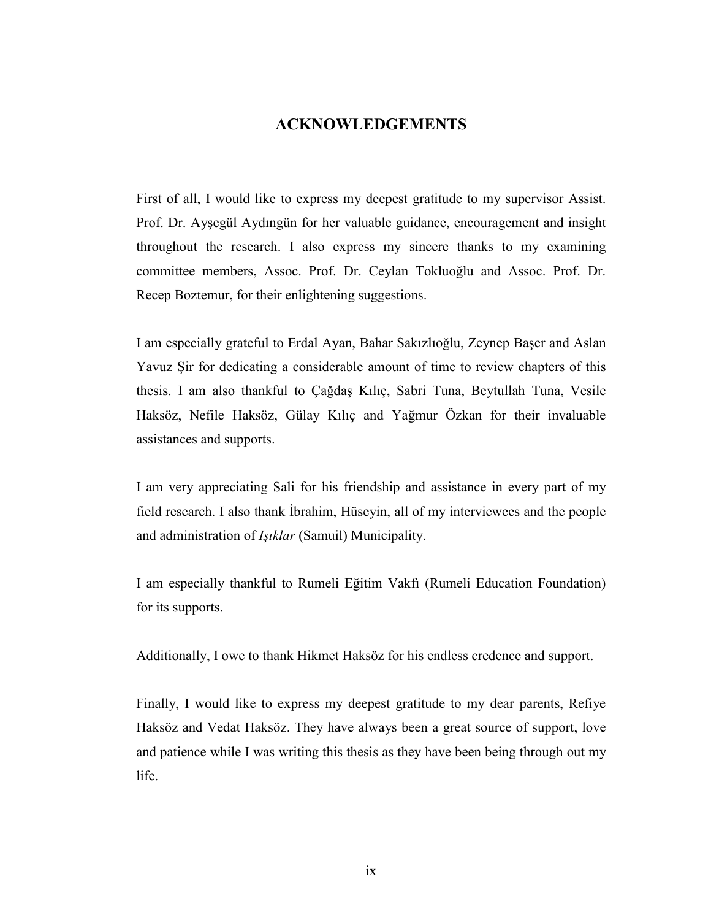### ACKNOWLEDGEMENTS

First of all, I would like to express my deepest gratitude to my supervisor Assist. Prof. Dr. Ayşegül Aydıngün for her valuable guidance, encouragement and insight throughout the research. I also express my sincere thanks to my examining committee members, Assoc. Prof. Dr. Ceylan Tokluoğlu and Assoc. Prof. Dr. Recep Boztemur, for their enlightening suggestions.

I am especially grateful to Erdal Ayan, Bahar Sakızlıoğlu, Zeynep Başer and Aslan Yavuz Şir for dedicating a considerable amount of time to review chapters of this thesis. I am also thankful to Çağdaş Kılıç, Sabri Tuna, Beytullah Tuna, Vesile Haksöz, Nefile Haksöz, Gülay Kılıç and Yağmur Özkan for their invaluable assistances and supports.

I am very appreciating Sali for his friendship and assistance in every part of my field research. I also thank İbrahim, Hüseyin, all of my interviewees and the people and administration of Işıklar (Samuil) Municipality.

I am especially thankful to Rumeli Eğitim Vakfı (Rumeli Education Foundation) for its supports.

Additionally, I owe to thank Hikmet Haksöz for his endless credence and support.

Finally, I would like to express my deepest gratitude to my dear parents, Refiye Haksöz and Vedat Haksöz. They have always been a great source of support, love and patience while I was writing this thesis as they have been being through out my life.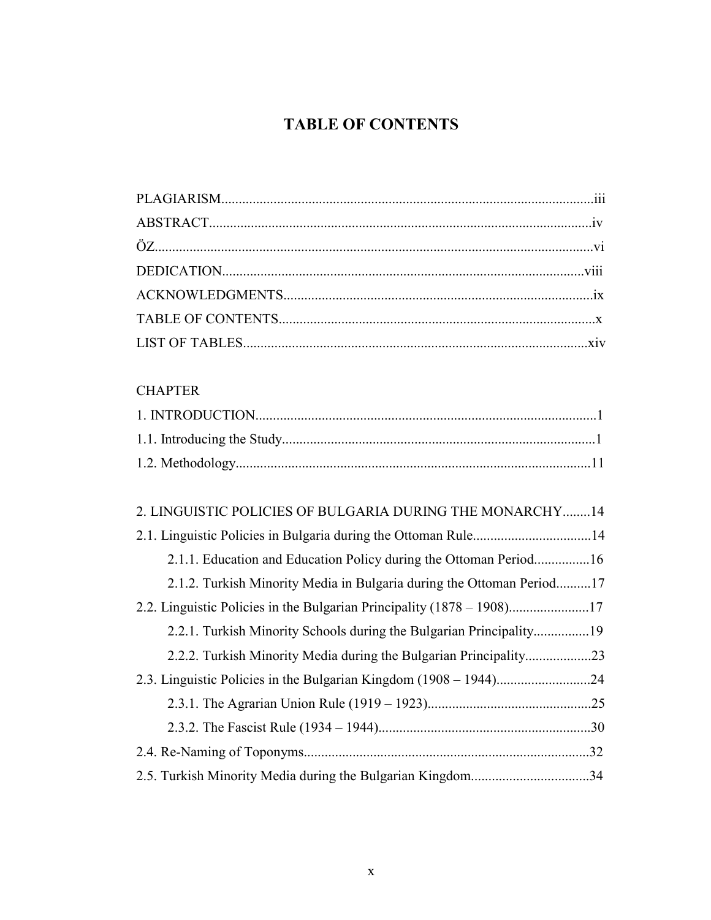# TABLE OF CONTENTS

## **CHAPTER**

| 2. LINGUISTIC POLICIES OF BULGARIA DURING THE MONARCHY14              |
|-----------------------------------------------------------------------|
|                                                                       |
| 2.1.1. Education and Education Policy during the Ottoman Period16     |
| 2.1.2. Turkish Minority Media in Bulgaria during the Ottoman Period17 |
|                                                                       |
|                                                                       |
|                                                                       |
|                                                                       |
|                                                                       |
|                                                                       |
|                                                                       |
| 2.5. Turkish Minority Media during the Bulgarian Kingdom34            |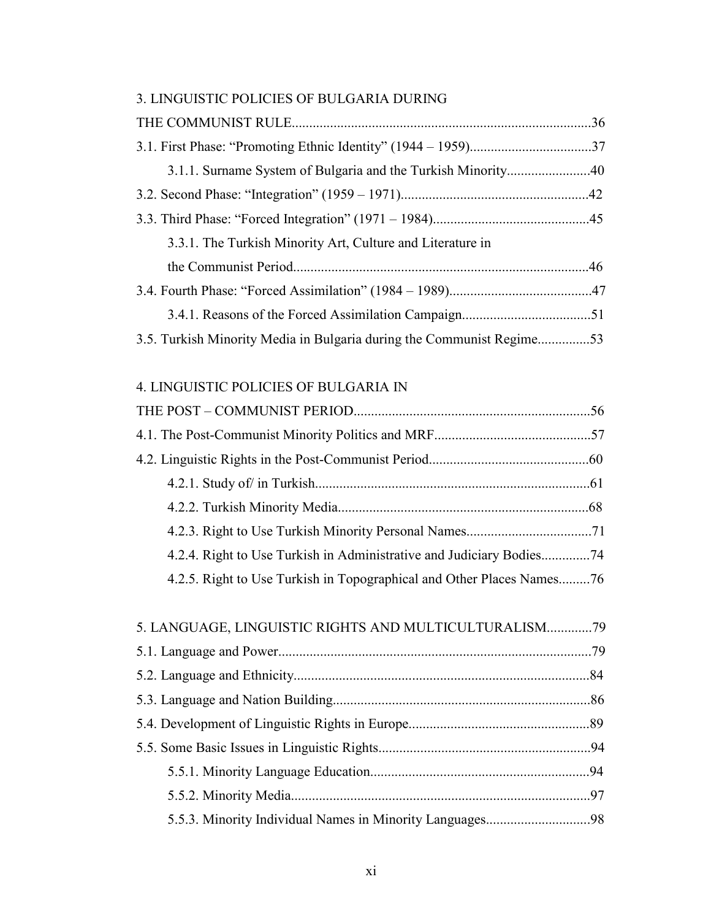| 3. LINGUISTIC POLICIES OF BULGARIA DURING                             |  |
|-----------------------------------------------------------------------|--|
|                                                                       |  |
|                                                                       |  |
|                                                                       |  |
|                                                                       |  |
|                                                                       |  |
| 3.3.1. The Turkish Minority Art, Culture and Literature in            |  |
|                                                                       |  |
|                                                                       |  |
|                                                                       |  |
| 3.5. Turkish Minority Media in Bulgaria during the Communist Regime53 |  |

## 4. LINGUISTIC POLICIES OF BULGARIA IN

| 4.2.4. Right to Use Turkish in Administrative and Judiciary Bodies74  |  |
|-----------------------------------------------------------------------|--|
| 4.2.5. Right to Use Turkish in Topographical and Other Places Names76 |  |
|                                                                       |  |
| 5. LANGUAGE, LINGUISTIC RIGHTS AND MULTICULTURALISM79                 |  |
|                                                                       |  |
|                                                                       |  |
|                                                                       |  |
|                                                                       |  |
|                                                                       |  |
|                                                                       |  |
|                                                                       |  |
|                                                                       |  |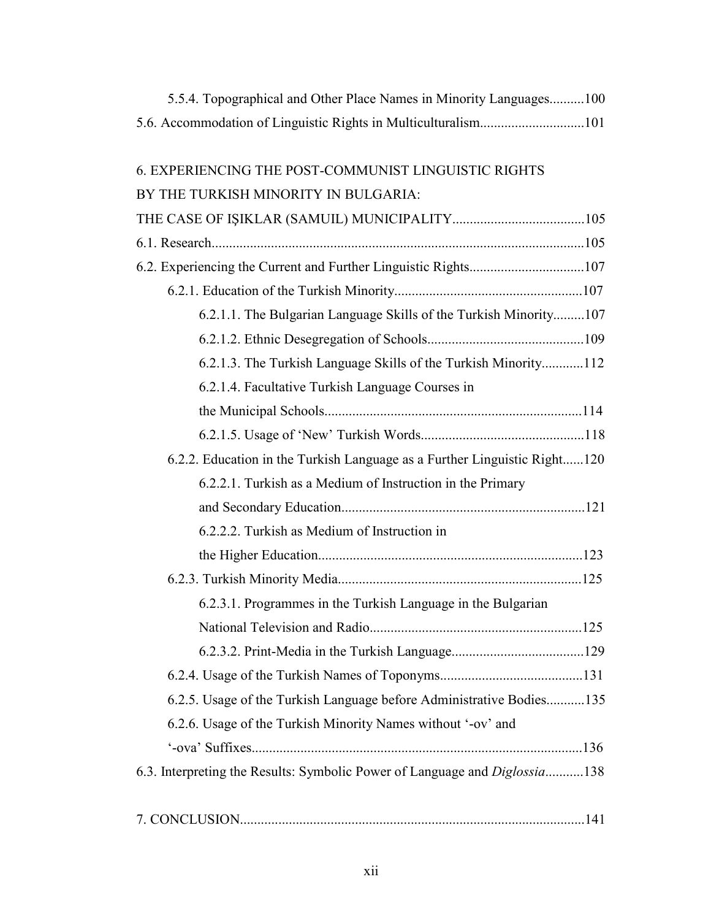| 5.5.4. Topographical and Other Place Names in Minority Languages100        |
|----------------------------------------------------------------------------|
|                                                                            |
|                                                                            |
| 6. EXPERIENCING THE POST-COMMUNIST LINGUISTIC RIGHTS                       |
| BY THE TURKISH MINORITY IN BULGARIA:                                       |
|                                                                            |
|                                                                            |
|                                                                            |
|                                                                            |
| 6.2.1.1. The Bulgarian Language Skills of the Turkish Minority107          |
|                                                                            |
| 6.2.1.3. The Turkish Language Skills of the Turkish Minority112            |
| 6.2.1.4. Facultative Turkish Language Courses in                           |
|                                                                            |
|                                                                            |
| 6.2.2. Education in the Turkish Language as a Further Linguistic Right120  |
| 6.2.2.1. Turkish as a Medium of Instruction in the Primary                 |
|                                                                            |
| 6.2.2.2. Turkish as Medium of Instruction in                               |
|                                                                            |
|                                                                            |
| 6.2.3.1. Programmes in the Turkish Language in the Bulgarian               |
|                                                                            |
|                                                                            |
|                                                                            |
| 6.2.5. Usage of the Turkish Language before Administrative Bodies135       |
| 6.2.6. Usage of the Turkish Minority Names without '-ov' and               |
|                                                                            |
| 6.3. Interpreting the Results: Symbolic Power of Language and Diglossia138 |
|                                                                            |
|                                                                            |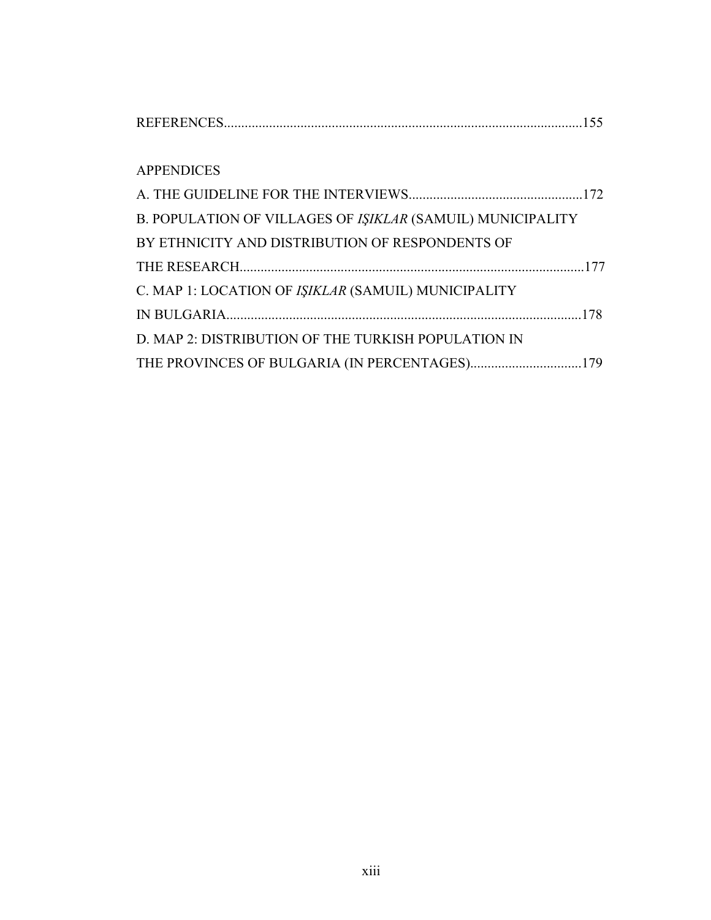## APPENDICES

| B. POPULATION OF VILLAGES OF IŞIKLAR (SAMUIL) MUNICIPALITY |  |
|------------------------------------------------------------|--|
| BY ETHNICITY AND DISTRIBUTION OF RESPONDENTS OF            |  |
|                                                            |  |
| C. MAP 1: LOCATION OF ISIKLAR (SAMUIL) MUNICIPALITY        |  |
|                                                            |  |
| D. MAP 2: DISTRIBUTION OF THE TURKISH POPULATION IN        |  |
|                                                            |  |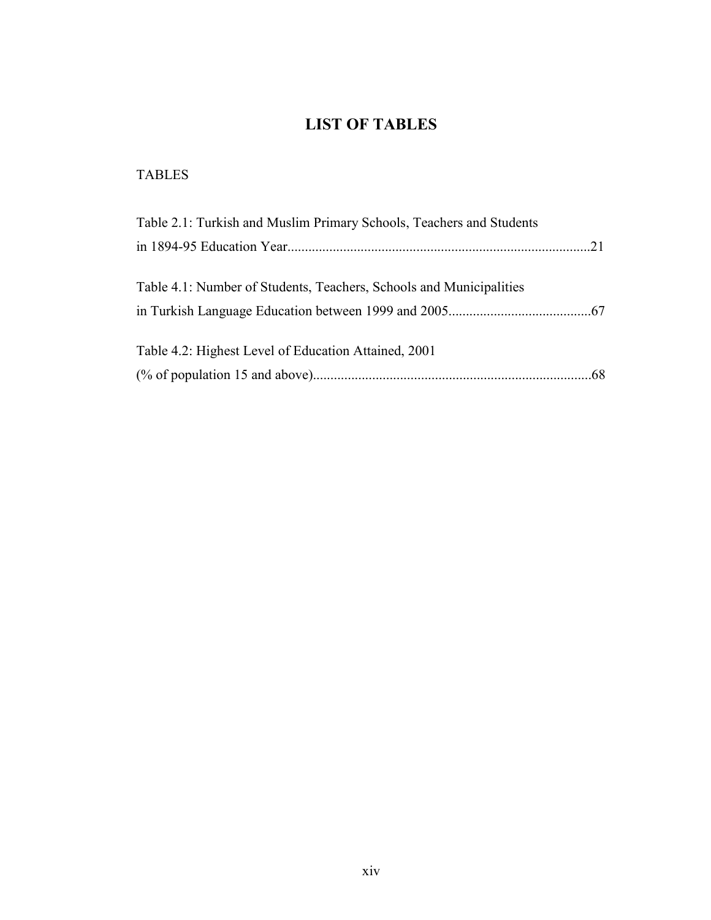## LIST OF TABLES

## TABLES

| Table 2.1: Turkish and Muslim Primary Schools, Teachers and Students |  |
|----------------------------------------------------------------------|--|
|                                                                      |  |
|                                                                      |  |
| Table 4.1: Number of Students, Teachers, Schools and Municipalities  |  |
|                                                                      |  |
|                                                                      |  |
| Table 4.2: Highest Level of Education Attained, 2001                 |  |
|                                                                      |  |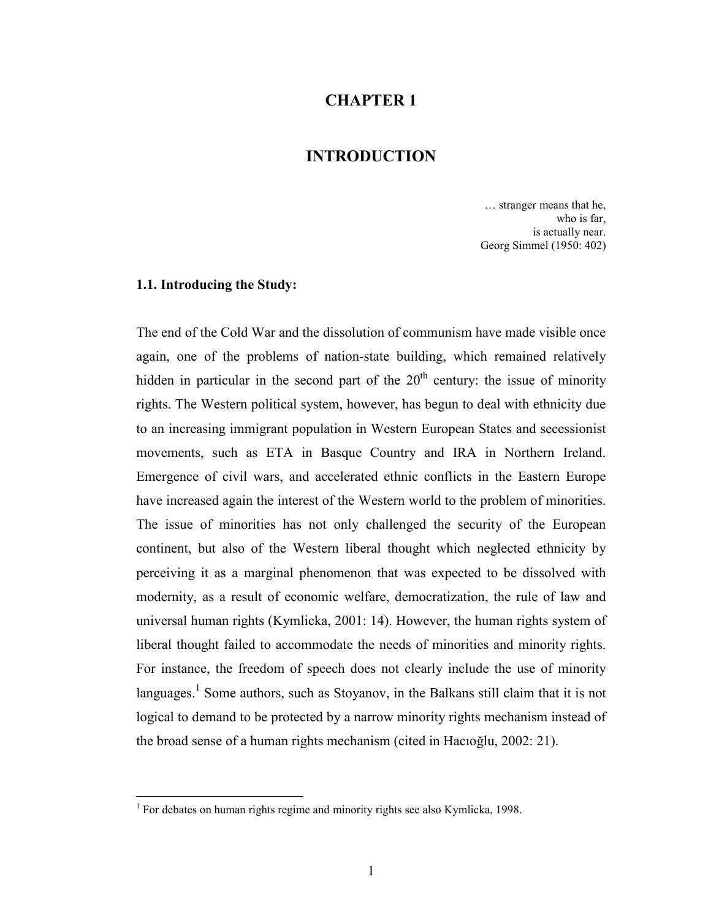### CHAPTER 1

## INTRODUCTION

… stranger means that he, who is far, is actually near. Georg Simmel (1950: 402)

#### 1.1. Introducing the Study:

 $\overline{a}$ 

The end of the Cold War and the dissolution of communism have made visible once again, one of the problems of nation-state building, which remained relatively hidden in particular in the second part of the  $20<sup>th</sup>$  century: the issue of minority rights. The Western political system, however, has begun to deal with ethnicity due to an increasing immigrant population in Western European States and secessionist movements, such as ETA in Basque Country and IRA in Northern Ireland. Emergence of civil wars, and accelerated ethnic conflicts in the Eastern Europe have increased again the interest of the Western world to the problem of minorities. The issue of minorities has not only challenged the security of the European continent, but also of the Western liberal thought which neglected ethnicity by perceiving it as a marginal phenomenon that was expected to be dissolved with modernity, as a result of economic welfare, democratization, the rule of law and universal human rights (Kymlicka, 2001: 14). However, the human rights system of liberal thought failed to accommodate the needs of minorities and minority rights. For instance, the freedom of speech does not clearly include the use of minority languages.<sup>1</sup> Some authors, such as Stoyanov, in the Balkans still claim that it is not logical to demand to be protected by a narrow minority rights mechanism instead of the broad sense of a human rights mechanism (cited in Hacıoğlu, 2002: 21).

<sup>&</sup>lt;sup>1</sup> For debates on human rights regime and minority rights see also Kymlicka, 1998.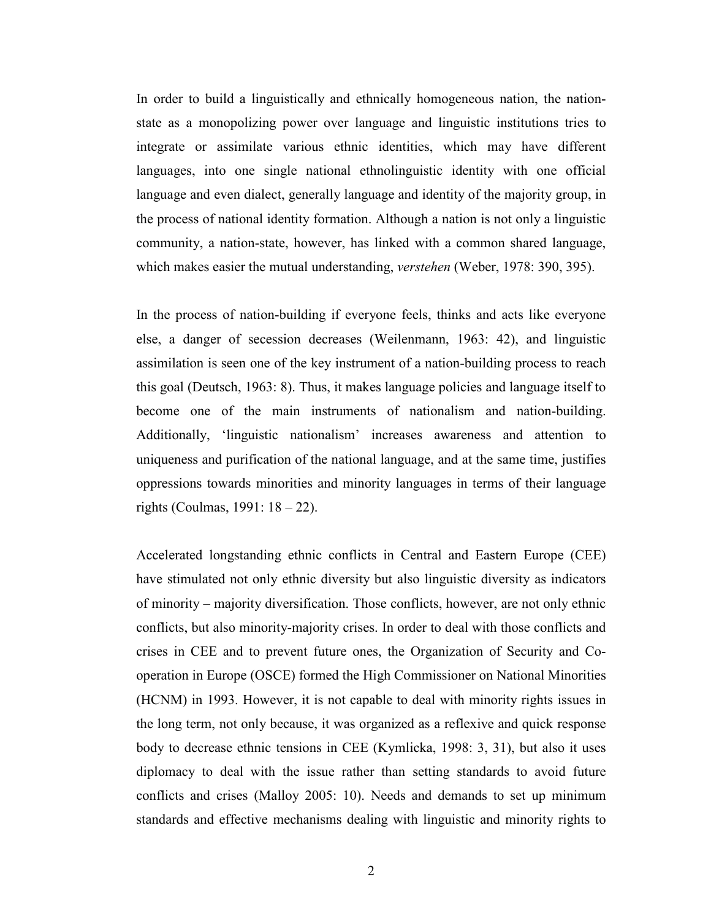In order to build a linguistically and ethnically homogeneous nation, the nationstate as a monopolizing power over language and linguistic institutions tries to integrate or assimilate various ethnic identities, which may have different languages, into one single national ethnolinguistic identity with one official language and even dialect, generally language and identity of the majority group, in the process of national identity formation. Although a nation is not only a linguistic community, a nation-state, however, has linked with a common shared language, which makes easier the mutual understanding, verstehen (Weber, 1978: 390, 395).

In the process of nation-building if everyone feels, thinks and acts like everyone else, a danger of secession decreases (Weilenmann, 1963: 42), and linguistic assimilation is seen one of the key instrument of a nation-building process to reach this goal (Deutsch, 1963: 8). Thus, it makes language policies and language itself to become one of the main instruments of nationalism and nation-building. Additionally, 'linguistic nationalism' increases awareness and attention to uniqueness and purification of the national language, and at the same time, justifies oppressions towards minorities and minority languages in terms of their language rights (Coulmas, 1991: 18 – 22).

Accelerated longstanding ethnic conflicts in Central and Eastern Europe (CEE) have stimulated not only ethnic diversity but also linguistic diversity as indicators of minority – majority diversification. Those conflicts, however, are not only ethnic conflicts, but also minority-majority crises. In order to deal with those conflicts and crises in CEE and to prevent future ones, the Organization of Security and Cooperation in Europe (OSCE) formed the High Commissioner on National Minorities (HCNM) in 1993. However, it is not capable to deal with minority rights issues in the long term, not only because, it was organized as a reflexive and quick response body to decrease ethnic tensions in CEE (Kymlicka, 1998: 3, 31), but also it uses diplomacy to deal with the issue rather than setting standards to avoid future conflicts and crises (Malloy 2005: 10). Needs and demands to set up minimum standards and effective mechanisms dealing with linguistic and minority rights to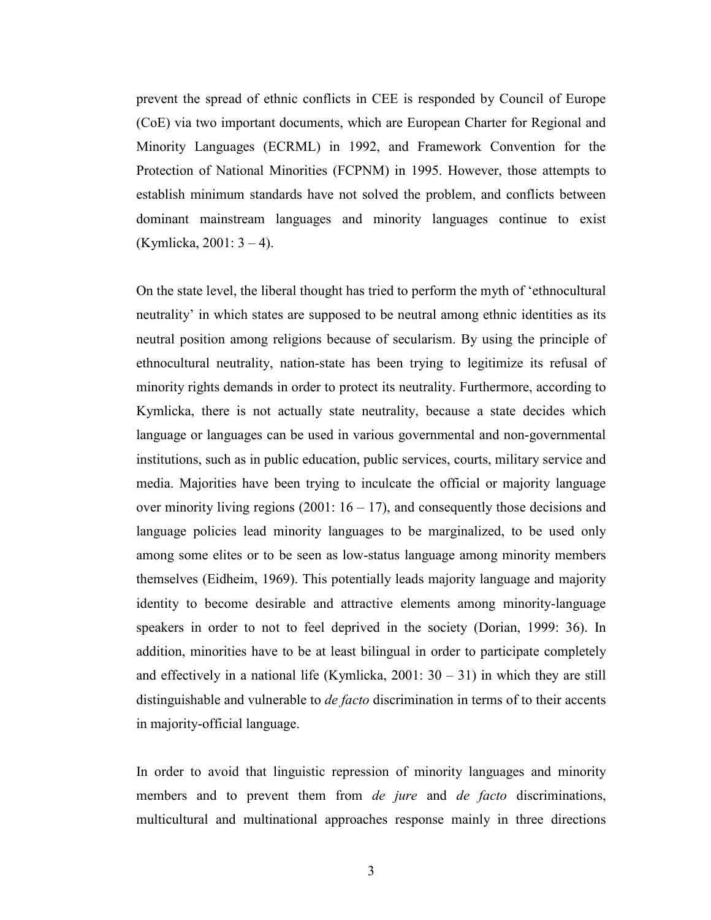prevent the spread of ethnic conflicts in CEE is responded by Council of Europe (CoE) via two important documents, which are European Charter for Regional and Minority Languages (ECRML) in 1992, and Framework Convention for the Protection of National Minorities (FCPNM) in 1995. However, those attempts to establish minimum standards have not solved the problem, and conflicts between dominant mainstream languages and minority languages continue to exist (Kymlicka, 2001: 3 – 4).

On the state level, the liberal thought has tried to perform the myth of 'ethnocultural neutrality' in which states are supposed to be neutral among ethnic identities as its neutral position among religions because of secularism. By using the principle of ethnocultural neutrality, nation-state has been trying to legitimize its refusal of minority rights demands in order to protect its neutrality. Furthermore, according to Kymlicka, there is not actually state neutrality, because a state decides which language or languages can be used in various governmental and non-governmental institutions, such as in public education, public services, courts, military service and media. Majorities have been trying to inculcate the official or majority language over minority living regions (2001:  $16 - 17$ ), and consequently those decisions and language policies lead minority languages to be marginalized, to be used only among some elites or to be seen as low-status language among minority members themselves (Eidheim, 1969). This potentially leads majority language and majority identity to become desirable and attractive elements among minority-language speakers in order to not to feel deprived in the society (Dorian, 1999: 36). In addition, minorities have to be at least bilingual in order to participate completely and effectively in a national life (Kymlicka,  $2001: 30 - 31$ ) in which they are still distinguishable and vulnerable to *de facto* discrimination in terms of to their accents in majority-official language.

In order to avoid that linguistic repression of minority languages and minority members and to prevent them from *de jure* and *de facto* discriminations, multicultural and multinational approaches response mainly in three directions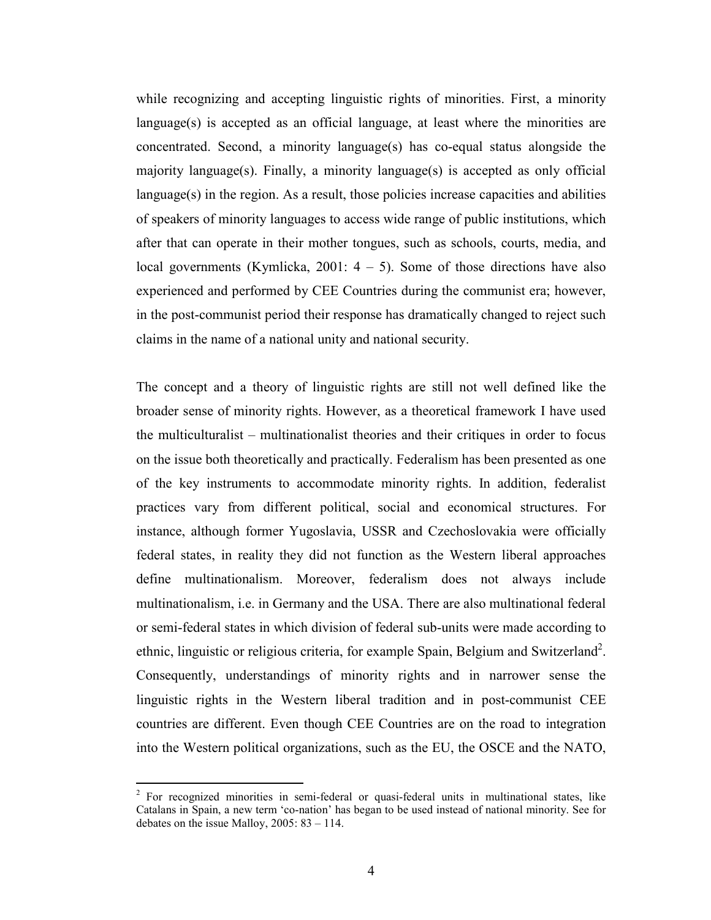while recognizing and accepting linguistic rights of minorities. First, a minority language(s) is accepted as an official language, at least where the minorities are concentrated. Second, a minority language(s) has co-equal status alongside the majority language(s). Finally, a minority language(s) is accepted as only official  $lange(s)$  in the region. As a result, those policies increase capacities and abilities of speakers of minority languages to access wide range of public institutions, which after that can operate in their mother tongues, such as schools, courts, media, and local governments (Kymlicka, 2001:  $4 - 5$ ). Some of those directions have also experienced and performed by CEE Countries during the communist era; however, in the post-communist period their response has dramatically changed to reject such claims in the name of a national unity and national security.

The concept and a theory of linguistic rights are still not well defined like the broader sense of minority rights. However, as a theoretical framework I have used the multiculturalist – multinationalist theories and their critiques in order to focus on the issue both theoretically and practically. Federalism has been presented as one of the key instruments to accommodate minority rights. In addition, federalist practices vary from different political, social and economical structures. For instance, although former Yugoslavia, USSR and Czechoslovakia were officially federal states, in reality they did not function as the Western liberal approaches define multinationalism. Moreover, federalism does not always include multinationalism, i.e. in Germany and the USA. There are also multinational federal or semi-federal states in which division of federal sub-units were made according to ethnic, linguistic or religious criteria, for example Spain, Belgium and Switzerland<sup>2</sup>. Consequently, understandings of minority rights and in narrower sense the linguistic rights in the Western liberal tradition and in post-communist CEE countries are different. Even though CEE Countries are on the road to integration into the Western political organizations, such as the EU, the OSCE and the NATO,

<sup>&</sup>lt;sup>2</sup> For recognized minorities in semi-federal or quasi-federal units in multinational states, like Catalans in Spain, a new term 'co-nation' has began to be used instead of national minority. See for debates on the issue Malloy,  $2005: 83 - 114$ .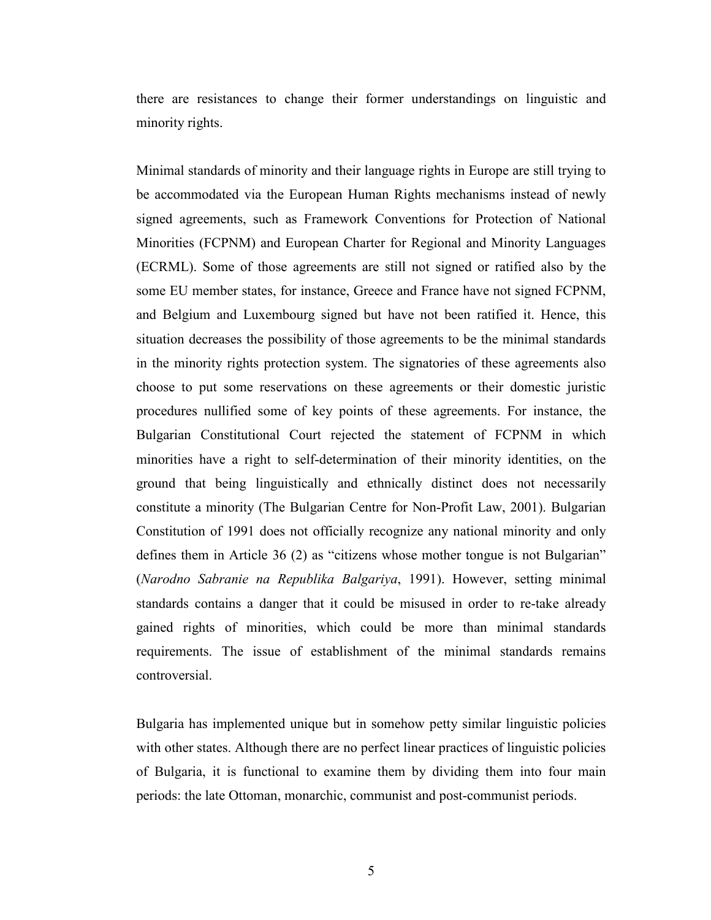there are resistances to change their former understandings on linguistic and minority rights.

Minimal standards of minority and their language rights in Europe are still trying to be accommodated via the European Human Rights mechanisms instead of newly signed agreements, such as Framework Conventions for Protection of National Minorities (FCPNM) and European Charter for Regional and Minority Languages (ECRML). Some of those agreements are still not signed or ratified also by the some EU member states, for instance, Greece and France have not signed FCPNM, and Belgium and Luxembourg signed but have not been ratified it. Hence, this situation decreases the possibility of those agreements to be the minimal standards in the minority rights protection system. The signatories of these agreements also choose to put some reservations on these agreements or their domestic juristic procedures nullified some of key points of these agreements. For instance, the Bulgarian Constitutional Court rejected the statement of FCPNM in which minorities have a right to self-determination of their minority identities, on the ground that being linguistically and ethnically distinct does not necessarily constitute a minority (The Bulgarian Centre for Non-Profit Law, 2001). Bulgarian Constitution of 1991 does not officially recognize any national minority and only defines them in Article 36 (2) as "citizens whose mother tongue is not Bulgarian" (Narodno Sabranie na Republika Balgariya, 1991). However, setting minimal standards contains a danger that it could be misused in order to re-take already gained rights of minorities, which could be more than minimal standards requirements. The issue of establishment of the minimal standards remains controversial.

Bulgaria has implemented unique but in somehow petty similar linguistic policies with other states. Although there are no perfect linear practices of linguistic policies of Bulgaria, it is functional to examine them by dividing them into four main periods: the late Ottoman, monarchic, communist and post-communist periods.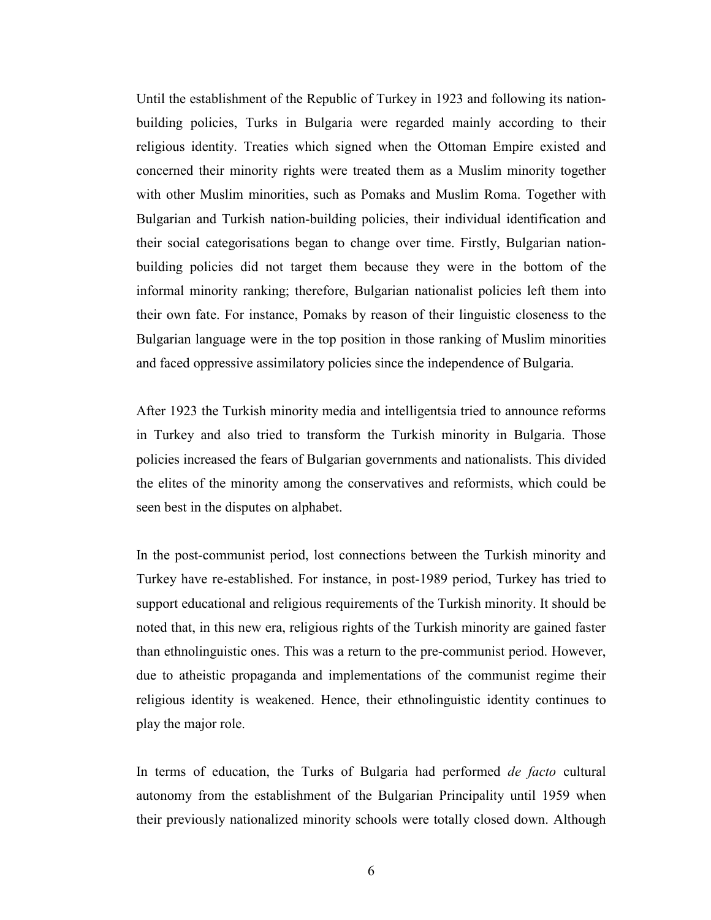Until the establishment of the Republic of Turkey in 1923 and following its nationbuilding policies, Turks in Bulgaria were regarded mainly according to their religious identity. Treaties which signed when the Ottoman Empire existed and concerned their minority rights were treated them as a Muslim minority together with other Muslim minorities, such as Pomaks and Muslim Roma. Together with Bulgarian and Turkish nation-building policies, their individual identification and their social categorisations began to change over time. Firstly, Bulgarian nationbuilding policies did not target them because they were in the bottom of the informal minority ranking; therefore, Bulgarian nationalist policies left them into their own fate. For instance, Pomaks by reason of their linguistic closeness to the Bulgarian language were in the top position in those ranking of Muslim minorities and faced oppressive assimilatory policies since the independence of Bulgaria.

After 1923 the Turkish minority media and intelligentsia tried to announce reforms in Turkey and also tried to transform the Turkish minority in Bulgaria. Those policies increased the fears of Bulgarian governments and nationalists. This divided the elites of the minority among the conservatives and reformists, which could be seen best in the disputes on alphabet.

In the post-communist period, lost connections between the Turkish minority and Turkey have re-established. For instance, in post-1989 period, Turkey has tried to support educational and religious requirements of the Turkish minority. It should be noted that, in this new era, religious rights of the Turkish minority are gained faster than ethnolinguistic ones. This was a return to the pre-communist period. However, due to atheistic propaganda and implementations of the communist regime their religious identity is weakened. Hence, their ethnolinguistic identity continues to play the major role.

In terms of education, the Turks of Bulgaria had performed *de facto* cultural autonomy from the establishment of the Bulgarian Principality until 1959 when their previously nationalized minority schools were totally closed down. Although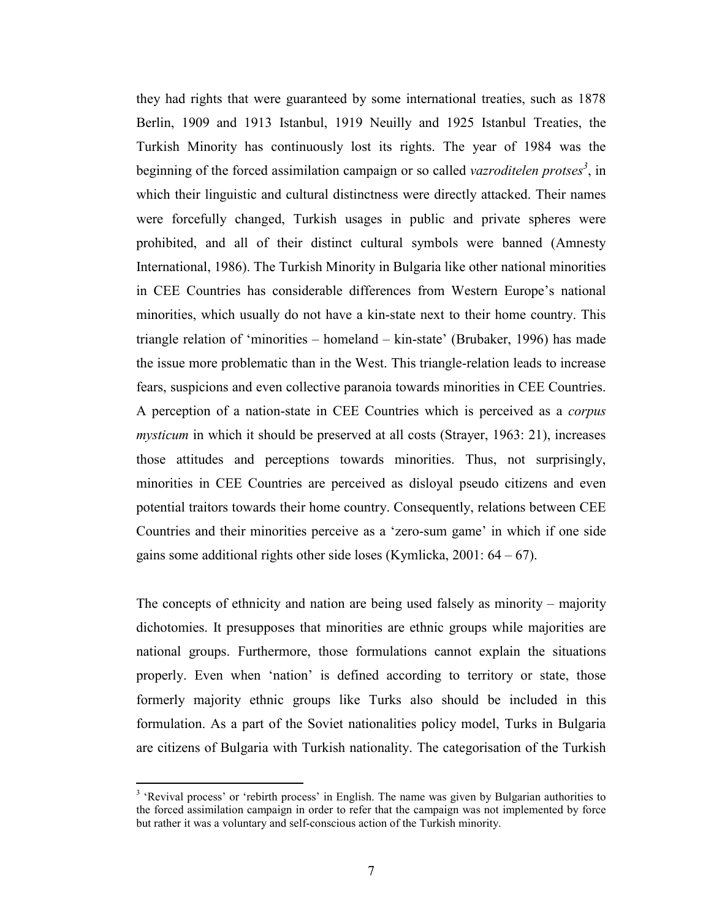they had rights that were guaranteed by some international treaties, such as 1878 Berlin, 1909 and 1913 Istanbul, 1919 Neuilly and 1925 Istanbul Treaties, the Turkish Minority has continuously lost its rights. The year of 1984 was the beginning of the forced assimilation campaign or so called vazroditelen protses<sup>3</sup>, in which their linguistic and cultural distinctness were directly attacked. Their names were forcefully changed, Turkish usages in public and private spheres were prohibited, and all of their distinct cultural symbols were banned (Amnesty International, 1986). The Turkish Minority in Bulgaria like other national minorities in CEE Countries has considerable differences from Western Europe's national minorities, which usually do not have a kin-state next to their home country. This triangle relation of 'minorities – homeland – kin-state' (Brubaker, 1996) has made the issue more problematic than in the West. This triangle-relation leads to increase fears, suspicions and even collective paranoia towards minorities in CEE Countries. A perception of a nation-state in CEE Countries which is perceived as a corpus mysticum in which it should be preserved at all costs (Strayer, 1963: 21), increases those attitudes and perceptions towards minorities. Thus, not surprisingly, minorities in CEE Countries are perceived as disloyal pseudo citizens and even potential traitors towards their home country. Consequently, relations between CEE Countries and their minorities perceive as a 'zero-sum game' in which if one side gains some additional rights other side loses (Kymlicka, 2001:  $64 - 67$ ).

The concepts of ethnicity and nation are being used falsely as minority – majority dichotomies. It presupposes that minorities are ethnic groups while majorities are national groups. Furthermore, those formulations cannot explain the situations properly. Even when 'nation' is defined according to territory or state, those formerly majority ethnic groups like Turks also should be included in this formulation. As a part of the Soviet nationalities policy model, Turks in Bulgaria are citizens of Bulgaria with Turkish nationality. The categorisation of the Turkish

<sup>&</sup>lt;sup>3</sup> 'Revival process' or 'rebirth process' in English. The name was given by Bulgarian authorities to the forced assimilation campaign in order to refer that the campaign was not implemented by force but rather it was a voluntary and self-conscious action of the Turkish minority.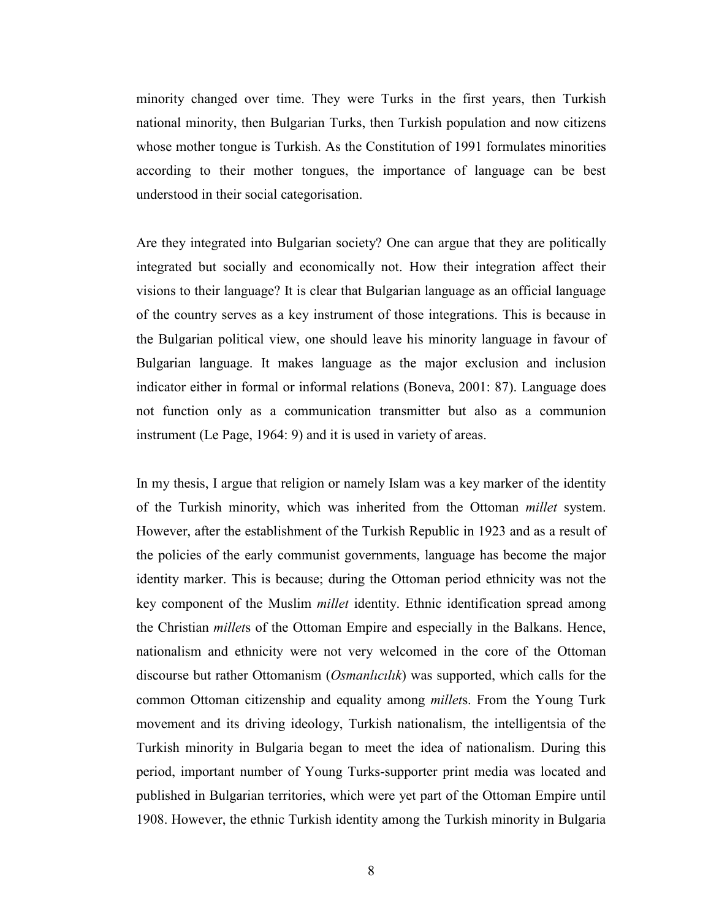minority changed over time. They were Turks in the first years, then Turkish national minority, then Bulgarian Turks, then Turkish population and now citizens whose mother tongue is Turkish. As the Constitution of 1991 formulates minorities according to their mother tongues, the importance of language can be best understood in their social categorisation.

Are they integrated into Bulgarian society? One can argue that they are politically integrated but socially and economically not. How their integration affect their visions to their language? It is clear that Bulgarian language as an official language of the country serves as a key instrument of those integrations. This is because in the Bulgarian political view, one should leave his minority language in favour of Bulgarian language. It makes language as the major exclusion and inclusion indicator either in formal or informal relations (Boneva, 2001: 87). Language does not function only as a communication transmitter but also as a communion instrument (Le Page, 1964: 9) and it is used in variety of areas.

In my thesis, I argue that religion or namely Islam was a key marker of the identity of the Turkish minority, which was inherited from the Ottoman millet system. However, after the establishment of the Turkish Republic in 1923 and as a result of the policies of the early communist governments, language has become the major identity marker. This is because; during the Ottoman period ethnicity was not the key component of the Muslim millet identity. Ethnic identification spread among the Christian millets of the Ottoman Empire and especially in the Balkans. Hence, nationalism and ethnicity were not very welcomed in the core of the Ottoman discourse but rather Ottomanism (*Osmanlıcılık*) was supported, which calls for the common Ottoman citizenship and equality among millets. From the Young Turk movement and its driving ideology, Turkish nationalism, the intelligentsia of the Turkish minority in Bulgaria began to meet the idea of nationalism. During this period, important number of Young Turks-supporter print media was located and published in Bulgarian territories, which were yet part of the Ottoman Empire until 1908. However, the ethnic Turkish identity among the Turkish minority in Bulgaria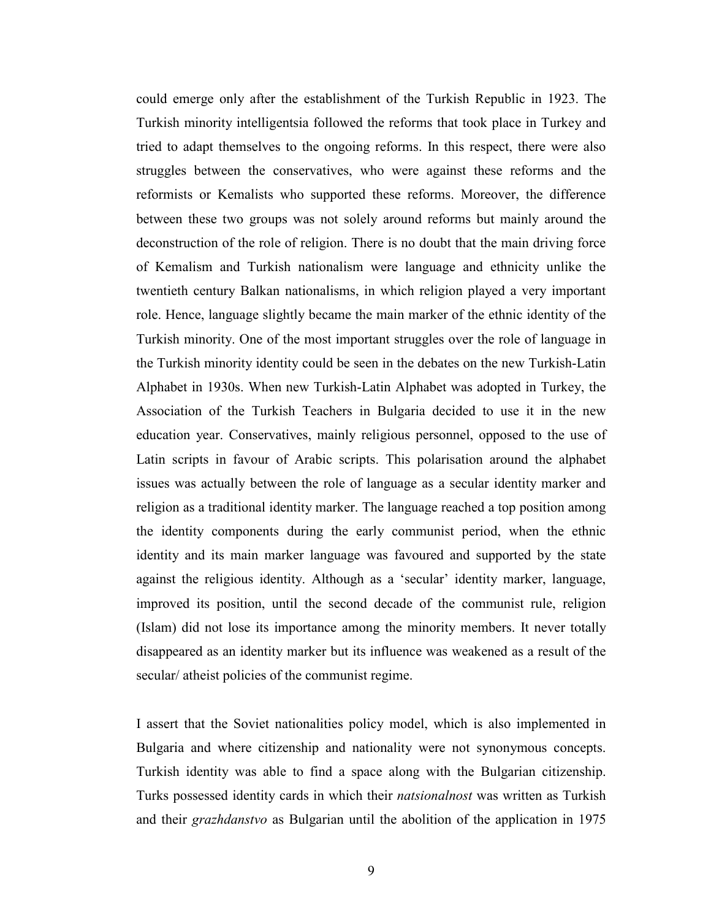could emerge only after the establishment of the Turkish Republic in 1923. The Turkish minority intelligentsia followed the reforms that took place in Turkey and tried to adapt themselves to the ongoing reforms. In this respect, there were also struggles between the conservatives, who were against these reforms and the reformists or Kemalists who supported these reforms. Moreover, the difference between these two groups was not solely around reforms but mainly around the deconstruction of the role of religion. There is no doubt that the main driving force of Kemalism and Turkish nationalism were language and ethnicity unlike the twentieth century Balkan nationalisms, in which religion played a very important role. Hence, language slightly became the main marker of the ethnic identity of the Turkish minority. One of the most important struggles over the role of language in the Turkish minority identity could be seen in the debates on the new Turkish-Latin Alphabet in 1930s. When new Turkish-Latin Alphabet was adopted in Turkey, the Association of the Turkish Teachers in Bulgaria decided to use it in the new education year. Conservatives, mainly religious personnel, opposed to the use of Latin scripts in favour of Arabic scripts. This polarisation around the alphabet issues was actually between the role of language as a secular identity marker and religion as a traditional identity marker. The language reached a top position among the identity components during the early communist period, when the ethnic identity and its main marker language was favoured and supported by the state against the religious identity. Although as a 'secular' identity marker, language, improved its position, until the second decade of the communist rule, religion (Islam) did not lose its importance among the minority members. It never totally disappeared as an identity marker but its influence was weakened as a result of the secular/ atheist policies of the communist regime.

I assert that the Soviet nationalities policy model, which is also implemented in Bulgaria and where citizenship and nationality were not synonymous concepts. Turkish identity was able to find a space along with the Bulgarian citizenship. Turks possessed identity cards in which their natsionalnost was written as Turkish and their grazhdanstvo as Bulgarian until the abolition of the application in 1975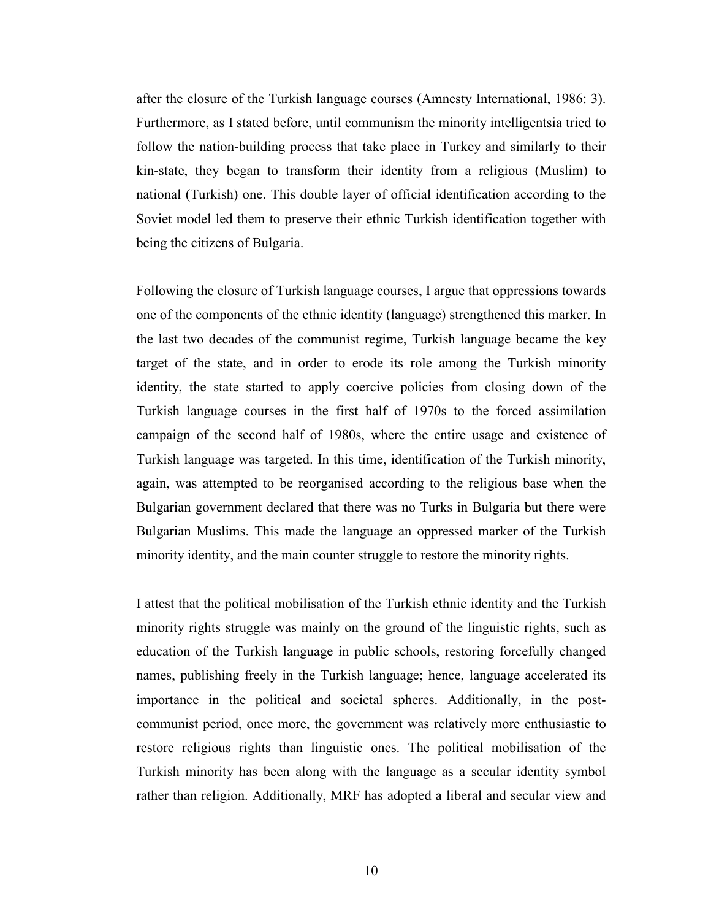after the closure of the Turkish language courses (Amnesty International, 1986: 3). Furthermore, as I stated before, until communism the minority intelligentsia tried to follow the nation-building process that take place in Turkey and similarly to their kin-state, they began to transform their identity from a religious (Muslim) to national (Turkish) one. This double layer of official identification according to the Soviet model led them to preserve their ethnic Turkish identification together with being the citizens of Bulgaria.

Following the closure of Turkish language courses, I argue that oppressions towards one of the components of the ethnic identity (language) strengthened this marker. In the last two decades of the communist regime, Turkish language became the key target of the state, and in order to erode its role among the Turkish minority identity, the state started to apply coercive policies from closing down of the Turkish language courses in the first half of 1970s to the forced assimilation campaign of the second half of 1980s, where the entire usage and existence of Turkish language was targeted. In this time, identification of the Turkish minority, again, was attempted to be reorganised according to the religious base when the Bulgarian government declared that there was no Turks in Bulgaria but there were Bulgarian Muslims. This made the language an oppressed marker of the Turkish minority identity, and the main counter struggle to restore the minority rights.

I attest that the political mobilisation of the Turkish ethnic identity and the Turkish minority rights struggle was mainly on the ground of the linguistic rights, such as education of the Turkish language in public schools, restoring forcefully changed names, publishing freely in the Turkish language; hence, language accelerated its importance in the political and societal spheres. Additionally, in the postcommunist period, once more, the government was relatively more enthusiastic to restore religious rights than linguistic ones. The political mobilisation of the Turkish minority has been along with the language as a secular identity symbol rather than religion. Additionally, MRF has adopted a liberal and secular view and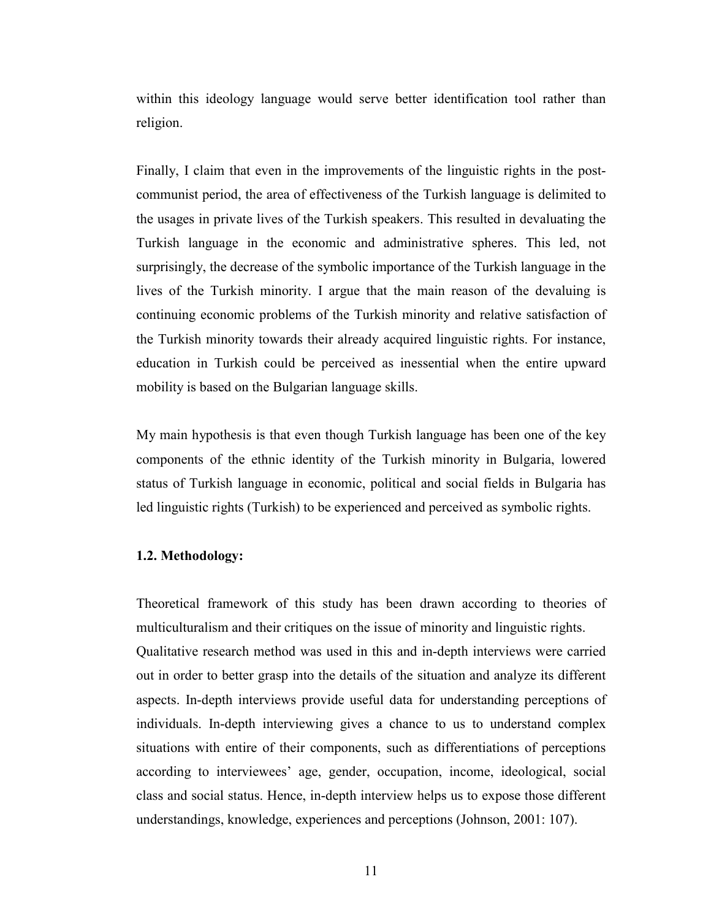within this ideology language would serve better identification tool rather than religion.

Finally, I claim that even in the improvements of the linguistic rights in the postcommunist period, the area of effectiveness of the Turkish language is delimited to the usages in private lives of the Turkish speakers. This resulted in devaluating the Turkish language in the economic and administrative spheres. This led, not surprisingly, the decrease of the symbolic importance of the Turkish language in the lives of the Turkish minority. I argue that the main reason of the devaluing is continuing economic problems of the Turkish minority and relative satisfaction of the Turkish minority towards their already acquired linguistic rights. For instance, education in Turkish could be perceived as inessential when the entire upward mobility is based on the Bulgarian language skills.

My main hypothesis is that even though Turkish language has been one of the key components of the ethnic identity of the Turkish minority in Bulgaria, lowered status of Turkish language in economic, political and social fields in Bulgaria has led linguistic rights (Turkish) to be experienced and perceived as symbolic rights.

#### 1.2. Methodology:

Theoretical framework of this study has been drawn according to theories of multiculturalism and their critiques on the issue of minority and linguistic rights. Qualitative research method was used in this and in-depth interviews were carried out in order to better grasp into the details of the situation and analyze its different aspects. In-depth interviews provide useful data for understanding perceptions of individuals. In-depth interviewing gives a chance to us to understand complex situations with entire of their components, such as differentiations of perceptions according to interviewees' age, gender, occupation, income, ideological, social class and social status. Hence, in-depth interview helps us to expose those different understandings, knowledge, experiences and perceptions (Johnson, 2001: 107).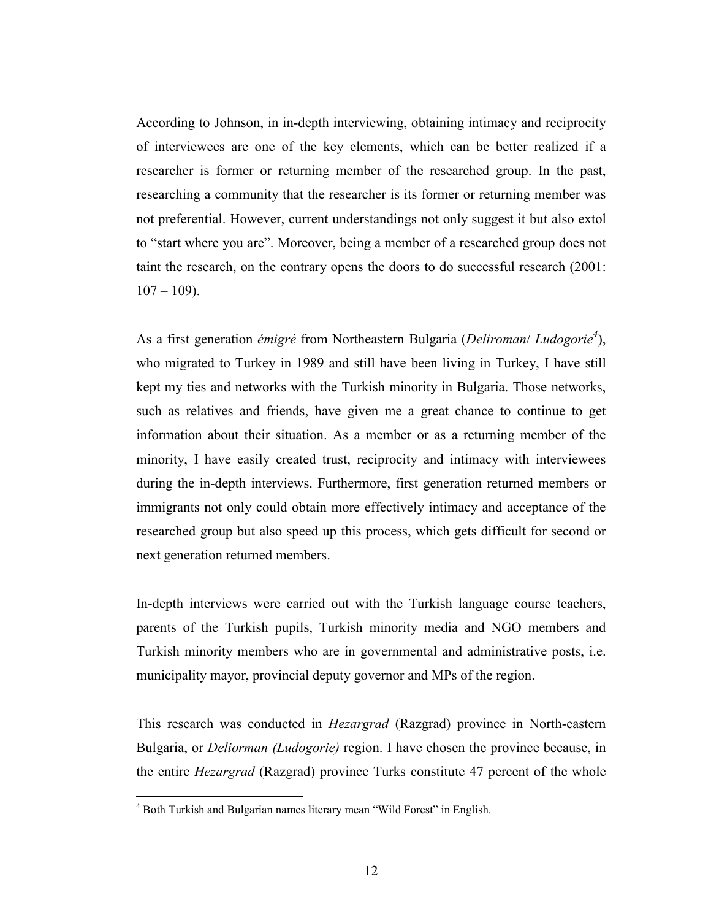According to Johnson, in in-depth interviewing, obtaining intimacy and reciprocity of interviewees are one of the key elements, which can be better realized if a researcher is former or returning member of the researched group. In the past, researching a community that the researcher is its former or returning member was not preferential. However, current understandings not only suggest it but also extol to "start where you are". Moreover, being a member of a researched group does not taint the research, on the contrary opens the doors to do successful research (2001:  $107 - 109$ ).

As a first generation émigré from Northeastern Bulgaria (Deliroman/Ludogorie<sup>4</sup>), who migrated to Turkey in 1989 and still have been living in Turkey, I have still kept my ties and networks with the Turkish minority in Bulgaria. Those networks, such as relatives and friends, have given me a great chance to continue to get information about their situation. As a member or as a returning member of the minority, I have easily created trust, reciprocity and intimacy with interviewees during the in-depth interviews. Furthermore, first generation returned members or immigrants not only could obtain more effectively intimacy and acceptance of the researched group but also speed up this process, which gets difficult for second or next generation returned members.

In-depth interviews were carried out with the Turkish language course teachers, parents of the Turkish pupils, Turkish minority media and NGO members and Turkish minority members who are in governmental and administrative posts, i.e. municipality mayor, provincial deputy governor and MPs of the region.

This research was conducted in Hezargrad (Razgrad) province in North-eastern Bulgaria, or *Deliorman (Ludogorie)* region. I have chosen the province because, in the entire Hezargrad (Razgrad) province Turks constitute 47 percent of the whole

 4 Both Turkish and Bulgarian names literary mean "Wild Forest" in English.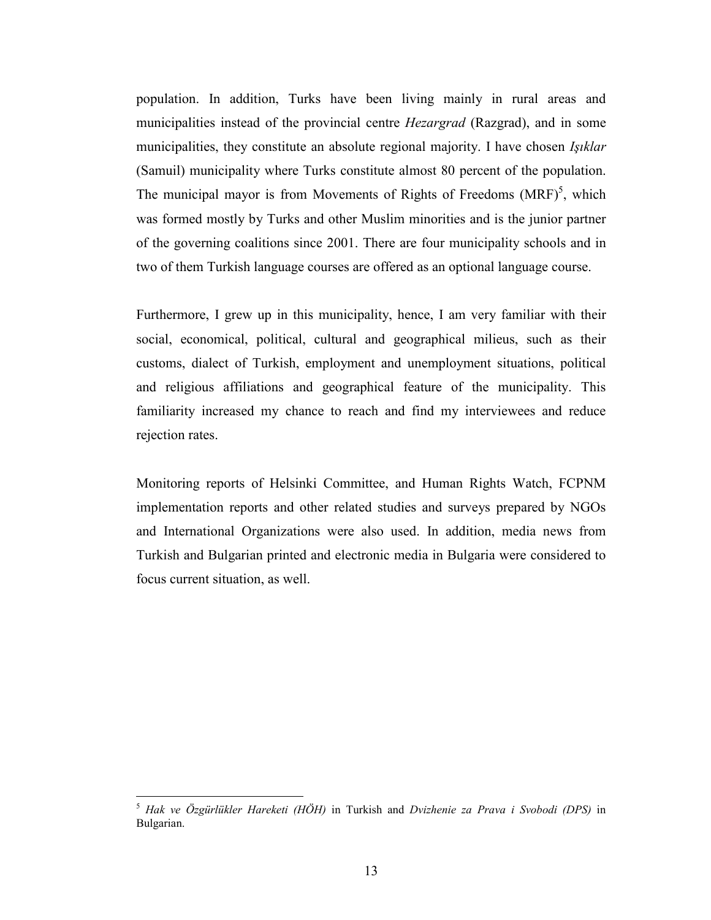population. In addition, Turks have been living mainly in rural areas and municipalities instead of the provincial centre *Hezargrad* (Razgrad), and in some municipalities, they constitute an absolute regional majority. I have chosen Işıklar (Samuil) municipality where Turks constitute almost 80 percent of the population. The municipal mayor is from Movements of Rights of Freedoms  $(MRF)^5$ , which was formed mostly by Turks and other Muslim minorities and is the junior partner of the governing coalitions since 2001. There are four municipality schools and in two of them Turkish language courses are offered as an optional language course.

Furthermore, I grew up in this municipality, hence, I am very familiar with their social, economical, political, cultural and geographical milieus, such as their customs, dialect of Turkish, employment and unemployment situations, political and religious affiliations and geographical feature of the municipality. This familiarity increased my chance to reach and find my interviewees and reduce rejection rates.

Monitoring reports of Helsinki Committee, and Human Rights Watch, FCPNM implementation reports and other related studies and surveys prepared by NGOs and International Organizations were also used. In addition, media news from Turkish and Bulgarian printed and electronic media in Bulgaria were considered to focus current situation, as well.

<sup>5</sup> Hak ve Özgürlükler Hareketi (HÖH) in Turkish and Dvizhenie za Prava i Svobodi (DPS) in Bulgarian.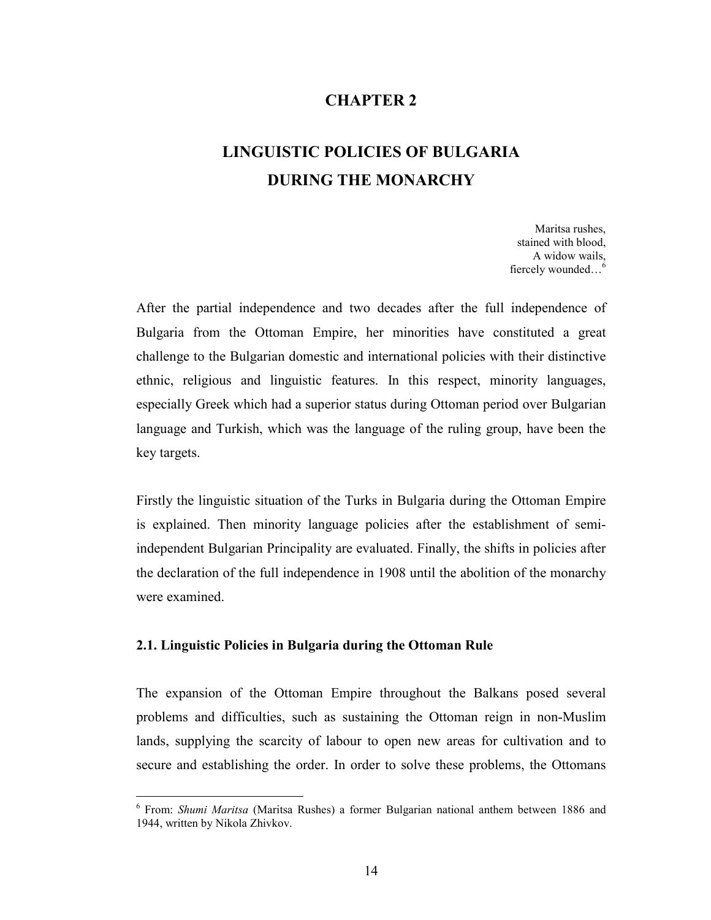## CHAPTER 2

# LINGUISTIC POLICIES OF BULGARIA DURING THE MONARCHY

Maritsa rushes, stained with blood, A widow wails, fiercely wounded…<sup>6</sup>

After the partial independence and two decades after the full independence of Bulgaria from the Ottoman Empire, her minorities have constituted a great challenge to the Bulgarian domestic and international policies with their distinctive ethnic, religious and linguistic features. In this respect, minority languages, especially Greek which had a superior status during Ottoman period over Bulgarian language and Turkish, which was the language of the ruling group, have been the key targets.

Firstly the linguistic situation of the Turks in Bulgaria during the Ottoman Empire is explained. Then minority language policies after the establishment of semiindependent Bulgarian Principality are evaluated. Finally, the shifts in policies after the declaration of the full independence in 1908 until the abolition of the monarchy were examined.

#### 2.1. Linguistic Policies in Bulgaria during the Ottoman Rule

 $\overline{a}$ 

The expansion of the Ottoman Empire throughout the Balkans posed several problems and difficulties, such as sustaining the Ottoman reign in non-Muslim lands, supplying the scarcity of labour to open new areas for cultivation and to secure and establishing the order. In order to solve these problems, the Ottomans

<sup>&</sup>lt;sup>6</sup> From: Shumi Maritsa (Maritsa Rushes) a former Bulgarian national anthem between 1886 and 1944, written by Nikola Zhivkov.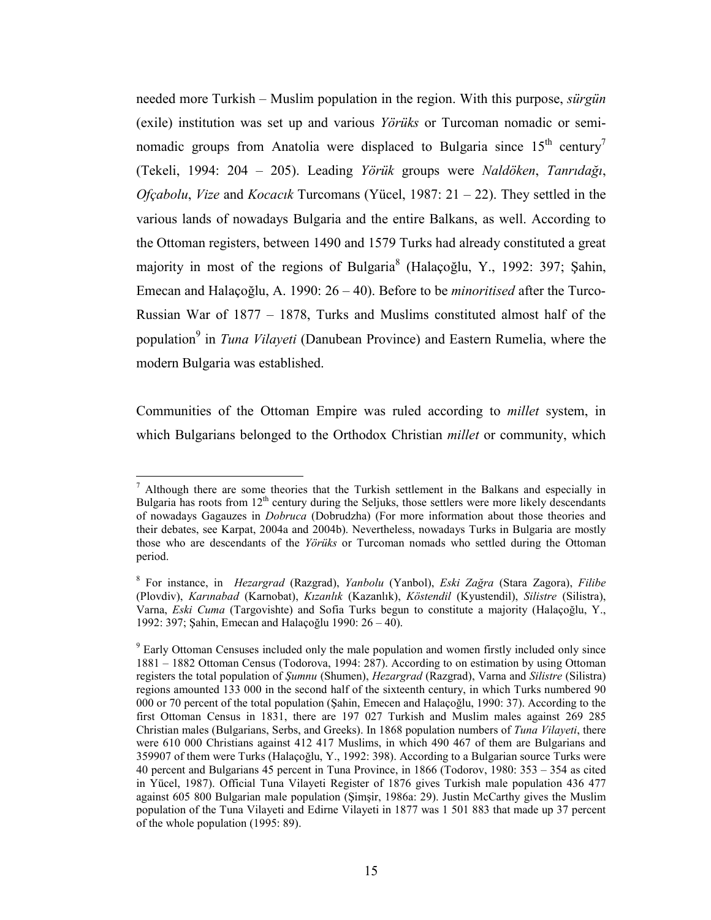needed more Turkish – Muslim population in the region. With this purpose, *sürgün* (exile) institution was set up and various Yörüks or Turcoman nomadic or seminomadic groups from Anatolia were displaced to Bulgaria since  $15<sup>th</sup>$  century<sup>7</sup> (Tekeli, 1994: 204 – 205). Leading Yörük groups were Naldöken, Tanrıdağı, *Ofçabolu, Vize* and *Kocacik* Turcomans (Yücel, 1987:  $21 - 22$ ). They settled in the various lands of nowadays Bulgaria and the entire Balkans, as well. According to the Ottoman registers, between 1490 and 1579 Turks had already constituted a great majority in most of the regions of Bulgaria<sup>8</sup> (Halaçoğlu, Y., 1992: 397; Şahin, Emecan and Halaçoğlu, A. 1990: 26 – 40). Before to be minoritised after the Turco-Russian War of 1877 – 1878, Turks and Muslims constituted almost half of the population<sup>9</sup> in *Tuna Vilayeti* (Danubean Province) and Eastern Rumelia, where the modern Bulgaria was established.

Communities of the Ottoman Empire was ruled according to millet system, in which Bulgarians belonged to the Orthodox Christian *millet* or community, which

 $<sup>7</sup>$  Although there are some theories that the Turkish settlement in the Balkans and especially in</sup> Bulgaria has roots from  $12<sup>th</sup>$  century during the Seljuks, those settlers were more likely descendants of nowadays Gagauzes in Dobruca (Dobrudzha) (For more information about those theories and their debates, see Karpat, 2004a and 2004b). Nevertheless, nowadays Turks in Bulgaria are mostly those who are descendants of the Yörüks or Turcoman nomads who settled during the Ottoman period.

<sup>&</sup>lt;sup>8</sup> For instance, in *Hezargrad* (Razgrad), *Yanbolu* (Yanbol), *Eski Zağra* (Stara Zagora), Filibe (Plovdiv), Karınabad (Karnobat), Kızanlık (Kazanlık), Köstendil (Kyustendil), Silistre (Silistra), Varna, Eski Cuma (Targovishte) and Sofia Turks begun to constitute a majority (Halaçoğlu, Y., 1992: 397; Şahin, Emecan and Halaçoğlu 1990: 26 – 40).

<sup>&</sup>lt;sup>9</sup> Early Ottoman Censuses included only the male population and women firstly included only since 1881 – 1882 Ottoman Census (Todorova, 1994: 287). According to on estimation by using Ottoman registers the total population of Şumnu (Shumen), Hezargrad (Razgrad), Varna and Silistre (Silistra) regions amounted 133 000 in the second half of the sixteenth century, in which Turks numbered 90 000 or 70 percent of the total population (Şahin, Emecen and Halaçoğlu, 1990: 37). According to the first Ottoman Census in 1831, there are 197 027 Turkish and Muslim males against 269 285 Christian males (Bulgarians, Serbs, and Greeks). In 1868 population numbers of Tuna Vilayeti, there were 610 000 Christians against 412 417 Muslims, in which 490 467 of them are Bulgarians and 359907 of them were Turks (Halaçoğlu, Y., 1992: 398). According to a Bulgarian source Turks were 40 percent and Bulgarians 45 percent in Tuna Province, in 1866 (Todorov, 1980: 353 – 354 as cited in Yücel, 1987). Official Tuna Vilayeti Register of 1876 gives Turkish male population 436 477 against 605 800 Bulgarian male population (Şimşir, 1986a: 29). Justin McCarthy gives the Muslim population of the Tuna Vilayeti and Edirne Vilayeti in 1877 was 1 501 883 that made up 37 percent of the whole population (1995: 89).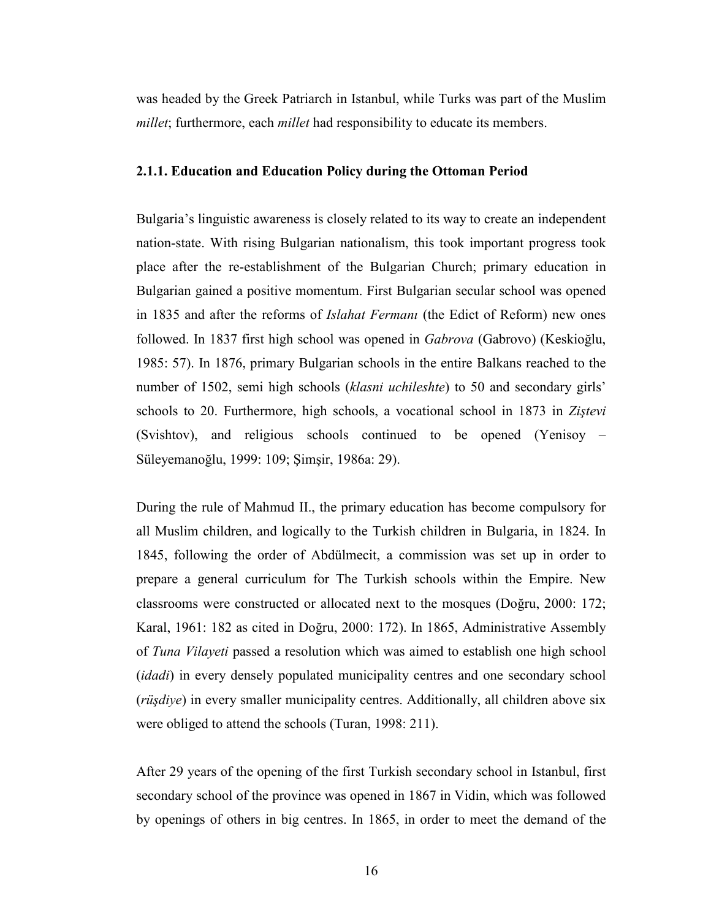was headed by the Greek Patriarch in Istanbul, while Turks was part of the Muslim millet; furthermore, each *millet* had responsibility to educate its members.

#### 2.1.1. Education and Education Policy during the Ottoman Period

Bulgaria's linguistic awareness is closely related to its way to create an independent nation-state. With rising Bulgarian nationalism, this took important progress took place after the re-establishment of the Bulgarian Church; primary education in Bulgarian gained a positive momentum. First Bulgarian secular school was opened in 1835 and after the reforms of *Islahat Fermani* (the Edict of Reform) new ones followed. In 1837 first high school was opened in Gabrova (Gabrovo) (Keskioğlu, 1985: 57). In 1876, primary Bulgarian schools in the entire Balkans reached to the number of 1502, semi high schools *(klasni uchileshte)* to 50 and secondary girls' schools to 20. Furthermore, high schools, a vocational school in 1873 in Zistevi (Svishtov), and religious schools continued to be opened (Yenisoy – Süleyemanoğlu, 1999: 109; Şimşir, 1986a: 29).

During the rule of Mahmud II., the primary education has become compulsory for all Muslim children, and logically to the Turkish children in Bulgaria, in 1824. In 1845, following the order of Abdülmecit, a commission was set up in order to prepare a general curriculum for The Turkish schools within the Empire. New classrooms were constructed or allocated next to the mosques (Doğru, 2000: 172; Karal, 1961: 182 as cited in Doğru, 2000: 172). In 1865, Administrative Assembly of Tuna Vilayeti passed a resolution which was aimed to establish one high school (*idadi*) in every densely populated municipality centres and one secondary school (rüşdiye) in every smaller municipality centres. Additionally, all children above six were obliged to attend the schools (Turan, 1998: 211).

After 29 years of the opening of the first Turkish secondary school in Istanbul, first secondary school of the province was opened in 1867 in Vidin, which was followed by openings of others in big centres. In 1865, in order to meet the demand of the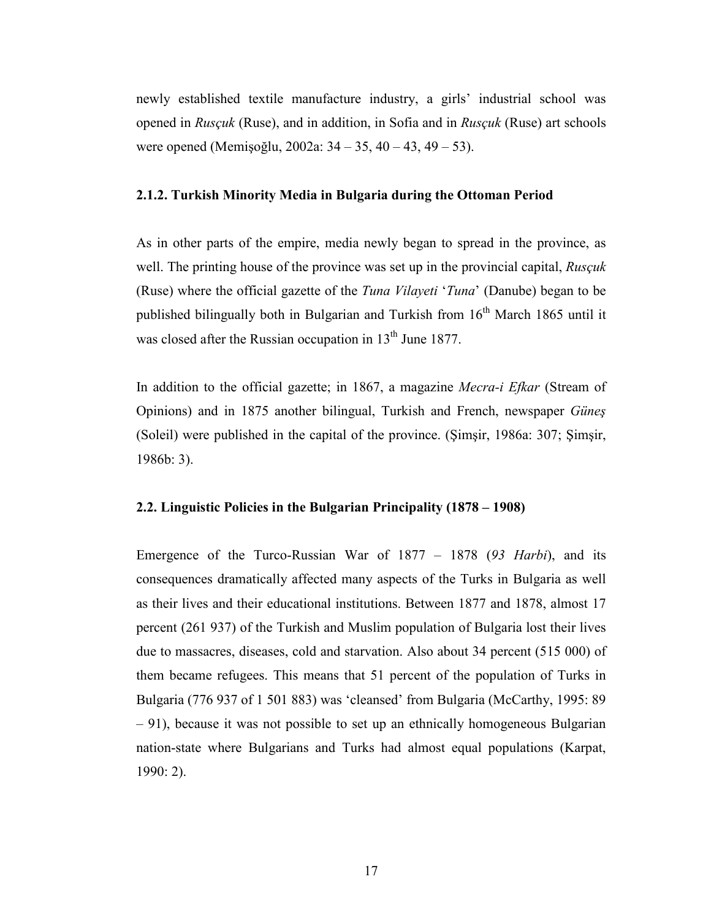newly established textile manufacture industry, a girls' industrial school was opened in Rusçuk (Ruse), and in addition, in Sofia and in Rusçuk (Ruse) art schools were opened (Memişoğlu, 2002a: 34 – 35, 40 – 43, 49 – 53).

#### 2.1.2. Turkish Minority Media in Bulgaria during the Ottoman Period

As in other parts of the empire, media newly began to spread in the province, as well. The printing house of the province was set up in the provincial capital, Ruscuk (Ruse) where the official gazette of the Tuna Vilayeti 'Tuna' (Danube) began to be published bilingually both in Bulgarian and Turkish from 16<sup>th</sup> March 1865 until it was closed after the Russian occupation in  $13<sup>th</sup>$  June 1877.

In addition to the official gazette; in 1867, a magazine *Mecra-i Efkar* (Stream of Opinions) and in 1875 another bilingual, Turkish and French, newspaper Güneş (Soleil) were published in the capital of the province. (Şimşir, 1986a: 307; Şimşir, 1986b: 3).

#### 2.2. Linguistic Policies in the Bulgarian Principality (1878 – 1908)

Emergence of the Turco-Russian War of  $1877 - 1878$  (93 Harbi), and its consequences dramatically affected many aspects of the Turks in Bulgaria as well as their lives and their educational institutions. Between 1877 and 1878, almost 17 percent (261 937) of the Turkish and Muslim population of Bulgaria lost their lives due to massacres, diseases, cold and starvation. Also about 34 percent (515 000) of them became refugees. This means that 51 percent of the population of Turks in Bulgaria (776 937 of 1 501 883) was 'cleansed' from Bulgaria (McCarthy, 1995: 89 – 91), because it was not possible to set up an ethnically homogeneous Bulgarian nation-state where Bulgarians and Turks had almost equal populations (Karpat, 1990: 2).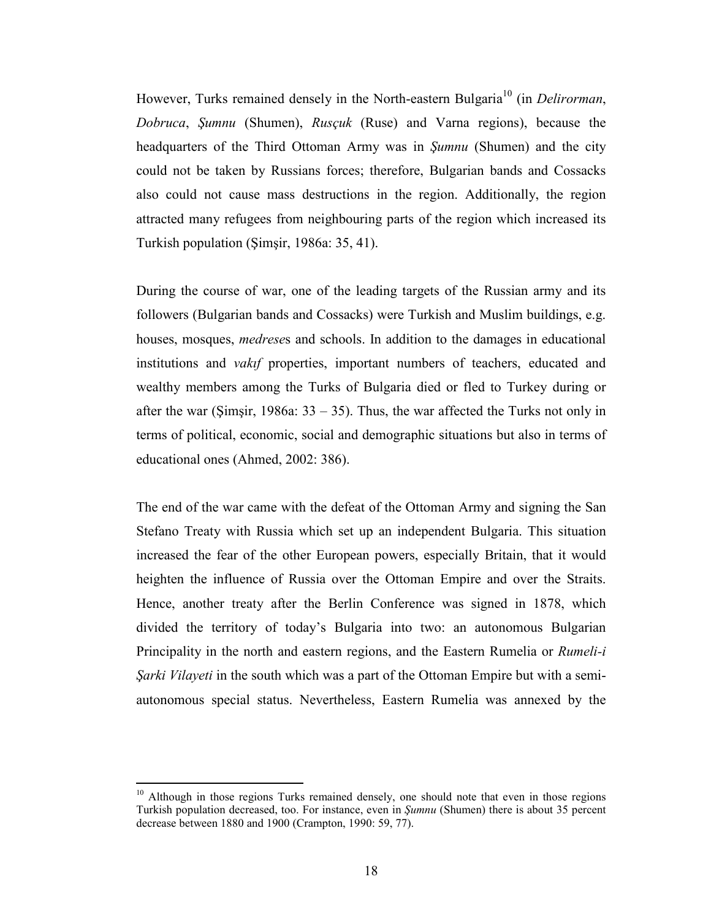However, Turks remained densely in the North-eastern Bulgaria<sup>10</sup> (in *Delirorman*, Dobruca, Şumnu (Shumen), Rusçuk (Ruse) and Varna regions), because the headquarters of the Third Ottoman Army was in Şumnu (Shumen) and the city could not be taken by Russians forces; therefore, Bulgarian bands and Cossacks also could not cause mass destructions in the region. Additionally, the region attracted many refugees from neighbouring parts of the region which increased its Turkish population (Şimşir, 1986a: 35, 41).

During the course of war, one of the leading targets of the Russian army and its followers (Bulgarian bands and Cossacks) were Turkish and Muslim buildings, e.g. houses, mosques, medreses and schools. In addition to the damages in educational institutions and vakıf properties, important numbers of teachers, educated and wealthy members among the Turks of Bulgaria died or fled to Turkey during or after the war (Simsir, 1986a:  $33 - 35$ ). Thus, the war affected the Turks not only in terms of political, economic, social and demographic situations but also in terms of educational ones (Ahmed, 2002: 386).

The end of the war came with the defeat of the Ottoman Army and signing the San Stefano Treaty with Russia which set up an independent Bulgaria. This situation increased the fear of the other European powers, especially Britain, that it would heighten the influence of Russia over the Ottoman Empire and over the Straits. Hence, another treaty after the Berlin Conference was signed in 1878, which divided the territory of today's Bulgaria into two: an autonomous Bulgarian Principality in the north and eastern regions, and the Eastern Rumelia or Rumeli-i Şarki Vilayeti in the south which was a part of the Ottoman Empire but with a semiautonomous special status. Nevertheless, Eastern Rumelia was annexed by the

 $10<sup>10</sup>$  Although in those regions Turks remained densely, one should note that even in those regions Turkish population decreased, too. For instance, even in Şumnu (Shumen) there is about 35 percent decrease between 1880 and 1900 (Crampton, 1990: 59, 77).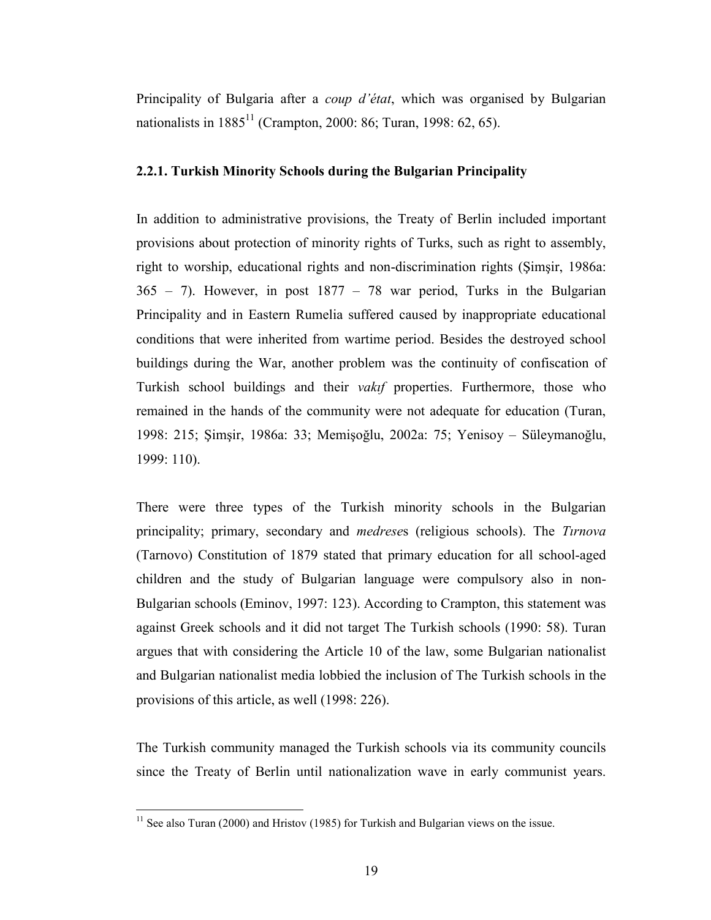Principality of Bulgaria after a *coup d'état*, which was organised by Bulgarian nationalists in  $1885^{11}$  (Crampton, 2000: 86; Turan, 1998: 62, 65).

#### 2.2.1. Turkish Minority Schools during the Bulgarian Principality

In addition to administrative provisions, the Treaty of Berlin included important provisions about protection of minority rights of Turks, such as right to assembly, right to worship, educational rights and non-discrimination rights (Şimşir, 1986a: 365 – 7). However, in post 1877 – 78 war period, Turks in the Bulgarian Principality and in Eastern Rumelia suffered caused by inappropriate educational conditions that were inherited from wartime period. Besides the destroyed school buildings during the War, another problem was the continuity of confiscation of Turkish school buildings and their *vakif* properties. Furthermore, those who remained in the hands of the community were not adequate for education (Turan, 1998: 215; Şimşir, 1986a: 33; Memişoğlu, 2002a: 75; Yenisoy – Süleymanoğlu, 1999: 110).

There were three types of the Turkish minority schools in the Bulgarian principality; primary, secondary and medreses (religious schools). The Tırnova (Tarnovo) Constitution of 1879 stated that primary education for all school-aged children and the study of Bulgarian language were compulsory also in non-Bulgarian schools (Eminov, 1997: 123). According to Crampton, this statement was against Greek schools and it did not target The Turkish schools (1990: 58). Turan argues that with considering the Article 10 of the law, some Bulgarian nationalist and Bulgarian nationalist media lobbied the inclusion of The Turkish schools in the provisions of this article, as well (1998: 226).

The Turkish community managed the Turkish schools via its community councils since the Treaty of Berlin until nationalization wave in early communist years.

 $11$  See also Turan (2000) and Hristov (1985) for Turkish and Bulgarian views on the issue.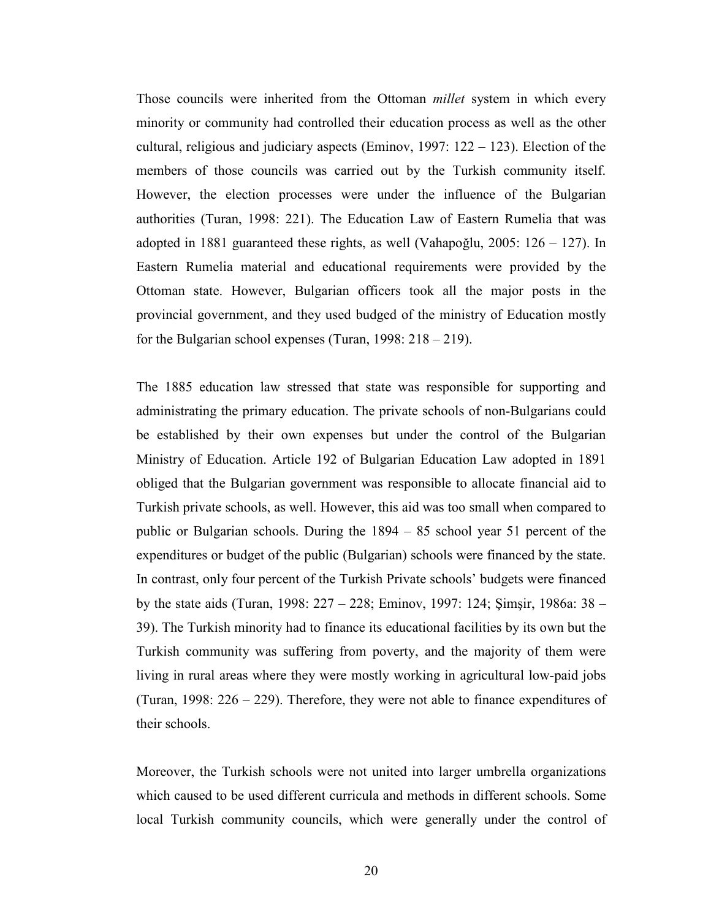Those councils were inherited from the Ottoman millet system in which every minority or community had controlled their education process as well as the other cultural, religious and judiciary aspects (Eminov, 1997: 122 – 123). Election of the members of those councils was carried out by the Turkish community itself. However, the election processes were under the influence of the Bulgarian authorities (Turan, 1998: 221). The Education Law of Eastern Rumelia that was adopted in 1881 guaranteed these rights, as well (Vahapoğlu, 2005: 126 – 127). In Eastern Rumelia material and educational requirements were provided by the Ottoman state. However, Bulgarian officers took all the major posts in the provincial government, and they used budged of the ministry of Education mostly for the Bulgarian school expenses (Turan, 1998: 218 – 219).

The 1885 education law stressed that state was responsible for supporting and administrating the primary education. The private schools of non-Bulgarians could be established by their own expenses but under the control of the Bulgarian Ministry of Education. Article 192 of Bulgarian Education Law adopted in 1891 obliged that the Bulgarian government was responsible to allocate financial aid to Turkish private schools, as well. However, this aid was too small when compared to public or Bulgarian schools. During the 1894 – 85 school year 51 percent of the expenditures or budget of the public (Bulgarian) schools were financed by the state. In contrast, only four percent of the Turkish Private schools' budgets were financed by the state aids (Turan, 1998: 227 – 228; Eminov, 1997: 124; Şimşir, 1986a: 38 – 39). The Turkish minority had to finance its educational facilities by its own but the Turkish community was suffering from poverty, and the majority of them were living in rural areas where they were mostly working in agricultural low-paid jobs (Turan, 1998: 226 – 229). Therefore, they were not able to finance expenditures of their schools.

Moreover, the Turkish schools were not united into larger umbrella organizations which caused to be used different curricula and methods in different schools. Some local Turkish community councils, which were generally under the control of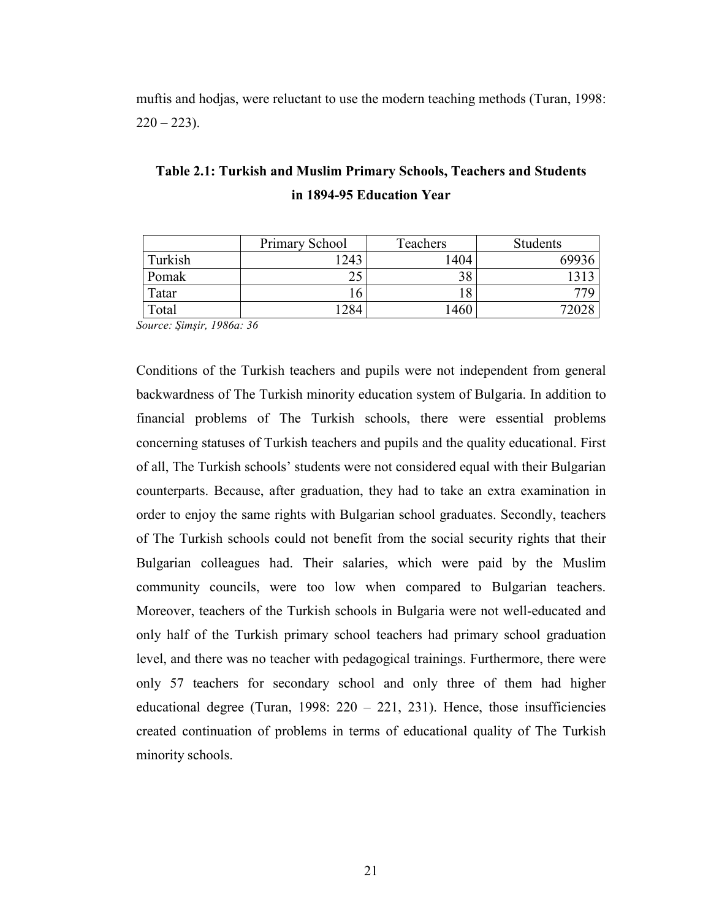muftis and hodjas, were reluctant to use the modern teaching methods (Turan, 1998:  $220 - 223$ ).

|         | Primary School | Teachers | Students |
|---------|----------------|----------|----------|
| Turkish | 243            | .404     | 69936    |
| Pomak   |                |          |          |
| Tatar   |                |          |          |
| Total   | 284            | .460     | 72028    |

Table 2.1: Turkish and Muslim Primary Schools, Teachers and Students in 1894-95 Education Year

Source: Şimşir, 1986a: 36

Conditions of the Turkish teachers and pupils were not independent from general backwardness of The Turkish minority education system of Bulgaria. In addition to financial problems of The Turkish schools, there were essential problems concerning statuses of Turkish teachers and pupils and the quality educational. First of all, The Turkish schools' students were not considered equal with their Bulgarian counterparts. Because, after graduation, they had to take an extra examination in order to enjoy the same rights with Bulgarian school graduates. Secondly, teachers of The Turkish schools could not benefit from the social security rights that their Bulgarian colleagues had. Their salaries, which were paid by the Muslim community councils, were too low when compared to Bulgarian teachers. Moreover, teachers of the Turkish schools in Bulgaria were not well-educated and only half of the Turkish primary school teachers had primary school graduation level, and there was no teacher with pedagogical trainings. Furthermore, there were only 57 teachers for secondary school and only three of them had higher educational degree (Turan, 1998:  $220 - 221$ , 231). Hence, those insufficiencies created continuation of problems in terms of educational quality of The Turkish minority schools.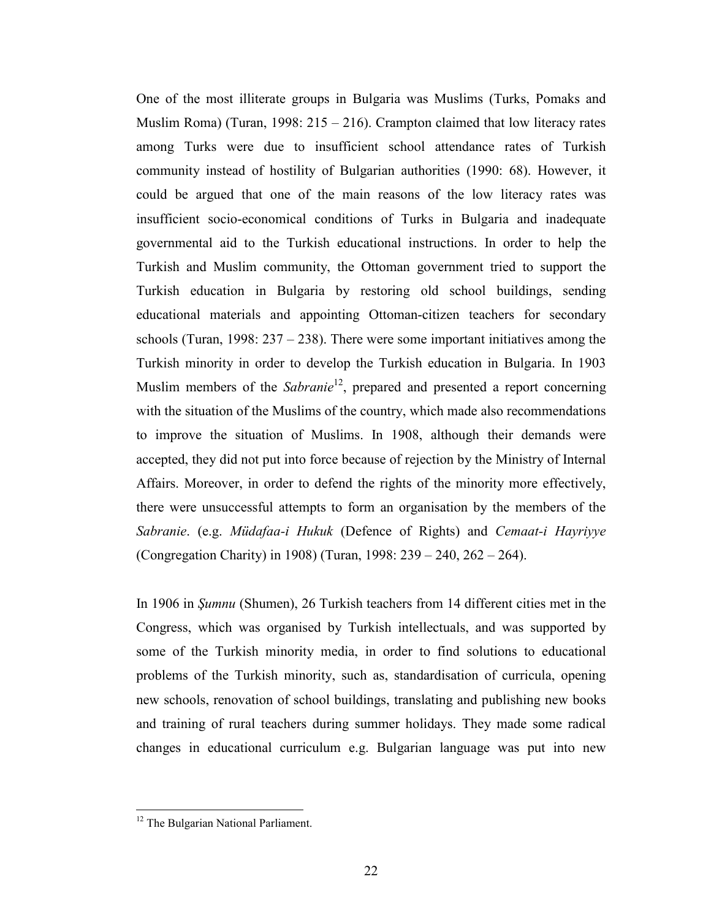One of the most illiterate groups in Bulgaria was Muslims (Turks, Pomaks and Muslim Roma) (Turan, 1998: 215 – 216). Crampton claimed that low literacy rates among Turks were due to insufficient school attendance rates of Turkish community instead of hostility of Bulgarian authorities (1990: 68). However, it could be argued that one of the main reasons of the low literacy rates was insufficient socio-economical conditions of Turks in Bulgaria and inadequate governmental aid to the Turkish educational instructions. In order to help the Turkish and Muslim community, the Ottoman government tried to support the Turkish education in Bulgaria by restoring old school buildings, sending educational materials and appointing Ottoman-citizen teachers for secondary schools (Turan, 1998:  $237 - 238$ ). There were some important initiatives among the Turkish minority in order to develop the Turkish education in Bulgaria. In 1903 Muslim members of the *Sabranie*<sup>12</sup>, prepared and presented a report concerning with the situation of the Muslims of the country, which made also recommendations to improve the situation of Muslims. In 1908, although their demands were accepted, they did not put into force because of rejection by the Ministry of Internal Affairs. Moreover, in order to defend the rights of the minority more effectively, there were unsuccessful attempts to form an organisation by the members of the Sabranie. (e.g. Müdafaa-i Hukuk (Defence of Rights) and Cemaat-i Hayriyye (Congregation Charity) in 1908) (Turan, 1998: 239 – 240, 262 – 264).

In 1906 in Şumnu (Shumen), 26 Turkish teachers from 14 different cities met in the Congress, which was organised by Turkish intellectuals, and was supported by some of the Turkish minority media, in order to find solutions to educational problems of the Turkish minority, such as, standardisation of curricula, opening new schools, renovation of school buildings, translating and publishing new books and training of rural teachers during summer holidays. They made some radical changes in educational curriculum e.g. Bulgarian language was put into new

<sup>&</sup>lt;sup>12</sup> The Bulgarian National Parliament.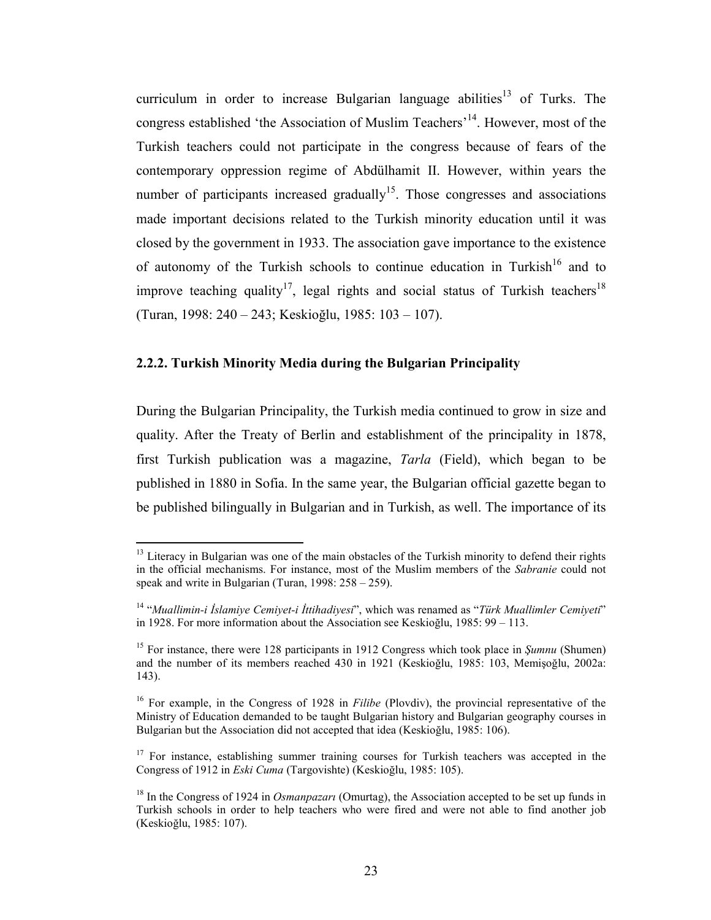curriculum in order to increase Bulgarian language abilities<sup>13</sup> of Turks. The congress established 'the Association of Muslim Teachers'<sup>14</sup>. However, most of the Turkish teachers could not participate in the congress because of fears of the contemporary oppression regime of Abdülhamit II. However, within years the number of participants increased gradually<sup>15</sup>. Those congresses and associations made important decisions related to the Turkish minority education until it was closed by the government in 1933. The association gave importance to the existence of autonomy of the Turkish schools to continue education in Turkish<sup>16</sup> and to improve teaching quality<sup>17</sup>, legal rights and social status of Turkish teachers<sup>18</sup> (Turan, 1998: 240 – 243; Keskioğlu, 1985: 103 – 107).

#### 2.2.2. Turkish Minority Media during the Bulgarian Principality

 $\overline{a}$ 

During the Bulgarian Principality, the Turkish media continued to grow in size and quality. After the Treaty of Berlin and establishment of the principality in 1878, first Turkish publication was a magazine, Tarla (Field), which began to be published in 1880 in Sofia. In the same year, the Bulgarian official gazette began to be published bilingually in Bulgarian and in Turkish, as well. The importance of its

<sup>&</sup>lt;sup>13</sup> Literacy in Bulgarian was one of the main obstacles of the Turkish minority to defend their rights in the official mechanisms. For instance, most of the Muslim members of the Sabranie could not speak and write in Bulgarian (Turan, 1998: 258 – 259).

 $14$  "Muallimin-i İslamiye Cemiyet-i İttihadiyesi", which was renamed as "Türk Muallimler Cemiyeti" in 1928. For more information about the Association see Keskioğlu, 1985: 99 – 113.

<sup>&</sup>lt;sup>15</sup> For instance, there were 128 participants in 1912 Congress which took place in  $Sumnu$  (Shumen) and the number of its members reached 430 in 1921 (Keskioğlu, 1985: 103, Memişoğlu, 2002a: 143).

<sup>&</sup>lt;sup>16</sup> For example, in the Congress of 1928 in *Filibe* (Plovdiv), the provincial representative of the Ministry of Education demanded to be taught Bulgarian history and Bulgarian geography courses in Bulgarian but the Association did not accepted that idea (Keskioğlu, 1985: 106).

<sup>&</sup>lt;sup>17</sup> For instance, establishing summer training courses for Turkish teachers was accepted in the Congress of 1912 in Eski Cuma (Targovishte) (Keskioğlu, 1985: 105).

<sup>&</sup>lt;sup>18</sup> In the Congress of 1924 in *Osmanpazari* (Omurtag), the Association accepted to be set up funds in Turkish schools in order to help teachers who were fired and were not able to find another job (Keskioğlu, 1985: 107).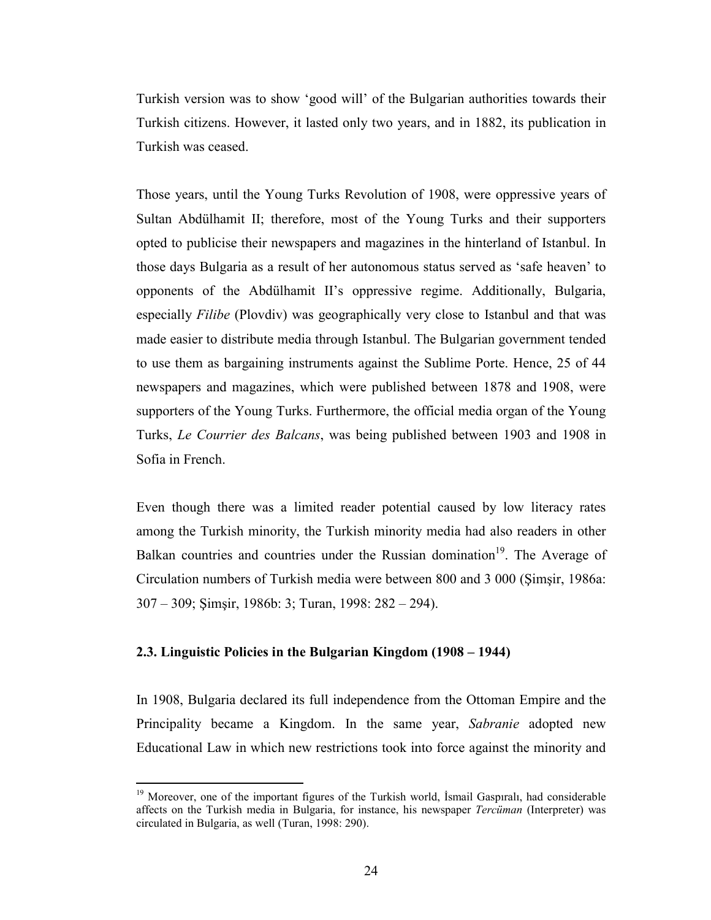Turkish version was to show 'good will' of the Bulgarian authorities towards their Turkish citizens. However, it lasted only two years, and in 1882, its publication in Turkish was ceased.

Those years, until the Young Turks Revolution of 1908, were oppressive years of Sultan Abdülhamit II; therefore, most of the Young Turks and their supporters opted to publicise their newspapers and magazines in the hinterland of Istanbul. In those days Bulgaria as a result of her autonomous status served as 'safe heaven' to opponents of the Abdülhamit II's oppressive regime. Additionally, Bulgaria, especially Filibe (Plovdiv) was geographically very close to Istanbul and that was made easier to distribute media through Istanbul. The Bulgarian government tended to use them as bargaining instruments against the Sublime Porte. Hence, 25 of 44 newspapers and magazines, which were published between 1878 and 1908, were supporters of the Young Turks. Furthermore, the official media organ of the Young Turks, Le Courrier des Balcans, was being published between 1903 and 1908 in Sofia in French.

Even though there was a limited reader potential caused by low literacy rates among the Turkish minority, the Turkish minority media had also readers in other Balkan countries and countries under the Russian domination<sup>19</sup>. The Average of Circulation numbers of Turkish media were between 800 and 3 000 (Şimşir, 1986a: 307 – 309; Şimşir, 1986b: 3; Turan, 1998: 282 – 294).

### 2.3. Linguistic Policies in the Bulgarian Kingdom (1908 – 1944)

 $\overline{a}$ 

In 1908, Bulgaria declared its full independence from the Ottoman Empire and the Principality became a Kingdom. In the same year, Sabranie adopted new Educational Law in which new restrictions took into force against the minority and

<sup>&</sup>lt;sup>19</sup> Moreover, one of the important figures of the Turkish world, İsmail Gaspıralı, had considerable affects on the Turkish media in Bulgaria, for instance, his newspaper Tercüman (Interpreter) was circulated in Bulgaria, as well (Turan, 1998: 290).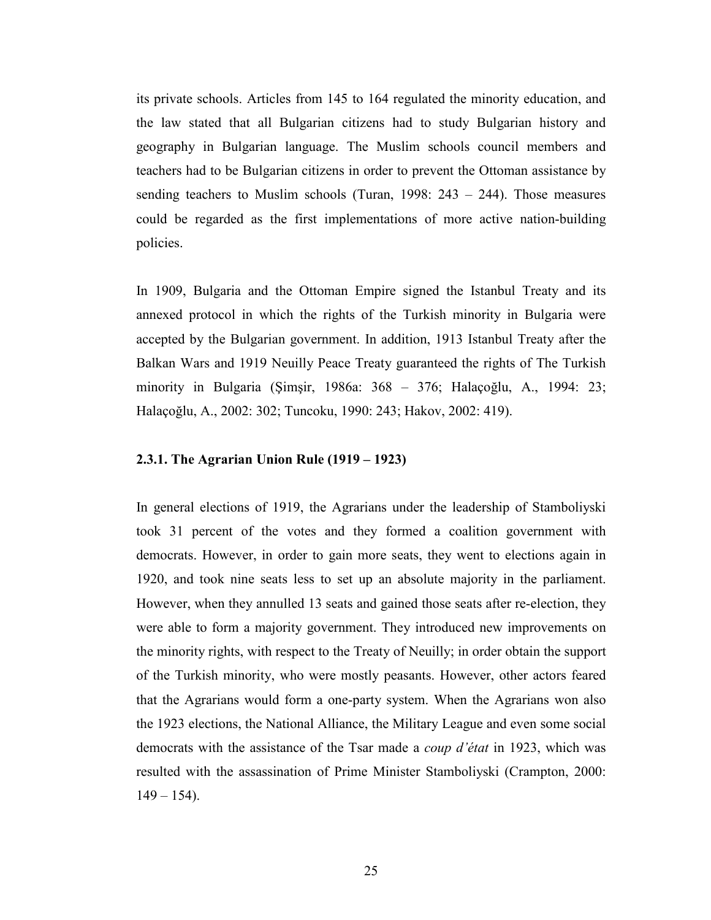its private schools. Articles from 145 to 164 regulated the minority education, and the law stated that all Bulgarian citizens had to study Bulgarian history and geography in Bulgarian language. The Muslim schools council members and teachers had to be Bulgarian citizens in order to prevent the Ottoman assistance by sending teachers to Muslim schools (Turan, 1998:  $243 - 244$ ). Those measures could be regarded as the first implementations of more active nation-building policies.

In 1909, Bulgaria and the Ottoman Empire signed the Istanbul Treaty and its annexed protocol in which the rights of the Turkish minority in Bulgaria were accepted by the Bulgarian government. In addition, 1913 Istanbul Treaty after the Balkan Wars and 1919 Neuilly Peace Treaty guaranteed the rights of The Turkish minority in Bulgaria (Şimşir, 1986a: 368 – 376; Halaçoğlu, A., 1994: 23; Halaçoğlu, A., 2002: 302; Tuncoku, 1990: 243; Hakov, 2002: 419).

### 2.3.1. The Agrarian Union Rule (1919 – 1923)

In general elections of 1919, the Agrarians under the leadership of Stamboliyski took 31 percent of the votes and they formed a coalition government with democrats. However, in order to gain more seats, they went to elections again in 1920, and took nine seats less to set up an absolute majority in the parliament. However, when they annulled 13 seats and gained those seats after re-election, they were able to form a majority government. They introduced new improvements on the minority rights, with respect to the Treaty of Neuilly; in order obtain the support of the Turkish minority, who were mostly peasants. However, other actors feared that the Agrarians would form a one-party system. When the Agrarians won also the 1923 elections, the National Alliance, the Military League and even some social democrats with the assistance of the Tsar made a coup d'état in 1923, which was resulted with the assassination of Prime Minister Stamboliyski (Crampton, 2000:  $149 - 154$ ).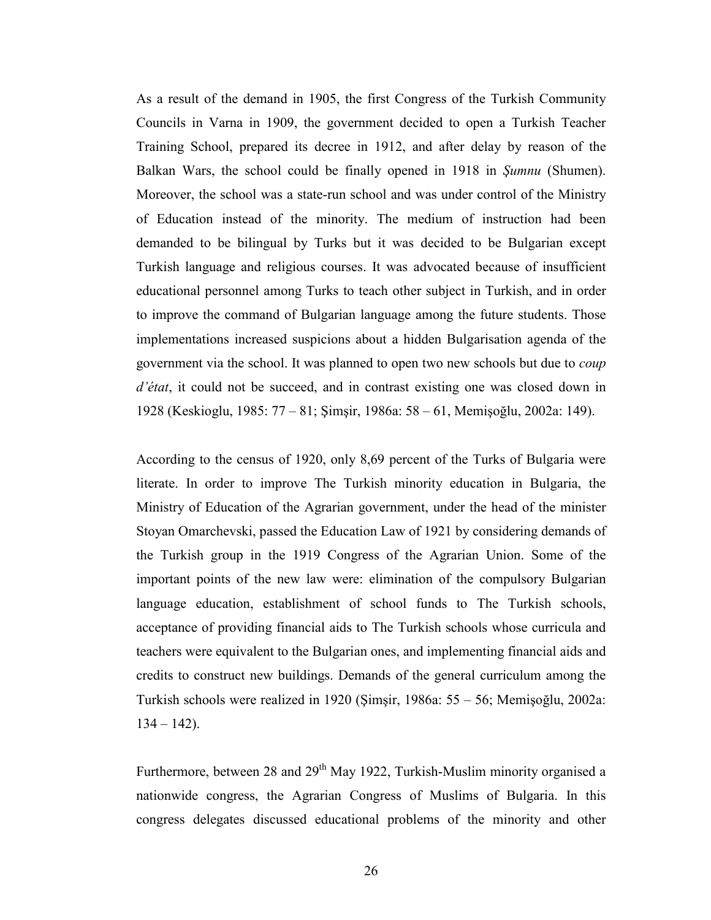As a result of the demand in 1905, the first Congress of the Turkish Community Councils in Varna in 1909, the government decided to open a Turkish Teacher Training School, prepared its decree in 1912, and after delay by reason of the Balkan Wars, the school could be finally opened in 1918 in Şumnu (Shumen). Moreover, the school was a state-run school and was under control of the Ministry of Education instead of the minority. The medium of instruction had been demanded to be bilingual by Turks but it was decided to be Bulgarian except Turkish language and religious courses. It was advocated because of insufficient educational personnel among Turks to teach other subject in Turkish, and in order to improve the command of Bulgarian language among the future students. Those implementations increased suspicions about a hidden Bulgarisation agenda of the government via the school. It was planned to open two new schools but due to coup d'état, it could not be succeed, and in contrast existing one was closed down in 1928 (Keskioglu, 1985: 77 – 81; Şimşir, 1986a: 58 – 61, Memişoğlu, 2002a: 149).

According to the census of 1920, only 8,69 percent of the Turks of Bulgaria were literate. In order to improve The Turkish minority education in Bulgaria, the Ministry of Education of the Agrarian government, under the head of the minister Stoyan Omarchevski, passed the Education Law of 1921 by considering demands of the Turkish group in the 1919 Congress of the Agrarian Union. Some of the important points of the new law were: elimination of the compulsory Bulgarian language education, establishment of school funds to The Turkish schools, acceptance of providing financial aids to The Turkish schools whose curricula and teachers were equivalent to the Bulgarian ones, and implementing financial aids and credits to construct new buildings. Demands of the general curriculum among the Turkish schools were realized in 1920 (Şimşir, 1986a: 55 – 56; Memişoğlu, 2002a:  $134 - 142$ ).

Furthermore, between 28 and  $29<sup>th</sup>$  May 1922, Turkish-Muslim minority organised a nationwide congress, the Agrarian Congress of Muslims of Bulgaria. In this congress delegates discussed educational problems of the minority and other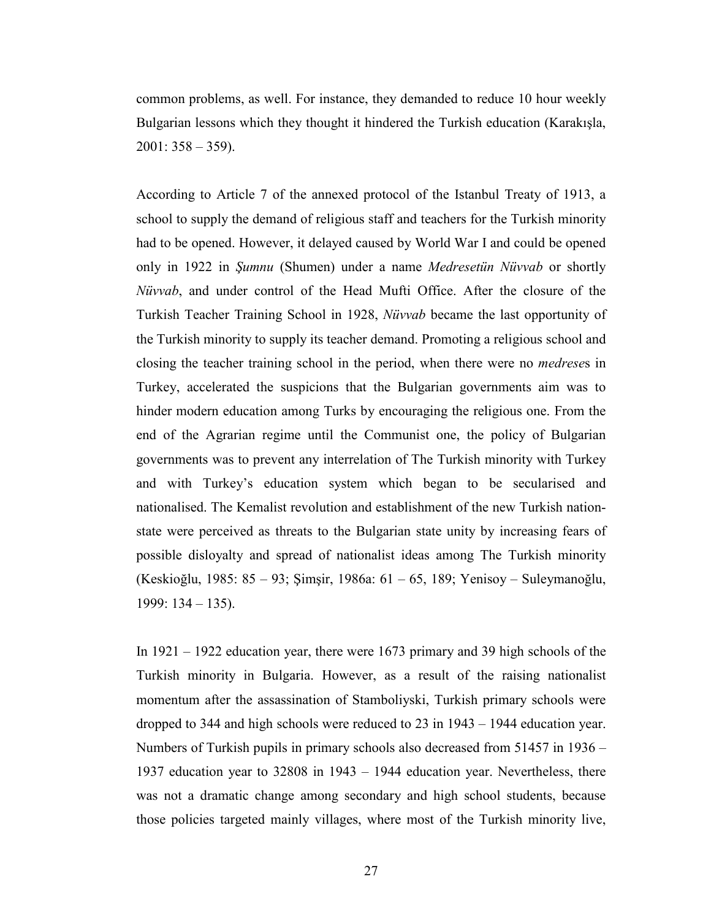common problems, as well. For instance, they demanded to reduce 10 hour weekly Bulgarian lessons which they thought it hindered the Turkish education (Karakışla,  $2001: 358 - 359$ ).

According to Article 7 of the annexed protocol of the Istanbul Treaty of 1913, a school to supply the demand of religious staff and teachers for the Turkish minority had to be opened. However, it delayed caused by World War I and could be opened only in 1922 in Şumnu (Shumen) under a name Medresetün Nüvvab or shortly Nüvvab, and under control of the Head Mufti Office. After the closure of the Turkish Teacher Training School in 1928, Nüvvab became the last opportunity of the Turkish minority to supply its teacher demand. Promoting a religious school and closing the teacher training school in the period, when there were no medreses in Turkey, accelerated the suspicions that the Bulgarian governments aim was to hinder modern education among Turks by encouraging the religious one. From the end of the Agrarian regime until the Communist one, the policy of Bulgarian governments was to prevent any interrelation of The Turkish minority with Turkey and with Turkey's education system which began to be secularised and nationalised. The Kemalist revolution and establishment of the new Turkish nationstate were perceived as threats to the Bulgarian state unity by increasing fears of possible disloyalty and spread of nationalist ideas among The Turkish minority (Keskioğlu, 1985: 85 – 93; Şimşir, 1986a: 61 – 65, 189; Yenisoy – Suleymanoğlu, 1999: 134 – 135).

In 1921 – 1922 education year, there were 1673 primary and 39 high schools of the Turkish minority in Bulgaria. However, as a result of the raising nationalist momentum after the assassination of Stamboliyski, Turkish primary schools were dropped to 344 and high schools were reduced to 23 in 1943 – 1944 education year. Numbers of Turkish pupils in primary schools also decreased from 51457 in 1936 – 1937 education year to 32808 in 1943 – 1944 education year. Nevertheless, there was not a dramatic change among secondary and high school students, because those policies targeted mainly villages, where most of the Turkish minority live,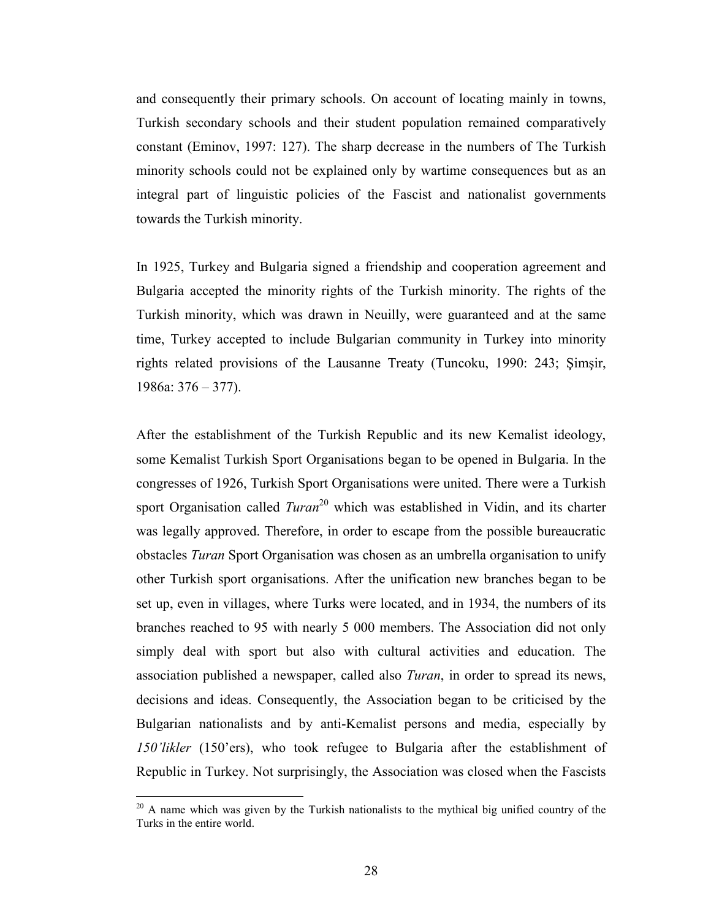and consequently their primary schools. On account of locating mainly in towns, Turkish secondary schools and their student population remained comparatively constant (Eminov, 1997: 127). The sharp decrease in the numbers of The Turkish minority schools could not be explained only by wartime consequences but as an integral part of linguistic policies of the Fascist and nationalist governments towards the Turkish minority.

In 1925, Turkey and Bulgaria signed a friendship and cooperation agreement and Bulgaria accepted the minority rights of the Turkish minority. The rights of the Turkish minority, which was drawn in Neuilly, were guaranteed and at the same time, Turkey accepted to include Bulgarian community in Turkey into minority rights related provisions of the Lausanne Treaty (Tuncoku, 1990: 243; Şimşir, 1986a: 376 – 377).

After the establishment of the Turkish Republic and its new Kemalist ideology, some Kemalist Turkish Sport Organisations began to be opened in Bulgaria. In the congresses of 1926, Turkish Sport Organisations were united. There were a Turkish sport Organisation called  $Turan^{20}$  which was established in Vidin, and its charter was legally approved. Therefore, in order to escape from the possible bureaucratic obstacles Turan Sport Organisation was chosen as an umbrella organisation to unify other Turkish sport organisations. After the unification new branches began to be set up, even in villages, where Turks were located, and in 1934, the numbers of its branches reached to 95 with nearly 5 000 members. The Association did not only simply deal with sport but also with cultural activities and education. The association published a newspaper, called also Turan, in order to spread its news, decisions and ideas. Consequently, the Association began to be criticised by the Bulgarian nationalists and by anti-Kemalist persons and media, especially by 150'likler (150'ers), who took refugee to Bulgaria after the establishment of Republic in Turkey. Not surprisingly, the Association was closed when the Fascists

 $20$  A name which was given by the Turkish nationalists to the mythical big unified country of the Turks in the entire world.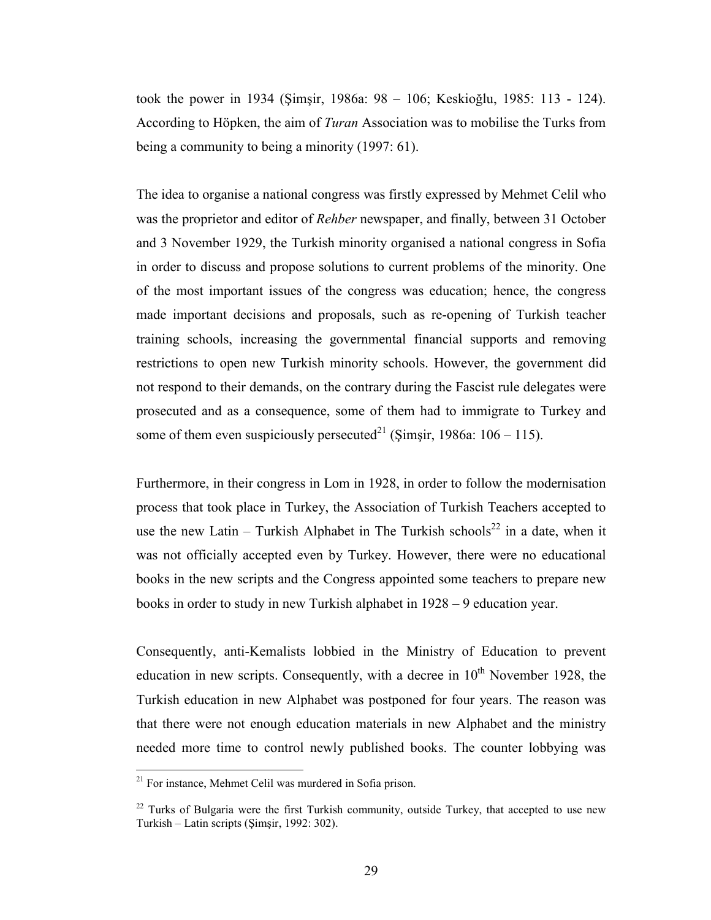took the power in 1934 (Şimşir, 1986a: 98 – 106; Keskioğlu, 1985: 113 - 124). According to Höpken, the aim of Turan Association was to mobilise the Turks from being a community to being a minority (1997: 61).

The idea to organise a national congress was firstly expressed by Mehmet Celil who was the proprietor and editor of Rehber newspaper, and finally, between 31 October and 3 November 1929, the Turkish minority organised a national congress in Sofia in order to discuss and propose solutions to current problems of the minority. One of the most important issues of the congress was education; hence, the congress made important decisions and proposals, such as re-opening of Turkish teacher training schools, increasing the governmental financial supports and removing restrictions to open new Turkish minority schools. However, the government did not respond to their demands, on the contrary during the Fascist rule delegates were prosecuted and as a consequence, some of them had to immigrate to Turkey and some of them even suspiciously persecuted<sup>21</sup> (Simsir, 1986a:  $106 - 115$ ).

Furthermore, in their congress in Lom in 1928, in order to follow the modernisation process that took place in Turkey, the Association of Turkish Teachers accepted to use the new Latin – Turkish Alphabet in The Turkish schools<sup>22</sup> in a date, when it was not officially accepted even by Turkey. However, there were no educational books in the new scripts and the Congress appointed some teachers to prepare new books in order to study in new Turkish alphabet in 1928 – 9 education year.

Consequently, anti-Kemalists lobbied in the Ministry of Education to prevent education in new scripts. Consequently, with a decree in  $10<sup>th</sup>$  November 1928, the Turkish education in new Alphabet was postponed for four years. The reason was that there were not enough education materials in new Alphabet and the ministry needed more time to control newly published books. The counter lobbying was

<sup>&</sup>lt;sup>21</sup> For instance, Mehmet Celil was murdered in Sofia prison.

 $22$  Turks of Bulgaria were the first Turkish community, outside Turkey, that accepted to use new Turkish – Latin scripts (Şimşir, 1992: 302).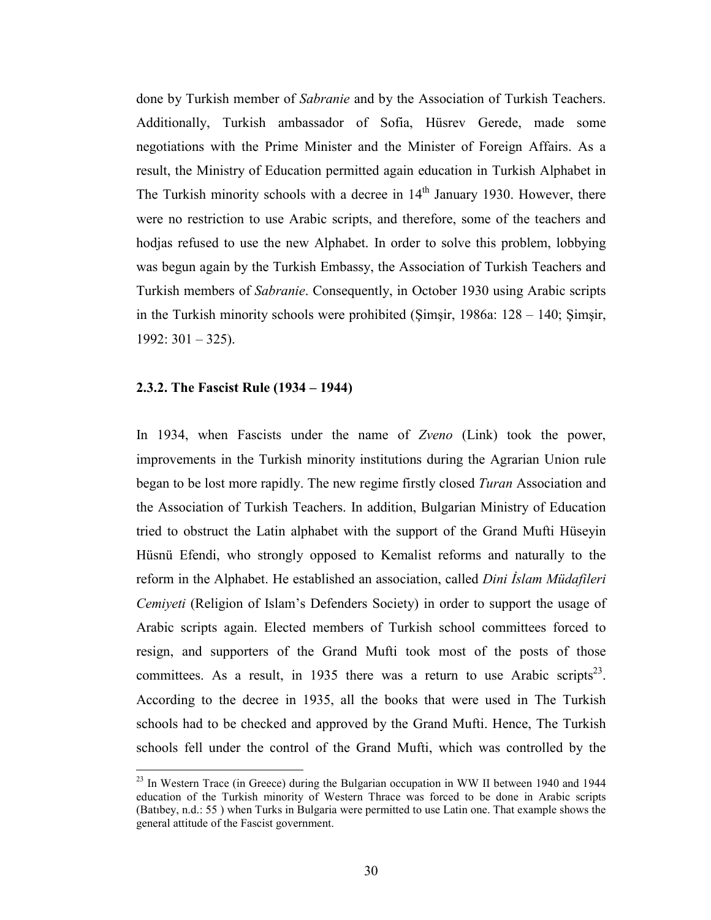done by Turkish member of Sabranie and by the Association of Turkish Teachers. Additionally, Turkish ambassador of Sofia, Hüsrev Gerede, made some negotiations with the Prime Minister and the Minister of Foreign Affairs. As a result, the Ministry of Education permitted again education in Turkish Alphabet in The Turkish minority schools with a decree in  $14<sup>th</sup>$  January 1930. However, there were no restriction to use Arabic scripts, and therefore, some of the teachers and hodjas refused to use the new Alphabet. In order to solve this problem, lobbying was begun again by the Turkish Embassy, the Association of Turkish Teachers and Turkish members of Sabranie. Consequently, in October 1930 using Arabic scripts in the Turkish minority schools were prohibited (Şimşir, 1986a: 128 – 140; Şimşir,  $1992: 301 - 325$ ).

#### 2.3.2. The Fascist Rule (1934 – 1944)

 $\overline{a}$ 

In 1934, when Fascists under the name of Zveno (Link) took the power, improvements in the Turkish minority institutions during the Agrarian Union rule began to be lost more rapidly. The new regime firstly closed *Turan* Association and the Association of Turkish Teachers. In addition, Bulgarian Ministry of Education tried to obstruct the Latin alphabet with the support of the Grand Mufti Hüseyin Hüsnü Efendi, who strongly opposed to Kemalist reforms and naturally to the reform in the Alphabet. He established an association, called Dini İslam Müdafileri Cemiyeti (Religion of Islam's Defenders Society) in order to support the usage of Arabic scripts again. Elected members of Turkish school committees forced to resign, and supporters of the Grand Mufti took most of the posts of those committees. As a result, in 1935 there was a return to use Arabic scripts<sup>23</sup>. According to the decree in 1935, all the books that were used in The Turkish schools had to be checked and approved by the Grand Mufti. Hence, The Turkish schools fell under the control of the Grand Mufti, which was controlled by the

 $23$  In Western Trace (in Greece) during the Bulgarian occupation in WW II between 1940 and 1944 education of the Turkish minority of Western Thrace was forced to be done in Arabic scripts (Batıbey, n.d.: 55 ) when Turks in Bulgaria were permitted to use Latin one. That example shows the general attitude of the Fascist government.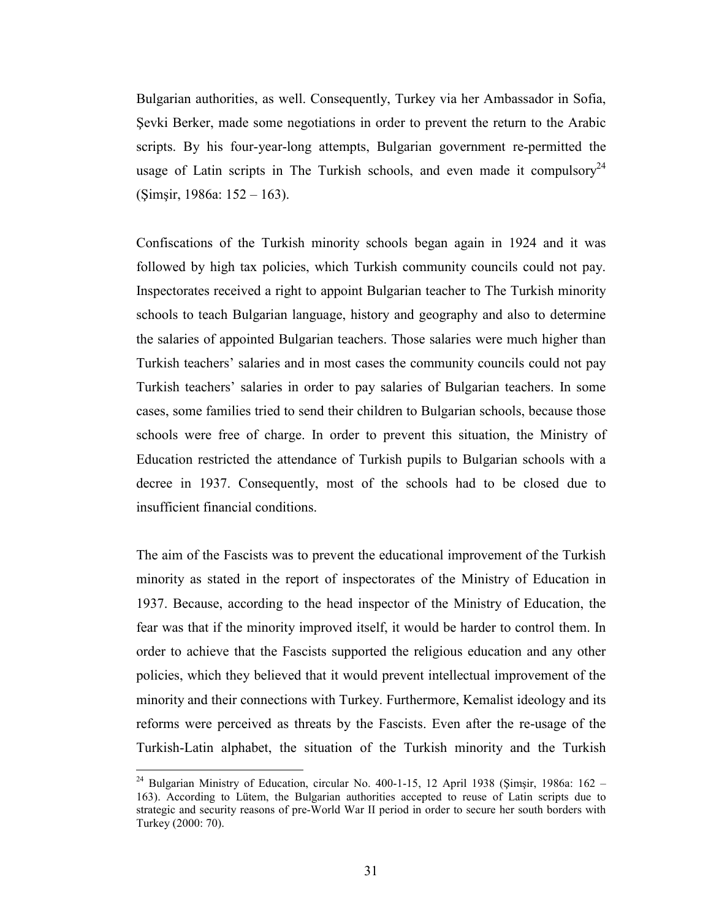Bulgarian authorities, as well. Consequently, Turkey via her Ambassador in Sofia, Şevki Berker, made some negotiations in order to prevent the return to the Arabic scripts. By his four-year-long attempts, Bulgarian government re-permitted the usage of Latin scripts in The Turkish schools, and even made it compulsory<sup>24</sup> (Şimşir, 1986a: 152 – 163).

Confiscations of the Turkish minority schools began again in 1924 and it was followed by high tax policies, which Turkish community councils could not pay. Inspectorates received a right to appoint Bulgarian teacher to The Turkish minority schools to teach Bulgarian language, history and geography and also to determine the salaries of appointed Bulgarian teachers. Those salaries were much higher than Turkish teachers' salaries and in most cases the community councils could not pay Turkish teachers' salaries in order to pay salaries of Bulgarian teachers. In some cases, some families tried to send their children to Bulgarian schools, because those schools were free of charge. In order to prevent this situation, the Ministry of Education restricted the attendance of Turkish pupils to Bulgarian schools with a decree in 1937. Consequently, most of the schools had to be closed due to insufficient financial conditions.

The aim of the Fascists was to prevent the educational improvement of the Turkish minority as stated in the report of inspectorates of the Ministry of Education in 1937. Because, according to the head inspector of the Ministry of Education, the fear was that if the minority improved itself, it would be harder to control them. In order to achieve that the Fascists supported the religious education and any other policies, which they believed that it would prevent intellectual improvement of the minority and their connections with Turkey. Furthermore, Kemalist ideology and its reforms were perceived as threats by the Fascists. Even after the re-usage of the Turkish-Latin alphabet, the situation of the Turkish minority and the Turkish

<sup>&</sup>lt;sup>24</sup> Bulgarian Ministry of Education, circular No. 400-1-15, 12 April 1938 (Şimşir, 1986a: 162 – 163). According to Lütem, the Bulgarian authorities accepted to reuse of Latin scripts due to strategic and security reasons of pre-World War II period in order to secure her south borders with Turkey (2000: 70).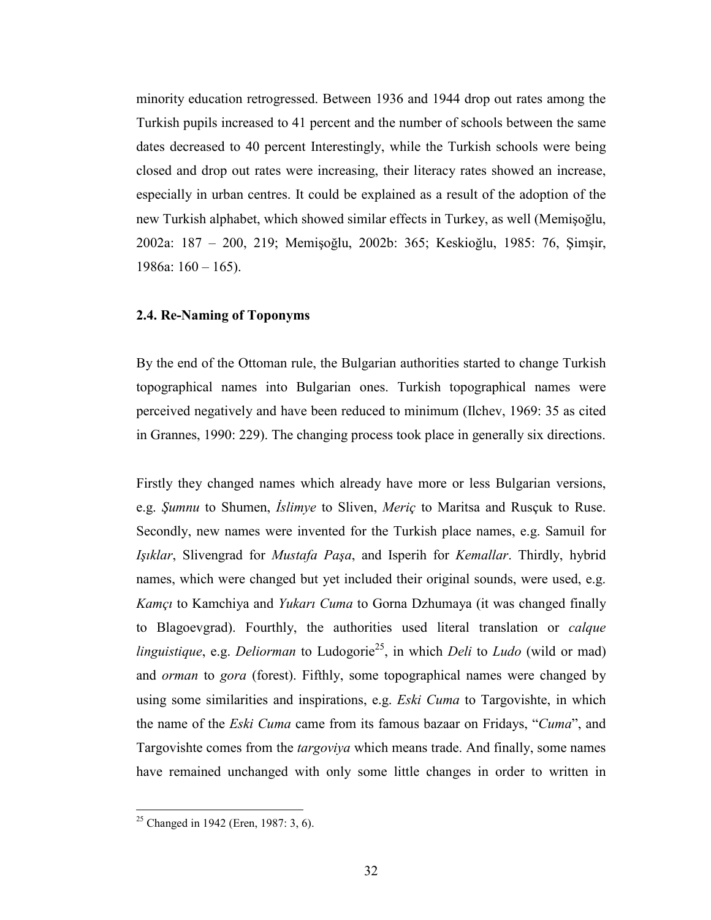minority education retrogressed. Between 1936 and 1944 drop out rates among the Turkish pupils increased to 41 percent and the number of schools between the same dates decreased to 40 percent Interestingly, while the Turkish schools were being closed and drop out rates were increasing, their literacy rates showed an increase, especially in urban centres. It could be explained as a result of the adoption of the new Turkish alphabet, which showed similar effects in Turkey, as well (Memişoğlu, 2002a: 187 – 200, 219; Memişoğlu, 2002b: 365; Keskioğlu, 1985: 76, Şimşir, 1986a: 160 – 165).

#### 2.4. Re-Naming of Toponyms

By the end of the Ottoman rule, the Bulgarian authorities started to change Turkish topographical names into Bulgarian ones. Turkish topographical names were perceived negatively and have been reduced to minimum (Ilchev, 1969: 35 as cited in Grannes, 1990: 229). The changing process took place in generally six directions.

Firstly they changed names which already have more or less Bulgarian versions, e.g. Şumnu to Shumen, İslimye to Sliven, Meriç to Maritsa and Rusçuk to Ruse. Secondly, new names were invented for the Turkish place names, e.g. Samuil for Işıklar, Slivengrad for Mustafa Paşa, and Isperih for Kemallar. Thirdly, hybrid names, which were changed but yet included their original sounds, were used, e.g. Kamçı to Kamchiya and Yukarı Cuma to Gorna Dzhumaya (it was changed finally to Blagoevgrad). Fourthly, the authorities used literal translation or calque linguistique, e.g. Deliorman to Ludogorie<sup>25</sup>, in which Deli to Ludo (wild or mad) and *orman* to *gora* (forest). Fifthly, some topographical names were changed by using some similarities and inspirations, e.g. *Eski Cuma* to Targovishte, in which the name of the Eski Cuma came from its famous bazaar on Fridays, "Cuma", and Targovishte comes from the targoviya which means trade. And finally, some names have remained unchanged with only some little changes in order to written in

<sup>&</sup>lt;sup>25</sup> Changed in 1942 (Eren, 1987: 3, 6).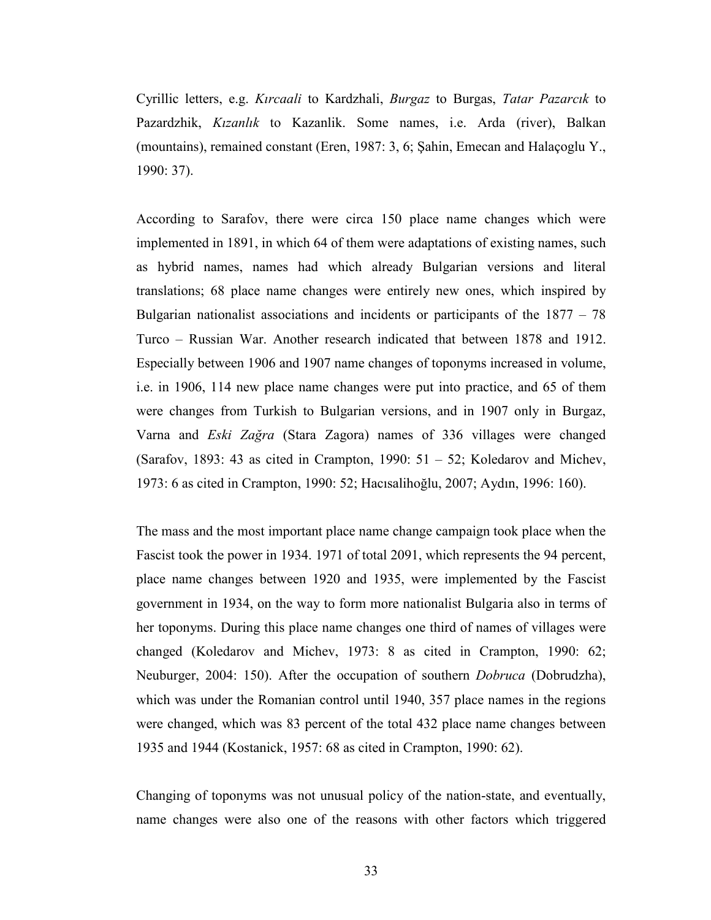Cyrillic letters, e.g. Kırcaali to Kardzhali, Burgaz to Burgas, Tatar Pazarcık to Pazardzhik, Kızanlık to Kazanlik. Some names, i.e. Arda (river), Balkan (mountains), remained constant (Eren, 1987: 3, 6; Şahin, Emecan and Halaçoglu Y., 1990: 37).

According to Sarafov, there were circa 150 place name changes which were implemented in 1891, in which 64 of them were adaptations of existing names, such as hybrid names, names had which already Bulgarian versions and literal translations; 68 place name changes were entirely new ones, which inspired by Bulgarian nationalist associations and incidents or participants of the 1877 – 78 Turco – Russian War. Another research indicated that between 1878 and 1912. Especially between 1906 and 1907 name changes of toponyms increased in volume, i.e. in 1906, 114 new place name changes were put into practice, and 65 of them were changes from Turkish to Bulgarian versions, and in 1907 only in Burgaz, Varna and Eski Zağra (Stara Zagora) names of 336 villages were changed (Sarafov, 1893: 43 as cited in Crampton, 1990: 51 – 52; Koledarov and Michev, 1973: 6 as cited in Crampton, 1990: 52; Hacısalihoğlu, 2007; Aydın, 1996: 160).

The mass and the most important place name change campaign took place when the Fascist took the power in 1934. 1971 of total 2091, which represents the 94 percent, place name changes between 1920 and 1935, were implemented by the Fascist government in 1934, on the way to form more nationalist Bulgaria also in terms of her toponyms. During this place name changes one third of names of villages were changed (Koledarov and Michev, 1973: 8 as cited in Crampton, 1990: 62; Neuburger, 2004: 150). After the occupation of southern Dobruca (Dobrudzha), which was under the Romanian control until 1940, 357 place names in the regions were changed, which was 83 percent of the total 432 place name changes between 1935 and 1944 (Kostanick, 1957: 68 as cited in Crampton, 1990: 62).

Changing of toponyms was not unusual policy of the nation-state, and eventually, name changes were also one of the reasons with other factors which triggered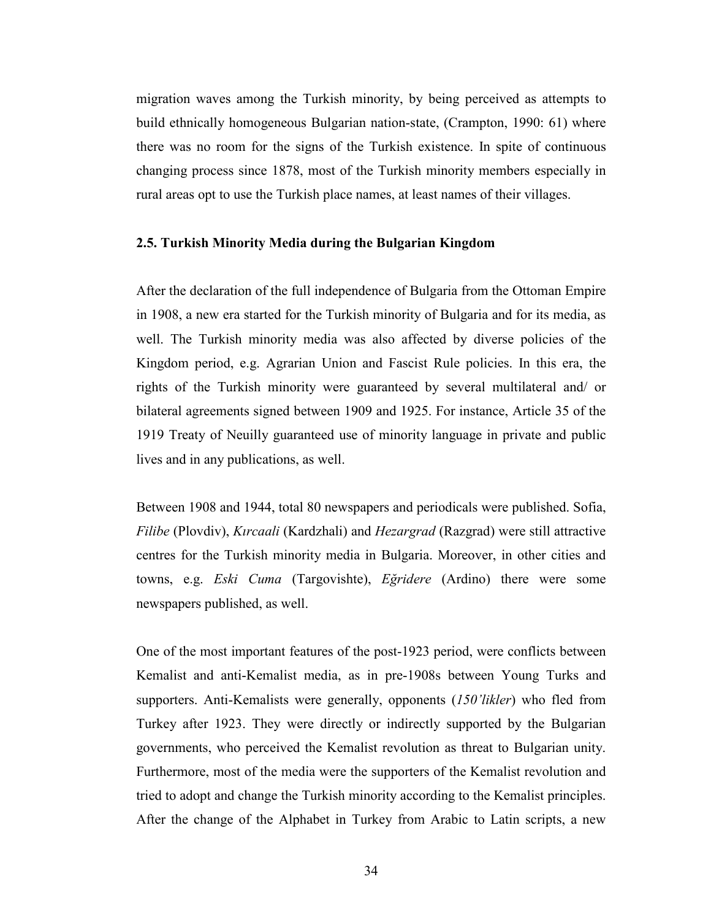migration waves among the Turkish minority, by being perceived as attempts to build ethnically homogeneous Bulgarian nation-state, (Crampton, 1990: 61) where there was no room for the signs of the Turkish existence. In spite of continuous changing process since 1878, most of the Turkish minority members especially in rural areas opt to use the Turkish place names, at least names of their villages.

#### 2.5. Turkish Minority Media during the Bulgarian Kingdom

After the declaration of the full independence of Bulgaria from the Ottoman Empire in 1908, a new era started for the Turkish minority of Bulgaria and for its media, as well. The Turkish minority media was also affected by diverse policies of the Kingdom period, e.g. Agrarian Union and Fascist Rule policies. In this era, the rights of the Turkish minority were guaranteed by several multilateral and/ or bilateral agreements signed between 1909 and 1925. For instance, Article 35 of the 1919 Treaty of Neuilly guaranteed use of minority language in private and public lives and in any publications, as well.

Between 1908 and 1944, total 80 newspapers and periodicals were published. Sofia, Filibe (Plovdiv), Kırcaali (Kardzhali) and Hezargrad (Razgrad) were still attractive centres for the Turkish minority media in Bulgaria. Moreover, in other cities and towns, e.g. Eski Cuma (Targovishte), Eğridere (Ardino) there were some newspapers published, as well.

One of the most important features of the post-1923 period, were conflicts between Kemalist and anti-Kemalist media, as in pre-1908s between Young Turks and supporters. Anti-Kemalists were generally, opponents  $(150'$ *likler*) who fled from Turkey after 1923. They were directly or indirectly supported by the Bulgarian governments, who perceived the Kemalist revolution as threat to Bulgarian unity. Furthermore, most of the media were the supporters of the Kemalist revolution and tried to adopt and change the Turkish minority according to the Kemalist principles. After the change of the Alphabet in Turkey from Arabic to Latin scripts, a new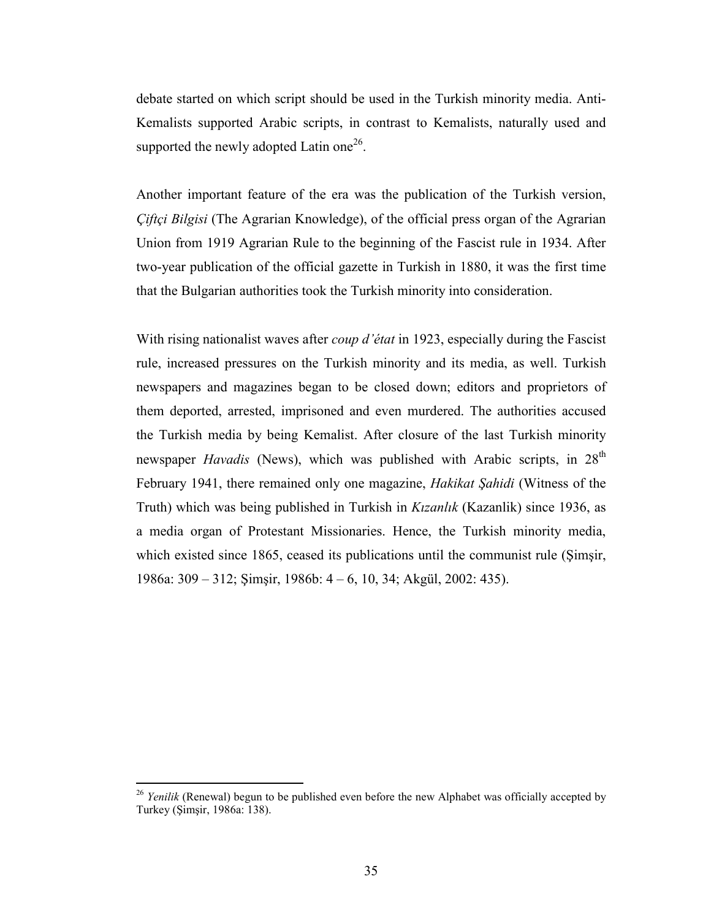debate started on which script should be used in the Turkish minority media. Anti-Kemalists supported Arabic scripts, in contrast to Kemalists, naturally used and supported the newly adopted Latin one<sup>26</sup>.

Another important feature of the era was the publication of the Turkish version, Çiftçi Bilgisi (The Agrarian Knowledge), of the official press organ of the Agrarian Union from 1919 Agrarian Rule to the beginning of the Fascist rule in 1934. After two-year publication of the official gazette in Turkish in 1880, it was the first time that the Bulgarian authorities took the Turkish minority into consideration.

With rising nationalist waves after *coup d'état* in 1923, especially during the Fascist rule, increased pressures on the Turkish minority and its media, as well. Turkish newspapers and magazines began to be closed down; editors and proprietors of them deported, arrested, imprisoned and even murdered. The authorities accused the Turkish media by being Kemalist. After closure of the last Turkish minority newspaper *Havadis* (News), which was published with Arabic scripts, in 28<sup>th</sup> February 1941, there remained only one magazine, Hakikat Şahidi (Witness of the Truth) which was being published in Turkish in Kızanlık (Kazanlik) since 1936, as a media organ of Protestant Missionaries. Hence, the Turkish minority media, which existed since 1865, ceased its publications until the communist rule (Şimşir, 1986a: 309 – 312; Şimşir, 1986b: 4 – 6, 10, 34; Akgül, 2002: 435).

<sup>&</sup>lt;sup>26</sup> Yenilik (Renewal) begun to be published even before the new Alphabet was officially accepted by Turkey (Şimşir, 1986a: 138).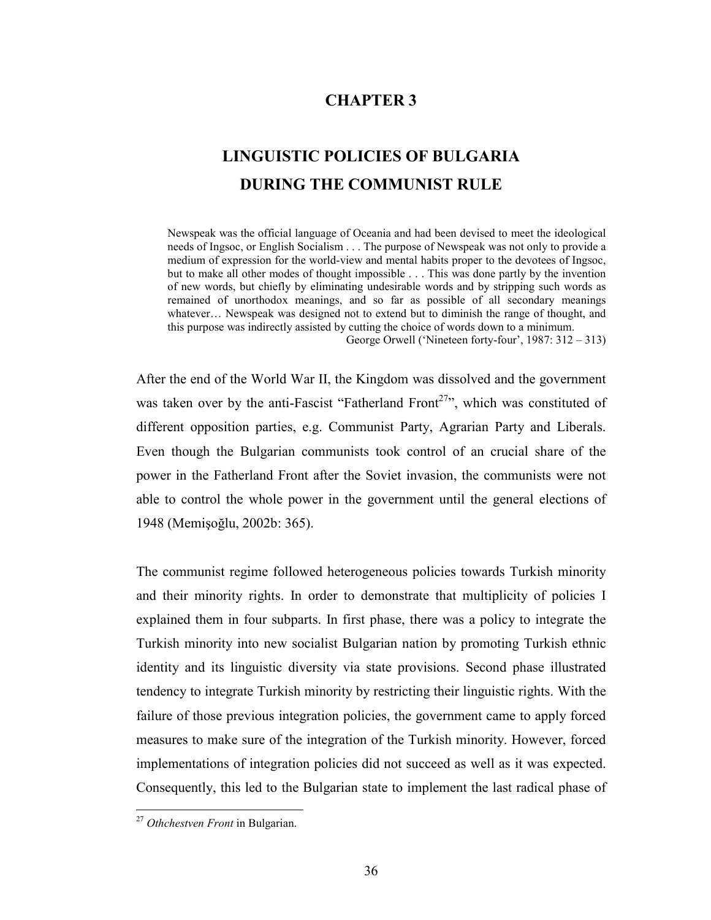## CHAPTER 3

# LINGUISTIC POLICIES OF BULGARIA DURING THE COMMUNIST RULE

Newspeak was the official language of Oceania and had been devised to meet the ideological needs of Ingsoc, or English Socialism . . . The purpose of Newspeak was not only to provide a medium of expression for the world-view and mental habits proper to the devotees of Ingsoc, but to make all other modes of thought impossible . . . This was done partly by the invention of new words, but chiefly by eliminating undesirable words and by stripping such words as remained of unorthodox meanings, and so far as possible of all secondary meanings whatever... Newspeak was designed not to extend but to diminish the range of thought, and this purpose was indirectly assisted by cutting the choice of words down to a minimum.

George Orwell ('Nineteen forty-four', 1987: 312 – 313)

After the end of the World War II, the Kingdom was dissolved and the government was taken over by the anti-Fascist "Fatherland Front<sup>27</sup>", which was constituted of different opposition parties, e.g. Communist Party, Agrarian Party and Liberals. Even though the Bulgarian communists took control of an crucial share of the power in the Fatherland Front after the Soviet invasion, the communists were not able to control the whole power in the government until the general elections of 1948 (Memişoğlu, 2002b: 365).

The communist regime followed heterogeneous policies towards Turkish minority and their minority rights. In order to demonstrate that multiplicity of policies I explained them in four subparts. In first phase, there was a policy to integrate the Turkish minority into new socialist Bulgarian nation by promoting Turkish ethnic identity and its linguistic diversity via state provisions. Second phase illustrated tendency to integrate Turkish minority by restricting their linguistic rights. With the failure of those previous integration policies, the government came to apply forced measures to make sure of the integration of the Turkish minority. However, forced implementations of integration policies did not succeed as well as it was expected. Consequently, this led to the Bulgarian state to implement the last radical phase of

<sup>&</sup>lt;sup>27</sup> Othchestven Front in Bulgarian.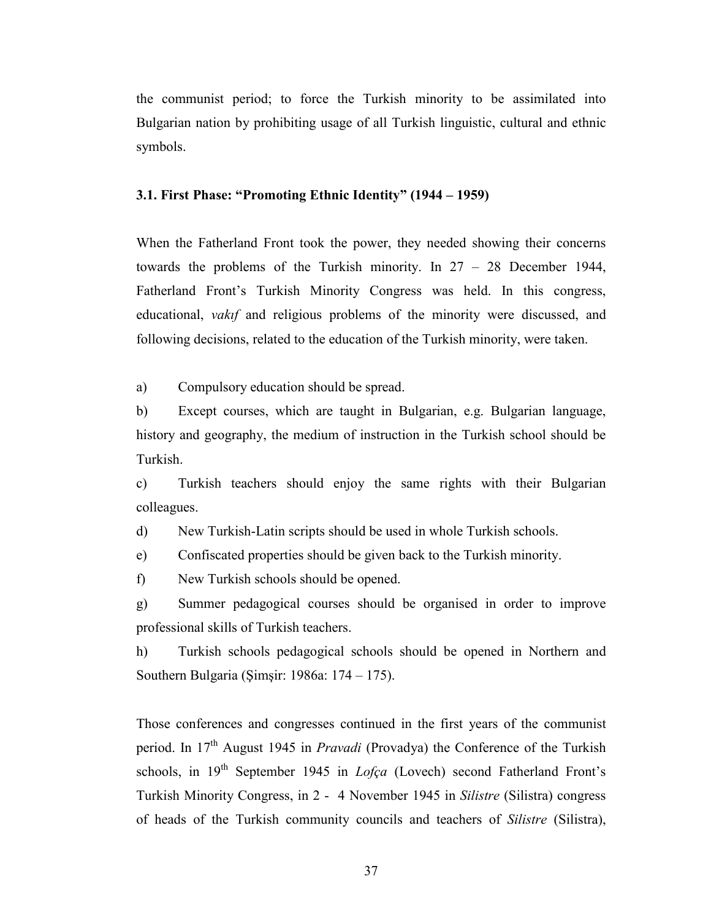the communist period; to force the Turkish minority to be assimilated into Bulgarian nation by prohibiting usage of all Turkish linguistic, cultural and ethnic symbols.

#### 3.1. First Phase: "Promoting Ethnic Identity" (1944 – 1959)

When the Fatherland Front took the power, they needed showing their concerns towards the problems of the Turkish minority. In 27 – 28 December 1944, Fatherland Front's Turkish Minority Congress was held. In this congress, educational, *vakif* and religious problems of the minority were discussed, and following decisions, related to the education of the Turkish minority, were taken.

a) Compulsory education should be spread.

b) Except courses, which are taught in Bulgarian, e.g. Bulgarian language, history and geography, the medium of instruction in the Turkish school should be Turkish.

c) Turkish teachers should enjoy the same rights with their Bulgarian colleagues.

d) New Turkish-Latin scripts should be used in whole Turkish schools.

e) Confiscated properties should be given back to the Turkish minority.

f) New Turkish schools should be opened.

g) Summer pedagogical courses should be organised in order to improve professional skills of Turkish teachers.

h) Turkish schools pedagogical schools should be opened in Northern and Southern Bulgaria (Şimşir: 1986a: 174 – 175).

Those conferences and congresses continued in the first years of the communist period. In  $17<sup>th</sup>$  August 1945 in *Pravadi* (Provadya) the Conference of the Turkish schools, in  $19<sup>th</sup>$  September 1945 in *Lofça* (Lovech) second Fatherland Front's Turkish Minority Congress, in 2 - 4 November 1945 in Silistre (Silistra) congress of heads of the Turkish community councils and teachers of Silistre (Silistra),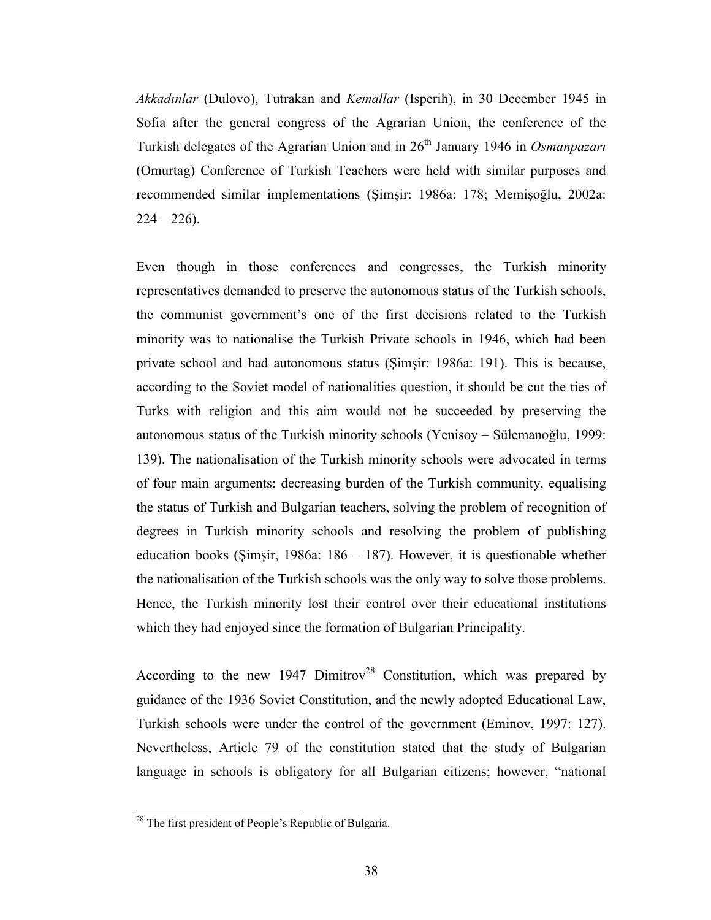Akkadınlar (Dulovo), Tutrakan and Kemallar (Isperih), in 30 December 1945 in Sofia after the general congress of the Agrarian Union, the conference of the Turkish delegates of the Agrarian Union and in  $26<sup>th</sup>$  January 1946 in *Osmanpazari* (Omurtag) Conference of Turkish Teachers were held with similar purposes and recommended similar implementations (Şimşir: 1986a: 178; Memişoğlu, 2002a:  $224 - 226$ ).

Even though in those conferences and congresses, the Turkish minority representatives demanded to preserve the autonomous status of the Turkish schools, the communist government's one of the first decisions related to the Turkish minority was to nationalise the Turkish Private schools in 1946, which had been private school and had autonomous status (Şimşir: 1986a: 191). This is because, according to the Soviet model of nationalities question, it should be cut the ties of Turks with religion and this aim would not be succeeded by preserving the autonomous status of the Turkish minority schools (Yenisoy – Sülemanoğlu, 1999: 139). The nationalisation of the Turkish minority schools were advocated in terms of four main arguments: decreasing burden of the Turkish community, equalising the status of Turkish and Bulgarian teachers, solving the problem of recognition of degrees in Turkish minority schools and resolving the problem of publishing education books (Şimşir, 1986a: 186 – 187). However, it is questionable whether the nationalisation of the Turkish schools was the only way to solve those problems. Hence, the Turkish minority lost their control over their educational institutions which they had enjoyed since the formation of Bulgarian Principality.

According to the new 1947 Dimitrov<sup>28</sup> Constitution, which was prepared by guidance of the 1936 Soviet Constitution, and the newly adopted Educational Law, Turkish schools were under the control of the government (Eminov, 1997: 127). Nevertheless, Article 79 of the constitution stated that the study of Bulgarian language in schools is obligatory for all Bulgarian citizens; however, "national

<sup>&</sup>lt;sup>28</sup> The first president of People's Republic of Bulgaria.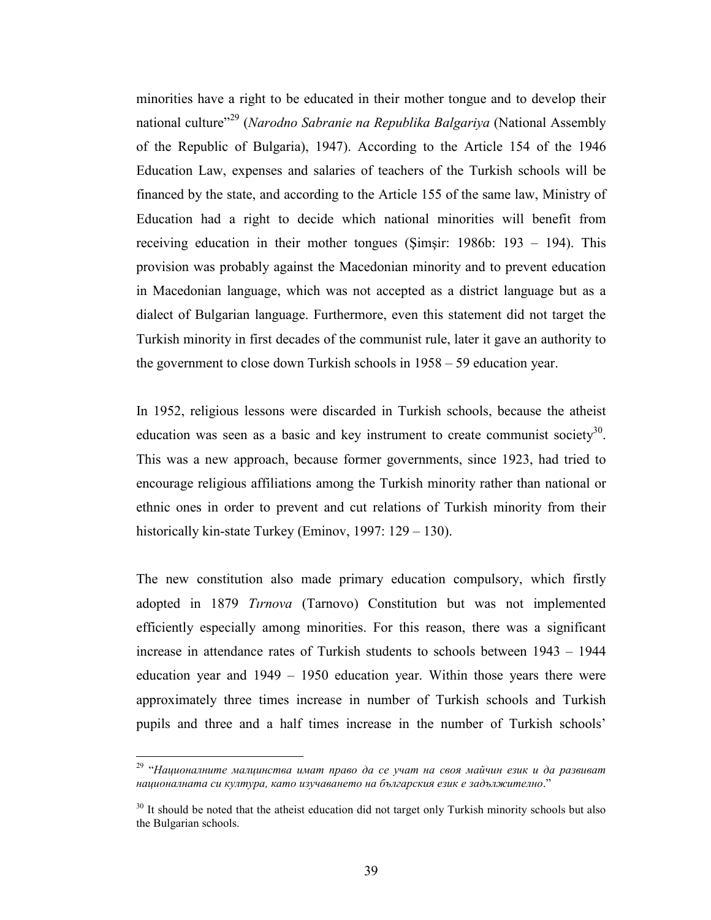minorities have a right to be educated in their mother tongue and to develop their national culture<sup>"29</sup> (Narodno Sabranie na Republika Balgariya (National Assembly of the Republic of Bulgaria), 1947). According to the Article 154 of the 1946 Education Law, expenses and salaries of teachers of the Turkish schools will be financed by the state, and according to the Article 155 of the same law, Ministry of Education had a right to decide which national minorities will benefit from receiving education in their mother tongues (Şimşir: 1986b: 193 – 194). This provision was probably against the Macedonian minority and to prevent education in Macedonian language, which was not accepted as a district language but as a dialect of Bulgarian language. Furthermore, even this statement did not target the Turkish minority in first decades of the communist rule, later it gave an authority to the government to close down Turkish schools in 1958 – 59 education year.

In 1952, religious lessons were discarded in Turkish schools, because the atheist education was seen as a basic and key instrument to create communist society<sup>30</sup>. This was a new approach, because former governments, since 1923, had tried to encourage religious affiliations among the Turkish minority rather than national or ethnic ones in order to prevent and cut relations of Turkish minority from their historically kin-state Turkey (Eminov, 1997: 129 – 130).

The new constitution also made primary education compulsory, which firstly adopted in 1879 Tırnova (Tarnovo) Constitution but was not implemented efficiently especially among minorities. For this reason, there was a significant increase in attendance rates of Turkish students to schools between 1943 – 1944 education year and 1949 – 1950 education year. Within those years there were approximately three times increase in number of Turkish schools and Turkish pupils and three and a half times increase in the number of Turkish schools'

<sup>&</sup>lt;sup>29 "</sup>Националните малцинства имат право да се учат на своя майчин език и да развиват националната си култура, като изучаването на българския език е задължително."

 $30$  It should be noted that the atheist education did not target only Turkish minority schools but also the Bulgarian schools.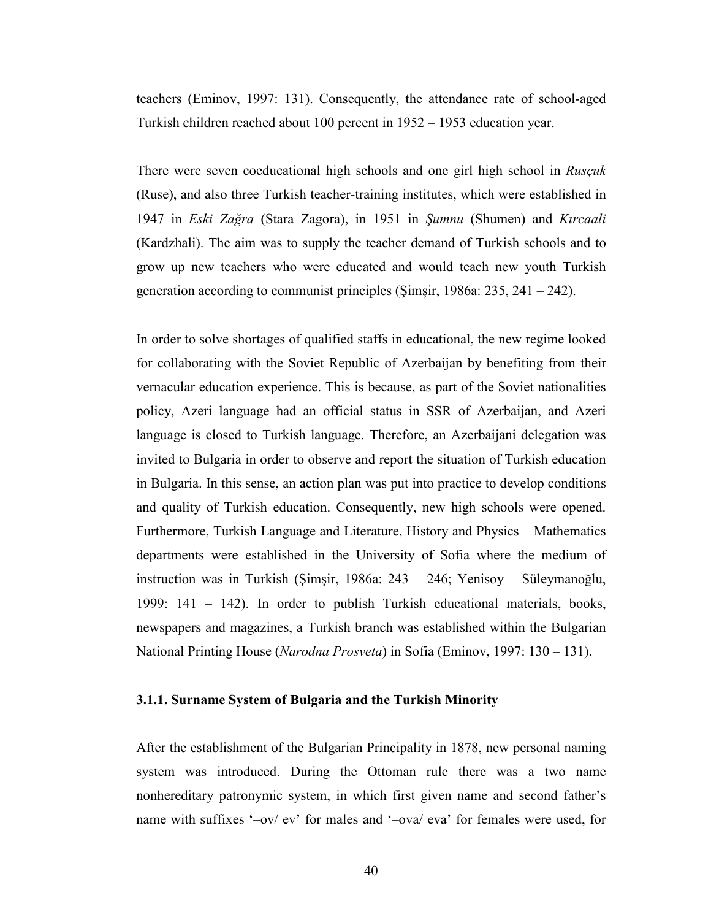teachers (Eminov, 1997: 131). Consequently, the attendance rate of school-aged Turkish children reached about 100 percent in 1952 – 1953 education year.

There were seven coeducational high schools and one girl high school in Rusçuk (Ruse), and also three Turkish teacher-training institutes, which were established in 1947 in Eski Zağra (Stara Zagora), in 1951 in Şumnu (Shumen) and Kırcaali (Kardzhali). The aim was to supply the teacher demand of Turkish schools and to grow up new teachers who were educated and would teach new youth Turkish generation according to communist principles (Şimşir, 1986a: 235, 241 – 242).

In order to solve shortages of qualified staffs in educational, the new regime looked for collaborating with the Soviet Republic of Azerbaijan by benefiting from their vernacular education experience. This is because, as part of the Soviet nationalities policy, Azeri language had an official status in SSR of Azerbaijan, and Azeri language is closed to Turkish language. Therefore, an Azerbaijani delegation was invited to Bulgaria in order to observe and report the situation of Turkish education in Bulgaria. In this sense, an action plan was put into practice to develop conditions and quality of Turkish education. Consequently, new high schools were opened. Furthermore, Turkish Language and Literature, History and Physics – Mathematics departments were established in the University of Sofia where the medium of instruction was in Turkish (Şimşir, 1986a: 243 – 246; Yenisoy – Süleymanoğlu, 1999: 141 – 142). In order to publish Turkish educational materials, books, newspapers and magazines, a Turkish branch was established within the Bulgarian National Printing House (Narodna Prosveta) in Sofia (Eminov, 1997: 130 – 131).

#### 3.1.1. Surname System of Bulgaria and the Turkish Minority

After the establishment of the Bulgarian Principality in 1878, new personal naming system was introduced. During the Ottoman rule there was a two name nonhereditary patronymic system, in which first given name and second father's name with suffixes '–ov/ ev' for males and '–ova/ eva' for females were used, for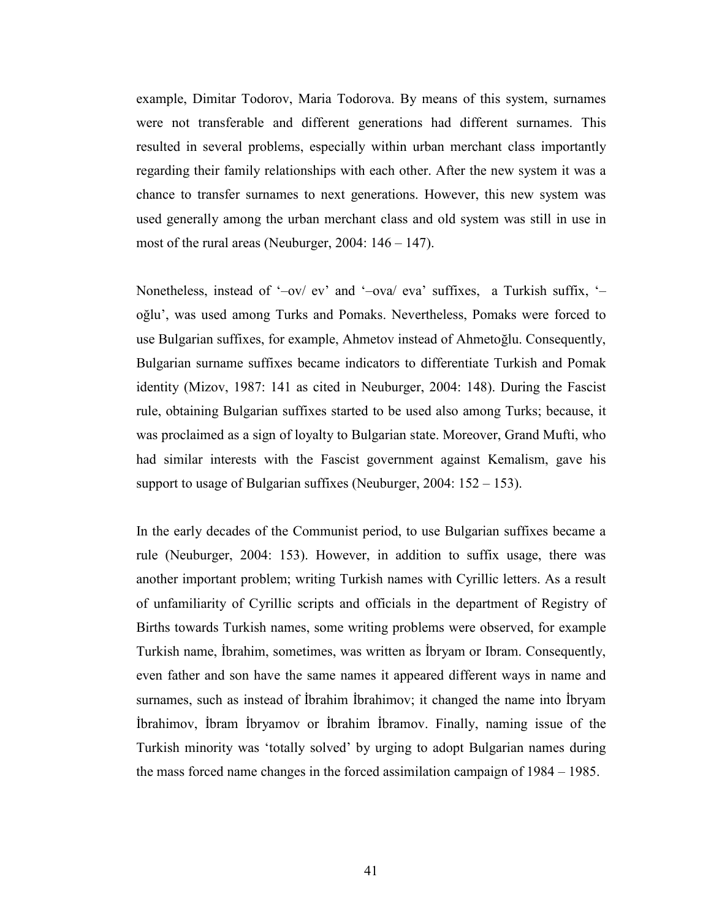example, Dimitar Todorov, Maria Todorova. By means of this system, surnames were not transferable and different generations had different surnames. This resulted in several problems, especially within urban merchant class importantly regarding their family relationships with each other. After the new system it was a chance to transfer surnames to next generations. However, this new system was used generally among the urban merchant class and old system was still in use in most of the rural areas (Neuburger,  $2004$ :  $146 - 147$ ).

Nonetheless, instead of '-ov/ ev' and '-ova/ eva' suffixes, a Turkish suffix, 'oğlu', was used among Turks and Pomaks. Nevertheless, Pomaks were forced to use Bulgarian suffixes, for example, Ahmetov instead of Ahmetoğlu. Consequently, Bulgarian surname suffixes became indicators to differentiate Turkish and Pomak identity (Mizov, 1987: 141 as cited in Neuburger, 2004: 148). During the Fascist rule, obtaining Bulgarian suffixes started to be used also among Turks; because, it was proclaimed as a sign of loyalty to Bulgarian state. Moreover, Grand Mufti, who had similar interests with the Fascist government against Kemalism, gave his support to usage of Bulgarian suffixes (Neuburger, 2004: 152 – 153).

In the early decades of the Communist period, to use Bulgarian suffixes became a rule (Neuburger, 2004: 153). However, in addition to suffix usage, there was another important problem; writing Turkish names with Cyrillic letters. As a result of unfamiliarity of Cyrillic scripts and officials in the department of Registry of Births towards Turkish names, some writing problems were observed, for example Turkish name, İbrahim, sometimes, was written as İbryam or Ibram. Consequently, even father and son have the same names it appeared different ways in name and surnames, such as instead of İbrahim İbrahimov; it changed the name into İbryam İbrahimov, İbram İbryamov or İbrahim İbramov. Finally, naming issue of the Turkish minority was 'totally solved' by urging to adopt Bulgarian names during the mass forced name changes in the forced assimilation campaign of 1984 – 1985.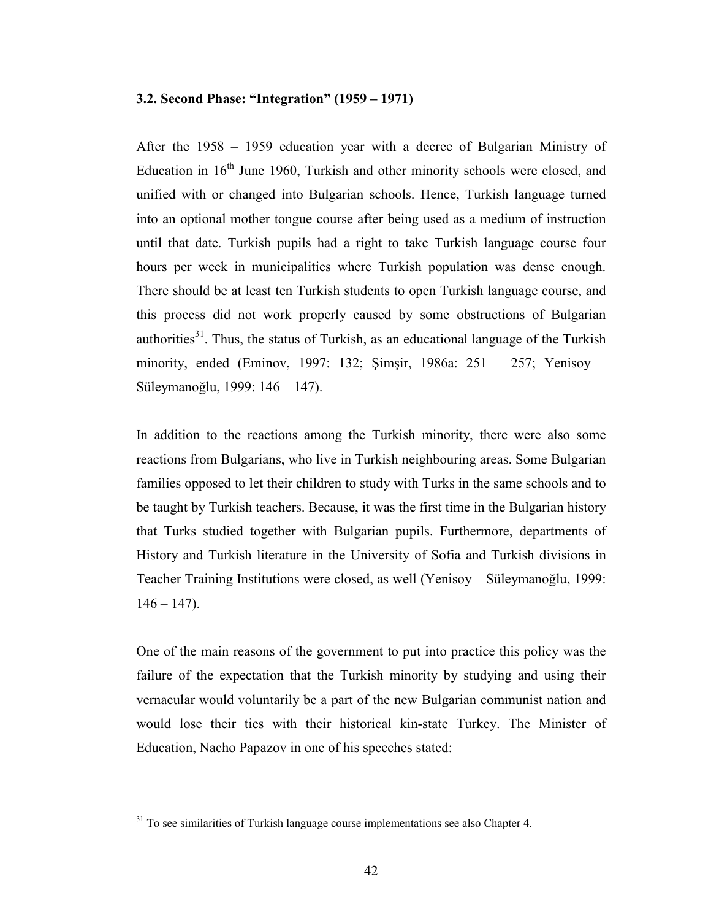#### 3.2. Second Phase: "Integration" (1959 – 1971)

After the 1958 – 1959 education year with a decree of Bulgarian Ministry of Education in  $16<sup>th</sup>$  June 1960, Turkish and other minority schools were closed, and unified with or changed into Bulgarian schools. Hence, Turkish language turned into an optional mother tongue course after being used as a medium of instruction until that date. Turkish pupils had a right to take Turkish language course four hours per week in municipalities where Turkish population was dense enough. There should be at least ten Turkish students to open Turkish language course, and this process did not work properly caused by some obstructions of Bulgarian authorities<sup>31</sup>. Thus, the status of Turkish, as an educational language of the Turkish minority, ended (Eminov, 1997: 132; Şimşir, 1986a: 251 – 257; Yenisoy – Süleymanoğlu, 1999: 146 – 147).

In addition to the reactions among the Turkish minority, there were also some reactions from Bulgarians, who live in Turkish neighbouring areas. Some Bulgarian families opposed to let their children to study with Turks in the same schools and to be taught by Turkish teachers. Because, it was the first time in the Bulgarian history that Turks studied together with Bulgarian pupils. Furthermore, departments of History and Turkish literature in the University of Sofia and Turkish divisions in Teacher Training Institutions were closed, as well (Yenisoy – Süleymanoğlu, 1999:  $146 - 147$ ).

One of the main reasons of the government to put into practice this policy was the failure of the expectation that the Turkish minority by studying and using their vernacular would voluntarily be a part of the new Bulgarian communist nation and would lose their ties with their historical kin-state Turkey. The Minister of Education, Nacho Papazov in one of his speeches stated:

 $31$  To see similarities of Turkish language course implementations see also Chapter 4.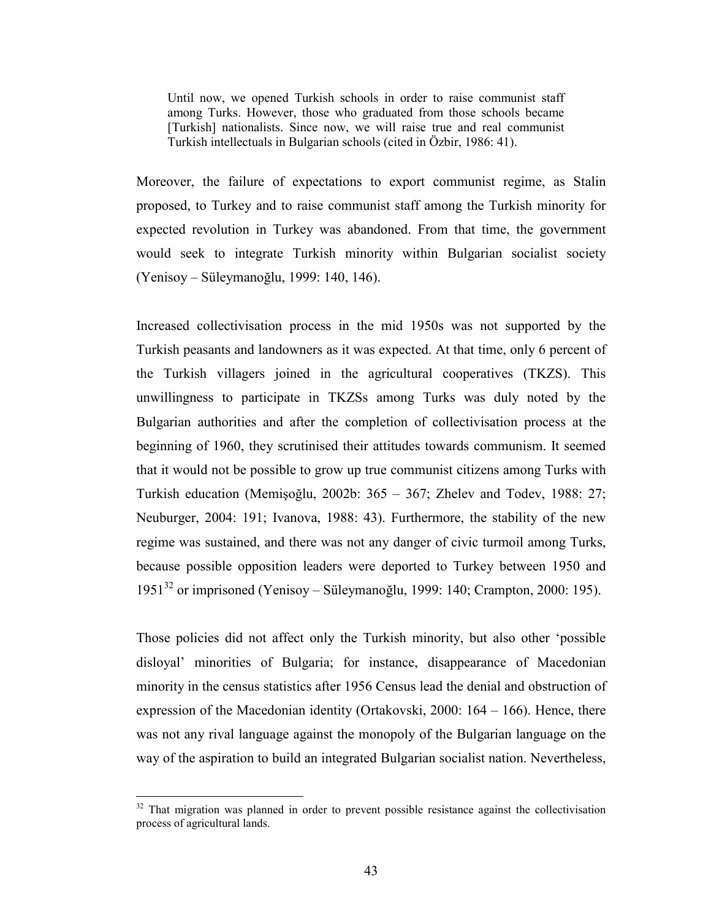Until now, we opened Turkish schools in order to raise communist staff among Turks. However, those who graduated from those schools became [Turkish] nationalists. Since now, we will raise true and real communist Turkish intellectuals in Bulgarian schools (cited in Özbir, 1986: 41).

Moreover, the failure of expectations to export communist regime, as Stalin proposed, to Turkey and to raise communist staff among the Turkish minority for expected revolution in Turkey was abandoned. From that time, the government would seek to integrate Turkish minority within Bulgarian socialist society (Yenisoy – Süleymanoğlu, 1999: 140, 146).

Increased collectivisation process in the mid 1950s was not supported by the Turkish peasants and landowners as it was expected. At that time, only 6 percent of the Turkish villagers joined in the agricultural cooperatives (TKZS). This unwillingness to participate in TKZSs among Turks was duly noted by the Bulgarian authorities and after the completion of collectivisation process at the beginning of 1960, they scrutinised their attitudes towards communism. It seemed that it would not be possible to grow up true communist citizens among Turks with Turkish education (Memişoğlu, 2002b: 365 – 367; Zhelev and Todev, 1988: 27; Neuburger, 2004: 191; Ivanova, 1988: 43). Furthermore, the stability of the new regime was sustained, and there was not any danger of civic turmoil among Turks, because possible opposition leaders were deported to Turkey between 1950 and 1951<sup>32</sup> or imprisoned (Yenisoy – Süleymanoğlu, 1999: 140; Crampton, 2000: 195).

Those policies did not affect only the Turkish minority, but also other 'possible disloyal' minorities of Bulgaria; for instance, disappearance of Macedonian minority in the census statistics after 1956 Census lead the denial and obstruction of expression of the Macedonian identity (Ortakovski, 2000: 164 – 166). Hence, there was not any rival language against the monopoly of the Bulgarian language on the way of the aspiration to build an integrated Bulgarian socialist nation. Nevertheless,

 $32$  That migration was planned in order to prevent possible resistance against the collectivisation process of agricultural lands.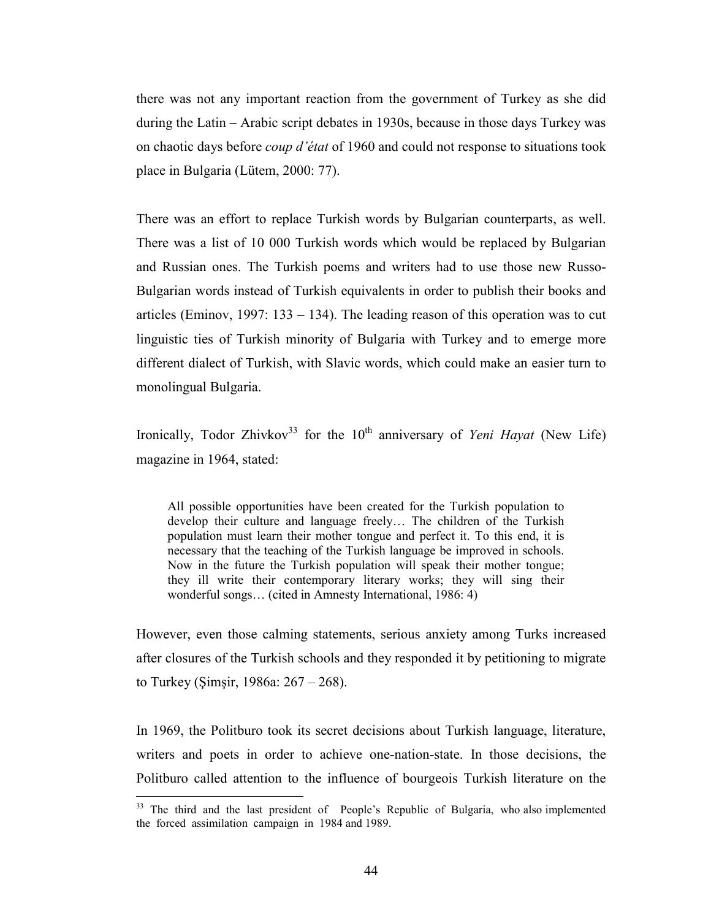there was not any important reaction from the government of Turkey as she did during the Latin – Arabic script debates in 1930s, because in those days Turkey was on chaotic days before coup d'état of 1960 and could not response to situations took place in Bulgaria (Lütem, 2000: 77).

There was an effort to replace Turkish words by Bulgarian counterparts, as well. There was a list of 10 000 Turkish words which would be replaced by Bulgarian and Russian ones. The Turkish poems and writers had to use those new Russo-Bulgarian words instead of Turkish equivalents in order to publish their books and articles (Eminov, 1997: 133 – 134). The leading reason of this operation was to cut linguistic ties of Turkish minority of Bulgaria with Turkey and to emerge more different dialect of Turkish, with Slavic words, which could make an easier turn to monolingual Bulgaria.

Ironically, Todor Zhivkov<sup>33</sup> for the  $10<sup>th</sup>$  anniversary of Yeni Hayat (New Life) magazine in 1964, stated:

All possible opportunities have been created for the Turkish population to develop their culture and language freely… The children of the Turkish population must learn their mother tongue and perfect it. To this end, it is necessary that the teaching of the Turkish language be improved in schools. Now in the future the Turkish population will speak their mother tongue; they ill write their contemporary literary works; they will sing their wonderful songs… (cited in Amnesty International, 1986: 4)

However, even those calming statements, serious anxiety among Turks increased after closures of the Turkish schools and they responded it by petitioning to migrate to Turkey (Şimşir, 1986a: 267 – 268).

In 1969, the Politburo took its secret decisions about Turkish language, literature, writers and poets in order to achieve one-nation-state. In those decisions, the Politburo called attention to the influence of bourgeois Turkish literature on the

<sup>&</sup>lt;sup>33</sup> The third and the last president of People's Republic of Bulgaria, who also implemented the forced assimilation campaign in 1984 and 1989.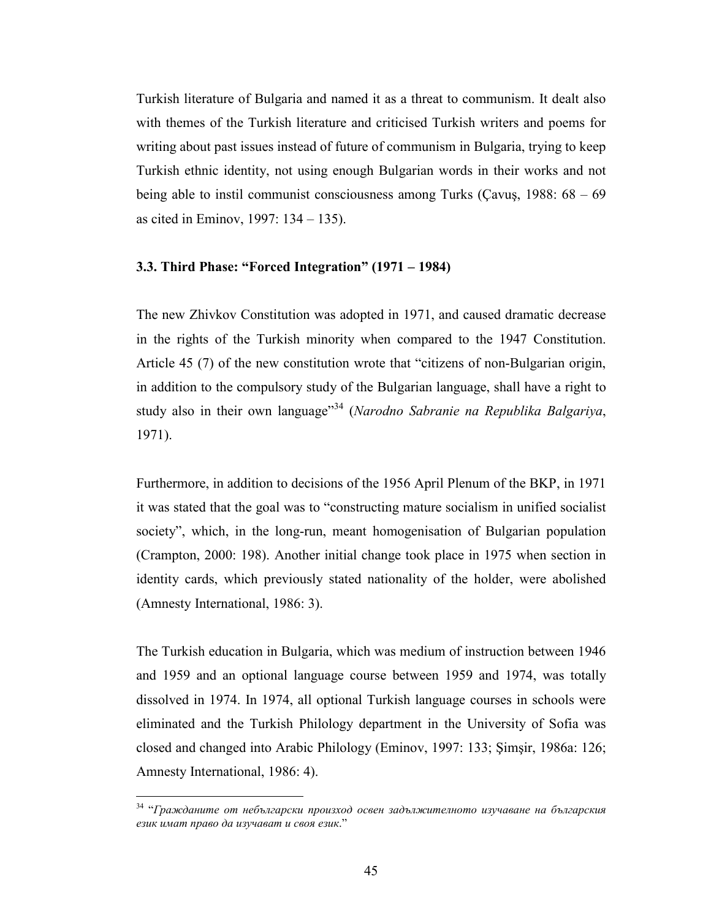Turkish literature of Bulgaria and named it as a threat to communism. It dealt also with themes of the Turkish literature and criticised Turkish writers and poems for writing about past issues instead of future of communism in Bulgaria, trying to keep Turkish ethnic identity, not using enough Bulgarian words in their works and not being able to instil communist consciousness among Turks (Cavus, 1988:  $68 - 69$ ) as cited in Eminov, 1997: 134 – 135).

#### 3.3. Third Phase: "Forced Integration" (1971 – 1984)

The new Zhivkov Constitution was adopted in 1971, and caused dramatic decrease in the rights of the Turkish minority when compared to the 1947 Constitution. Article 45 (7) of the new constitution wrote that "citizens of non-Bulgarian origin, in addition to the compulsory study of the Bulgarian language, shall have a right to study also in their own language<sup> $34$ </sup> (Narodno Sabranie na Republika Balgariya, 1971).

Furthermore, in addition to decisions of the 1956 April Plenum of the BKP, in 1971 it was stated that the goal was to "constructing mature socialism in unified socialist society", which, in the long-run, meant homogenisation of Bulgarian population (Crampton, 2000: 198). Another initial change took place in 1975 when section in identity cards, which previously stated nationality of the holder, were abolished (Amnesty International, 1986: 3).

The Turkish education in Bulgaria, which was medium of instruction between 1946 and 1959 and an optional language course between 1959 and 1974, was totally dissolved in 1974. In 1974, all optional Turkish language courses in schools were eliminated and the Turkish Philology department in the University of Sofia was closed and changed into Arabic Philology (Eminov, 1997: 133; Şimşir, 1986a: 126; Amnesty International, 1986: 4).

 $34$  "Гражданите от небългарски произход освен задължителното изучаване на българския eзик имaт пpaвo дa изучaвaт и cвoя eзик."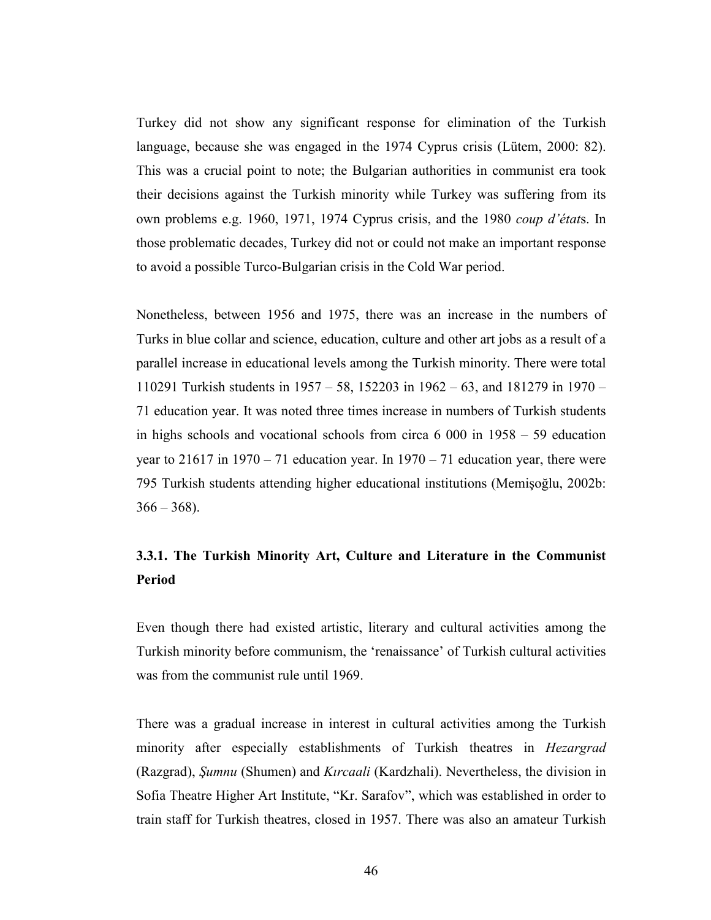Turkey did not show any significant response for elimination of the Turkish language, because she was engaged in the 1974 Cyprus crisis (Lütem, 2000: 82). This was a crucial point to note; the Bulgarian authorities in communist era took their decisions against the Turkish minority while Turkey was suffering from its own problems e.g. 1960, 1971, 1974 Cyprus crisis, and the 1980 coup d'états. In those problematic decades, Turkey did not or could not make an important response to avoid a possible Turco-Bulgarian crisis in the Cold War period.

Nonetheless, between 1956 and 1975, there was an increase in the numbers of Turks in blue collar and science, education, culture and other art jobs as a result of a parallel increase in educational levels among the Turkish minority. There were total 110291 Turkish students in 1957 – 58, 152203 in 1962 – 63, and 181279 in 1970 – 71 education year. It was noted three times increase in numbers of Turkish students in highs schools and vocational schools from circa  $6\,000$  in  $1958 - 59$  education year to  $21617$  in  $1970 - 71$  education year. In  $1970 - 71$  education year, there were 795 Turkish students attending higher educational institutions (Memişoğlu, 2002b:  $366 - 368$ ).

## 3.3.1. The Turkish Minority Art, Culture and Literature in the Communist Period

Even though there had existed artistic, literary and cultural activities among the Turkish minority before communism, the 'renaissance' of Turkish cultural activities was from the communist rule until 1969.

There was a gradual increase in interest in cultural activities among the Turkish minority after especially establishments of Turkish theatres in *Hezargrad* (Razgrad), Şumnu (Shumen) and Kırcaali (Kardzhali). Nevertheless, the division in Sofia Theatre Higher Art Institute, "Kr. Sarafov", which was established in order to train staff for Turkish theatres, closed in 1957. There was also an amateur Turkish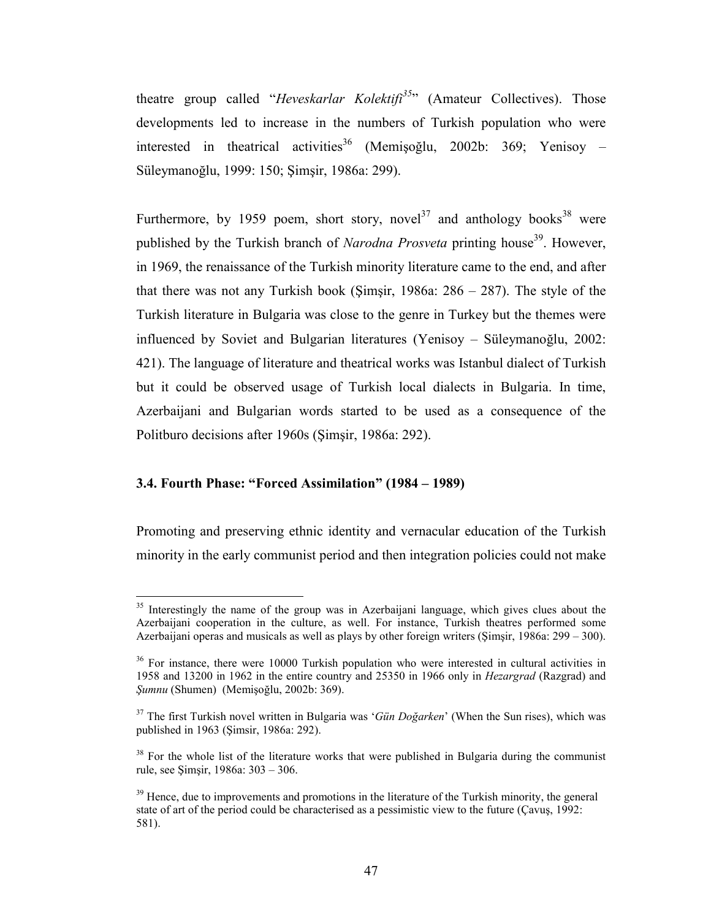theatre group called "Heveskarlar Kolektifi<sup>35</sup>" (Amateur Collectives). Those developments led to increase in the numbers of Turkish population who were interested in theatrical activities<sup>36</sup> (Memișoğlu, 2002b: 369; Yenisoy – Süleymanoğlu, 1999: 150; Şimşir, 1986a: 299).

Furthermore, by 1959 poem, short story, novel<sup>37</sup> and anthology books<sup>38</sup> were published by the Turkish branch of *Narodna Prosveta* printing house<sup>39</sup>. However, in 1969, the renaissance of the Turkish minority literature came to the end, and after that there was not any Turkish book (Simsir, 1986a:  $286 - 287$ ). The style of the Turkish literature in Bulgaria was close to the genre in Turkey but the themes were influenced by Soviet and Bulgarian literatures (Yenisoy – Süleymanoğlu, 2002: 421). The language of literature and theatrical works was Istanbul dialect of Turkish but it could be observed usage of Turkish local dialects in Bulgaria. In time, Azerbaijani and Bulgarian words started to be used as a consequence of the Politburo decisions after 1960s (Şimşir, 1986a: 292).

#### 3.4. Fourth Phase: "Forced Assimilation" (1984 – 1989)

 $\overline{a}$ 

Promoting and preserving ethnic identity and vernacular education of the Turkish minority in the early communist period and then integration policies could not make

<sup>&</sup>lt;sup>35</sup> Interestingly the name of the group was in Azerbaijani language, which gives clues about the Azerbaijani cooperation in the culture, as well. For instance, Turkish theatres performed some Azerbaijani operas and musicals as well as plays by other foreign writers (Şimşir, 1986a: 299 – 300).

<sup>&</sup>lt;sup>36</sup> For instance, there were 10000 Turkish population who were interested in cultural activities in 1958 and 13200 in 1962 in the entire country and 25350 in 1966 only in Hezargrad (Razgrad) and Şumnu (Shumen) (Memişoğlu, 2002b: 369).

 $37$  The first Turkish novel written in Bulgaria was 'Gün Doğarken' (When the Sun rises), which was published in 1963 (Şimsir, 1986a: 292).

<sup>&</sup>lt;sup>38</sup> For the whole list of the literature works that were published in Bulgaria during the communist rule, see Şimşir, 1986a: 303 – 306.

 $39$  Hence, due to improvements and promotions in the literature of the Turkish minority, the general state of art of the period could be characterised as a pessimistic view to the future (Çavuş, 1992: 581).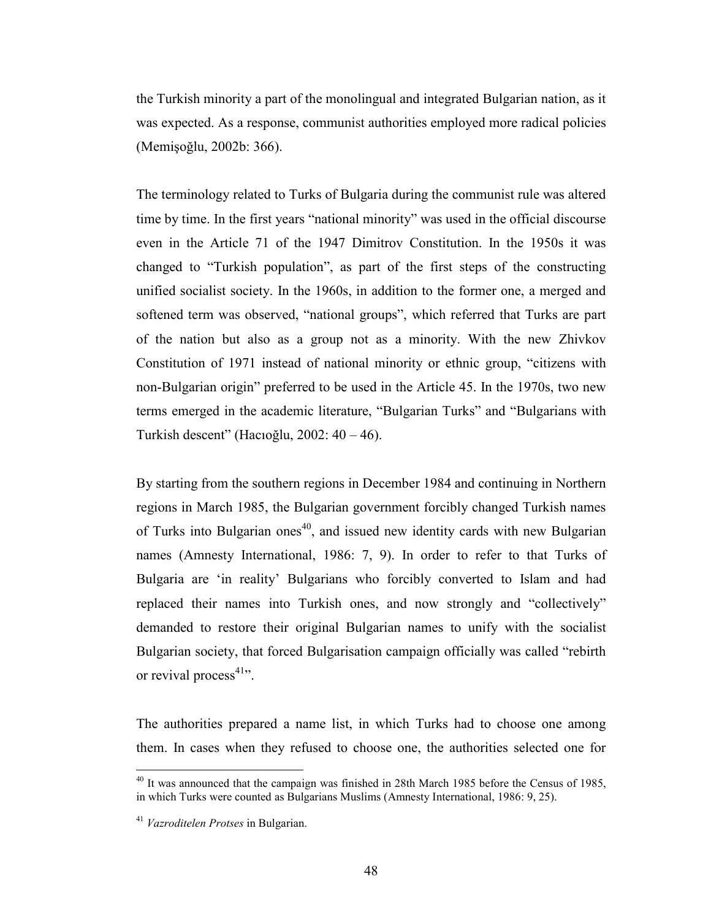the Turkish minority a part of the monolingual and integrated Bulgarian nation, as it was expected. As a response, communist authorities employed more radical policies (Memişoğlu, 2002b: 366).

The terminology related to Turks of Bulgaria during the communist rule was altered time by time. In the first years "national minority" was used in the official discourse even in the Article 71 of the 1947 Dimitrov Constitution. In the 1950s it was changed to "Turkish population", as part of the first steps of the constructing unified socialist society. In the 1960s, in addition to the former one, a merged and softened term was observed, "national groups", which referred that Turks are part of the nation but also as a group not as a minority. With the new Zhivkov Constitution of 1971 instead of national minority or ethnic group, "citizens with non-Bulgarian origin" preferred to be used in the Article 45. In the 1970s, two new terms emerged in the academic literature, "Bulgarian Turks" and "Bulgarians with Turkish descent" (Hacıoğlu, 2002: 40 – 46).

By starting from the southern regions in December 1984 and continuing in Northern regions in March 1985, the Bulgarian government forcibly changed Turkish names of Turks into Bulgarian ones<sup>40</sup>, and issued new identity cards with new Bulgarian names (Amnesty International, 1986: 7, 9). In order to refer to that Turks of Bulgaria are 'in reality' Bulgarians who forcibly converted to Islam and had replaced their names into Turkish ones, and now strongly and "collectively" demanded to restore their original Bulgarian names to unify with the socialist Bulgarian society, that forced Bulgarisation campaign officially was called "rebirth or revival process $41$ .

The authorities prepared a name list, in which Turks had to choose one among them. In cases when they refused to choose one, the authorities selected one for

 $^{40}$  It was announced that the campaign was finished in 28th March 1985 before the Census of 1985. in which Turks were counted as Bulgarians Muslims (Amnesty International, 1986: 9, 25).

<sup>&</sup>lt;sup>41</sup> Vazroditelen Protses in Bulgarian.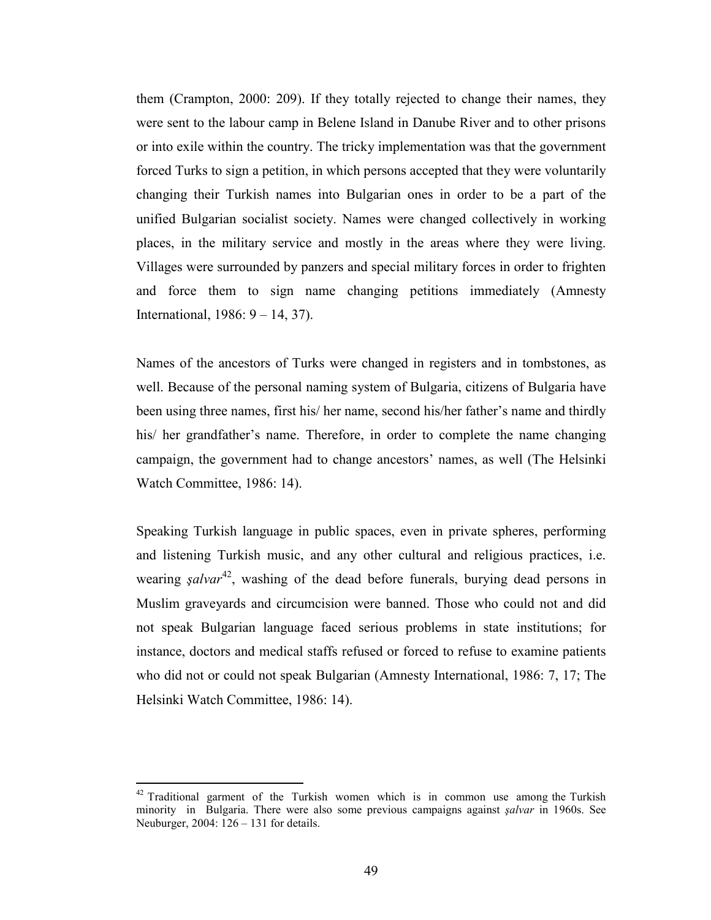them (Crampton, 2000: 209). If they totally rejected to change their names, they were sent to the labour camp in Belene Island in Danube River and to other prisons or into exile within the country. The tricky implementation was that the government forced Turks to sign a petition, in which persons accepted that they were voluntarily changing their Turkish names into Bulgarian ones in order to be a part of the unified Bulgarian socialist society. Names were changed collectively in working places, in the military service and mostly in the areas where they were living. Villages were surrounded by panzers and special military forces in order to frighten and force them to sign name changing petitions immediately (Amnesty International, 1986: 9 – 14, 37).

Names of the ancestors of Turks were changed in registers and in tombstones, as well. Because of the personal naming system of Bulgaria, citizens of Bulgaria have been using three names, first his/ her name, second his/her father's name and thirdly his/ her grandfather's name. Therefore, in order to complete the name changing campaign, the government had to change ancestors' names, as well (The Helsinki Watch Committee, 1986: 14).

Speaking Turkish language in public spaces, even in private spheres, performing and listening Turkish music, and any other cultural and religious practices, i.e. wearing *salvar*<sup>42</sup>, washing of the dead before funerals, burying dead persons in Muslim graveyards and circumcision were banned. Those who could not and did not speak Bulgarian language faced serious problems in state institutions; for instance, doctors and medical staffs refused or forced to refuse to examine patients who did not or could not speak Bulgarian (Amnesty International, 1986: 7, 17; The Helsinki Watch Committee, 1986: 14).

 $42$  Traditional garment of the Turkish women which is in common use among the Turkish minority in Bulgaria. There were also some previous campaigns against şalvar in 1960s. See Neuburger, 2004: 126 – 131 for details.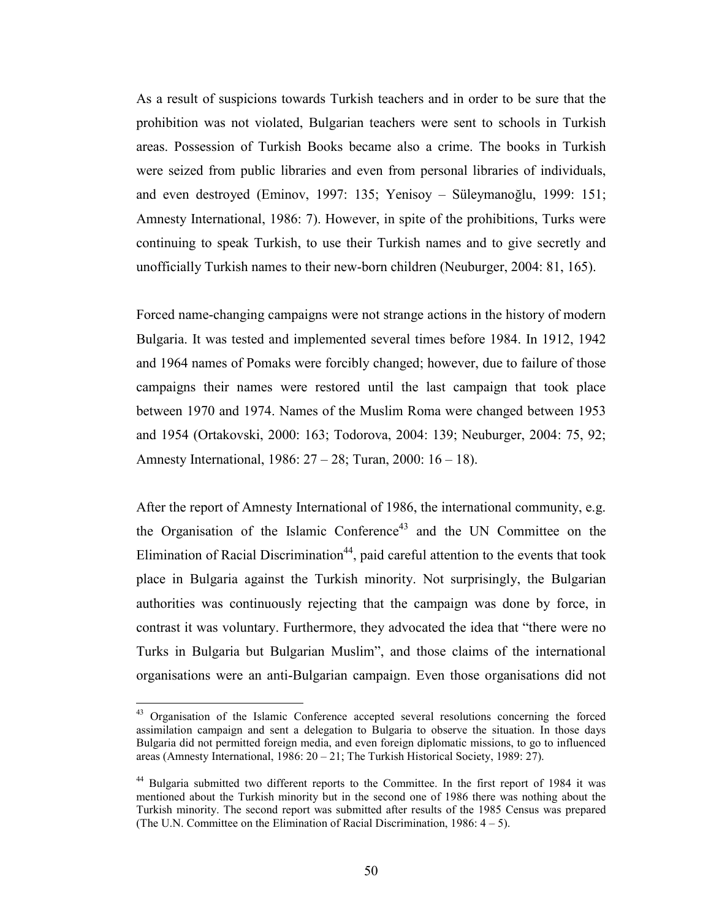As a result of suspicions towards Turkish teachers and in order to be sure that the prohibition was not violated, Bulgarian teachers were sent to schools in Turkish areas. Possession of Turkish Books became also a crime. The books in Turkish were seized from public libraries and even from personal libraries of individuals, and even destroyed (Eminov, 1997: 135; Yenisoy – Süleymanoğlu, 1999: 151; Amnesty International, 1986: 7). However, in spite of the prohibitions, Turks were continuing to speak Turkish, to use their Turkish names and to give secretly and unofficially Turkish names to their new-born children (Neuburger, 2004: 81, 165).

Forced name-changing campaigns were not strange actions in the history of modern Bulgaria. It was tested and implemented several times before 1984. In 1912, 1942 and 1964 names of Pomaks were forcibly changed; however, due to failure of those campaigns their names were restored until the last campaign that took place between 1970 and 1974. Names of the Muslim Roma were changed between 1953 and 1954 (Ortakovski, 2000: 163; Todorova, 2004: 139; Neuburger, 2004: 75, 92; Amnesty International, 1986: 27 – 28; Turan, 2000: 16 – 18).

After the report of Amnesty International of 1986, the international community, e.g. the Organisation of the Islamic Conference<sup>43</sup> and the UN Committee on the Elimination of Racial Discrimination<sup>44</sup>, paid careful attention to the events that took place in Bulgaria against the Turkish minority. Not surprisingly, the Bulgarian authorities was continuously rejecting that the campaign was done by force, in contrast it was voluntary. Furthermore, they advocated the idea that "there were no Turks in Bulgaria but Bulgarian Muslim", and those claims of the international organisations were an anti-Bulgarian campaign. Even those organisations did not

<sup>&</sup>lt;sup>43</sup> Organisation of the Islamic Conference accepted several resolutions concerning the forced assimilation campaign and sent a delegation to Bulgaria to observe the situation. In those days Bulgaria did not permitted foreign media, and even foreign diplomatic missions, to go to influenced areas (Amnesty International, 1986: 20 – 21; The Turkish Historical Society, 1989: 27).

<sup>&</sup>lt;sup>44</sup> Bulgaria submitted two different reports to the Committee. In the first report of 1984 it was mentioned about the Turkish minority but in the second one of 1986 there was nothing about the Turkish minority. The second report was submitted after results of the 1985 Census was prepared (The U.N. Committee on the Elimination of Racial Discrimination, 1986: 4 – 5).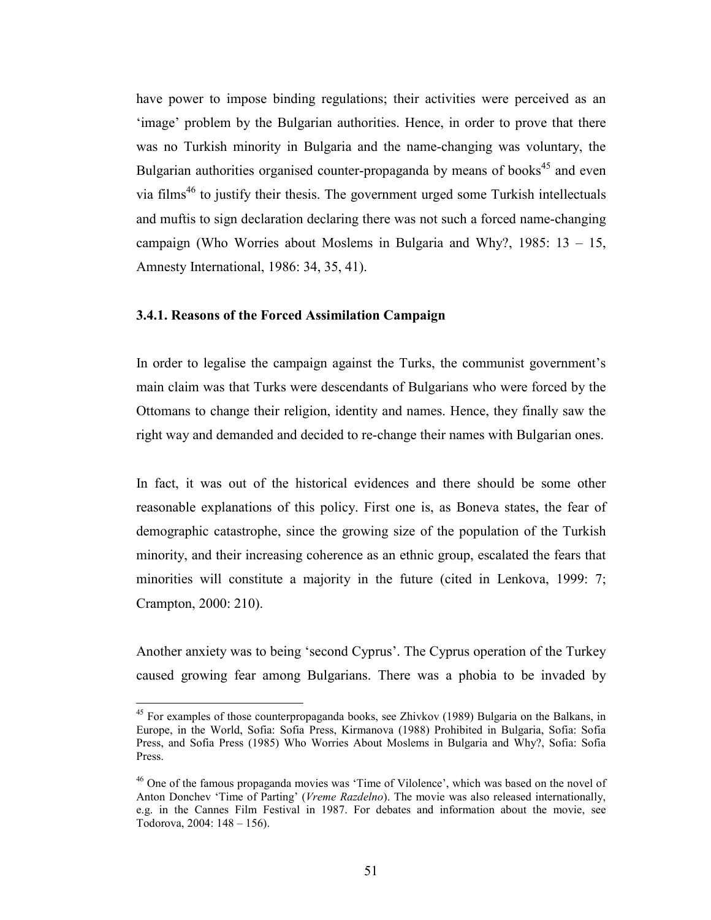have power to impose binding regulations; their activities were perceived as an 'image' problem by the Bulgarian authorities. Hence, in order to prove that there was no Turkish minority in Bulgaria and the name-changing was voluntary, the Bulgarian authorities organised counter-propaganda by means of books<sup>45</sup> and even via films<sup>46</sup> to justify their thesis. The government urged some Turkish intellectuals and muftis to sign declaration declaring there was not such a forced name-changing campaign (Who Worries about Moslems in Bulgaria and Why?, 1985: 13 – 15, Amnesty International, 1986: 34, 35, 41).

#### 3.4.1. Reasons of the Forced Assimilation Campaign

 $\overline{a}$ 

In order to legalise the campaign against the Turks, the communist government's main claim was that Turks were descendants of Bulgarians who were forced by the Ottomans to change their religion, identity and names. Hence, they finally saw the right way and demanded and decided to re-change their names with Bulgarian ones.

In fact, it was out of the historical evidences and there should be some other reasonable explanations of this policy. First one is, as Boneva states, the fear of demographic catastrophe, since the growing size of the population of the Turkish minority, and their increasing coherence as an ethnic group, escalated the fears that minorities will constitute a majority in the future (cited in Lenkova, 1999: 7; Crampton, 2000: 210).

Another anxiety was to being 'second Cyprus'. The Cyprus operation of the Turkey caused growing fear among Bulgarians. There was a phobia to be invaded by

<sup>&</sup>lt;sup>45</sup> For examples of those counterpropaganda books, see Zhivkov (1989) Bulgaria on the Balkans, in Europe, in the World, Sofia: Sofia Press, Kirmanova (1988) Prohibited in Bulgaria, Sofia: Sofia Press, and Sofia Press (1985) Who Worries About Moslems in Bulgaria and Why?, Sofia: Sofia Press.

<sup>46</sup> One of the famous propaganda movies was 'Time of Vilolence', which was based on the novel of Anton Donchev 'Time of Parting' (Vreme Razdelno). The movie was also released internationally, e.g. in the Cannes Film Festival in 1987. For debates and information about the movie, see Todorova, 2004: 148 – 156).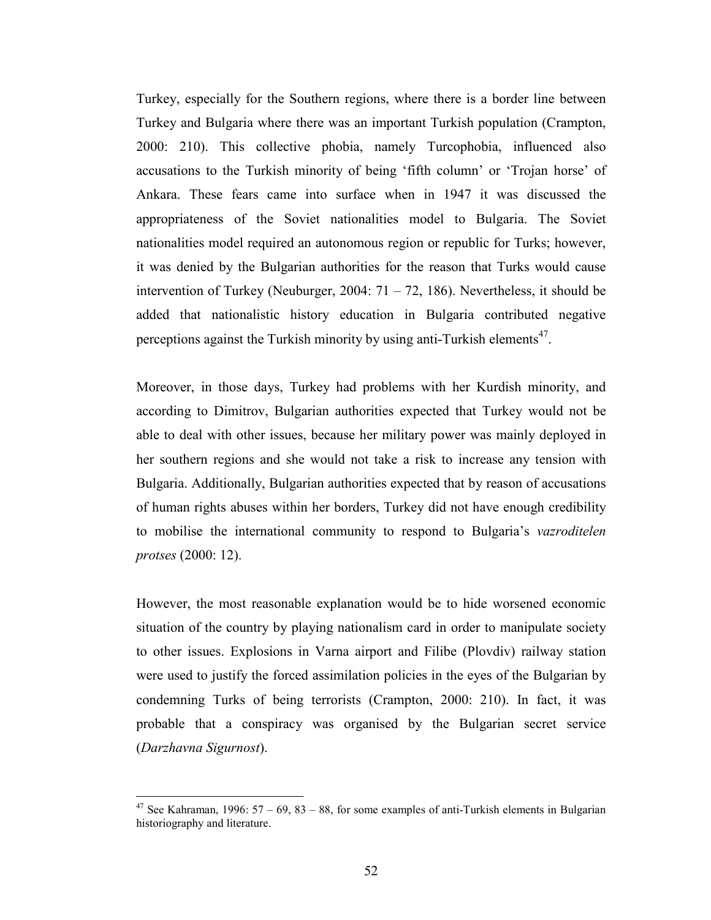Turkey, especially for the Southern regions, where there is a border line between Turkey and Bulgaria where there was an important Turkish population (Crampton, 2000: 210). This collective phobia, namely Turcophobia, influenced also accusations to the Turkish minority of being 'fifth column' or 'Trojan horse' of Ankara. These fears came into surface when in 1947 it was discussed the appropriateness of the Soviet nationalities model to Bulgaria. The Soviet nationalities model required an autonomous region or republic for Turks; however, it was denied by the Bulgarian authorities for the reason that Turks would cause intervention of Turkey (Neuburger, 2004:  $71 - 72$ , 186). Nevertheless, it should be added that nationalistic history education in Bulgaria contributed negative perceptions against the Turkish minority by using anti-Turkish elements<sup>47</sup>.

Moreover, in those days, Turkey had problems with her Kurdish minority, and according to Dimitrov, Bulgarian authorities expected that Turkey would not be able to deal with other issues, because her military power was mainly deployed in her southern regions and she would not take a risk to increase any tension with Bulgaria. Additionally, Bulgarian authorities expected that by reason of accusations of human rights abuses within her borders, Turkey did not have enough credibility to mobilise the international community to respond to Bulgaria's vazroditelen protses (2000: 12).

However, the most reasonable explanation would be to hide worsened economic situation of the country by playing nationalism card in order to manipulate society to other issues. Explosions in Varna airport and Filibe (Plovdiv) railway station were used to justify the forced assimilation policies in the eyes of the Bulgarian by condemning Turks of being terrorists (Crampton, 2000: 210). In fact, it was probable that a conspiracy was organised by the Bulgarian secret service (Darzhavna Sigurnost).

See Kahraman, 1996:  $57 - 69$ ,  $83 - 88$ , for some examples of anti-Turkish elements in Bulgarian historiography and literature.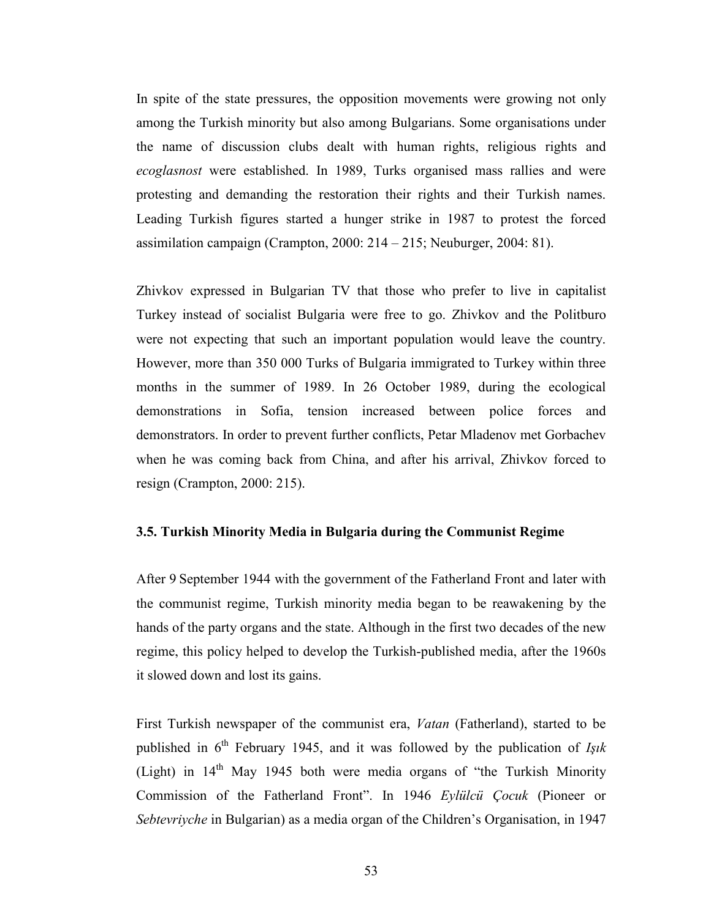In spite of the state pressures, the opposition movements were growing not only among the Turkish minority but also among Bulgarians. Some organisations under the name of discussion clubs dealt with human rights, religious rights and ecoglasnost were established. In 1989, Turks organised mass rallies and were protesting and demanding the restoration their rights and their Turkish names. Leading Turkish figures started a hunger strike in 1987 to protest the forced assimilation campaign (Crampton, 2000: 214 – 215; Neuburger, 2004: 81).

Zhivkov expressed in Bulgarian TV that those who prefer to live in capitalist Turkey instead of socialist Bulgaria were free to go. Zhivkov and the Politburo were not expecting that such an important population would leave the country. However, more than 350 000 Turks of Bulgaria immigrated to Turkey within three months in the summer of 1989. In 26 October 1989, during the ecological demonstrations in Sofia, tension increased between police forces and demonstrators. In order to prevent further conflicts, Petar Mladenov met Gorbachev when he was coming back from China, and after his arrival, Zhivkov forced to resign (Crampton, 2000: 215).

#### 3.5. Turkish Minority Media in Bulgaria during the Communist Regime

After 9 September 1944 with the government of the Fatherland Front and later with the communist regime, Turkish minority media began to be reawakening by the hands of the party organs and the state. Although in the first two decades of the new regime, this policy helped to develop the Turkish-published media, after the 1960s it slowed down and lost its gains.

First Turkish newspaper of the communist era, Vatan (Fatherland), started to be published in  $6<sup>th</sup>$  February 1945, and it was followed by the publication of Isik (Light) in  $14<sup>th</sup>$  May 1945 both were media organs of "the Turkish Minority" Commission of the Fatherland Front". In 1946 Eylülcü Çocuk (Pioneer or Sebtevriyche in Bulgarian) as a media organ of the Children's Organisation, in 1947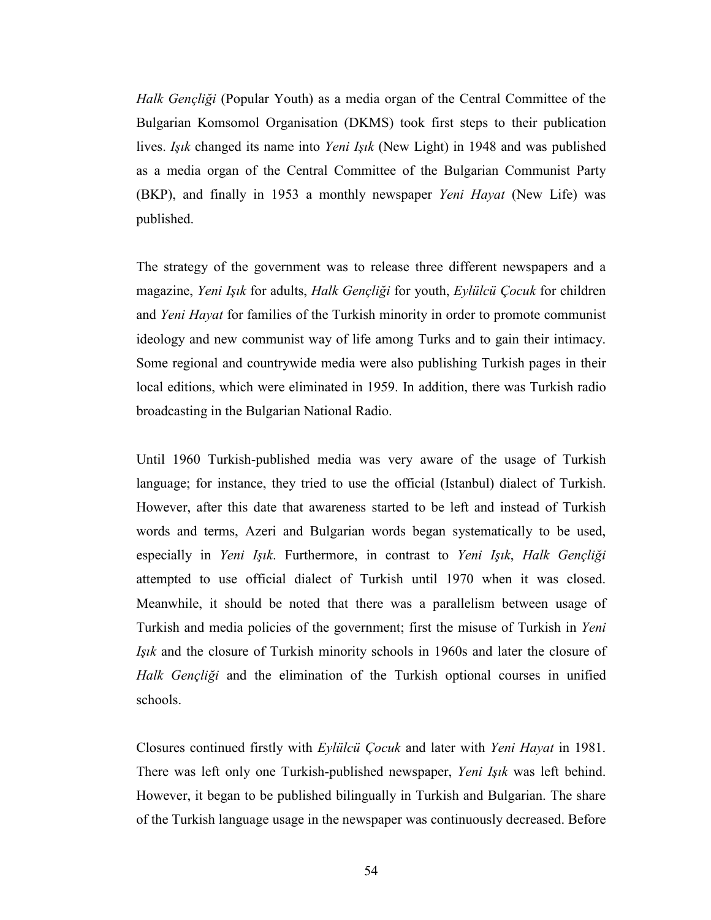Halk Gençliği (Popular Youth) as a media organ of the Central Committee of the Bulgarian Komsomol Organisation (DKMS) took first steps to their publication lives. Işık changed its name into Yeni Işık (New Light) in 1948 and was published as a media organ of the Central Committee of the Bulgarian Communist Party (BKP), and finally in 1953 a monthly newspaper Yeni Hayat (New Life) was published.

The strategy of the government was to release three different newspapers and a magazine, Yeni Işık for adults, Halk Gençliği for youth, Eylülcü Çocuk for children and Yeni Hayat for families of the Turkish minority in order to promote communist ideology and new communist way of life among Turks and to gain their intimacy. Some regional and countrywide media were also publishing Turkish pages in their local editions, which were eliminated in 1959. In addition, there was Turkish radio broadcasting in the Bulgarian National Radio.

Until 1960 Turkish-published media was very aware of the usage of Turkish language; for instance, they tried to use the official (Istanbul) dialect of Turkish. However, after this date that awareness started to be left and instead of Turkish words and terms, Azeri and Bulgarian words began systematically to be used, especially in Yeni Işık. Furthermore, in contrast to Yeni Işık, Halk Gençliği attempted to use official dialect of Turkish until 1970 when it was closed. Meanwhile, it should be noted that there was a parallelism between usage of Turkish and media policies of the government; first the misuse of Turkish in Yeni Işık and the closure of Turkish minority schools in 1960s and later the closure of Halk Gençliği and the elimination of the Turkish optional courses in unified schools.

Closures continued firstly with Eylülcü Çocuk and later with Yeni Hayat in 1981. There was left only one Turkish-published newspaper, Yeni Işık was left behind. However, it began to be published bilingually in Turkish and Bulgarian. The share of the Turkish language usage in the newspaper was continuously decreased. Before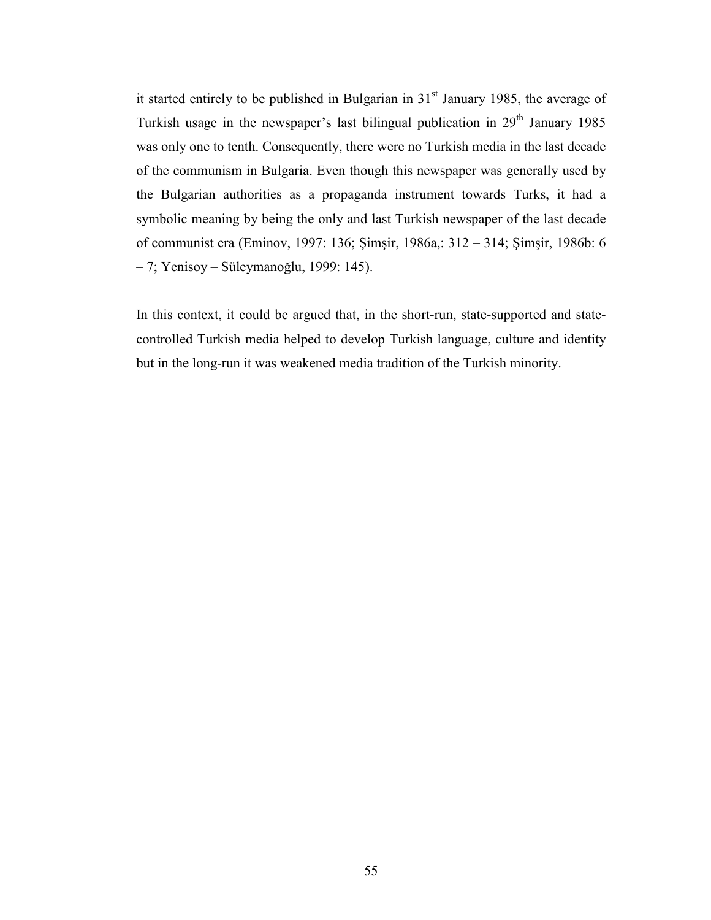it started entirely to be published in Bulgarian in  $31<sup>st</sup>$  January 1985, the average of Turkish usage in the newspaper's last bilingual publication in  $29<sup>th</sup>$  January 1985 was only one to tenth. Consequently, there were no Turkish media in the last decade of the communism in Bulgaria. Even though this newspaper was generally used by the Bulgarian authorities as a propaganda instrument towards Turks, it had a symbolic meaning by being the only and last Turkish newspaper of the last decade of communist era (Eminov, 1997: 136; Şimşir, 1986a,: 312 – 314; Şimşir, 1986b: 6 – 7; Yenisoy – Süleymanoğlu, 1999: 145).

In this context, it could be argued that, in the short-run, state-supported and statecontrolled Turkish media helped to develop Turkish language, culture and identity but in the long-run it was weakened media tradition of the Turkish minority.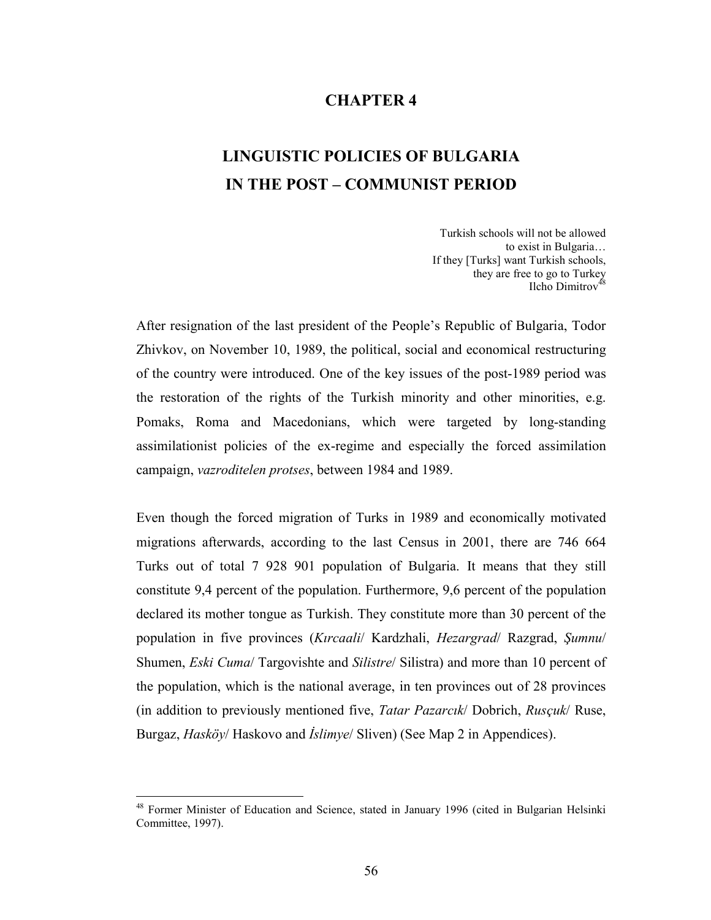## CHAPTER 4

# LINGUISTIC POLICIES OF BULGARIA IN THE POST – COMMUNIST PERIOD

Turkish schools will not be allowed to exist in Bulgaria… If they [Turks] want Turkish schools, they are free to go to Turkey Ilcho Dimitrov $48$ 

After resignation of the last president of the People's Republic of Bulgaria, Todor Zhivkov, on November 10, 1989, the political, social and economical restructuring of the country were introduced. One of the key issues of the post-1989 period was the restoration of the rights of the Turkish minority and other minorities, e.g. Pomaks, Roma and Macedonians, which were targeted by long-standing assimilationist policies of the ex-regime and especially the forced assimilation campaign, vazroditelen protses, between 1984 and 1989.

Even though the forced migration of Turks in 1989 and economically motivated migrations afterwards, according to the last Census in 2001, there are 746 664 Turks out of total 7 928 901 population of Bulgaria. It means that they still constitute 9,4 percent of the population. Furthermore, 9,6 percent of the population declared its mother tongue as Turkish. They constitute more than 30 percent of the population in five provinces (Kırcaali/ Kardzhali, Hezargrad/ Razgrad, Şumnu/ Shumen, *Eski Cuma/* Targovishte and *Silistre/* Silistra) and more than 10 percent of the population, which is the national average, in ten provinces out of 28 provinces (in addition to previously mentioned five, Tatar Pazarcık/ Dobrich, Rusçuk/ Ruse, Burgaz, *Hasköy*/ Haskovo and *İslimye*/ Sliven) (See Map 2 in Appendices).

<sup>48</sup> Former Minister of Education and Science, stated in January 1996 (cited in Bulgarian Helsinki Committee, 1997).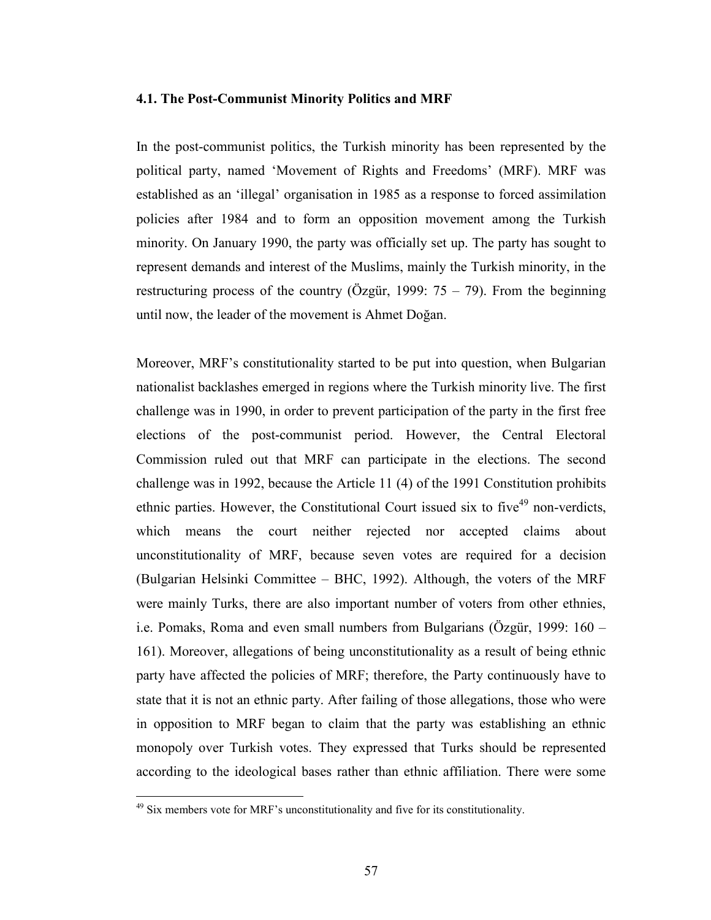#### 4.1. The Post-Communist Minority Politics and MRF

In the post-communist politics, the Turkish minority has been represented by the political party, named 'Movement of Rights and Freedoms' (MRF). MRF was established as an 'illegal' organisation in 1985 as a response to forced assimilation policies after 1984 and to form an opposition movement among the Turkish minority. On January 1990, the party was officially set up. The party has sought to represent demands and interest of the Muslims, mainly the Turkish minority, in the restructuring process of the country (Özgür, 1999:  $75 - 79$ ). From the beginning until now, the leader of the movement is Ahmet Doğan.

Moreover, MRF's constitutionality started to be put into question, when Bulgarian nationalist backlashes emerged in regions where the Turkish minority live. The first challenge was in 1990, in order to prevent participation of the party in the first free elections of the post-communist period. However, the Central Electoral Commission ruled out that MRF can participate in the elections. The second challenge was in 1992, because the Article 11 (4) of the 1991 Constitution prohibits ethnic parties. However, the Constitutional Court issued six to five<sup>49</sup> non-verdicts, which means the court neither rejected nor accepted claims about unconstitutionality of MRF, because seven votes are required for a decision (Bulgarian Helsinki Committee – BHC, 1992). Although, the voters of the MRF were mainly Turks, there are also important number of voters from other ethnies, i.e. Pomaks, Roma and even small numbers from Bulgarians (Özgür, 1999: 160 – 161). Moreover, allegations of being unconstitutionality as a result of being ethnic party have affected the policies of MRF; therefore, the Party continuously have to state that it is not an ethnic party. After failing of those allegations, those who were in opposition to MRF began to claim that the party was establishing an ethnic monopoly over Turkish votes. They expressed that Turks should be represented according to the ideological bases rather than ethnic affiliation. There were some

<sup>&</sup>lt;sup>49</sup> Six members vote for MRF's unconstitutionality and five for its constitutionality.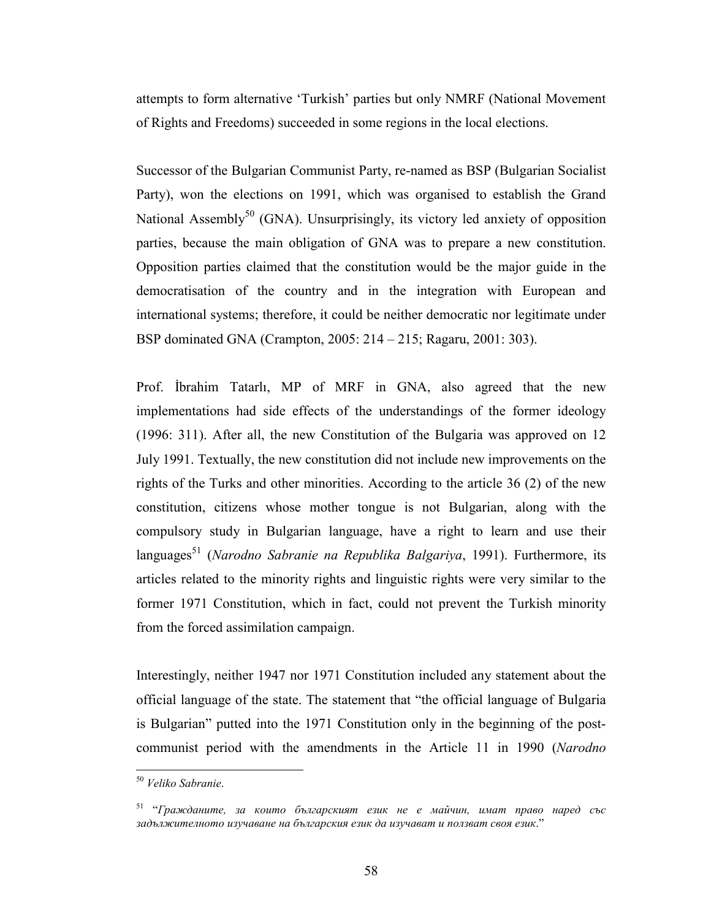attempts to form alternative 'Turkish' parties but only NMRF (National Movement of Rights and Freedoms) succeeded in some regions in the local elections.

Successor of the Bulgarian Communist Party, re-named as BSP (Bulgarian Socialist Party), won the elections on 1991, which was organised to establish the Grand National Assembly<sup>50</sup> (GNA). Unsurprisingly, its victory led anxiety of opposition parties, because the main obligation of GNA was to prepare a new constitution. Opposition parties claimed that the constitution would be the major guide in the democratisation of the country and in the integration with European and international systems; therefore, it could be neither democratic nor legitimate under BSP dominated GNA (Crampton, 2005: 214 – 215; Ragaru, 2001: 303).

Prof. İbrahim Tatarlı, MP of MRF in GNA, also agreed that the new implementations had side effects of the understandings of the former ideology (1996: 311). After all, the new Constitution of the Bulgaria was approved on 12 July 1991. Textually, the new constitution did not include new improvements on the rights of the Turks and other minorities. According to the article 36 (2) of the new constitution, citizens whose mother tongue is not Bulgarian, along with the compulsory study in Bulgarian language, have a right to learn and use their languages<sup>51</sup> (Narodno Sabranie na Republika Balgariya, 1991). Furthermore, its articles related to the minority rights and linguistic rights were very similar to the former 1971 Constitution, which in fact, could not prevent the Turkish minority from the forced assimilation campaign.

Interestingly, neither 1947 nor 1971 Constitution included any statement about the official language of the state. The statement that "the official language of Bulgaria is Bulgarian" putted into the 1971 Constitution only in the beginning of the postcommunist period with the amendments in the Article 11 in 1990 (Narodno

<sup>&</sup>lt;sup>50</sup> Veliko Sabranie.

 $51$  "Гражданите, за които българският език не е майчин, имат право наред със задължителното изучаване на българския език да изучават и ползват своя език."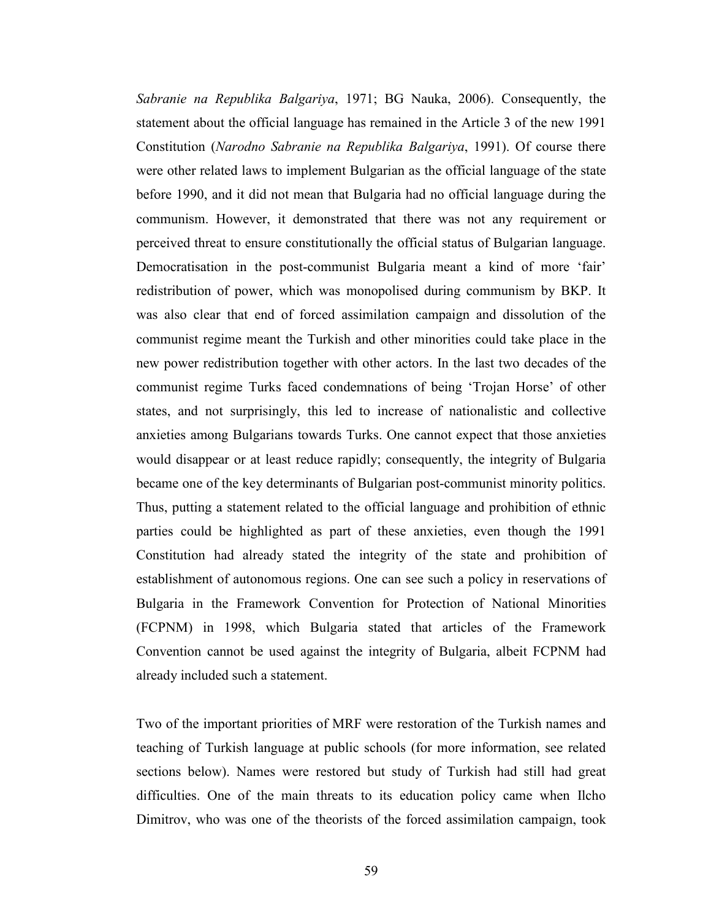Sabranie na Republika Balgariya, 1971; BG Nauka, 2006). Consequently, the statement about the official language has remained in the Article 3 of the new 1991 Constitution (Narodno Sabranie na Republika Balgariya, 1991). Of course there were other related laws to implement Bulgarian as the official language of the state before 1990, and it did not mean that Bulgaria had no official language during the communism. However, it demonstrated that there was not any requirement or perceived threat to ensure constitutionally the official status of Bulgarian language. Democratisation in the post-communist Bulgaria meant a kind of more 'fair' redistribution of power, which was monopolised during communism by BKP. It was also clear that end of forced assimilation campaign and dissolution of the communist regime meant the Turkish and other minorities could take place in the new power redistribution together with other actors. In the last two decades of the communist regime Turks faced condemnations of being 'Trojan Horse' of other states, and not surprisingly, this led to increase of nationalistic and collective anxieties among Bulgarians towards Turks. One cannot expect that those anxieties would disappear or at least reduce rapidly; consequently, the integrity of Bulgaria became one of the key determinants of Bulgarian post-communist minority politics. Thus, putting a statement related to the official language and prohibition of ethnic parties could be highlighted as part of these anxieties, even though the 1991 Constitution had already stated the integrity of the state and prohibition of establishment of autonomous regions. One can see such a policy in reservations of Bulgaria in the Framework Convention for Protection of National Minorities (FCPNM) in 1998, which Bulgaria stated that articles of the Framework Convention cannot be used against the integrity of Bulgaria, albeit FCPNM had already included such a statement.

Two of the important priorities of MRF were restoration of the Turkish names and teaching of Turkish language at public schools (for more information, see related sections below). Names were restored but study of Turkish had still had great difficulties. One of the main threats to its education policy came when Ilcho Dimitrov, who was one of the theorists of the forced assimilation campaign, took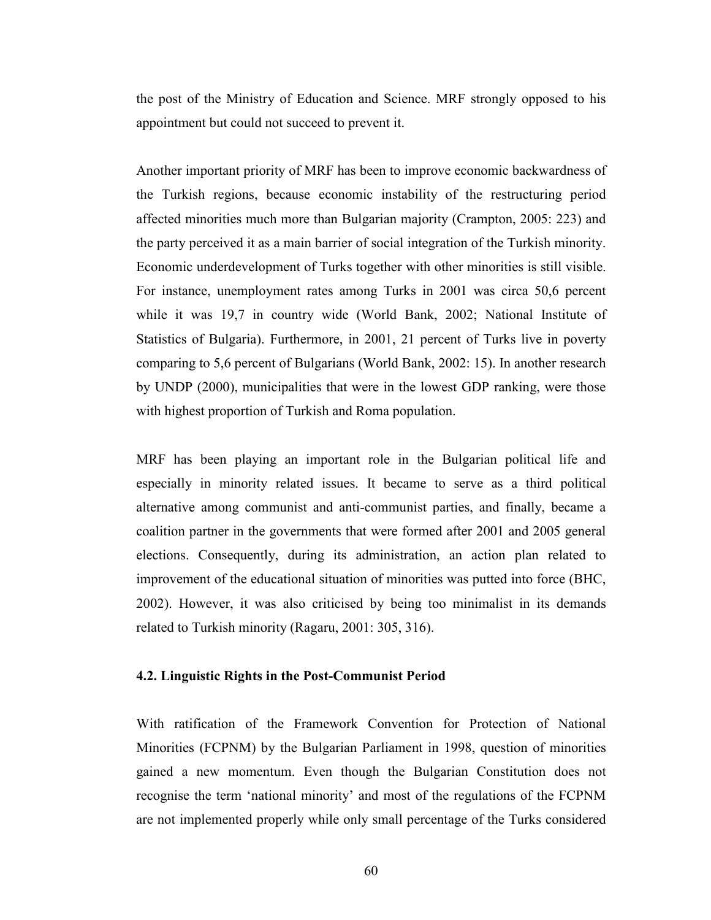the post of the Ministry of Education and Science. MRF strongly opposed to his appointment but could not succeed to prevent it.

Another important priority of MRF has been to improve economic backwardness of the Turkish regions, because economic instability of the restructuring period affected minorities much more than Bulgarian majority (Crampton, 2005: 223) and the party perceived it as a main barrier of social integration of the Turkish minority. Economic underdevelopment of Turks together with other minorities is still visible. For instance, unemployment rates among Turks in 2001 was circa 50,6 percent while it was 19,7 in country wide (World Bank, 2002; National Institute of Statistics of Bulgaria). Furthermore, in 2001, 21 percent of Turks live in poverty comparing to 5,6 percent of Bulgarians (World Bank, 2002: 15). In another research by UNDP (2000), municipalities that were in the lowest GDP ranking, were those with highest proportion of Turkish and Roma population.

MRF has been playing an important role in the Bulgarian political life and especially in minority related issues. It became to serve as a third political alternative among communist and anti-communist parties, and finally, became a coalition partner in the governments that were formed after 2001 and 2005 general elections. Consequently, during its administration, an action plan related to improvement of the educational situation of minorities was putted into force (BHC, 2002). However, it was also criticised by being too minimalist in its demands related to Turkish minority (Ragaru, 2001: 305, 316).

### 4.2. Linguistic Rights in the Post-Communist Period

With ratification of the Framework Convention for Protection of National Minorities (FCPNM) by the Bulgarian Parliament in 1998, question of minorities gained a new momentum. Even though the Bulgarian Constitution does not recognise the term 'national minority' and most of the regulations of the FCPNM are not implemented properly while only small percentage of the Turks considered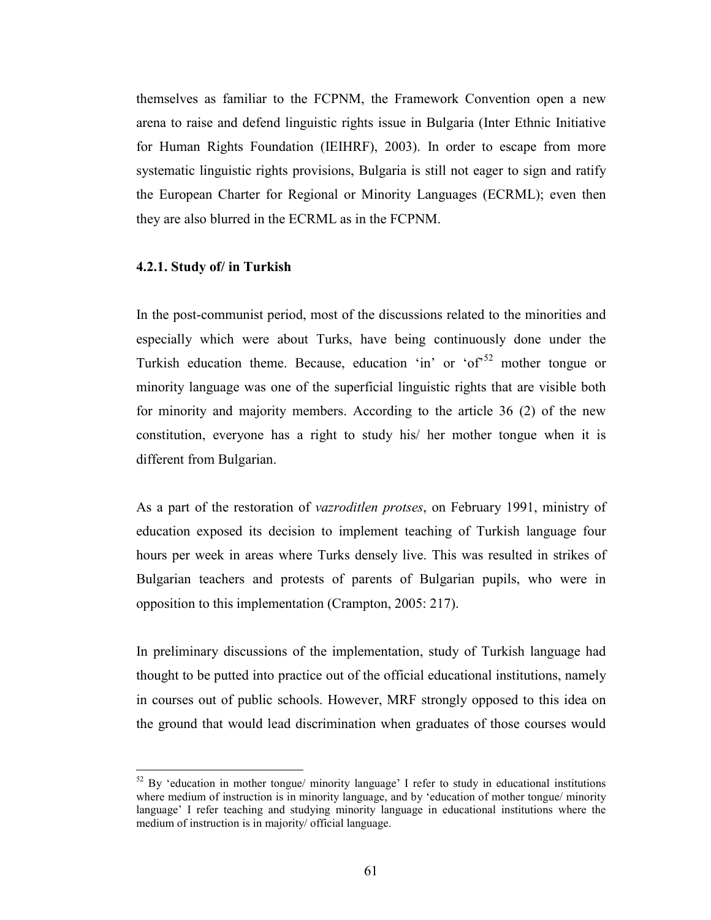themselves as familiar to the FCPNM, the Framework Convention open a new arena to raise and defend linguistic rights issue in Bulgaria (Inter Ethnic Initiative for Human Rights Foundation (IEIHRF), 2003). In order to escape from more systematic linguistic rights provisions, Bulgaria is still not eager to sign and ratify the European Charter for Regional or Minority Languages (ECRML); even then they are also blurred in the ECRML as in the FCPNM.

## 4.2.1. Study of/ in Turkish

 $\overline{a}$ 

In the post-communist period, most of the discussions related to the minorities and especially which were about Turks, have being continuously done under the Turkish education theme. Because, education 'in' or 'of<sup>52</sup> mother tongue or minority language was one of the superficial linguistic rights that are visible both for minority and majority members. According to the article 36 (2) of the new constitution, everyone has a right to study his/ her mother tongue when it is different from Bulgarian.

As a part of the restoration of vazroditlen protses, on February 1991, ministry of education exposed its decision to implement teaching of Turkish language four hours per week in areas where Turks densely live. This was resulted in strikes of Bulgarian teachers and protests of parents of Bulgarian pupils, who were in opposition to this implementation (Crampton, 2005: 217).

In preliminary discussions of the implementation, study of Turkish language had thought to be putted into practice out of the official educational institutions, namely in courses out of public schools. However, MRF strongly opposed to this idea on the ground that would lead discrimination when graduates of those courses would

 $52$  By 'education in mother tongue/ minority language' I refer to study in educational institutions where medium of instruction is in minority language, and by 'education of mother tongue/ minority language' I refer teaching and studying minority language in educational institutions where the medium of instruction is in majority/ official language.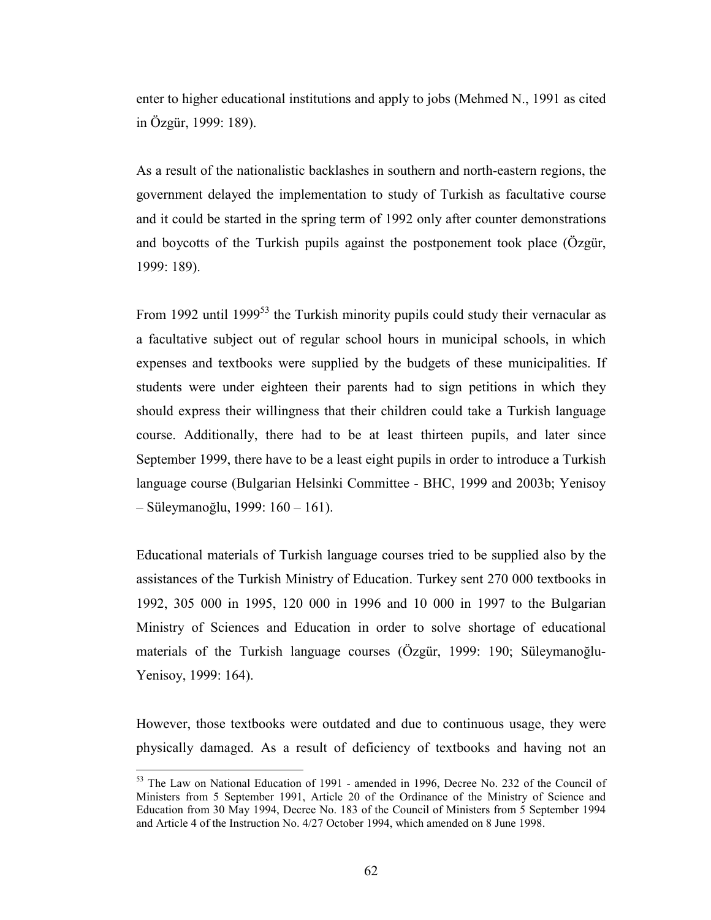enter to higher educational institutions and apply to jobs (Mehmed N., 1991 as cited in Özgür, 1999: 189).

As a result of the nationalistic backlashes in southern and north-eastern regions, the government delayed the implementation to study of Turkish as facultative course and it could be started in the spring term of 1992 only after counter demonstrations and boycotts of the Turkish pupils against the postponement took place (Özgür, 1999: 189).

From 1992 until 1999<sup>53</sup> the Turkish minority pupils could study their vernacular as a facultative subject out of regular school hours in municipal schools, in which expenses and textbooks were supplied by the budgets of these municipalities. If students were under eighteen their parents had to sign petitions in which they should express their willingness that their children could take a Turkish language course. Additionally, there had to be at least thirteen pupils, and later since September 1999, there have to be a least eight pupils in order to introduce a Turkish language course (Bulgarian Helsinki Committee - BHC, 1999 and 2003b; Yenisoy – Süleymanoğlu, 1999: 160 – 161).

Educational materials of Turkish language courses tried to be supplied also by the assistances of the Turkish Ministry of Education. Turkey sent 270 000 textbooks in 1992, 305 000 in 1995, 120 000 in 1996 and 10 000 in 1997 to the Bulgarian Ministry of Sciences and Education in order to solve shortage of educational materials of the Turkish language courses (Özgür, 1999: 190; Süleymanoğlu-Yenisoy, 1999: 164).

However, those textbooks were outdated and due to continuous usage, they were physically damaged. As a result of deficiency of textbooks and having not an

<sup>&</sup>lt;sup>53</sup> The Law on National Education of 1991 - amended in 1996, Decree No. 232 of the Council of Ministers from 5 September 1991, Article 20 of the Ordinance of the Ministry of Science and Education from 30 May 1994, Decree No. 183 of the Council of Ministers from 5 September 1994 and Article 4 of the Instruction No. 4/27 October 1994, which amended on 8 June 1998.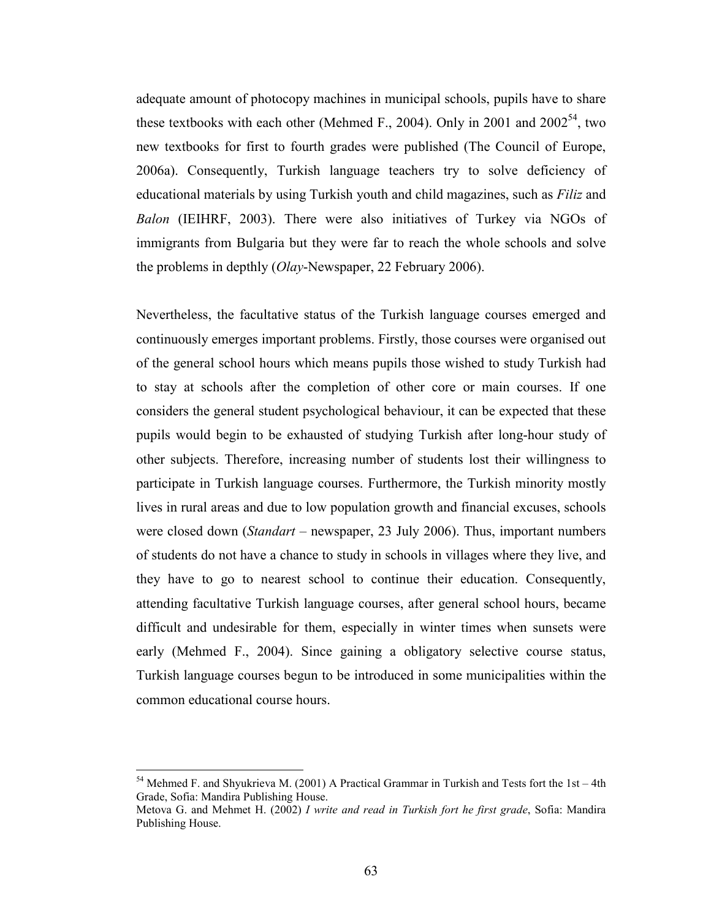adequate amount of photocopy machines in municipal schools, pupils have to share these textbooks with each other (Mehmed F., 2004). Only in 2001 and  $2002^{54}$ , two new textbooks for first to fourth grades were published (The Council of Europe, 2006a). Consequently, Turkish language teachers try to solve deficiency of educational materials by using Turkish youth and child magazines, such as Filiz and Balon (IEIHRF, 2003). There were also initiatives of Turkey via NGOs of immigrants from Bulgaria but they were far to reach the whole schools and solve the problems in depthly (Olay-Newspaper, 22 February 2006).

Nevertheless, the facultative status of the Turkish language courses emerged and continuously emerges important problems. Firstly, those courses were organised out of the general school hours which means pupils those wished to study Turkish had to stay at schools after the completion of other core or main courses. If one considers the general student psychological behaviour, it can be expected that these pupils would begin to be exhausted of studying Turkish after long-hour study of other subjects. Therefore, increasing number of students lost their willingness to participate in Turkish language courses. Furthermore, the Turkish minority mostly lives in rural areas and due to low population growth and financial excuses, schools were closed down (*Standart* – newspaper, 23 July 2006). Thus, important numbers of students do not have a chance to study in schools in villages where they live, and they have to go to nearest school to continue their education. Consequently, attending facultative Turkish language courses, after general school hours, became difficult and undesirable for them, especially in winter times when sunsets were early (Mehmed F., 2004). Since gaining a obligatory selective course status, Turkish language courses begun to be introduced in some municipalities within the common educational course hours.

 $\overline{a}$  $54$  Mehmed F. and Shyukrieva M. (2001) A Practical Grammar in Turkish and Tests fort the 1st – 4th Grade, Sofia: Mandira Publishing House.

Metova G. and Mehmet H. (2002) I write and read in Turkish fort he first grade, Sofia: Mandira Publishing House.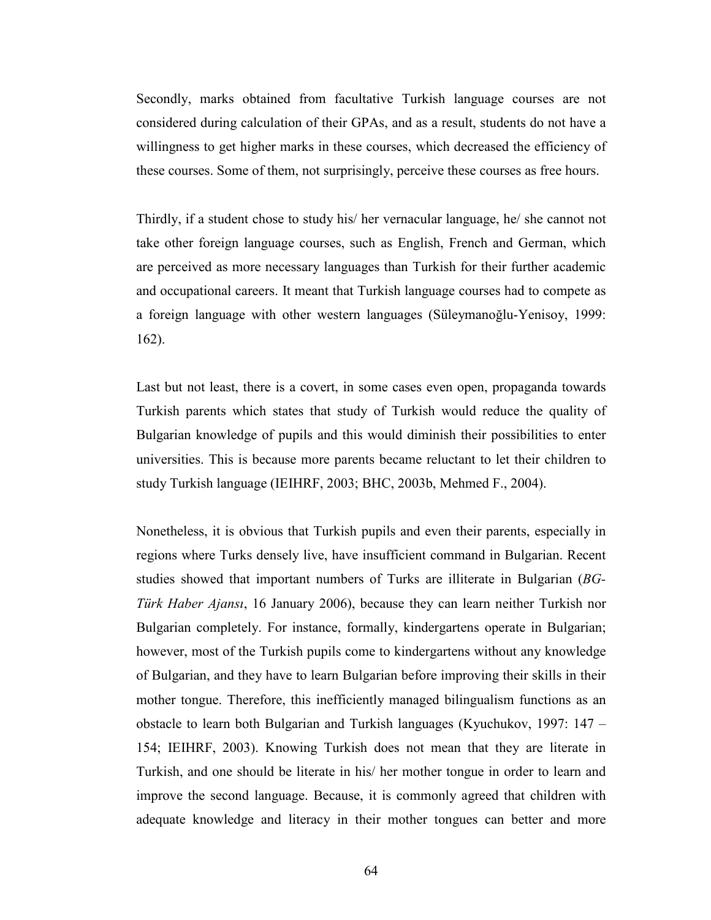Secondly, marks obtained from facultative Turkish language courses are not considered during calculation of their GPAs, and as a result, students do not have a willingness to get higher marks in these courses, which decreased the efficiency of these courses. Some of them, not surprisingly, perceive these courses as free hours.

Thirdly, if a student chose to study his/ her vernacular language, he/ she cannot not take other foreign language courses, such as English, French and German, which are perceived as more necessary languages than Turkish for their further academic and occupational careers. It meant that Turkish language courses had to compete as a foreign language with other western languages (Süleymanoğlu-Yenisoy, 1999: 162).

Last but not least, there is a covert, in some cases even open, propaganda towards Turkish parents which states that study of Turkish would reduce the quality of Bulgarian knowledge of pupils and this would diminish their possibilities to enter universities. This is because more parents became reluctant to let their children to study Turkish language (IEIHRF, 2003; BHC, 2003b, Mehmed F., 2004).

Nonetheless, it is obvious that Turkish pupils and even their parents, especially in regions where Turks densely live, have insufficient command in Bulgarian. Recent studies showed that important numbers of Turks are illiterate in Bulgarian (BG-Türk Haber Ajansı, 16 January 2006), because they can learn neither Turkish nor Bulgarian completely. For instance, formally, kindergartens operate in Bulgarian; however, most of the Turkish pupils come to kindergartens without any knowledge of Bulgarian, and they have to learn Bulgarian before improving their skills in their mother tongue. Therefore, this inefficiently managed bilingualism functions as an obstacle to learn both Bulgarian and Turkish languages (Kyuchukov, 1997: 147 – 154; IEIHRF, 2003). Knowing Turkish does not mean that they are literate in Turkish, and one should be literate in his/ her mother tongue in order to learn and improve the second language. Because, it is commonly agreed that children with adequate knowledge and literacy in their mother tongues can better and more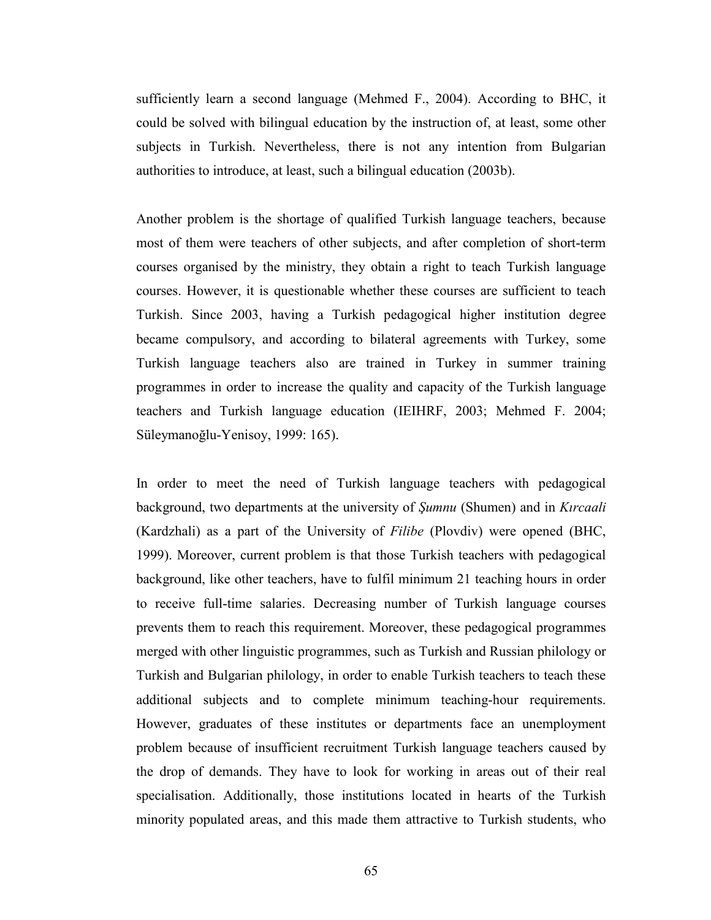sufficiently learn a second language (Mehmed F., 2004). According to BHC, it could be solved with bilingual education by the instruction of, at least, some other subjects in Turkish. Nevertheless, there is not any intention from Bulgarian authorities to introduce, at least, such a bilingual education (2003b).

Another problem is the shortage of qualified Turkish language teachers, because most of them were teachers of other subjects, and after completion of short-term courses organised by the ministry, they obtain a right to teach Turkish language courses. However, it is questionable whether these courses are sufficient to teach Turkish. Since 2003, having a Turkish pedagogical higher institution degree became compulsory, and according to bilateral agreements with Turkey, some Turkish language teachers also are trained in Turkey in summer training programmes in order to increase the quality and capacity of the Turkish language teachers and Turkish language education (IEIHRF, 2003; Mehmed F. 2004; Süleymanoğlu-Yenisoy, 1999: 165).

In order to meet the need of Turkish language teachers with pedagogical background, two departments at the university of Şumnu (Shumen) and in Kırcaali (Kardzhali) as a part of the University of Filibe (Plovdiv) were opened (BHC, 1999). Moreover, current problem is that those Turkish teachers with pedagogical background, like other teachers, have to fulfil minimum 21 teaching hours in order to receive full-time salaries. Decreasing number of Turkish language courses prevents them to reach this requirement. Moreover, these pedagogical programmes merged with other linguistic programmes, such as Turkish and Russian philology or Turkish and Bulgarian philology, in order to enable Turkish teachers to teach these additional subjects and to complete minimum teaching-hour requirements. However, graduates of these institutes or departments face an unemployment problem because of insufficient recruitment Turkish language teachers caused by the drop of demands. They have to look for working in areas out of their real specialisation. Additionally, those institutions located in hearts of the Turkish minority populated areas, and this made them attractive to Turkish students, who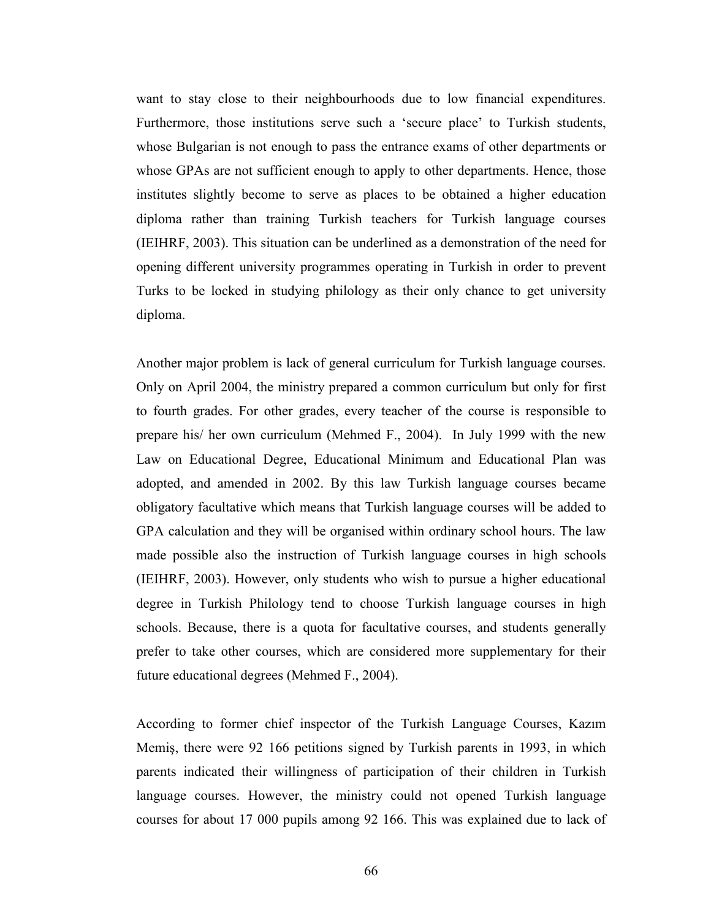want to stay close to their neighbourhoods due to low financial expenditures. Furthermore, those institutions serve such a 'secure place' to Turkish students, whose Bulgarian is not enough to pass the entrance exams of other departments or whose GPAs are not sufficient enough to apply to other departments. Hence, those institutes slightly become to serve as places to be obtained a higher education diploma rather than training Turkish teachers for Turkish language courses (IEIHRF, 2003). This situation can be underlined as a demonstration of the need for opening different university programmes operating in Turkish in order to prevent Turks to be locked in studying philology as their only chance to get university diploma.

Another major problem is lack of general curriculum for Turkish language courses. Only on April 2004, the ministry prepared a common curriculum but only for first to fourth grades. For other grades, every teacher of the course is responsible to prepare his/ her own curriculum (Mehmed F., 2004). In July 1999 with the new Law on Educational Degree, Educational Minimum and Educational Plan was adopted, and amended in 2002. By this law Turkish language courses became obligatory facultative which means that Turkish language courses will be added to GPA calculation and they will be organised within ordinary school hours. The law made possible also the instruction of Turkish language courses in high schools (IEIHRF, 2003). However, only students who wish to pursue a higher educational degree in Turkish Philology tend to choose Turkish language courses in high schools. Because, there is a quota for facultative courses, and students generally prefer to take other courses, which are considered more supplementary for their future educational degrees (Mehmed F., 2004).

According to former chief inspector of the Turkish Language Courses, Kazım Memiş, there were 92 166 petitions signed by Turkish parents in 1993, in which parents indicated their willingness of participation of their children in Turkish language courses. However, the ministry could not opened Turkish language courses for about 17 000 pupils among 92 166. This was explained due to lack of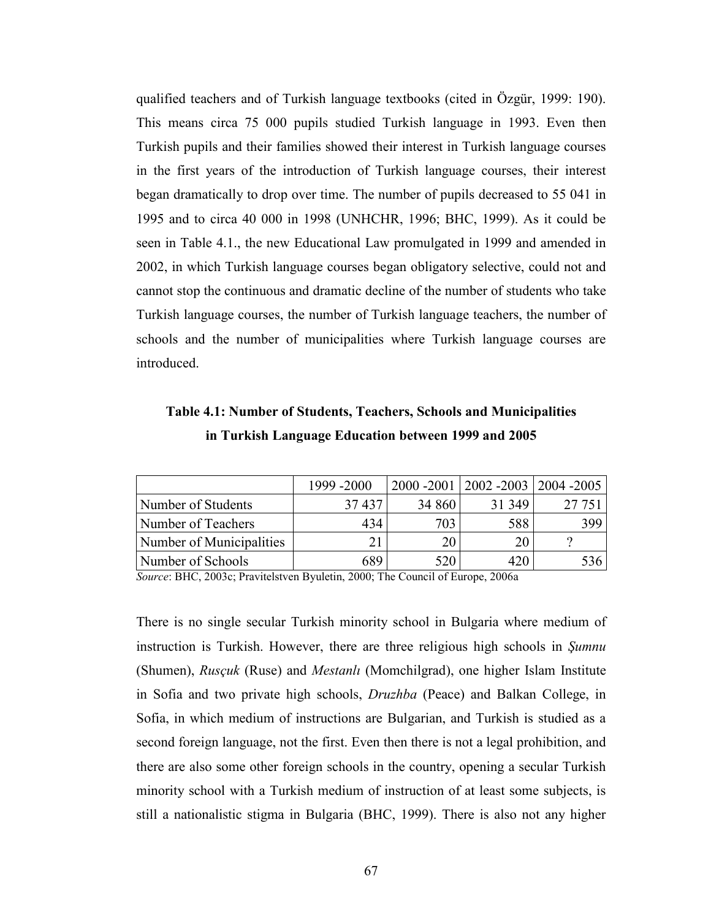qualified teachers and of Turkish language textbooks (cited in Özgür, 1999: 190). This means circa 75 000 pupils studied Turkish language in 1993. Even then Turkish pupils and their families showed their interest in Turkish language courses in the first years of the introduction of Turkish language courses, their interest began dramatically to drop over time. The number of pupils decreased to 55 041 in 1995 and to circa 40 000 in 1998 (UNHCHR, 1996; BHC, 1999). As it could be seen in Table 4.1., the new Educational Law promulgated in 1999 and amended in 2002, in which Turkish language courses began obligatory selective, could not and cannot stop the continuous and dramatic decline of the number of students who take Turkish language courses, the number of Turkish language teachers, the number of schools and the number of municipalities where Turkish language courses are introduced.

| Table 4.1: Number of Students, Teachers, Schools and Municipalities |
|---------------------------------------------------------------------|
| in Turkish Language Education between 1999 and 2005                 |

|                          | 1999 - 2000 |        | 2000 -2001   2002 -2003   2004 -2005 |        |
|--------------------------|-------------|--------|--------------------------------------|--------|
| Number of Students       | 37437       | 34 860 | 31 349                               | 27 751 |
| Number of Teachers       | 434         | 703    | 588                                  | 399    |
| Number of Municipalities | 21          | 20     | 20                                   |        |
| Number of Schools        | 689         | 520    |                                      | 536.   |

Source: BHC, 2003c; Pravitelstven Byuletin, 2000; The Council of Europe, 2006a

There is no single secular Turkish minority school in Bulgaria where medium of instruction is Turkish. However, there are three religious high schools in Sumnu (Shumen), Rusçuk (Ruse) and Mestanlı (Momchilgrad), one higher Islam Institute in Sofia and two private high schools, Druzhba (Peace) and Balkan College, in Sofia, in which medium of instructions are Bulgarian, and Turkish is studied as a second foreign language, not the first. Even then there is not a legal prohibition, and there are also some other foreign schools in the country, opening a secular Turkish minority school with a Turkish medium of instruction of at least some subjects, is still a nationalistic stigma in Bulgaria (BHC, 1999). There is also not any higher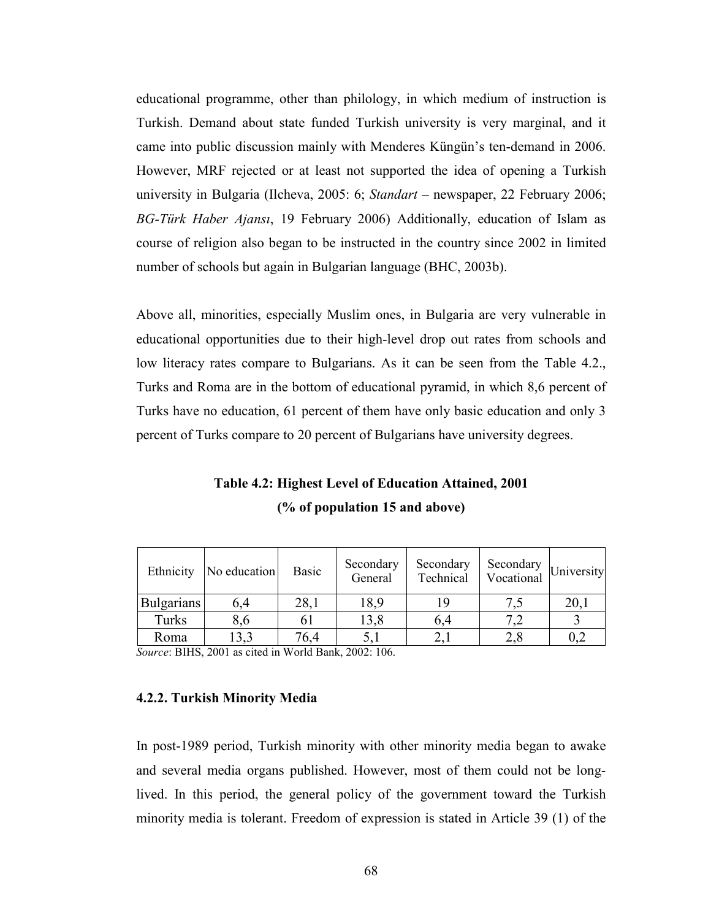educational programme, other than philology, in which medium of instruction is Turkish. Demand about state funded Turkish university is very marginal, and it came into public discussion mainly with Menderes Küngün's ten-demand in 2006. However, MRF rejected or at least not supported the idea of opening a Turkish university in Bulgaria (Ilcheva, 2005: 6; Standart – newspaper, 22 February 2006; BG-Türk Haber Ajansı, 19 February 2006) Additionally, education of Islam as course of religion also began to be instructed in the country since 2002 in limited number of schools but again in Bulgarian language (BHC, 2003b).

Above all, minorities, especially Muslim ones, in Bulgaria are very vulnerable in educational opportunities due to their high-level drop out rates from schools and low literacy rates compare to Bulgarians. As it can be seen from the Table 4.2., Turks and Roma are in the bottom of educational pyramid, in which 8,6 percent of Turks have no education, 61 percent of them have only basic education and only 3 percent of Turks compare to 20 percent of Bulgarians have university degrees.

Table 4.2: Highest Level of Education Attained, 2001 (% of population 15 and above)

| Ethnicity         | No education | <b>Basic</b> | Secondary<br>General | Secondary<br>Technical | Secondary $\big $ University<br>Vocational |      |
|-------------------|--------------|--------------|----------------------|------------------------|--------------------------------------------|------|
| <b>Bulgarians</b> | 6,4          | 28,1         | 18,9                 | 19                     |                                            | 20,1 |
| Turks             | 8,6          | 61           | 13,8                 | 6,4                    |                                            |      |
| Roma              | 13,3         | 76,4         |                      | 2,1                    | 2,8                                        | 0,2  |

Source: BIHS, 2001 as cited in World Bank, 2002: 106.

### 4.2.2. Turkish Minority Media

In post-1989 period, Turkish minority with other minority media began to awake and several media organs published. However, most of them could not be longlived. In this period, the general policy of the government toward the Turkish minority media is tolerant. Freedom of expression is stated in Article 39 (1) of the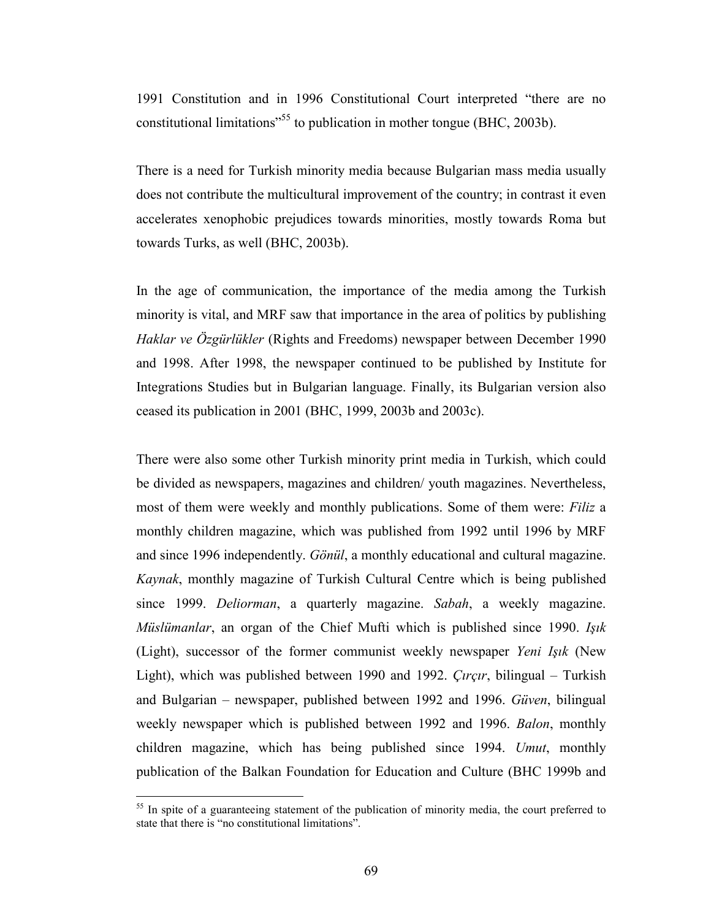1991 Constitution and in 1996 Constitutional Court interpreted "there are no constitutional limitations"<sup>55</sup> to publication in mother tongue (BHC, 2003b).

There is a need for Turkish minority media because Bulgarian mass media usually does not contribute the multicultural improvement of the country; in contrast it even accelerates xenophobic prejudices towards minorities, mostly towards Roma but towards Turks, as well (BHC, 2003b).

In the age of communication, the importance of the media among the Turkish minority is vital, and MRF saw that importance in the area of politics by publishing Haklar ve Özgürlükler (Rights and Freedoms) newspaper between December 1990 and 1998. After 1998, the newspaper continued to be published by Institute for Integrations Studies but in Bulgarian language. Finally, its Bulgarian version also ceased its publication in 2001 (BHC, 1999, 2003b and 2003c).

There were also some other Turkish minority print media in Turkish, which could be divided as newspapers, magazines and children/ youth magazines. Nevertheless, most of them were weekly and monthly publications. Some of them were: Filiz a monthly children magazine, which was published from 1992 until 1996 by MRF and since 1996 independently. Gönül, a monthly educational and cultural magazine. Kaynak, monthly magazine of Turkish Cultural Centre which is being published since 1999. Deliorman, a quarterly magazine. Sabah, a weekly magazine. Müslümanlar, an organ of the Chief Mufti which is published since 1990. Isik (Light), successor of the former communist weekly newspaper Yeni Işık (New Light), which was published between 1990 and 1992. Çırçır, bilingual – Turkish and Bulgarian – newspaper, published between 1992 and 1996. Güven, bilingual weekly newspaper which is published between 1992 and 1996. Balon, monthly children magazine, which has being published since 1994. Umut, monthly publication of the Balkan Foundation for Education and Culture (BHC 1999b and

<sup>&</sup>lt;sup>55</sup> In spite of a guaranteeing statement of the publication of minority media, the court preferred to state that there is "no constitutional limitations".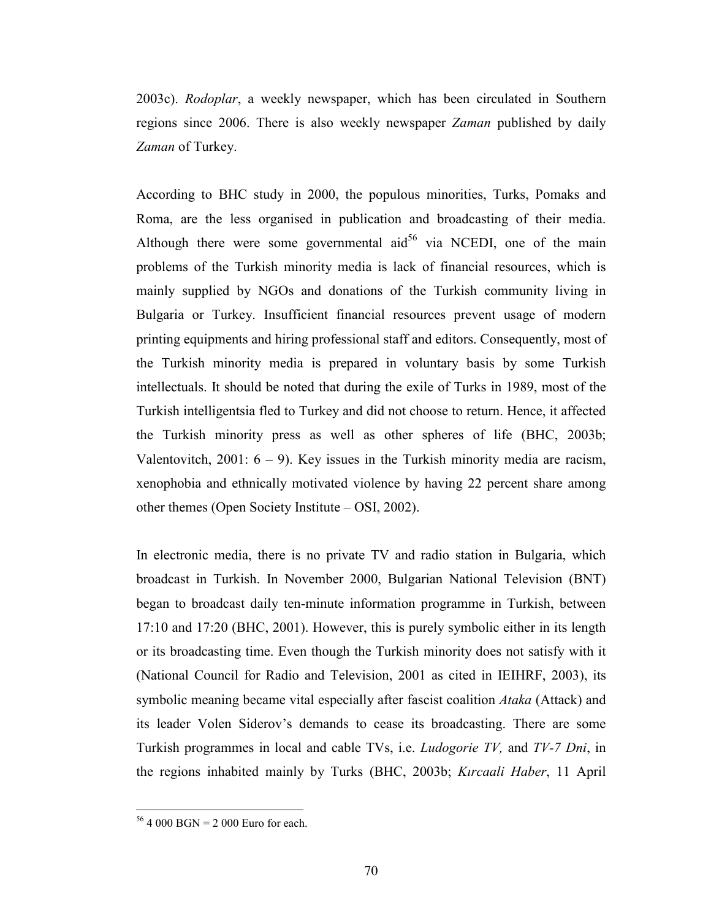2003c). Rodoplar, a weekly newspaper, which has been circulated in Southern regions since 2006. There is also weekly newspaper *Zaman* published by daily Zaman of Turkey.

According to BHC study in 2000, the populous minorities, Turks, Pomaks and Roma, are the less organised in publication and broadcasting of their media. Although there were some governmental aid<sup>56</sup> via NCEDI, one of the main problems of the Turkish minority media is lack of financial resources, which is mainly supplied by NGOs and donations of the Turkish community living in Bulgaria or Turkey. Insufficient financial resources prevent usage of modern printing equipments and hiring professional staff and editors. Consequently, most of the Turkish minority media is prepared in voluntary basis by some Turkish intellectuals. It should be noted that during the exile of Turks in 1989, most of the Turkish intelligentsia fled to Turkey and did not choose to return. Hence, it affected the Turkish minority press as well as other spheres of life (BHC, 2003b; Valentovitch,  $2001: 6 - 9$ ). Key issues in the Turkish minority media are racism, xenophobia and ethnically motivated violence by having 22 percent share among other themes (Open Society Institute – OSI, 2002).

In electronic media, there is no private TV and radio station in Bulgaria, which broadcast in Turkish. In November 2000, Bulgarian National Television (BNT) began to broadcast daily ten-minute information programme in Turkish, between 17:10 and 17:20 (BHC, 2001). However, this is purely symbolic either in its length or its broadcasting time. Even though the Turkish minority does not satisfy with it (National Council for Radio and Television, 2001 as cited in IEIHRF, 2003), its symbolic meaning became vital especially after fascist coalition Ataka (Attack) and its leader Volen Siderov's demands to cease its broadcasting. There are some Turkish programmes in local and cable TVs, i.e. Ludogorie TV, and TV-7 Dni, in the regions inhabited mainly by Turks (BHC, 2003b; Kırcaali Haber, 11 April

 $56$  4 000 BGN = 2 000 Euro for each.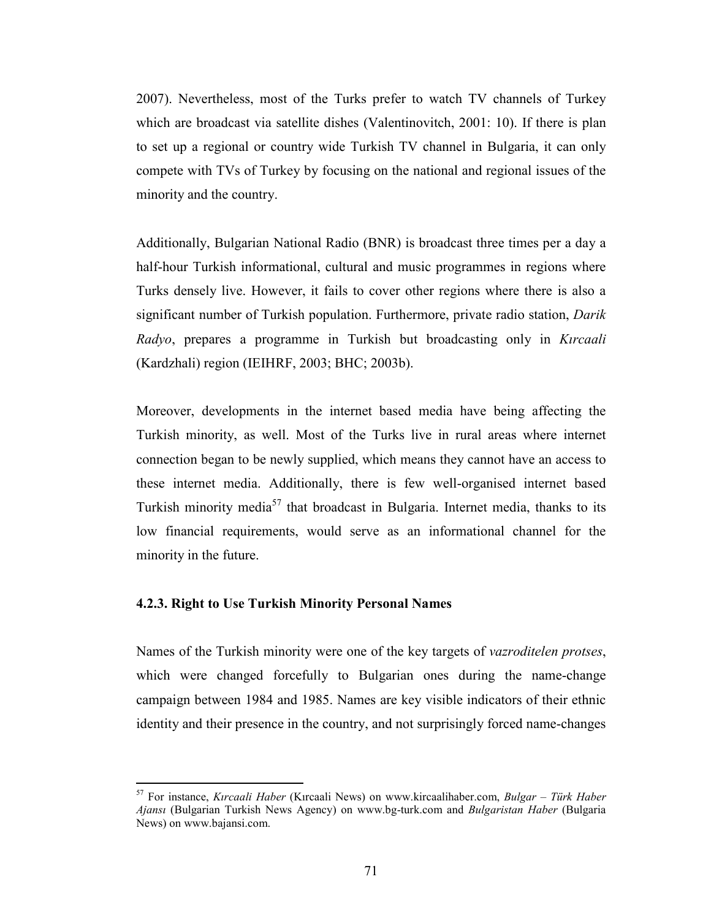2007). Nevertheless, most of the Turks prefer to watch TV channels of Turkey which are broadcast via satellite dishes (Valentinovitch, 2001: 10). If there is plan to set up a regional or country wide Turkish TV channel in Bulgaria, it can only compete with TVs of Turkey by focusing on the national and regional issues of the minority and the country.

Additionally, Bulgarian National Radio (BNR) is broadcast three times per a day a half-hour Turkish informational, cultural and music programmes in regions where Turks densely live. However, it fails to cover other regions where there is also a significant number of Turkish population. Furthermore, private radio station, Darik Radyo, prepares a programme in Turkish but broadcasting only in Kircaali (Kardzhali) region (IEIHRF, 2003; BHC; 2003b).

Moreover, developments in the internet based media have being affecting the Turkish minority, as well. Most of the Turks live in rural areas where internet connection began to be newly supplied, which means they cannot have an access to these internet media. Additionally, there is few well-organised internet based Turkish minority media<sup>57</sup> that broadcast in Bulgaria. Internet media, thanks to its low financial requirements, would serve as an informational channel for the minority in the future.

### 4.2.3. Right to Use Turkish Minority Personal Names

 $\overline{a}$ 

Names of the Turkish minority were one of the key targets of vazroditelen protses, which were changed forcefully to Bulgarian ones during the name-change campaign between 1984 and 1985. Names are key visible indicators of their ethnic identity and their presence in the country, and not surprisingly forced name-changes

 $57$  For instance, Kırcaali Haber (Kırcaali News) on www.kircaalihaber.com, Bulgar – Türk Haber Ajansı (Bulgarian Turkish News Agency) on www.bg-turk.com and Bulgaristan Haber (Bulgaria News) on www.bajansi.com.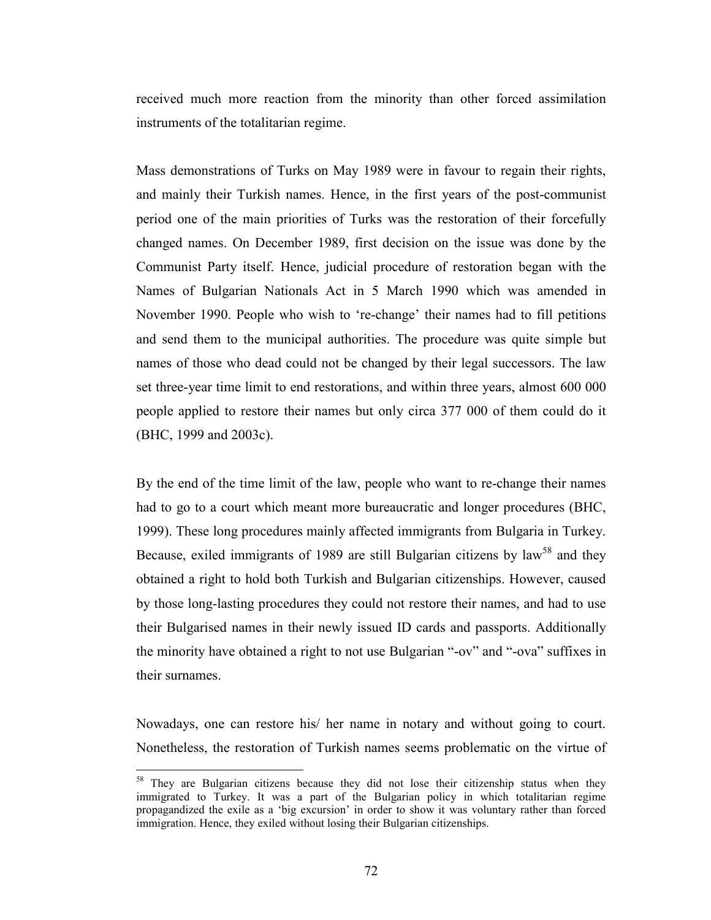received much more reaction from the minority than other forced assimilation instruments of the totalitarian regime.

Mass demonstrations of Turks on May 1989 were in favour to regain their rights, and mainly their Turkish names. Hence, in the first years of the post-communist period one of the main priorities of Turks was the restoration of their forcefully changed names. On December 1989, first decision on the issue was done by the Communist Party itself. Hence, judicial procedure of restoration began with the Names of Bulgarian Nationals Act in 5 March 1990 which was amended in November 1990. People who wish to 're-change' their names had to fill petitions and send them to the municipal authorities. The procedure was quite simple but names of those who dead could not be changed by their legal successors. The law set three-year time limit to end restorations, and within three years, almost 600 000 people applied to restore their names but only circa 377 000 of them could do it (BHC, 1999 and 2003c).

By the end of the time limit of the law, people who want to re-change their names had to go to a court which meant more bureaucratic and longer procedures (BHC, 1999). These long procedures mainly affected immigrants from Bulgaria in Turkey. Because, exiled immigrants of 1989 are still Bulgarian citizens by law<sup>58</sup> and they obtained a right to hold both Turkish and Bulgarian citizenships. However, caused by those long-lasting procedures they could not restore their names, and had to use their Bulgarised names in their newly issued ID cards and passports. Additionally the minority have obtained a right to not use Bulgarian "-ov" and "-ova" suffixes in their surnames.

Nowadays, one can restore his/ her name in notary and without going to court. Nonetheless, the restoration of Turkish names seems problematic on the virtue of

<sup>&</sup>lt;sup>58</sup> They are Bulgarian citizens because they did not lose their citizenship status when they immigrated to Turkey. It was a part of the Bulgarian policy in which totalitarian regime propagandized the exile as a 'big excursion' in order to show it was voluntary rather than forced immigration. Hence, they exiled without losing their Bulgarian citizenships.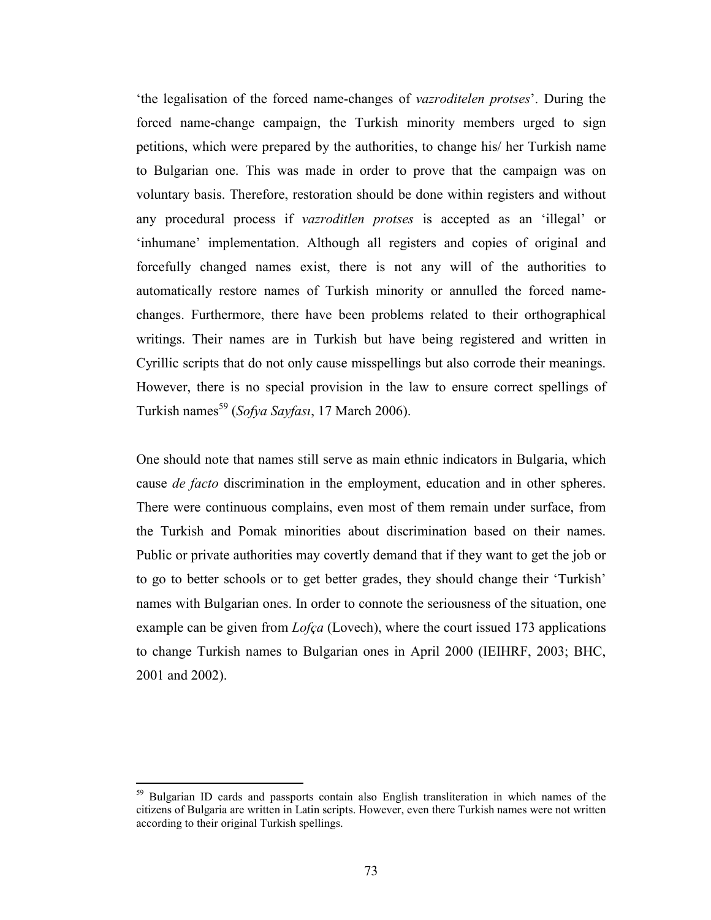'the legalisation of the forced name-changes of vazroditelen protses'. During the forced name-change campaign, the Turkish minority members urged to sign petitions, which were prepared by the authorities, to change his/ her Turkish name to Bulgarian one. This was made in order to prove that the campaign was on voluntary basis. Therefore, restoration should be done within registers and without any procedural process if vazroditlen protses is accepted as an 'illegal' or 'inhumane' implementation. Although all registers and copies of original and forcefully changed names exist, there is not any will of the authorities to automatically restore names of Turkish minority or annulled the forced namechanges. Furthermore, there have been problems related to their orthographical writings. Their names are in Turkish but have being registered and written in Cyrillic scripts that do not only cause misspellings but also corrode their meanings. However, there is no special provision in the law to ensure correct spellings of Turkish names<sup>59</sup> (Sofya Sayfası, 17 March 2006).

One should note that names still serve as main ethnic indicators in Bulgaria, which cause de facto discrimination in the employment, education and in other spheres. There were continuous complains, even most of them remain under surface, from the Turkish and Pomak minorities about discrimination based on their names. Public or private authorities may covertly demand that if they want to get the job or to go to better schools or to get better grades, they should change their 'Turkish' names with Bulgarian ones. In order to connote the seriousness of the situation, one example can be given from *Lofça* (Lovech), where the court issued 173 applications to change Turkish names to Bulgarian ones in April 2000 (IEIHRF, 2003; BHC, 2001 and 2002).

 $59$  Bulgarian ID cards and passports contain also English transliteration in which names of the citizens of Bulgaria are written in Latin scripts. However, even there Turkish names were not written according to their original Turkish spellings.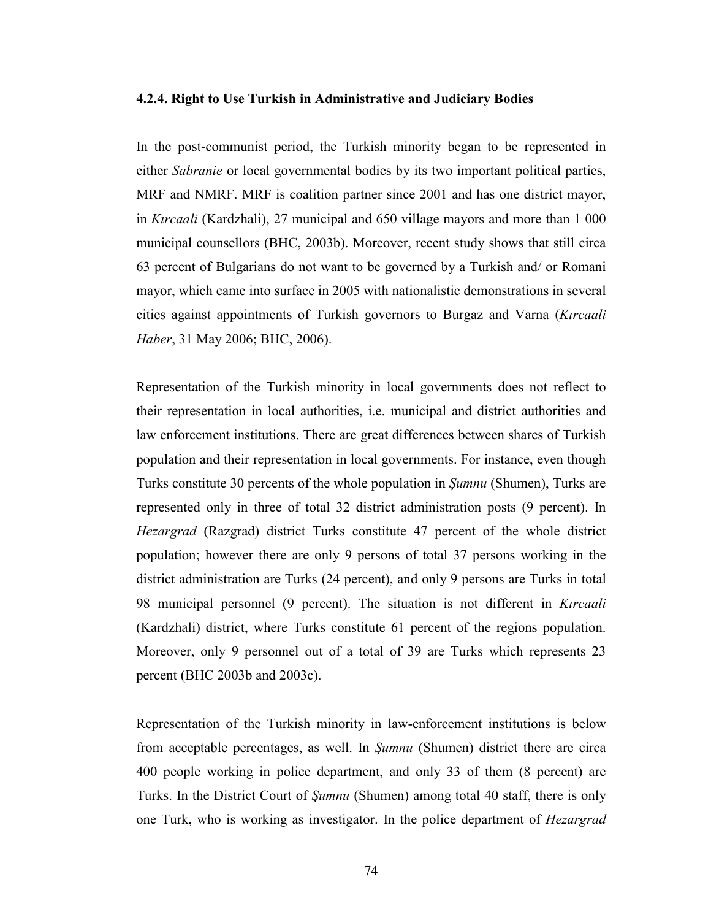### 4.2.4. Right to Use Turkish in Administrative and Judiciary Bodies

In the post-communist period, the Turkish minority began to be represented in either Sabranie or local governmental bodies by its two important political parties, MRF and NMRF. MRF is coalition partner since 2001 and has one district mayor, in Kırcaali (Kardzhali), 27 municipal and 650 village mayors and more than 1 000 municipal counsellors (BHC, 2003b). Moreover, recent study shows that still circa 63 percent of Bulgarians do not want to be governed by a Turkish and/ or Romani mayor, which came into surface in 2005 with nationalistic demonstrations in several cities against appointments of Turkish governors to Burgaz and Varna (Kırcaali Haber, 31 May 2006; BHC, 2006).

Representation of the Turkish minority in local governments does not reflect to their representation in local authorities, i.e. municipal and district authorities and law enforcement institutions. There are great differences between shares of Turkish population and their representation in local governments. For instance, even though Turks constitute 30 percents of the whole population in Şumnu (Shumen), Turks are represented only in three of total 32 district administration posts (9 percent). In Hezargrad (Razgrad) district Turks constitute 47 percent of the whole district population; however there are only 9 persons of total 37 persons working in the district administration are Turks (24 percent), and only 9 persons are Turks in total 98 municipal personnel (9 percent). The situation is not different in Kurcaali (Kardzhali) district, where Turks constitute 61 percent of the regions population. Moreover, only 9 personnel out of a total of 39 are Turks which represents 23 percent (BHC 2003b and 2003c).

Representation of the Turkish minority in law-enforcement institutions is below from acceptable percentages, as well. In Şumnu (Shumen) district there are circa 400 people working in police department, and only 33 of them (8 percent) are Turks. In the District Court of *Sumnu* (Shumen) among total 40 staff, there is only one Turk, who is working as investigator. In the police department of Hezargrad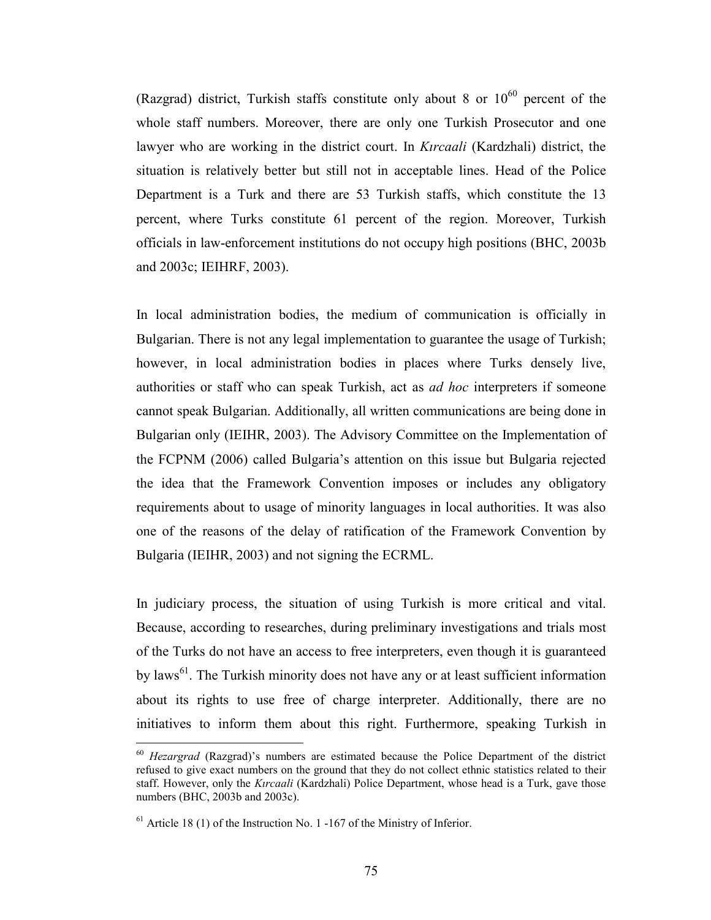(Razgrad) district, Turkish staffs constitute only about 8 or  $10^{60}$  percent of the whole staff numbers. Moreover, there are only one Turkish Prosecutor and one lawyer who are working in the district court. In Kurcaali (Kardzhali) district, the situation is relatively better but still not in acceptable lines. Head of the Police Department is a Turk and there are 53 Turkish staffs, which constitute the 13 percent, where Turks constitute 61 percent of the region. Moreover, Turkish officials in law-enforcement institutions do not occupy high positions (BHC, 2003b and 2003c; IEIHRF, 2003).

In local administration bodies, the medium of communication is officially in Bulgarian. There is not any legal implementation to guarantee the usage of Turkish; however, in local administration bodies in places where Turks densely live, authorities or staff who can speak Turkish, act as ad hoc interpreters if someone cannot speak Bulgarian. Additionally, all written communications are being done in Bulgarian only (IEIHR, 2003). The Advisory Committee on the Implementation of the FCPNM (2006) called Bulgaria's attention on this issue but Bulgaria rejected the idea that the Framework Convention imposes or includes any obligatory requirements about to usage of minority languages in local authorities. It was also one of the reasons of the delay of ratification of the Framework Convention by Bulgaria (IEIHR, 2003) and not signing the ECRML.

In judiciary process, the situation of using Turkish is more critical and vital. Because, according to researches, during preliminary investigations and trials most of the Turks do not have an access to free interpreters, even though it is guaranteed by laws<sup>61</sup>. The Turkish minority does not have any or at least sufficient information about its rights to use free of charge interpreter. Additionally, there are no initiatives to inform them about this right. Furthermore, speaking Turkish in

 $60$  Hezargrad (Razgrad)'s numbers are estimated because the Police Department of the district refused to give exact numbers on the ground that they do not collect ethnic statistics related to their staff. However, only the Kırcaali (Kardzhali) Police Department, whose head is a Turk, gave those numbers (BHC, 2003b and 2003c).

 $<sup>61</sup>$  Article 18 (1) of the Instruction No. 1 -167 of the Ministry of Inferior.</sup>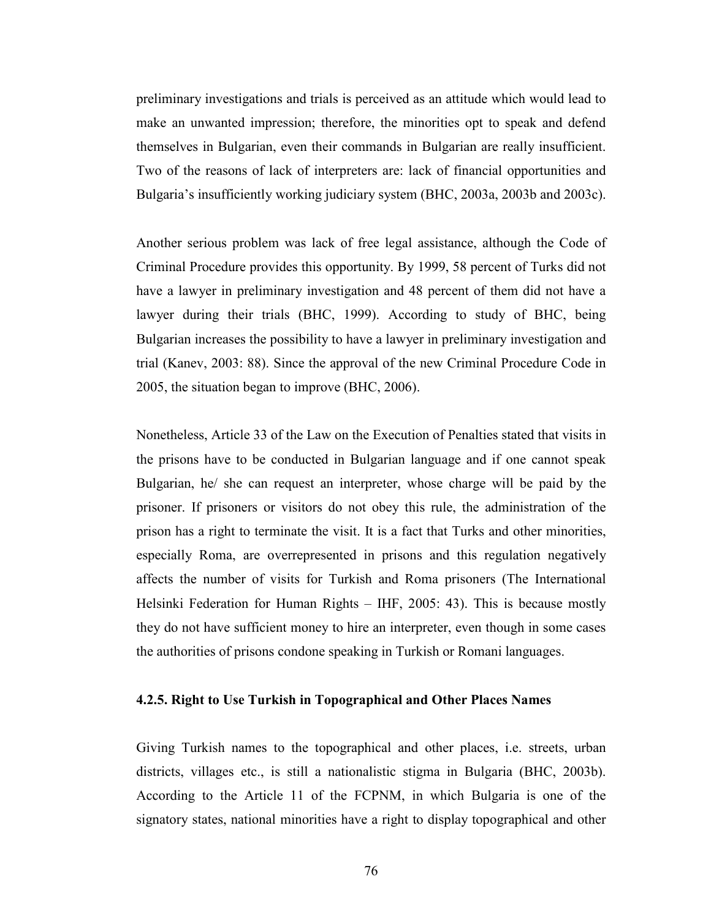preliminary investigations and trials is perceived as an attitude which would lead to make an unwanted impression; therefore, the minorities opt to speak and defend themselves in Bulgarian, even their commands in Bulgarian are really insufficient. Two of the reasons of lack of interpreters are: lack of financial opportunities and Bulgaria's insufficiently working judiciary system (BHC, 2003a, 2003b and 2003c).

Another serious problem was lack of free legal assistance, although the Code of Criminal Procedure provides this opportunity. By 1999, 58 percent of Turks did not have a lawyer in preliminary investigation and 48 percent of them did not have a lawyer during their trials (BHC, 1999). According to study of BHC, being Bulgarian increases the possibility to have a lawyer in preliminary investigation and trial (Kanev, 2003: 88). Since the approval of the new Criminal Procedure Code in 2005, the situation began to improve (BHC, 2006).

Nonetheless, Article 33 of the Law on the Execution of Penalties stated that visits in the prisons have to be conducted in Bulgarian language and if one cannot speak Bulgarian, he/ she can request an interpreter, whose charge will be paid by the prisoner. If prisoners or visitors do not obey this rule, the administration of the prison has a right to terminate the visit. It is a fact that Turks and other minorities, especially Roma, are overrepresented in prisons and this regulation negatively affects the number of visits for Turkish and Roma prisoners (The International Helsinki Federation for Human Rights – IHF, 2005: 43). This is because mostly they do not have sufficient money to hire an interpreter, even though in some cases the authorities of prisons condone speaking in Turkish or Romani languages.

## 4.2.5. Right to Use Turkish in Topographical and Other Places Names

Giving Turkish names to the topographical and other places, i.e. streets, urban districts, villages etc., is still a nationalistic stigma in Bulgaria (BHC, 2003b). According to the Article 11 of the FCPNM, in which Bulgaria is one of the signatory states, national minorities have a right to display topographical and other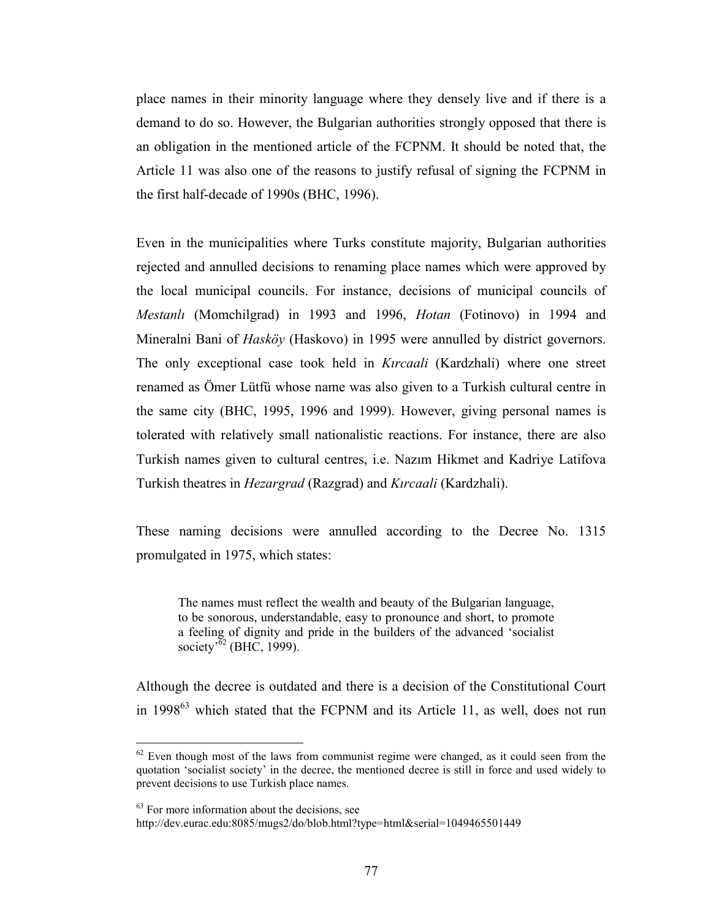place names in their minority language where they densely live and if there is a demand to do so. However, the Bulgarian authorities strongly opposed that there is an obligation in the mentioned article of the FCPNM. It should be noted that, the Article 11 was also one of the reasons to justify refusal of signing the FCPNM in the first half-decade of 1990s (BHC, 1996).

Even in the municipalities where Turks constitute majority, Bulgarian authorities rejected and annulled decisions to renaming place names which were approved by the local municipal councils. For instance, decisions of municipal councils of Mestanlı (Momchilgrad) in 1993 and 1996, Hotan (Fotinovo) in 1994 and Mineralni Bani of Hasköy (Haskovo) in 1995 were annulled by district governors. The only exceptional case took held in *Kırcaali* (Kardzhali) where one street renamed as Ömer Lütfü whose name was also given to a Turkish cultural centre in the same city (BHC, 1995, 1996 and 1999). However, giving personal names is tolerated with relatively small nationalistic reactions. For instance, there are also Turkish names given to cultural centres, i.e. Nazım Hikmet and Kadriye Latifova Turkish theatres in *Hezargrad* (Razgrad) and *Kırcaali* (Kardzhali).

These naming decisions were annulled according to the Decree No. 1315 promulgated in 1975, which states:

The names must reflect the wealth and beauty of the Bulgarian language, to be sonorous, understandable, easy to pronounce and short, to promote a feeling of dignity and pride in the builders of the advanced 'socialist society<sup> $52$ </sup> (BHC, 1999).

Although the decree is outdated and there is a decision of the Constitutional Court in  $1998^{63}$  which stated that the FCPNM and its Article 11, as well, does not run

 $62$  Even though most of the laws from communist regime were changed, as it could seen from the quotation 'socialist society' in the decree, the mentioned decree is still in force and used widely to prevent decisions to use Turkish place names.

 $63$  For more information about the decisions, see

http://dev.eurac.edu:8085/mugs2/do/blob.html?type=html&serial=1049465501449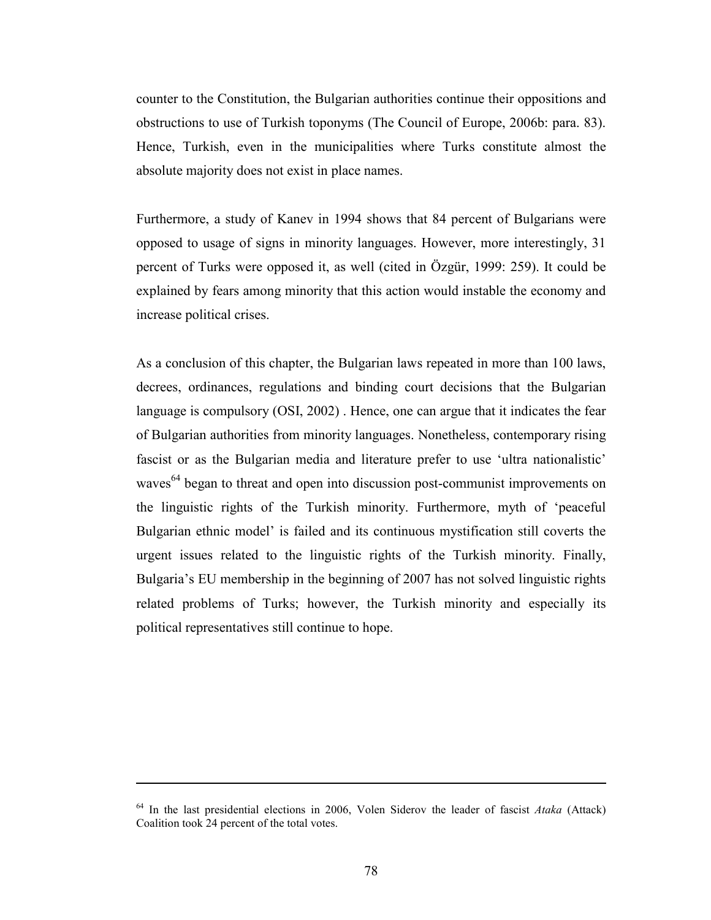counter to the Constitution, the Bulgarian authorities continue their oppositions and obstructions to use of Turkish toponyms (The Council of Europe, 2006b: para. 83). Hence, Turkish, even in the municipalities where Turks constitute almost the absolute majority does not exist in place names.

Furthermore, a study of Kanev in 1994 shows that 84 percent of Bulgarians were opposed to usage of signs in minority languages. However, more interestingly, 31 percent of Turks were opposed it, as well (cited in Özgür, 1999: 259). It could be explained by fears among minority that this action would instable the economy and increase political crises.

As a conclusion of this chapter, the Bulgarian laws repeated in more than 100 laws, decrees, ordinances, regulations and binding court decisions that the Bulgarian language is compulsory (OSI, 2002) . Hence, one can argue that it indicates the fear of Bulgarian authorities from minority languages. Nonetheless, contemporary rising fascist or as the Bulgarian media and literature prefer to use 'ultra nationalistic' waves $<sup>64</sup>$  began to threat and open into discussion post-communist improvements on</sup> the linguistic rights of the Turkish minority. Furthermore, myth of 'peaceful Bulgarian ethnic model' is failed and its continuous mystification still coverts the urgent issues related to the linguistic rights of the Turkish minority. Finally, Bulgaria's EU membership in the beginning of 2007 has not solved linguistic rights related problems of Turks; however, the Turkish minority and especially its political representatives still continue to hope.

 $64$  In the last presidential elections in 2006, Volen Siderov the leader of fascist Ataka (Attack) Coalition took 24 percent of the total votes.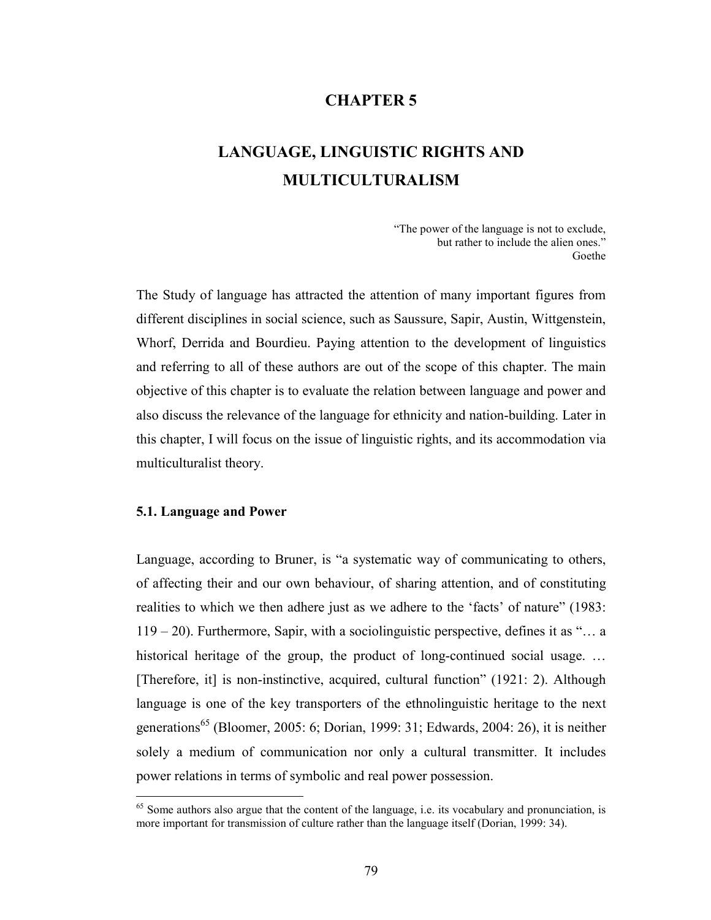# CHAPTER 5

# LANGUAGE, LINGUISTIC RIGHTS AND MULTICULTURALISM

"The power of the language is not to exclude, but rather to include the alien ones." Goethe

The Study of language has attracted the attention of many important figures from different disciplines in social science, such as Saussure, Sapir, Austin, Wittgenstein, Whorf, Derrida and Bourdieu. Paying attention to the development of linguistics and referring to all of these authors are out of the scope of this chapter. The main objective of this chapter is to evaluate the relation between language and power and also discuss the relevance of the language for ethnicity and nation-building. Later in this chapter, I will focus on the issue of linguistic rights, and its accommodation via multiculturalist theory.

### 5.1. Language and Power

 $\overline{a}$ 

Language, according to Bruner, is "a systematic way of communicating to others, of affecting their and our own behaviour, of sharing attention, and of constituting realities to which we then adhere just as we adhere to the 'facts' of nature" (1983: 119 – 20). Furthermore, Sapir, with a sociolinguistic perspective, defines it as "… a historical heritage of the group, the product of long-continued social usage. ... [Therefore, it] is non-instinctive, acquired, cultural function" (1921: 2). Although language is one of the key transporters of the ethnolinguistic heritage to the next generations<sup>65</sup> (Bloomer, 2005: 6; Dorian, 1999: 31; Edwards, 2004: 26), it is neither solely a medium of communication nor only a cultural transmitter. It includes power relations in terms of symbolic and real power possession.

<sup>&</sup>lt;sup>65</sup> Some authors also argue that the content of the language, i.e. its vocabulary and pronunciation, is more important for transmission of culture rather than the language itself (Dorian, 1999: 34).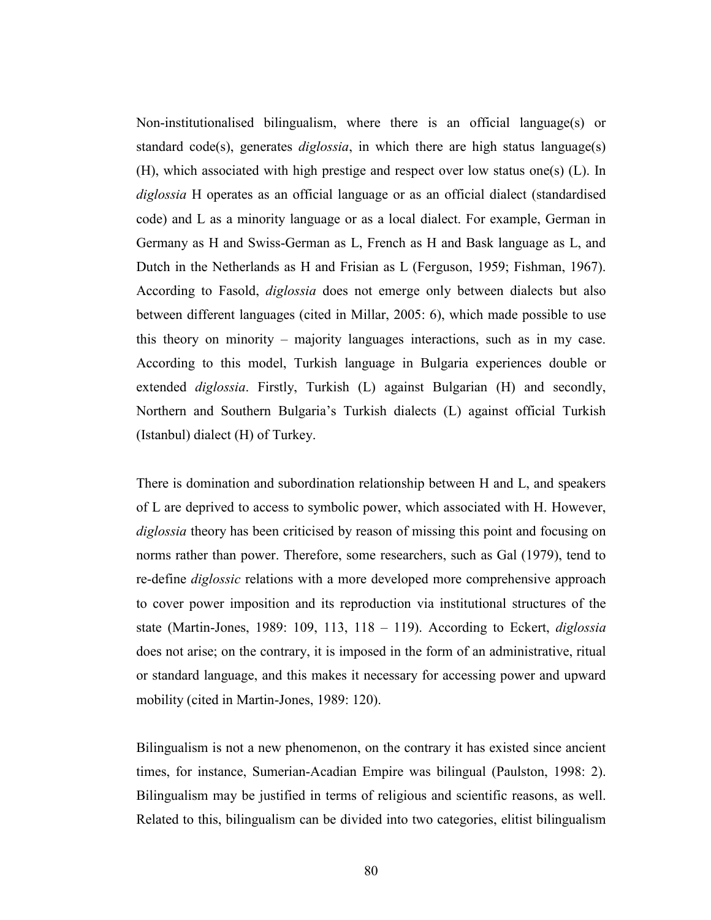Non-institutionalised bilingualism, where there is an official language(s) or standard code(s), generates *diglossia*, in which there are high status language(s) (H), which associated with high prestige and respect over low status one(s) (L). In diglossia H operates as an official language or as an official dialect (standardised code) and L as a minority language or as a local dialect. For example, German in Germany as H and Swiss-German as L, French as H and Bask language as L, and Dutch in the Netherlands as H and Frisian as L (Ferguson, 1959; Fishman, 1967). According to Fasold, diglossia does not emerge only between dialects but also between different languages (cited in Millar, 2005: 6), which made possible to use this theory on minority – majority languages interactions, such as in my case. According to this model, Turkish language in Bulgaria experiences double or extended *diglossia*. Firstly, Turkish (L) against Bulgarian (H) and secondly, Northern and Southern Bulgaria's Turkish dialects (L) against official Turkish (Istanbul) dialect (H) of Turkey.

There is domination and subordination relationship between H and L, and speakers of L are deprived to access to symbolic power, which associated with H. However, diglossia theory has been criticised by reason of missing this point and focusing on norms rather than power. Therefore, some researchers, such as Gal (1979), tend to re-define diglossic relations with a more developed more comprehensive approach to cover power imposition and its reproduction via institutional structures of the state (Martin-Jones, 1989: 109, 113, 118 – 119). According to Eckert, diglossia does not arise; on the contrary, it is imposed in the form of an administrative, ritual or standard language, and this makes it necessary for accessing power and upward mobility (cited in Martin-Jones, 1989: 120).

Bilingualism is not a new phenomenon, on the contrary it has existed since ancient times, for instance, Sumerian-Acadian Empire was bilingual (Paulston, 1998: 2). Bilingualism may be justified in terms of religious and scientific reasons, as well. Related to this, bilingualism can be divided into two categories, elitist bilingualism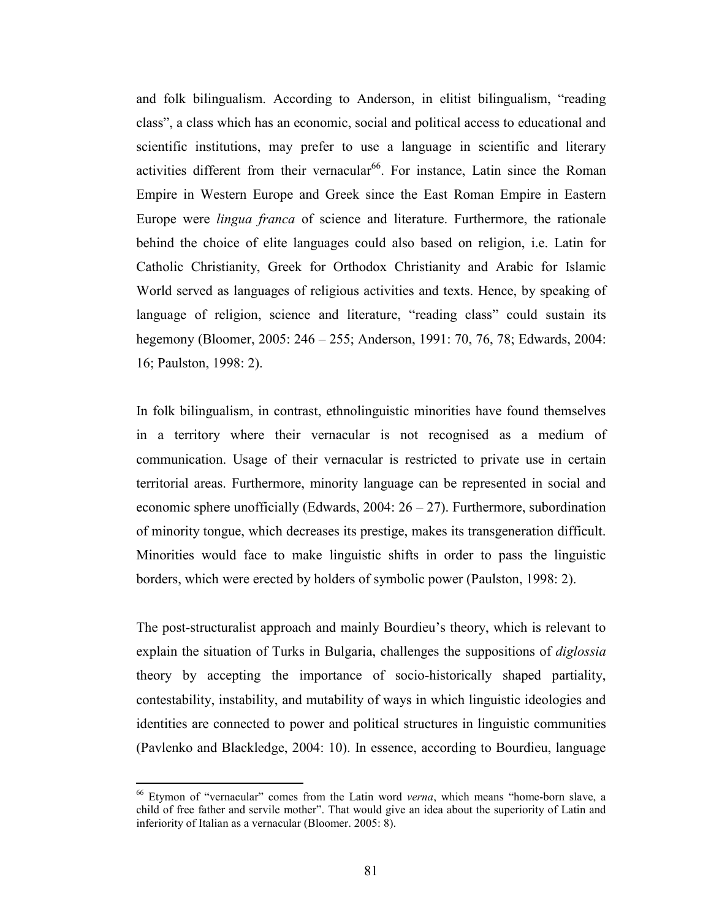and folk bilingualism. According to Anderson, in elitist bilingualism, "reading class", a class which has an economic, social and political access to educational and scientific institutions, may prefer to use a language in scientific and literary activities different from their vernacular<sup>66</sup>. For instance, Latin since the Roman Empire in Western Europe and Greek since the East Roman Empire in Eastern Europe were lingua franca of science and literature. Furthermore, the rationale behind the choice of elite languages could also based on religion, i.e. Latin for Catholic Christianity, Greek for Orthodox Christianity and Arabic for Islamic World served as languages of religious activities and texts. Hence, by speaking of language of religion, science and literature, "reading class" could sustain its hegemony (Bloomer, 2005: 246 – 255; Anderson, 1991: 70, 76, 78; Edwards, 2004: 16; Paulston, 1998: 2).

In folk bilingualism, in contrast, ethnolinguistic minorities have found themselves in a territory where their vernacular is not recognised as a medium of communication. Usage of their vernacular is restricted to private use in certain territorial areas. Furthermore, minority language can be represented in social and economic sphere unofficially (Edwards,  $2004: 26 - 27$ ). Furthermore, subordination of minority tongue, which decreases its prestige, makes its transgeneration difficult. Minorities would face to make linguistic shifts in order to pass the linguistic borders, which were erected by holders of symbolic power (Paulston, 1998: 2).

The post-structuralist approach and mainly Bourdieu's theory, which is relevant to explain the situation of Turks in Bulgaria, challenges the suppositions of *diglossia* theory by accepting the importance of socio-historically shaped partiality, contestability, instability, and mutability of ways in which linguistic ideologies and identities are connected to power and political structures in linguistic communities (Pavlenko and Blackledge, 2004: 10). In essence, according to Bourdieu, language

<sup>&</sup>lt;sup>66</sup> Etymon of "vernacular" comes from the Latin word *verna*, which means "home-born slave, a child of free father and servile mother". That would give an idea about the superiority of Latin and inferiority of Italian as a vernacular (Bloomer. 2005: 8).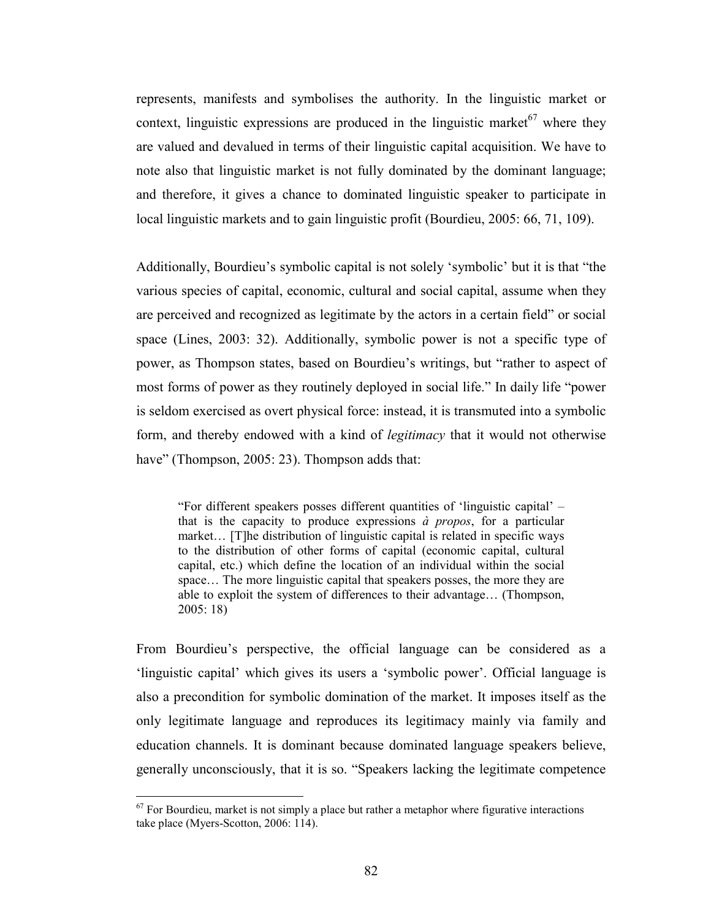represents, manifests and symbolises the authority. In the linguistic market or context, linguistic expressions are produced in the linguistic market  $67$  where they are valued and devalued in terms of their linguistic capital acquisition. We have to note also that linguistic market is not fully dominated by the dominant language; and therefore, it gives a chance to dominated linguistic speaker to participate in local linguistic markets and to gain linguistic profit (Bourdieu, 2005: 66, 71, 109).

Additionally, Bourdieu's symbolic capital is not solely 'symbolic' but it is that "the various species of capital, economic, cultural and social capital, assume when they are perceived and recognized as legitimate by the actors in a certain field" or social space (Lines, 2003: 32). Additionally, symbolic power is not a specific type of power, as Thompson states, based on Bourdieu's writings, but "rather to aspect of most forms of power as they routinely deployed in social life." In daily life "power is seldom exercised as overt physical force: instead, it is transmuted into a symbolic form, and thereby endowed with a kind of legitimacy that it would not otherwise have" (Thompson, 2005: 23). Thompson adds that:

"For different speakers posses different quantities of 'linguistic capital' – that is the capacity to produce expressions  $\dot{a}$  propos, for a particular market… [T]he distribution of linguistic capital is related in specific ways to the distribution of other forms of capital (economic capital, cultural capital, etc.) which define the location of an individual within the social space… The more linguistic capital that speakers posses, the more they are able to exploit the system of differences to their advantage… (Thompson, 2005: 18)

From Bourdieu's perspective, the official language can be considered as a 'linguistic capital' which gives its users a 'symbolic power'. Official language is also a precondition for symbolic domination of the market. It imposes itself as the only legitimate language and reproduces its legitimacy mainly via family and education channels. It is dominant because dominated language speakers believe, generally unconsciously, that it is so. "Speakers lacking the legitimate competence

 $67$  For Bourdieu, market is not simply a place but rather a metaphor where figurative interactions take place (Myers-Scotton, 2006: 114).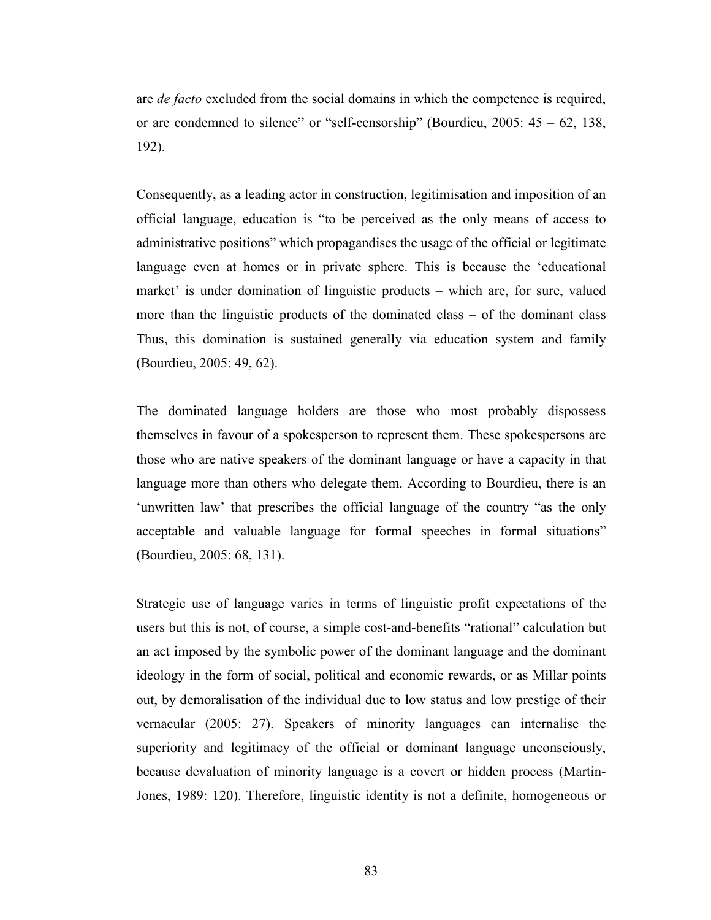are *de facto* excluded from the social domains in which the competence is required, or are condemned to silence" or "self-censorship" (Bourdieu,  $2005: 45 - 62, 138$ , 192).

Consequently, as a leading actor in construction, legitimisation and imposition of an official language, education is "to be perceived as the only means of access to administrative positions" which propagandises the usage of the official or legitimate language even at homes or in private sphere. This is because the 'educational market' is under domination of linguistic products – which are, for sure, valued more than the linguistic products of the dominated class – of the dominant class Thus, this domination is sustained generally via education system and family (Bourdieu, 2005: 49, 62).

The dominated language holders are those who most probably dispossess themselves in favour of a spokesperson to represent them. These spokespersons are those who are native speakers of the dominant language or have a capacity in that language more than others who delegate them. According to Bourdieu, there is an 'unwritten law' that prescribes the official language of the country "as the only acceptable and valuable language for formal speeches in formal situations" (Bourdieu, 2005: 68, 131).

Strategic use of language varies in terms of linguistic profit expectations of the users but this is not, of course, a simple cost-and-benefits "rational" calculation but an act imposed by the symbolic power of the dominant language and the dominant ideology in the form of social, political and economic rewards, or as Millar points out, by demoralisation of the individual due to low status and low prestige of their vernacular (2005: 27). Speakers of minority languages can internalise the superiority and legitimacy of the official or dominant language unconsciously, because devaluation of minority language is a covert or hidden process (Martin-Jones, 1989: 120). Therefore, linguistic identity is not a definite, homogeneous or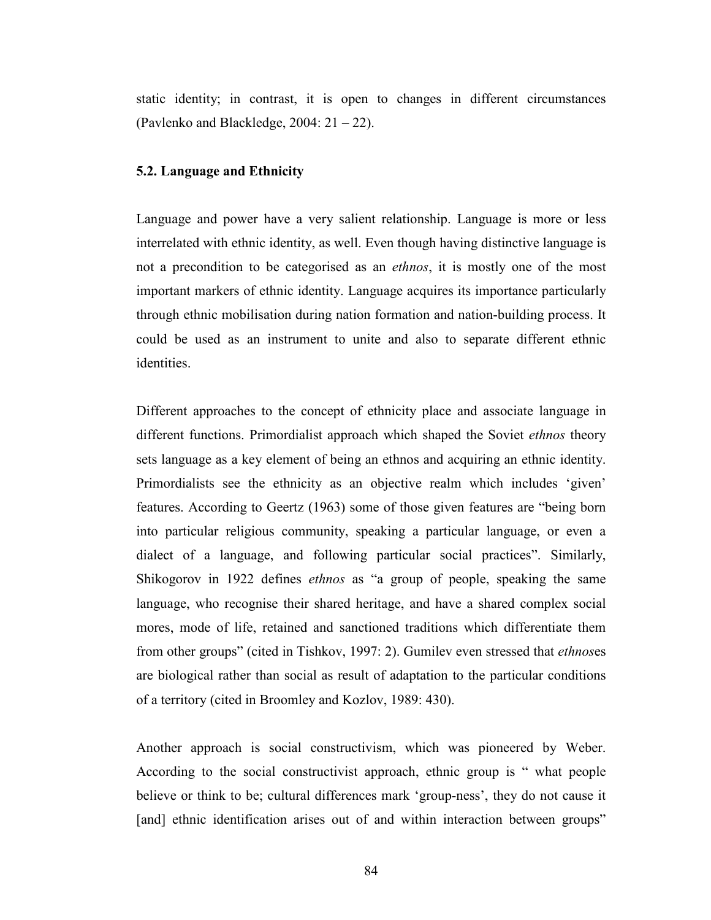static identity; in contrast, it is open to changes in different circumstances (Pavlenko and Blackledge, 2004: 21 – 22).

#### 5.2. Language and Ethnicity

Language and power have a very salient relationship. Language is more or less interrelated with ethnic identity, as well. Even though having distinctive language is not a precondition to be categorised as an *ethnos*, it is mostly one of the most important markers of ethnic identity. Language acquires its importance particularly through ethnic mobilisation during nation formation and nation-building process. It could be used as an instrument to unite and also to separate different ethnic identities.

Different approaches to the concept of ethnicity place and associate language in different functions. Primordialist approach which shaped the Soviet ethnos theory sets language as a key element of being an ethnos and acquiring an ethnic identity. Primordialists see the ethnicity as an objective realm which includes 'given' features. According to Geertz (1963) some of those given features are "being born into particular religious community, speaking a particular language, or even a dialect of a language, and following particular social practices". Similarly, Shikogorov in 1922 defines ethnos as "a group of people, speaking the same language, who recognise their shared heritage, and have a shared complex social mores, mode of life, retained and sanctioned traditions which differentiate them from other groups" (cited in Tishkov, 1997: 2). Gumilev even stressed that ethnoses are biological rather than social as result of adaptation to the particular conditions of a territory (cited in Broomley and Kozlov, 1989: 430).

Another approach is social constructivism, which was pioneered by Weber. According to the social constructivist approach, ethnic group is " what people believe or think to be; cultural differences mark 'group-ness', they do not cause it [and] ethnic identification arises out of and within interaction between groups"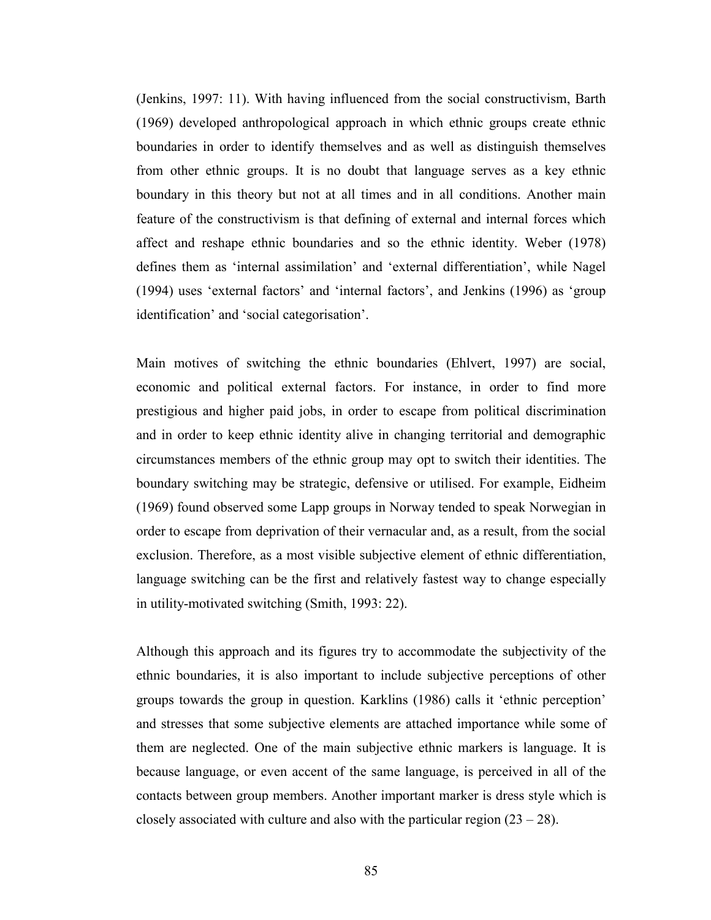(Jenkins, 1997: 11). With having influenced from the social constructivism, Barth (1969) developed anthropological approach in which ethnic groups create ethnic boundaries in order to identify themselves and as well as distinguish themselves from other ethnic groups. It is no doubt that language serves as a key ethnic boundary in this theory but not at all times and in all conditions. Another main feature of the constructivism is that defining of external and internal forces which affect and reshape ethnic boundaries and so the ethnic identity. Weber (1978) defines them as 'internal assimilation' and 'external differentiation', while Nagel (1994) uses 'external factors' and 'internal factors', and Jenkins (1996) as 'group identification' and 'social categorisation'.

Main motives of switching the ethnic boundaries (Ehlvert, 1997) are social, economic and political external factors. For instance, in order to find more prestigious and higher paid jobs, in order to escape from political discrimination and in order to keep ethnic identity alive in changing territorial and demographic circumstances members of the ethnic group may opt to switch their identities. The boundary switching may be strategic, defensive or utilised. For example, Eidheim (1969) found observed some Lapp groups in Norway tended to speak Norwegian in order to escape from deprivation of their vernacular and, as a result, from the social exclusion. Therefore, as a most visible subjective element of ethnic differentiation, language switching can be the first and relatively fastest way to change especially in utility-motivated switching (Smith, 1993: 22).

Although this approach and its figures try to accommodate the subjectivity of the ethnic boundaries, it is also important to include subjective perceptions of other groups towards the group in question. Karklins (1986) calls it 'ethnic perception' and stresses that some subjective elements are attached importance while some of them are neglected. One of the main subjective ethnic markers is language. It is because language, or even accent of the same language, is perceived in all of the contacts between group members. Another important marker is dress style which is closely associated with culture and also with the particular region  $(23 – 28)$ .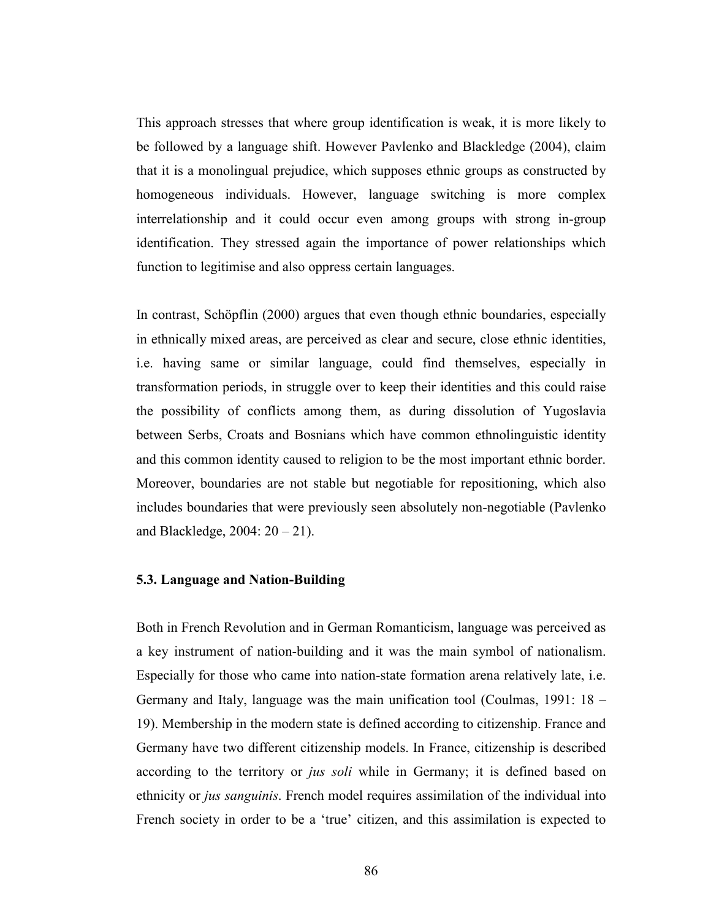This approach stresses that where group identification is weak, it is more likely to be followed by a language shift. However Pavlenko and Blackledge (2004), claim that it is a monolingual prejudice, which supposes ethnic groups as constructed by homogeneous individuals. However, language switching is more complex interrelationship and it could occur even among groups with strong in-group identification. They stressed again the importance of power relationships which function to legitimise and also oppress certain languages.

In contrast, Schöpflin (2000) argues that even though ethnic boundaries, especially in ethnically mixed areas, are perceived as clear and secure, close ethnic identities, i.e. having same or similar language, could find themselves, especially in transformation periods, in struggle over to keep their identities and this could raise the possibility of conflicts among them, as during dissolution of Yugoslavia between Serbs, Croats and Bosnians which have common ethnolinguistic identity and this common identity caused to religion to be the most important ethnic border. Moreover, boundaries are not stable but negotiable for repositioning, which also includes boundaries that were previously seen absolutely non-negotiable (Pavlenko and Blackledge,  $2004: 20 - 21$ ).

### 5.3. Language and Nation-Building

Both in French Revolution and in German Romanticism, language was perceived as a key instrument of nation-building and it was the main symbol of nationalism. Especially for those who came into nation-state formation arena relatively late, i.e. Germany and Italy, language was the main unification tool (Coulmas, 1991: 18 – 19). Membership in the modern state is defined according to citizenship. France and Germany have two different citizenship models. In France, citizenship is described according to the territory or *jus soli* while in Germany; it is defined based on ethnicity or jus sanguinis. French model requires assimilation of the individual into French society in order to be a 'true' citizen, and this assimilation is expected to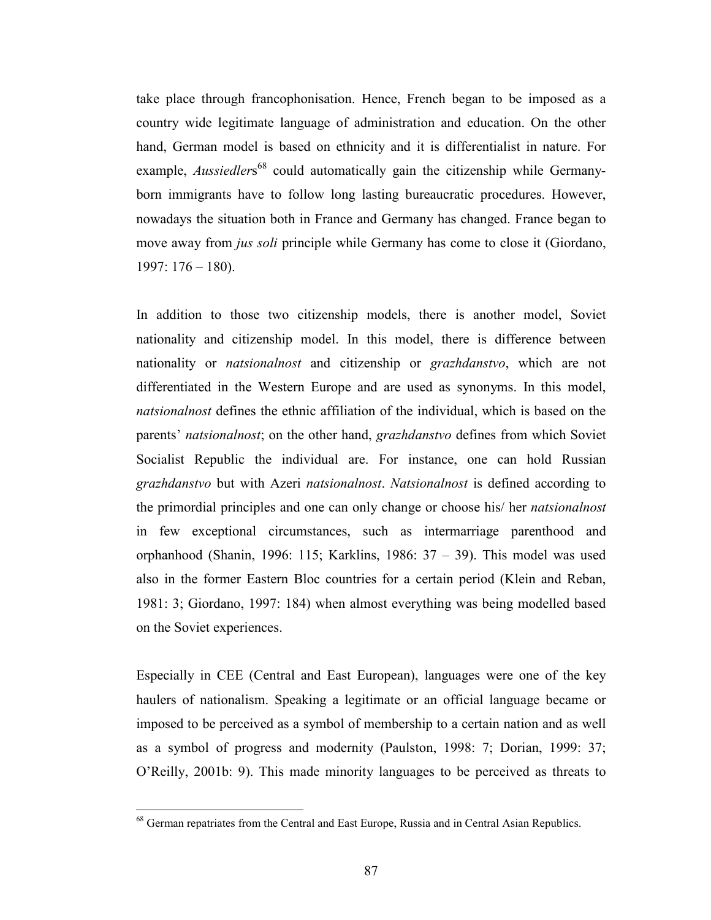take place through francophonisation. Hence, French began to be imposed as a country wide legitimate language of administration and education. On the other hand, German model is based on ethnicity and it is differentialist in nature. For example, *Aussiedlers*<sup>68</sup> could automatically gain the citizenship while Germanyborn immigrants have to follow long lasting bureaucratic procedures. However, nowadays the situation both in France and Germany has changed. France began to move away from jus soli principle while Germany has come to close it (Giordano, 1997: 176 – 180).

In addition to those two citizenship models, there is another model, Soviet nationality and citizenship model. In this model, there is difference between nationality or natsionalnost and citizenship or grazhdanstvo, which are not differentiated in the Western Europe and are used as synonyms. In this model, natsionalnost defines the ethnic affiliation of the individual, which is based on the parents' natsionalnost; on the other hand, grazhdanstvo defines from which Soviet Socialist Republic the individual are. For instance, one can hold Russian grazhdanstvo but with Azeri natsionalnost. Natsionalnost is defined according to the primordial principles and one can only change or choose his/ her natsionalnost in few exceptional circumstances, such as intermarriage parenthood and orphanhood (Shanin, 1996: 115; Karklins, 1986: 37 – 39). This model was used also in the former Eastern Bloc countries for a certain period (Klein and Reban, 1981: 3; Giordano, 1997: 184) when almost everything was being modelled based on the Soviet experiences.

Especially in CEE (Central and East European), languages were one of the key haulers of nationalism. Speaking a legitimate or an official language became or imposed to be perceived as a symbol of membership to a certain nation and as well as a symbol of progress and modernity (Paulston, 1998: 7; Dorian, 1999: 37; O'Reilly, 2001b: 9). This made minority languages to be perceived as threats to

<sup>&</sup>lt;sup>68</sup> German repatriates from the Central and East Europe, Russia and in Central Asian Republics.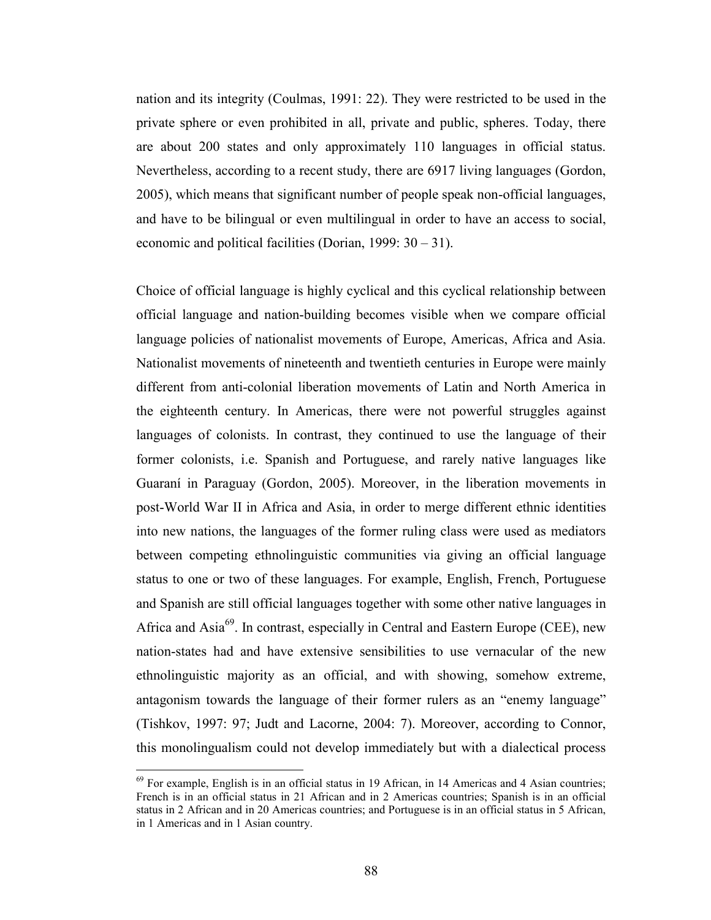nation and its integrity (Coulmas, 1991: 22). They were restricted to be used in the private sphere or even prohibited in all, private and public, spheres. Today, there are about 200 states and only approximately 110 languages in official status. Nevertheless, according to a recent study, there are 6917 living languages (Gordon, 2005), which means that significant number of people speak non-official languages, and have to be bilingual or even multilingual in order to have an access to social, economic and political facilities (Dorian, 1999: 30 – 31).

Choice of official language is highly cyclical and this cyclical relationship between official language and nation-building becomes visible when we compare official language policies of nationalist movements of Europe, Americas, Africa and Asia. Nationalist movements of nineteenth and twentieth centuries in Europe were mainly different from anti-colonial liberation movements of Latin and North America in the eighteenth century. In Americas, there were not powerful struggles against languages of colonists. In contrast, they continued to use the language of their former colonists, i.e. Spanish and Portuguese, and rarely native languages like Guaraní in Paraguay (Gordon, 2005). Moreover, in the liberation movements in post-World War II in Africa and Asia, in order to merge different ethnic identities into new nations, the languages of the former ruling class were used as mediators between competing ethnolinguistic communities via giving an official language status to one or two of these languages. For example, English, French, Portuguese and Spanish are still official languages together with some other native languages in Africa and Asia<sup>69</sup>. In contrast, especially in Central and Eastern Europe (CEE), new nation-states had and have extensive sensibilities to use vernacular of the new ethnolinguistic majority as an official, and with showing, somehow extreme, antagonism towards the language of their former rulers as an "enemy language" (Tishkov, 1997: 97; Judt and Lacorne, 2004: 7). Moreover, according to Connor, this monolingualism could not develop immediately but with a dialectical process

 $69$  For example, English is in an official status in 19 African, in 14 Americas and 4 Asian countries; French is in an official status in 21 African and in 2 Americas countries; Spanish is in an official status in 2 African and in 20 Americas countries; and Portuguese is in an official status in 5 African, in 1 Americas and in 1 Asian country.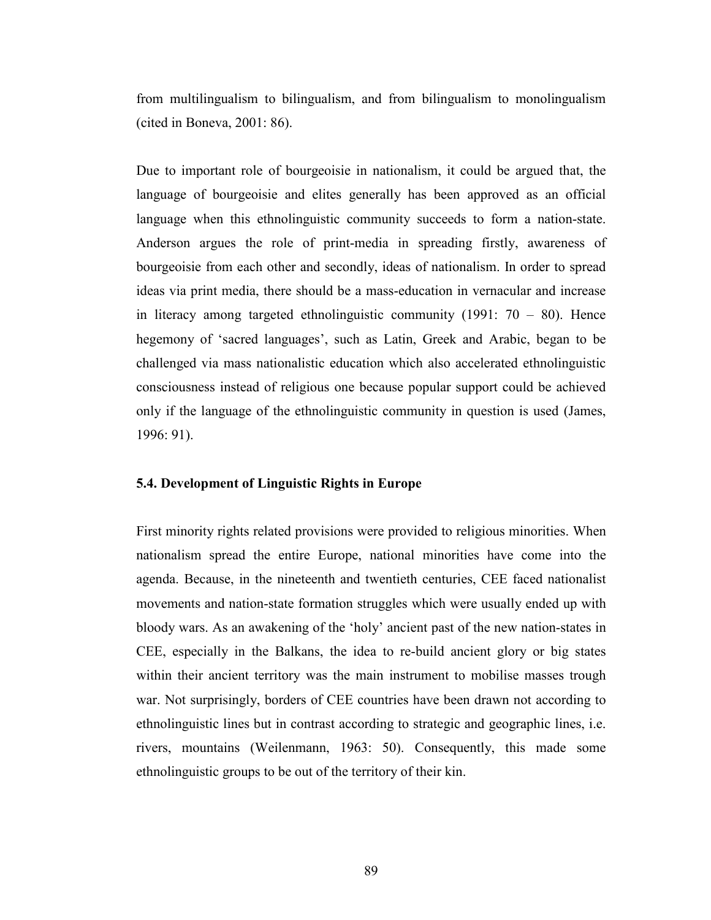from multilingualism to bilingualism, and from bilingualism to monolingualism (cited in Boneva, 2001: 86).

Due to important role of bourgeoisie in nationalism, it could be argued that, the language of bourgeoisie and elites generally has been approved as an official language when this ethnolinguistic community succeeds to form a nation-state. Anderson argues the role of print-media in spreading firstly, awareness of bourgeoisie from each other and secondly, ideas of nationalism. In order to spread ideas via print media, there should be a mass-education in vernacular and increase in literacy among targeted ethnolinguistic community  $(1991: 70 - 80)$ . Hence hegemony of 'sacred languages', such as Latin, Greek and Arabic, began to be challenged via mass nationalistic education which also accelerated ethnolinguistic consciousness instead of religious one because popular support could be achieved only if the language of the ethnolinguistic community in question is used (James, 1996: 91).

### 5.4. Development of Linguistic Rights in Europe

First minority rights related provisions were provided to religious minorities. When nationalism spread the entire Europe, national minorities have come into the agenda. Because, in the nineteenth and twentieth centuries, CEE faced nationalist movements and nation-state formation struggles which were usually ended up with bloody wars. As an awakening of the 'holy' ancient past of the new nation-states in CEE, especially in the Balkans, the idea to re-build ancient glory or big states within their ancient territory was the main instrument to mobilise masses trough war. Not surprisingly, borders of CEE countries have been drawn not according to ethnolinguistic lines but in contrast according to strategic and geographic lines, i.e. rivers, mountains (Weilenmann, 1963: 50). Consequently, this made some ethnolinguistic groups to be out of the territory of their kin.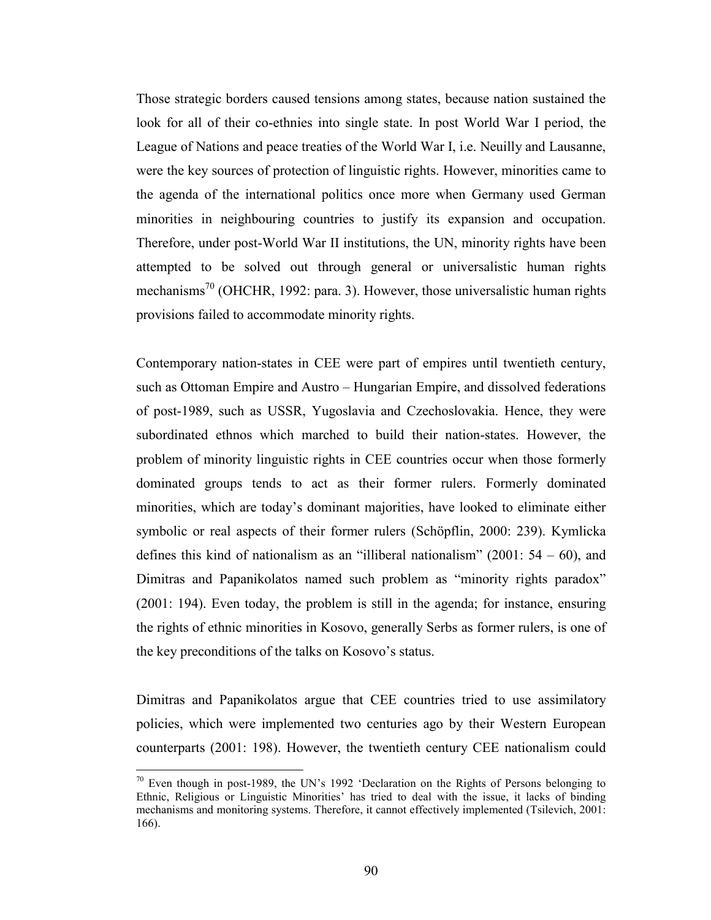Those strategic borders caused tensions among states, because nation sustained the look for all of their co-ethnies into single state. In post World War I period, the League of Nations and peace treaties of the World War I, i.e. Neuilly and Lausanne, were the key sources of protection of linguistic rights. However, minorities came to the agenda of the international politics once more when Germany used German minorities in neighbouring countries to justify its expansion and occupation. Therefore, under post-World War II institutions, the UN, minority rights have been attempted to be solved out through general or universalistic human rights mechanisms<sup>70</sup> (OHCHR, 1992: para. 3). However, those universalistic human rights provisions failed to accommodate minority rights.

Contemporary nation-states in CEE were part of empires until twentieth century, such as Ottoman Empire and Austro – Hungarian Empire, and dissolved federations of post-1989, such as USSR, Yugoslavia and Czechoslovakia. Hence, they were subordinated ethnos which marched to build their nation-states. However, the problem of minority linguistic rights in CEE countries occur when those formerly dominated groups tends to act as their former rulers. Formerly dominated minorities, which are today's dominant majorities, have looked to eliminate either symbolic or real aspects of their former rulers (Schöpflin, 2000: 239). Kymlicka defines this kind of nationalism as an "illiberal nationalism"  $(2001: 54 - 60)$ , and Dimitras and Papanikolatos named such problem as "minority rights paradox" (2001: 194). Even today, the problem is still in the agenda; for instance, ensuring the rights of ethnic minorities in Kosovo, generally Serbs as former rulers, is one of the key preconditions of the talks on Kosovo's status.

Dimitras and Papanikolatos argue that CEE countries tried to use assimilatory policies, which were implemented two centuries ago by their Western European counterparts (2001: 198). However, the twentieth century CEE nationalism could

 $70$  Even though in post-1989, the UN's 1992 'Declaration on the Rights of Persons belonging to Ethnic, Religious or Linguistic Minorities' has tried to deal with the issue, it lacks of binding mechanisms and monitoring systems. Therefore, it cannot effectively implemented (Tsilevich, 2001: 166).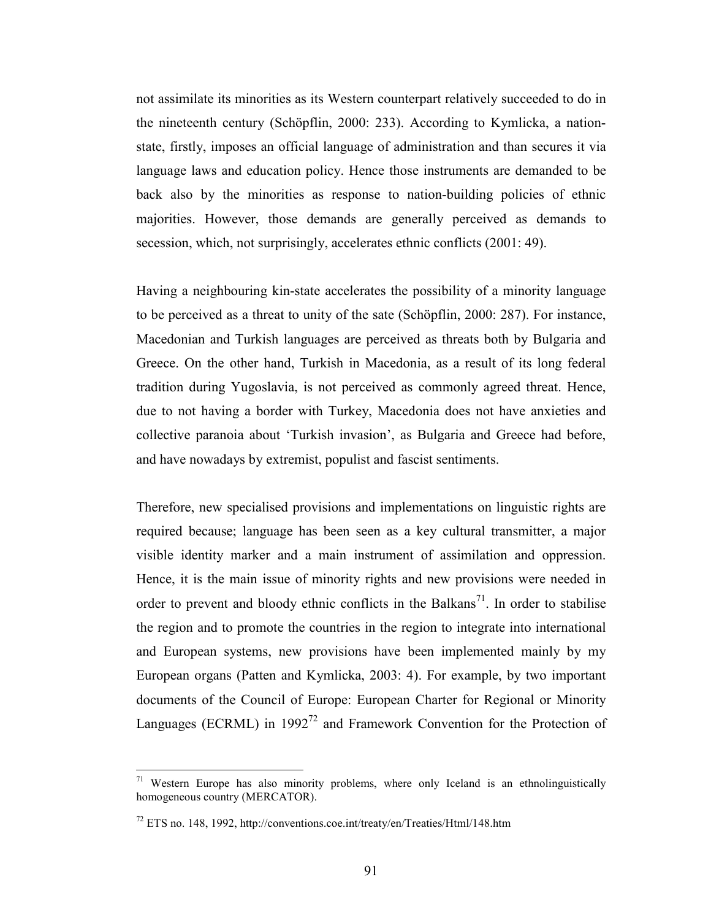not assimilate its minorities as its Western counterpart relatively succeeded to do in the nineteenth century (Schöpflin, 2000: 233). According to Kymlicka, a nationstate, firstly, imposes an official language of administration and than secures it via language laws and education policy. Hence those instruments are demanded to be back also by the minorities as response to nation-building policies of ethnic majorities. However, those demands are generally perceived as demands to secession, which, not surprisingly, accelerates ethnic conflicts (2001: 49).

Having a neighbouring kin-state accelerates the possibility of a minority language to be perceived as a threat to unity of the sate (Schöpflin, 2000: 287). For instance, Macedonian and Turkish languages are perceived as threats both by Bulgaria and Greece. On the other hand, Turkish in Macedonia, as a result of its long federal tradition during Yugoslavia, is not perceived as commonly agreed threat. Hence, due to not having a border with Turkey, Macedonia does not have anxieties and collective paranoia about 'Turkish invasion', as Bulgaria and Greece had before, and have nowadays by extremist, populist and fascist sentiments.

Therefore, new specialised provisions and implementations on linguistic rights are required because; language has been seen as a key cultural transmitter, a major visible identity marker and a main instrument of assimilation and oppression. Hence, it is the main issue of minority rights and new provisions were needed in order to prevent and bloody ethnic conflicts in the Balkans<sup>71</sup>. In order to stabilise the region and to promote the countries in the region to integrate into international and European systems, new provisions have been implemented mainly by my European organs (Patten and Kymlicka, 2003: 4). For example, by two important documents of the Council of Europe: European Charter for Regional or Minority Languages (ECRML) in  $1992^{72}$  and Framework Convention for the Protection of

 $71$  Western Europe has also minority problems, where only Iceland is an ethnolinguistically homogeneous country (MERCATOR).

<sup>72</sup> ETS no. 148, 1992, http://conventions.coe.int/treaty/en/Treaties/Html/148.htm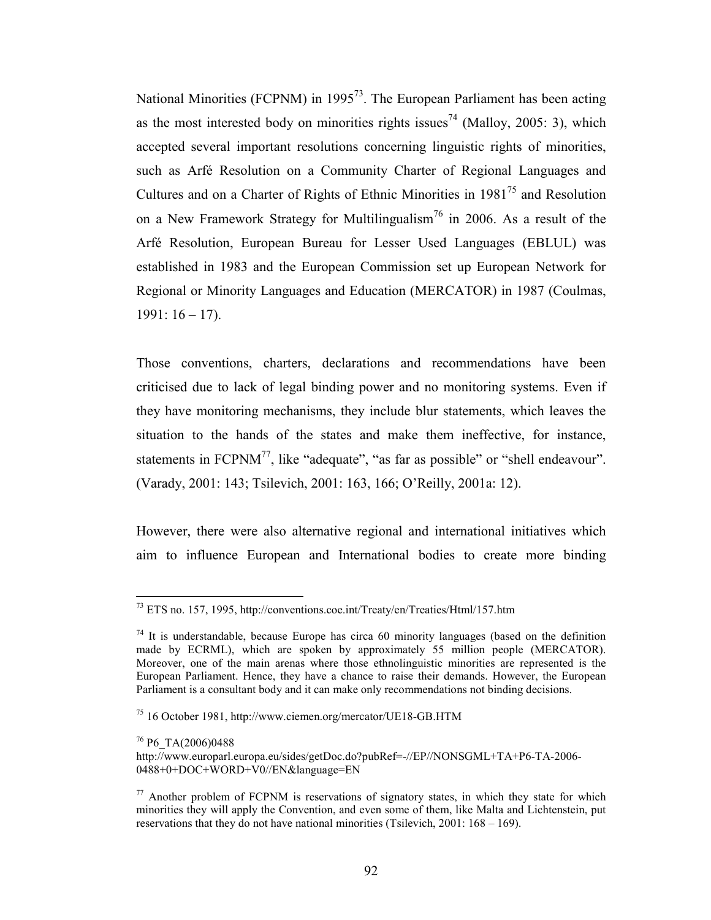National Minorities (FCPNM) in  $1995^{73}$ . The European Parliament has been acting as the most interested body on minorities rights issues<sup>74</sup> (Malloy, 2005: 3), which accepted several important resolutions concerning linguistic rights of minorities, such as Arfé Resolution on a Community Charter of Regional Languages and Cultures and on a Charter of Rights of Ethnic Minorities in  $1981^{75}$  and Resolution on a New Framework Strategy for Multilingualism<sup>76</sup> in 2006. As a result of the Arfé Resolution, European Bureau for Lesser Used Languages (EBLUL) was established in 1983 and the European Commission set up European Network for Regional or Minority Languages and Education (MERCATOR) in 1987 (Coulmas,  $1991: 16 - 17$ ).

Those conventions, charters, declarations and recommendations have been criticised due to lack of legal binding power and no monitoring systems. Even if they have monitoring mechanisms, they include blur statements, which leaves the situation to the hands of the states and make them ineffective, for instance, statements in  $FCPNM^7$ , like "adequate", "as far as possible" or "shell endeavour". (Varady, 2001: 143; Tsilevich, 2001: 163, 166; O'Reilly, 2001a: 12).

However, there were also alternative regional and international initiatives which aim to influence European and International bodies to create more binding

<sup>&</sup>lt;sup>73</sup> ETS no. 157, 1995, http://conventions.coe.int/Treaty/en/Treaties/Html/157.htm

 $74$  It is understandable, because Europe has circa 60 minority languages (based on the definition made by ECRML), which are spoken by approximately 55 million people (MERCATOR). Moreover, one of the main arenas where those ethnolinguistic minorities are represented is the European Parliament. Hence, they have a chance to raise their demands. However, the European Parliament is a consultant body and it can make only recommendations not binding decisions.

<sup>75</sup> 16 October 1981, http://www.ciemen.org/mercator/UE18-GB.HTM

<sup>&</sup>lt;sup>76</sup> P6\_TA(2006)0488

http://www.europarl.europa.eu/sides/getDoc.do?pubRef=-//EP//NONSGML+TA+P6-TA-2006- 0488+0+DOC+WORD+V0//EN&language=EN

 $77$  Another problem of FCPNM is reservations of signatory states, in which they state for which minorities they will apply the Convention, and even some of them, like Malta and Lichtenstein, put reservations that they do not have national minorities (Tsilevich, 2001: 168 – 169).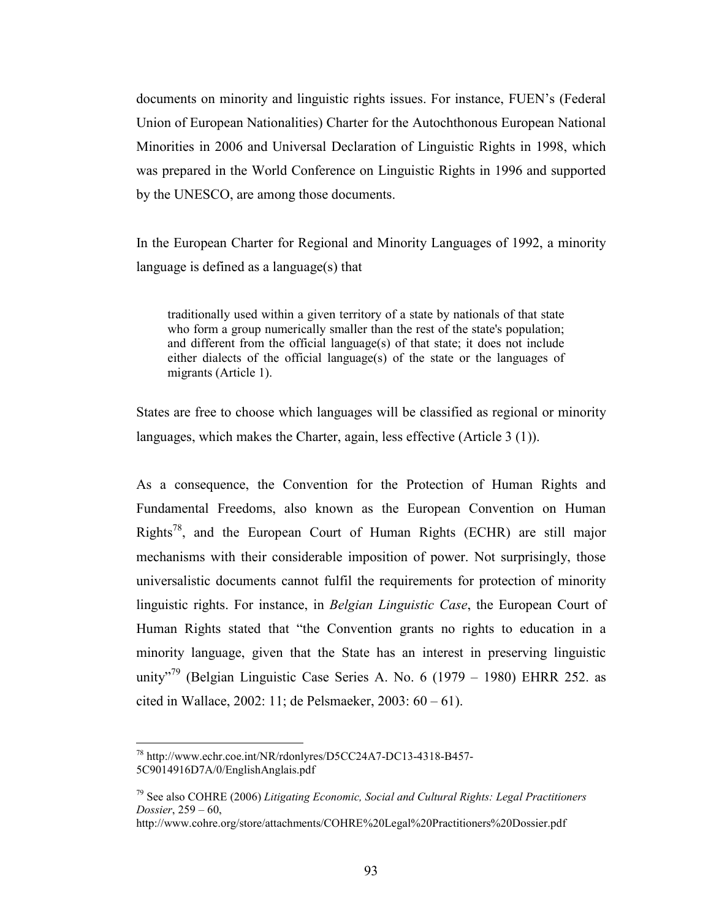documents on minority and linguistic rights issues. For instance, FUEN's (Federal Union of European Nationalities) Charter for the Autochthonous European National Minorities in 2006 and Universal Declaration of Linguistic Rights in 1998, which was prepared in the World Conference on Linguistic Rights in 1996 and supported by the UNESCO, are among those documents.

In the European Charter for Regional and Minority Languages of 1992, a minority language is defined as a language(s) that

traditionally used within a given territory of a state by nationals of that state who form a group numerically smaller than the rest of the state's population; and different from the official language(s) of that state; it does not include either dialects of the official language(s) of the state or the languages of migrants (Article 1).

States are free to choose which languages will be classified as regional or minority languages, which makes the Charter, again, less effective (Article 3 (1)).

As a consequence, the Convention for the Protection of Human Rights and Fundamental Freedoms, also known as the European Convention on Human Rights<sup>78</sup>, and the European Court of Human Rights (ECHR) are still major mechanisms with their considerable imposition of power. Not surprisingly, those universalistic documents cannot fulfil the requirements for protection of minority linguistic rights. For instance, in Belgian Linguistic Case, the European Court of Human Rights stated that "the Convention grants no rights to education in a minority language, given that the State has an interest in preserving linguistic unity<sup>79</sup> (Belgian Linguistic Case Series A. No. 6 (1979 – 1980) EHRR 252. as cited in Wallace, 2002: 11; de Pelsmaeker, 2003: 60 – 61).

<sup>78</sup> http://www.echr.coe.int/NR/rdonlyres/D5CC24A7-DC13-4318-B457- 5C9014916D7A/0/EnglishAnglais.pdf

<sup>&</sup>lt;sup>79</sup> See also COHRE (2006) Litigating Economic, Social and Cultural Rights: Legal Practitioners Dossier, 259 – 60,

http://www.cohre.org/store/attachments/COHRE%20Legal%20Practitioners%20Dossier.pdf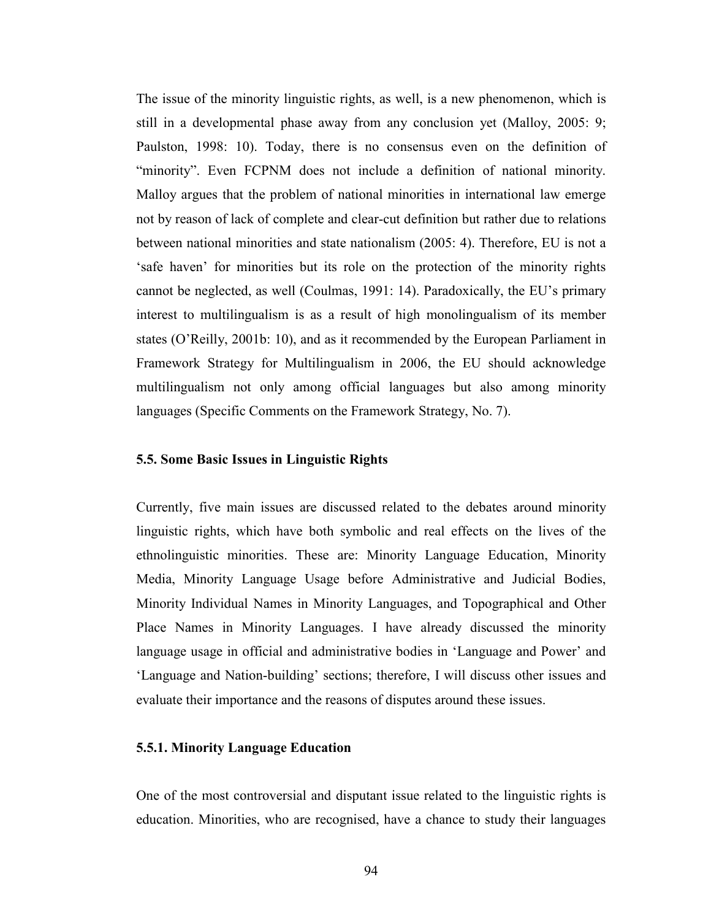The issue of the minority linguistic rights, as well, is a new phenomenon, which is still in a developmental phase away from any conclusion yet (Malloy, 2005: 9; Paulston, 1998: 10). Today, there is no consensus even on the definition of "minority". Even FCPNM does not include a definition of national minority. Malloy argues that the problem of national minorities in international law emerge not by reason of lack of complete and clear-cut definition but rather due to relations between national minorities and state nationalism (2005: 4). Therefore, EU is not a 'safe haven' for minorities but its role on the protection of the minority rights cannot be neglected, as well (Coulmas, 1991: 14). Paradoxically, the EU's primary interest to multilingualism is as a result of high monolingualism of its member states (O'Reilly, 2001b: 10), and as it recommended by the European Parliament in Framework Strategy for Multilingualism in 2006, the EU should acknowledge multilingualism not only among official languages but also among minority languages (Specific Comments on the Framework Strategy, No. 7).

### 5.5. Some Basic Issues in Linguistic Rights

Currently, five main issues are discussed related to the debates around minority linguistic rights, which have both symbolic and real effects on the lives of the ethnolinguistic minorities. These are: Minority Language Education, Minority Media, Minority Language Usage before Administrative and Judicial Bodies, Minority Individual Names in Minority Languages, and Topographical and Other Place Names in Minority Languages. I have already discussed the minority language usage in official and administrative bodies in 'Language and Power' and 'Language and Nation-building' sections; therefore, I will discuss other issues and evaluate their importance and the reasons of disputes around these issues.

### 5.5.1. Minority Language Education

One of the most controversial and disputant issue related to the linguistic rights is education. Minorities, who are recognised, have a chance to study their languages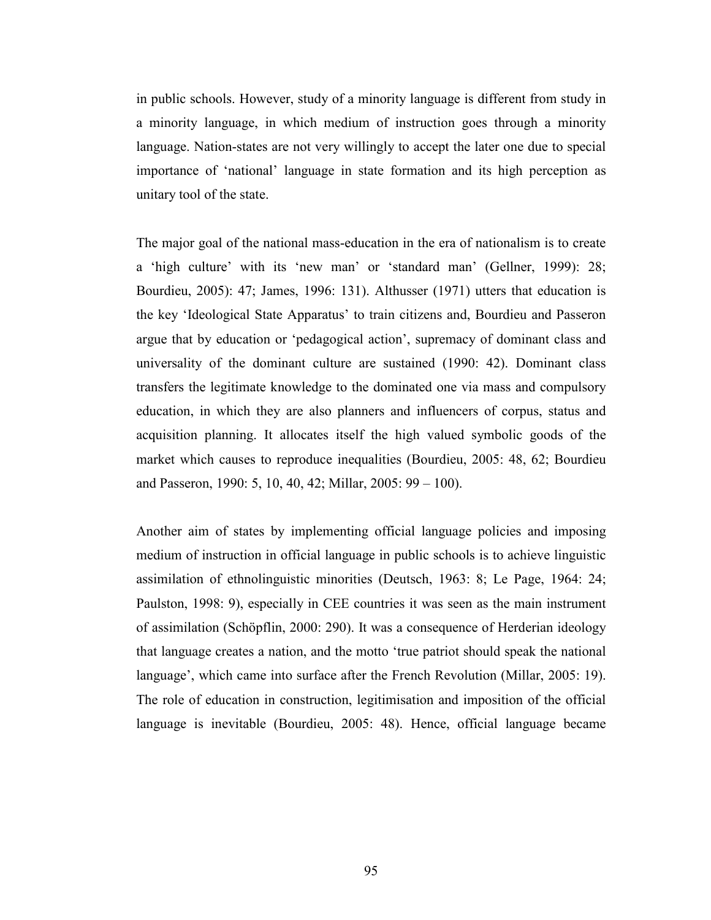in public schools. However, study of a minority language is different from study in a minority language, in which medium of instruction goes through a minority language. Nation-states are not very willingly to accept the later one due to special importance of 'national' language in state formation and its high perception as unitary tool of the state.

The major goal of the national mass-education in the era of nationalism is to create a 'high culture' with its 'new man' or 'standard man' (Gellner, 1999): 28; Bourdieu, 2005): 47; James, 1996: 131). Althusser (1971) utters that education is the key 'Ideological State Apparatus' to train citizens and, Bourdieu and Passeron argue that by education or 'pedagogical action', supremacy of dominant class and universality of the dominant culture are sustained (1990: 42). Dominant class transfers the legitimate knowledge to the dominated one via mass and compulsory education, in which they are also planners and influencers of corpus, status and acquisition planning. It allocates itself the high valued symbolic goods of the market which causes to reproduce inequalities (Bourdieu, 2005: 48, 62; Bourdieu and Passeron, 1990: 5, 10, 40, 42; Millar, 2005: 99 – 100).

Another aim of states by implementing official language policies and imposing medium of instruction in official language in public schools is to achieve linguistic assimilation of ethnolinguistic minorities (Deutsch, 1963: 8; Le Page, 1964: 24; Paulston, 1998: 9), especially in CEE countries it was seen as the main instrument of assimilation (Schöpflin, 2000: 290). It was a consequence of Herderian ideology that language creates a nation, and the motto 'true patriot should speak the national language', which came into surface after the French Revolution (Millar, 2005: 19). The role of education in construction, legitimisation and imposition of the official language is inevitable (Bourdieu, 2005: 48). Hence, official language became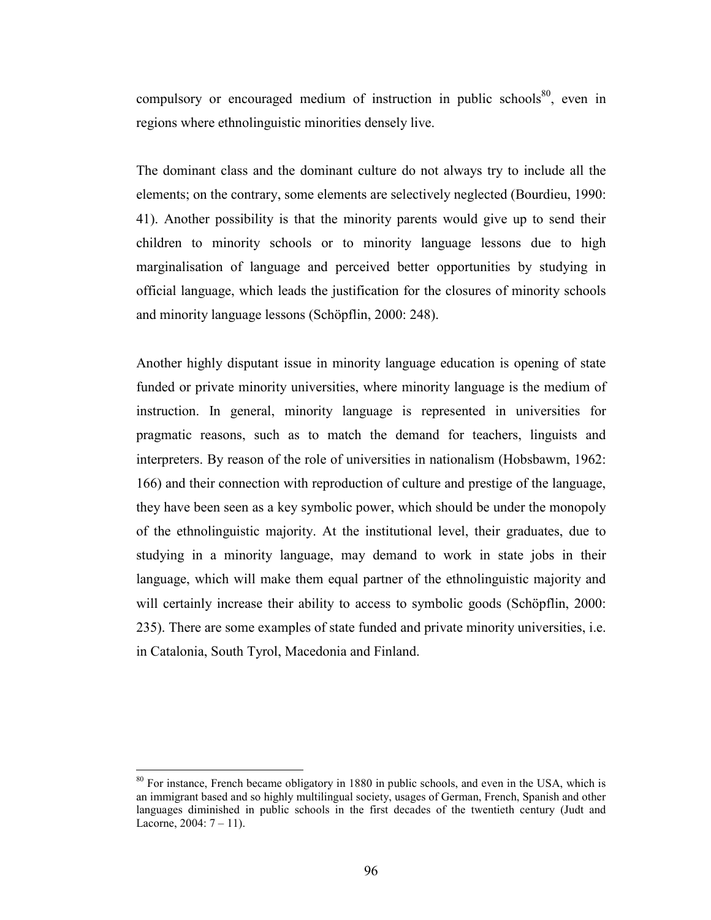compulsory or encouraged medium of instruction in public schools<sup>80</sup>, even in regions where ethnolinguistic minorities densely live.

The dominant class and the dominant culture do not always try to include all the elements; on the contrary, some elements are selectively neglected (Bourdieu, 1990: 41). Another possibility is that the minority parents would give up to send their children to minority schools or to minority language lessons due to high marginalisation of language and perceived better opportunities by studying in official language, which leads the justification for the closures of minority schools and minority language lessons (Schöpflin, 2000: 248).

Another highly disputant issue in minority language education is opening of state funded or private minority universities, where minority language is the medium of instruction. In general, minority language is represented in universities for pragmatic reasons, such as to match the demand for teachers, linguists and interpreters. By reason of the role of universities in nationalism (Hobsbawm, 1962: 166) and their connection with reproduction of culture and prestige of the language, they have been seen as a key symbolic power, which should be under the monopoly of the ethnolinguistic majority. At the institutional level, their graduates, due to studying in a minority language, may demand to work in state jobs in their language, which will make them equal partner of the ethnolinguistic majority and will certainly increase their ability to access to symbolic goods (Schöpflin, 2000: 235). There are some examples of state funded and private minority universities, i.e. in Catalonia, South Tyrol, Macedonia and Finland.

 $80$  For instance, French became obligatory in 1880 in public schools, and even in the USA, which is an immigrant based and so highly multilingual society, usages of German, French, Spanish and other languages diminished in public schools in the first decades of the twentieth century (Judt and Lacorne,  $2004: 7 - 11$ .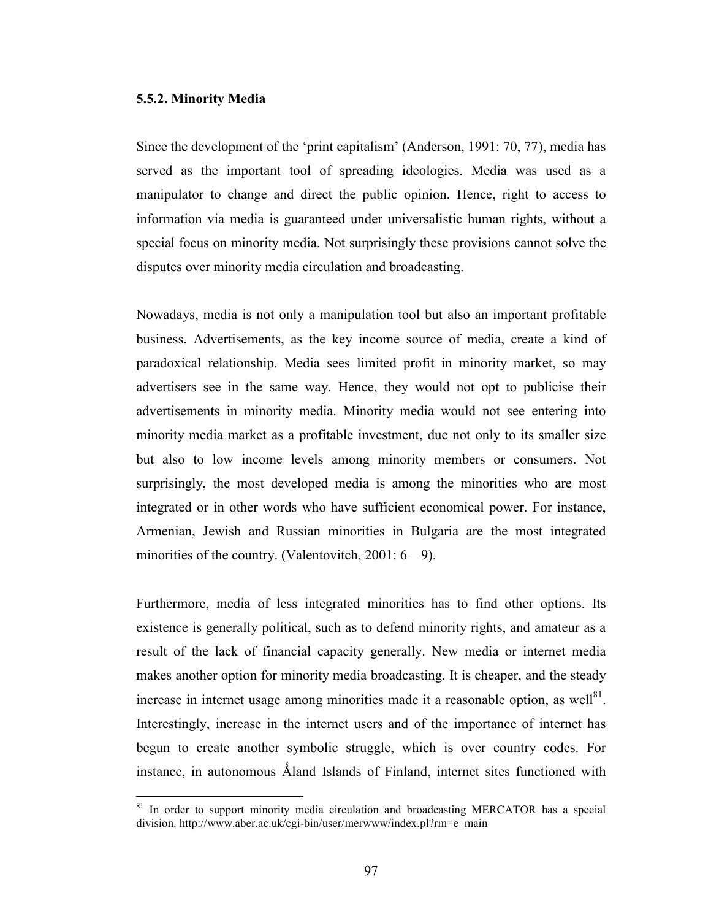#### 5.5.2. Minority Media

 $\overline{a}$ 

Since the development of the 'print capitalism' (Anderson, 1991: 70, 77), media has served as the important tool of spreading ideologies. Media was used as a manipulator to change and direct the public opinion. Hence, right to access to information via media is guaranteed under universalistic human rights, without a special focus on minority media. Not surprisingly these provisions cannot solve the disputes over minority media circulation and broadcasting.

Nowadays, media is not only a manipulation tool but also an important profitable business. Advertisements, as the key income source of media, create a kind of paradoxical relationship. Media sees limited profit in minority market, so may advertisers see in the same way. Hence, they would not opt to publicise their advertisements in minority media. Minority media would not see entering into minority media market as a profitable investment, due not only to its smaller size but also to low income levels among minority members or consumers. Not surprisingly, the most developed media is among the minorities who are most integrated or in other words who have sufficient economical power. For instance, Armenian, Jewish and Russian minorities in Bulgaria are the most integrated minorities of the country. (Valentovitch,  $2001: 6 - 9$ ).

Furthermore, media of less integrated minorities has to find other options. Its existence is generally political, such as to defend minority rights, and amateur as a result of the lack of financial capacity generally. New media or internet media makes another option for minority media broadcasting. It is cheaper, and the steady increase in internet usage among minorities made it a reasonable option, as well $^{81}$ . Interestingly, increase in the internet users and of the importance of internet has begun to create another symbolic struggle, which is over country codes. For instance, in autonomous Åland Islands of Finland, internet sites functioned with

<sup>&</sup>lt;sup>81</sup> In order to support minority media circulation and broadcasting MERCATOR has a special division. http://www.aber.ac.uk/cgi-bin/user/merwww/index.pl?rm=e\_main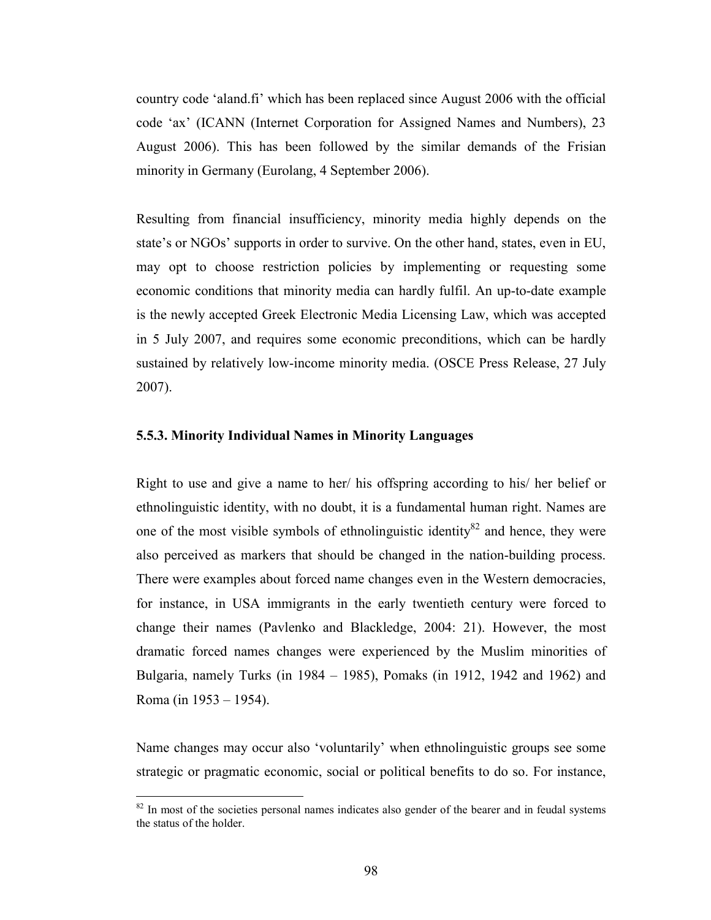country code 'aland.fi' which has been replaced since August 2006 with the official code 'ax' (ICANN (Internet Corporation for Assigned Names and Numbers), 23 August 2006). This has been followed by the similar demands of the Frisian minority in Germany (Eurolang, 4 September 2006).

Resulting from financial insufficiency, minority media highly depends on the state's or NGOs' supports in order to survive. On the other hand, states, even in EU, may opt to choose restriction policies by implementing or requesting some economic conditions that minority media can hardly fulfil. An up-to-date example is the newly accepted Greek Electronic Media Licensing Law, which was accepted in 5 July 2007, and requires some economic preconditions, which can be hardly sustained by relatively low-income minority media. (OSCE Press Release, 27 July 2007).

#### 5.5.3. Minority Individual Names in Minority Languages

Right to use and give a name to her/ his offspring according to his/ her belief or ethnolinguistic identity, with no doubt, it is a fundamental human right. Names are one of the most visible symbols of ethnolinguistic identity<sup>82</sup> and hence, they were also perceived as markers that should be changed in the nation-building process. There were examples about forced name changes even in the Western democracies, for instance, in USA immigrants in the early twentieth century were forced to change their names (Pavlenko and Blackledge, 2004: 21). However, the most dramatic forced names changes were experienced by the Muslim minorities of Bulgaria, namely Turks (in 1984 – 1985), Pomaks (in 1912, 1942 and 1962) and Roma (in 1953 – 1954).

Name changes may occur also 'voluntarily' when ethnolinguistic groups see some strategic or pragmatic economic, social or political benefits to do so. For instance,

 $82$  In most of the societies personal names indicates also gender of the bearer and in feudal systems the status of the holder.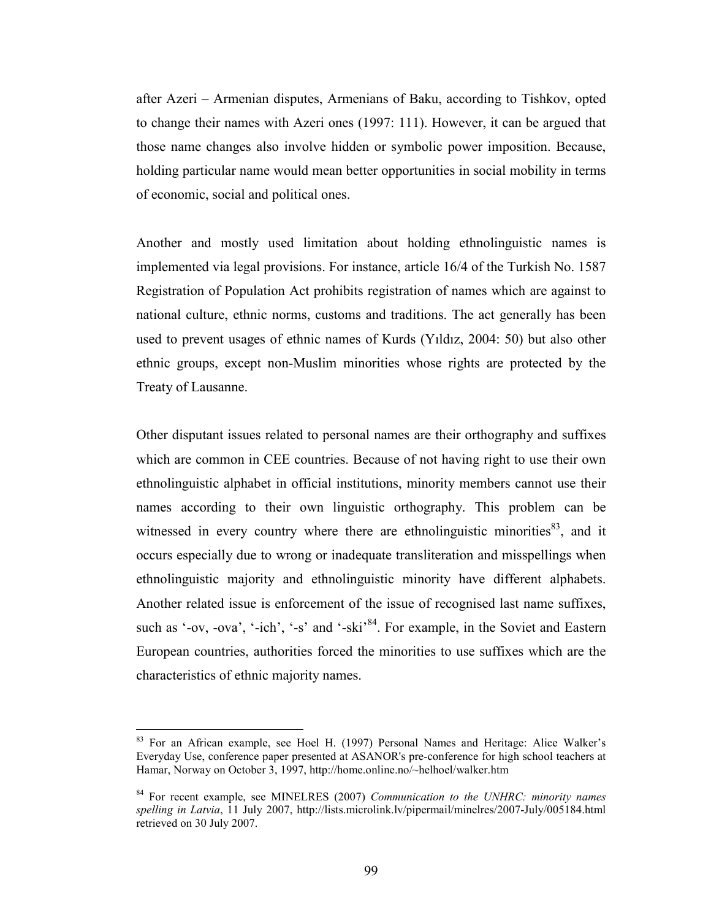after Azeri – Armenian disputes, Armenians of Baku, according to Tishkov, opted to change their names with Azeri ones (1997: 111). However, it can be argued that those name changes also involve hidden or symbolic power imposition. Because, holding particular name would mean better opportunities in social mobility in terms of economic, social and political ones.

Another and mostly used limitation about holding ethnolinguistic names is implemented via legal provisions. For instance, article 16/4 of the Turkish No. 1587 Registration of Population Act prohibits registration of names which are against to national culture, ethnic norms, customs and traditions. The act generally has been used to prevent usages of ethnic names of Kurds (Yıldız, 2004: 50) but also other ethnic groups, except non-Muslim minorities whose rights are protected by the Treaty of Lausanne.

Other disputant issues related to personal names are their orthography and suffixes which are common in CEE countries. Because of not having right to use their own ethnolinguistic alphabet in official institutions, minority members cannot use their names according to their own linguistic orthography. This problem can be witnessed in every country where there are ethnolinguistic minorities<sup>83</sup>, and it occurs especially due to wrong or inadequate transliteration and misspellings when ethnolinguistic majority and ethnolinguistic minority have different alphabets. Another related issue is enforcement of the issue of recognised last name suffixes, such as '-ov, -ova', '-ich', '-s' and '-ski<sup>84</sup>. For example, in the Soviet and Eastern European countries, authorities forced the minorities to use suffixes which are the characteristics of ethnic majority names.

<sup>&</sup>lt;sup>83</sup> For an African example, see Hoel H. (1997) Personal Names and Heritage: Alice Walker's Everyday Use, conference paper presented at ASANOR's pre-conference for high school teachers at Hamar, Norway on October 3, 1997, http://home.online.no/~helhoel/walker.htm

 $84$  For recent example, see MINELRES (2007) Communication to the UNHRC: minority names spelling in Latvia, 11 July 2007, http://lists.microlink.lv/pipermail/minelres/2007-July/005184.html retrieved on 30 July 2007.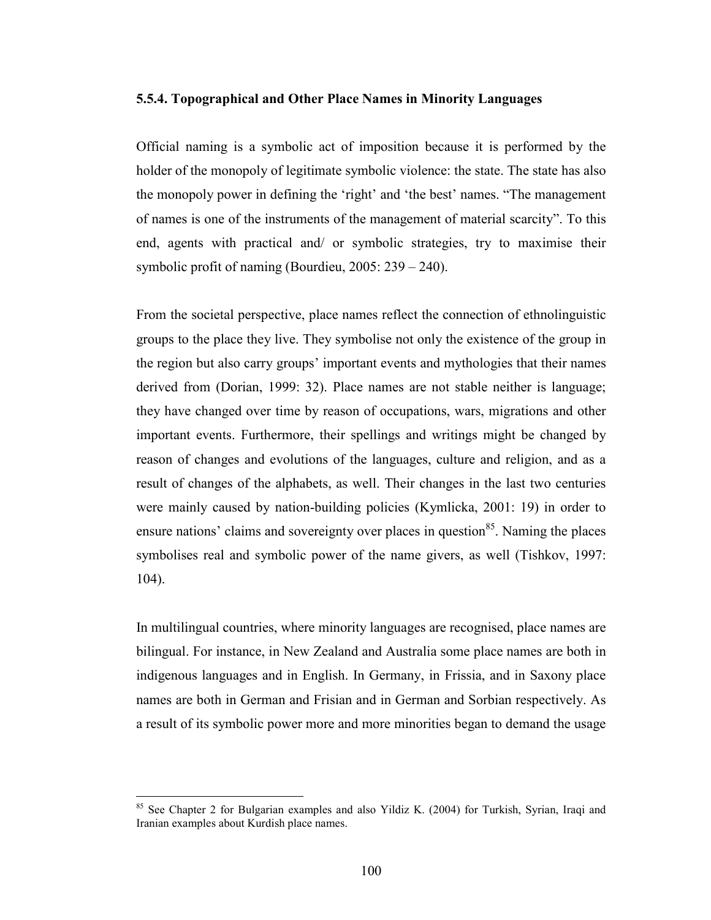#### 5.5.4. Topographical and Other Place Names in Minority Languages

Official naming is a symbolic act of imposition because it is performed by the holder of the monopoly of legitimate symbolic violence: the state. The state has also the monopoly power in defining the 'right' and 'the best' names. "The management of names is one of the instruments of the management of material scarcity". To this end, agents with practical and/ or symbolic strategies, try to maximise their symbolic profit of naming (Bourdieu, 2005: 239 – 240).

From the societal perspective, place names reflect the connection of ethnolinguistic groups to the place they live. They symbolise not only the existence of the group in the region but also carry groups' important events and mythologies that their names derived from (Dorian, 1999: 32). Place names are not stable neither is language; they have changed over time by reason of occupations, wars, migrations and other important events. Furthermore, their spellings and writings might be changed by reason of changes and evolutions of the languages, culture and religion, and as a result of changes of the alphabets, as well. Their changes in the last two centuries were mainly caused by nation-building policies (Kymlicka, 2001: 19) in order to ensure nations' claims and sovereignty over places in question<sup>85</sup>. Naming the places symbolises real and symbolic power of the name givers, as well (Tishkov, 1997: 104).

In multilingual countries, where minority languages are recognised, place names are bilingual. For instance, in New Zealand and Australia some place names are both in indigenous languages and in English. In Germany, in Frissia, and in Saxony place names are both in German and Frisian and in German and Sorbian respectively. As a result of its symbolic power more and more minorities began to demand the usage

<sup>85</sup> See Chapter 2 for Bulgarian examples and also Yildiz K. (2004) for Turkish, Syrian, Iraqi and Iranian examples about Kurdish place names.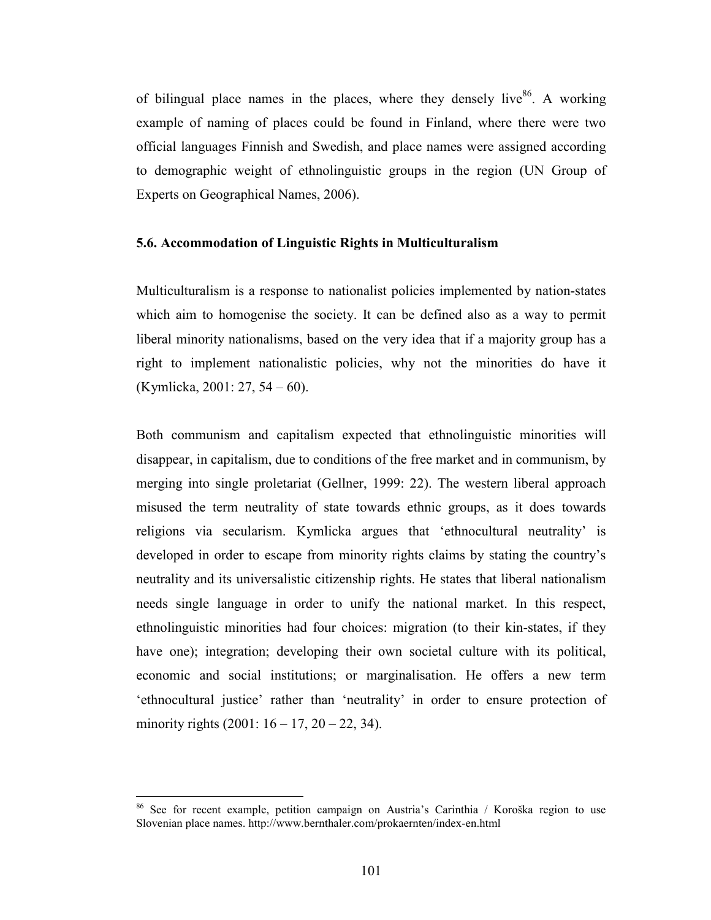of bilingual place names in the places, where they densely live<sup>86</sup>. A working example of naming of places could be found in Finland, where there were two official languages Finnish and Swedish, and place names were assigned according to demographic weight of ethnolinguistic groups in the region (UN Group of Experts on Geographical Names, 2006).

#### 5.6. Accommodation of Linguistic Rights in Multiculturalism

Multiculturalism is a response to nationalist policies implemented by nation-states which aim to homogenise the society. It can be defined also as a way to permit liberal minority nationalisms, based on the very idea that if a majority group has a right to implement nationalistic policies, why not the minorities do have it (Kymlicka, 2001: 27, 54 – 60).

Both communism and capitalism expected that ethnolinguistic minorities will disappear, in capitalism, due to conditions of the free market and in communism, by merging into single proletariat (Gellner, 1999: 22). The western liberal approach misused the term neutrality of state towards ethnic groups, as it does towards religions via secularism. Kymlicka argues that 'ethnocultural neutrality' is developed in order to escape from minority rights claims by stating the country's neutrality and its universalistic citizenship rights. He states that liberal nationalism needs single language in order to unify the national market. In this respect, ethnolinguistic minorities had four choices: migration (to their kin-states, if they have one); integration; developing their own societal culture with its political, economic and social institutions; or marginalisation. He offers a new term 'ethnocultural justice' rather than 'neutrality' in order to ensure protection of minority rights  $(2001: 16 - 17, 20 - 22, 34)$ .

<sup>86</sup> See for recent example, petition campaign on Austria's Carinthia / Koroška region to use Slovenian place names. http://www.bernthaler.com/prokaernten/index-en.html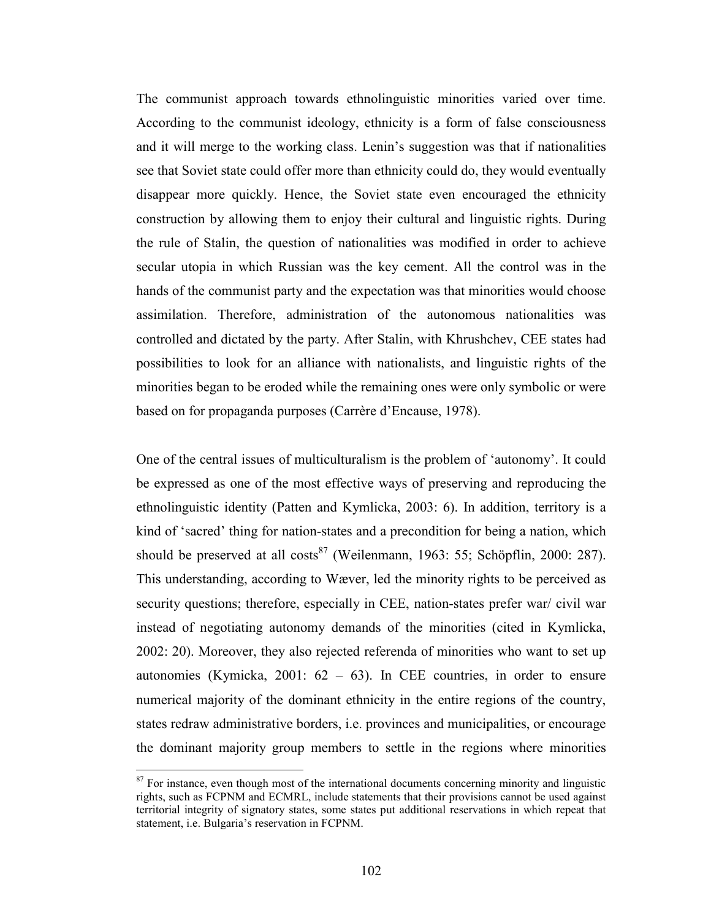The communist approach towards ethnolinguistic minorities varied over time. According to the communist ideology, ethnicity is a form of false consciousness and it will merge to the working class. Lenin's suggestion was that if nationalities see that Soviet state could offer more than ethnicity could do, they would eventually disappear more quickly. Hence, the Soviet state even encouraged the ethnicity construction by allowing them to enjoy their cultural and linguistic rights. During the rule of Stalin, the question of nationalities was modified in order to achieve secular utopia in which Russian was the key cement. All the control was in the hands of the communist party and the expectation was that minorities would choose assimilation. Therefore, administration of the autonomous nationalities was controlled and dictated by the party. After Stalin, with Khrushchev, CEE states had possibilities to look for an alliance with nationalists, and linguistic rights of the minorities began to be eroded while the remaining ones were only symbolic or were based on for propaganda purposes (Carrère d'Encause, 1978).

One of the central issues of multiculturalism is the problem of 'autonomy'. It could be expressed as one of the most effective ways of preserving and reproducing the ethnolinguistic identity (Patten and Kymlicka, 2003: 6). In addition, territory is a kind of 'sacred' thing for nation-states and a precondition for being a nation, which should be preserved at all costs<sup>87</sup> (Weilenmann, 1963: 55; Schöpflin, 2000: 287). This understanding, according to Wæver, led the minority rights to be perceived as security questions; therefore, especially in CEE, nation-states prefer war/ civil war instead of negotiating autonomy demands of the minorities (cited in Kymlicka, 2002: 20). Moreover, they also rejected referenda of minorities who want to set up autonomies (Kymicka, 2001: 62 – 63). In CEE countries, in order to ensure numerical majority of the dominant ethnicity in the entire regions of the country, states redraw administrative borders, i.e. provinces and municipalities, or encourage the dominant majority group members to settle in the regions where minorities

 $87$  For instance, even though most of the international documents concerning minority and linguistic rights, such as FCPNM and ECMRL, include statements that their provisions cannot be used against territorial integrity of signatory states, some states put additional reservations in which repeat that statement, i.e. Bulgaria's reservation in FCPNM.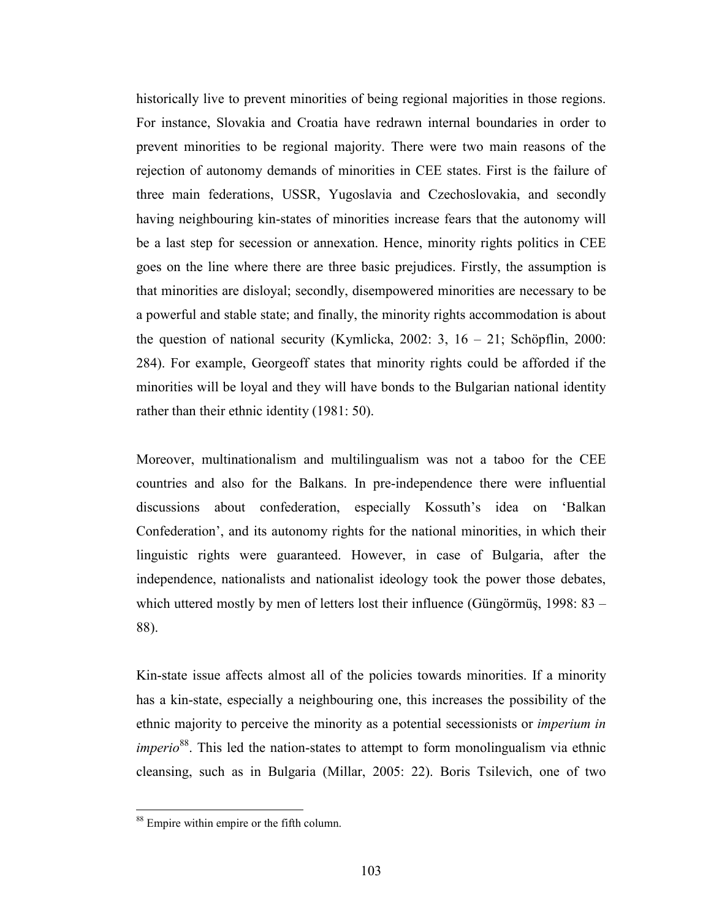historically live to prevent minorities of being regional majorities in those regions. For instance, Slovakia and Croatia have redrawn internal boundaries in order to prevent minorities to be regional majority. There were two main reasons of the rejection of autonomy demands of minorities in CEE states. First is the failure of three main federations, USSR, Yugoslavia and Czechoslovakia, and secondly having neighbouring kin-states of minorities increase fears that the autonomy will be a last step for secession or annexation. Hence, minority rights politics in CEE goes on the line where there are three basic prejudices. Firstly, the assumption is that minorities are disloyal; secondly, disempowered minorities are necessary to be a powerful and stable state; and finally, the minority rights accommodation is about the question of national security (Kymlicka, 2002: 3,  $16 - 21$ ; Schöpflin, 2000: 284). For example, Georgeoff states that minority rights could be afforded if the minorities will be loyal and they will have bonds to the Bulgarian national identity rather than their ethnic identity (1981: 50).

Moreover, multinationalism and multilingualism was not a taboo for the CEE countries and also for the Balkans. In pre-independence there were influential discussions about confederation, especially Kossuth's idea on 'Balkan Confederation', and its autonomy rights for the national minorities, in which their linguistic rights were guaranteed. However, in case of Bulgaria, after the independence, nationalists and nationalist ideology took the power those debates, which uttered mostly by men of letters lost their influence (Güngörmüş, 1998: 83 – 88).

Kin-state issue affects almost all of the policies towards minorities. If a minority has a kin-state, especially a neighbouring one, this increases the possibility of the ethnic majority to perceive the minority as a potential secessionists or imperium in *imperio*<sup>88</sup>. This led the nation-states to attempt to form monolingualism via ethnic cleansing, such as in Bulgaria (Millar, 2005: 22). Boris Tsilevich, one of two

<sup>&</sup>lt;sup>88</sup> Empire within empire or the fifth column.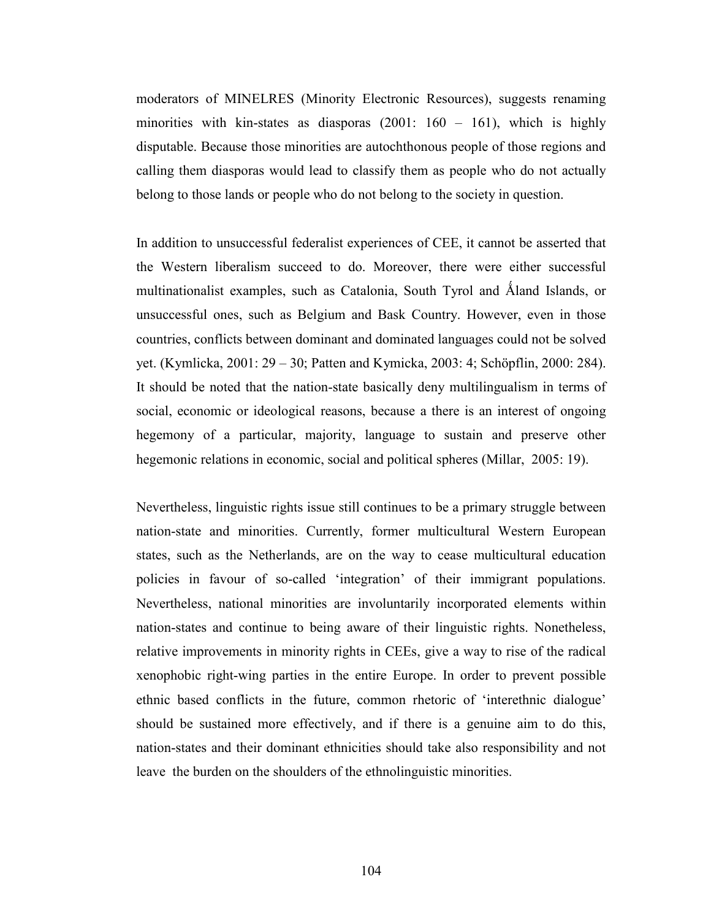moderators of MINELRES (Minority Electronic Resources), suggests renaming minorities with kin-states as diasporas  $(2001: 160 - 161)$ , which is highly disputable. Because those minorities are autochthonous people of those regions and calling them diasporas would lead to classify them as people who do not actually belong to those lands or people who do not belong to the society in question.

In addition to unsuccessful federalist experiences of CEE, it cannot be asserted that the Western liberalism succeed to do. Moreover, there were either successful multinationalist examples, such as Catalonia, South Tyrol and Åland Islands, or unsuccessful ones, such as Belgium and Bask Country. However, even in those countries, conflicts between dominant and dominated languages could not be solved yet. (Kymlicka, 2001: 29 – 30; Patten and Kymicka, 2003: 4; Schöpflin, 2000: 284). It should be noted that the nation-state basically deny multilingualism in terms of social, economic or ideological reasons, because a there is an interest of ongoing hegemony of a particular, majority, language to sustain and preserve other hegemonic relations in economic, social and political spheres (Millar, 2005: 19).

Nevertheless, linguistic rights issue still continues to be a primary struggle between nation-state and minorities. Currently, former multicultural Western European states, such as the Netherlands, are on the way to cease multicultural education policies in favour of so-called 'integration' of their immigrant populations. Nevertheless, national minorities are involuntarily incorporated elements within nation-states and continue to being aware of their linguistic rights. Nonetheless, relative improvements in minority rights in CEEs, give a way to rise of the radical xenophobic right-wing parties in the entire Europe. In order to prevent possible ethnic based conflicts in the future, common rhetoric of 'interethnic dialogue' should be sustained more effectively, and if there is a genuine aim to do this, nation-states and their dominant ethnicities should take also responsibility and not leave the burden on the shoulders of the ethnolinguistic minorities.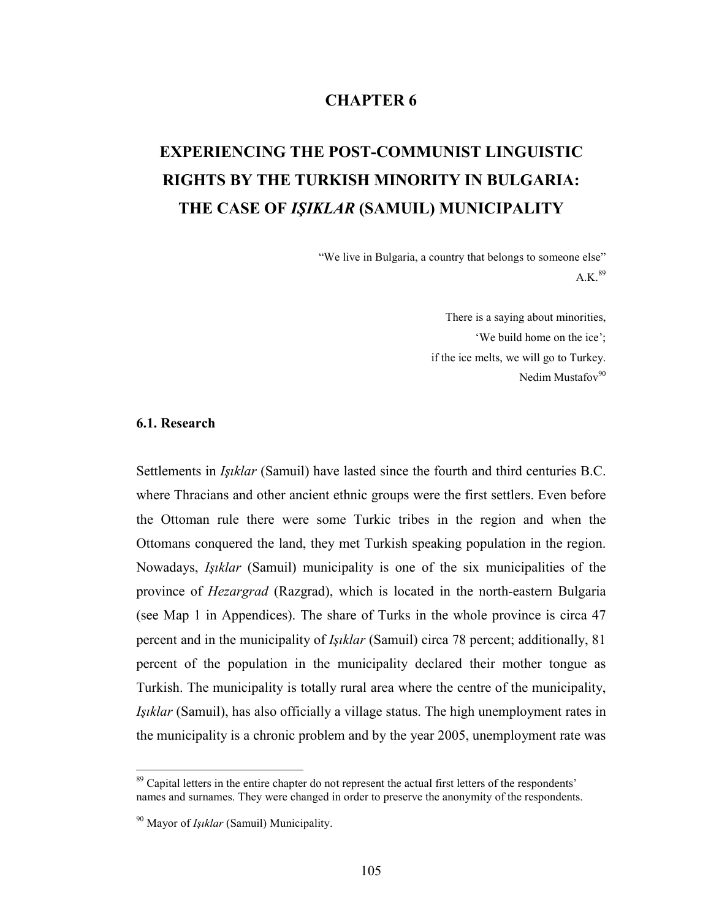### CHAPTER 6

# EXPERIENCING THE POST-COMMUNIST LINGUISTIC RIGHTS BY THE TURKISH MINORITY IN BULGARIA: THE CASE OF IŞIKLAR (SAMUIL) MUNICIPALITY

"We live in Bulgaria, a country that belongs to someone else"  $A.K.<sup>89</sup>$ 

> There is a saying about minorities, 'We build home on the ice'; if the ice melts, we will go to Turkey. Nedim Mustafov $90$

#### 6.1. Research

 $\overline{a}$ 

Settlements in Işıklar (Samuil) have lasted since the fourth and third centuries B.C. where Thracians and other ancient ethnic groups were the first settlers. Even before the Ottoman rule there were some Turkic tribes in the region and when the Ottomans conquered the land, they met Turkish speaking population in the region. Nowadays, Işıklar (Samuil) municipality is one of the six municipalities of the province of Hezargrad (Razgrad), which is located in the north-eastern Bulgaria (see Map 1 in Appendices). The share of Turks in the whole province is circa 47 percent and in the municipality of Işıklar (Samuil) circa 78 percent; additionally, 81 percent of the population in the municipality declared their mother tongue as Turkish. The municipality is totally rural area where the centre of the municipality, Işıklar (Samuil), has also officially a village status. The high unemployment rates in the municipality is a chronic problem and by the year 2005, unemployment rate was

<sup>&</sup>lt;sup>89</sup> Capital letters in the entire chapter do not represent the actual first letters of the respondents' names and surnames. They were changed in order to preserve the anonymity of the respondents.

 $90$  Mayor of *Isiklar* (Samuil) Municipality.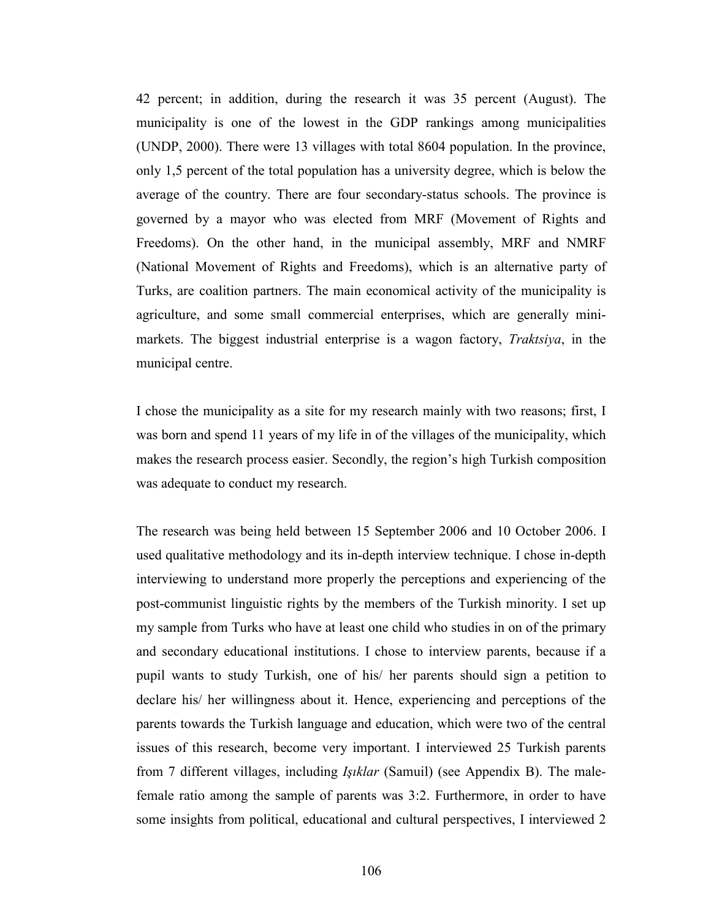42 percent; in addition, during the research it was 35 percent (August). The municipality is one of the lowest in the GDP rankings among municipalities (UNDP, 2000). There were 13 villages with total 8604 population. In the province, only 1,5 percent of the total population has a university degree, which is below the average of the country. There are four secondary-status schools. The province is governed by a mayor who was elected from MRF (Movement of Rights and Freedoms). On the other hand, in the municipal assembly, MRF and NMRF (National Movement of Rights and Freedoms), which is an alternative party of Turks, are coalition partners. The main economical activity of the municipality is agriculture, and some small commercial enterprises, which are generally minimarkets. The biggest industrial enterprise is a wagon factory, Traktsiya, in the municipal centre.

I chose the municipality as a site for my research mainly with two reasons; first, I was born and spend 11 years of my life in of the villages of the municipality, which makes the research process easier. Secondly, the region's high Turkish composition was adequate to conduct my research.

The research was being held between 15 September 2006 and 10 October 2006. I used qualitative methodology and its in-depth interview technique. I chose in-depth interviewing to understand more properly the perceptions and experiencing of the post-communist linguistic rights by the members of the Turkish minority. I set up my sample from Turks who have at least one child who studies in on of the primary and secondary educational institutions. I chose to interview parents, because if a pupil wants to study Turkish, one of his/ her parents should sign a petition to declare his/ her willingness about it. Hence, experiencing and perceptions of the parents towards the Turkish language and education, which were two of the central issues of this research, become very important. I interviewed 25 Turkish parents from 7 different villages, including Işıklar (Samuil) (see Appendix B). The malefemale ratio among the sample of parents was 3:2. Furthermore, in order to have some insights from political, educational and cultural perspectives, I interviewed 2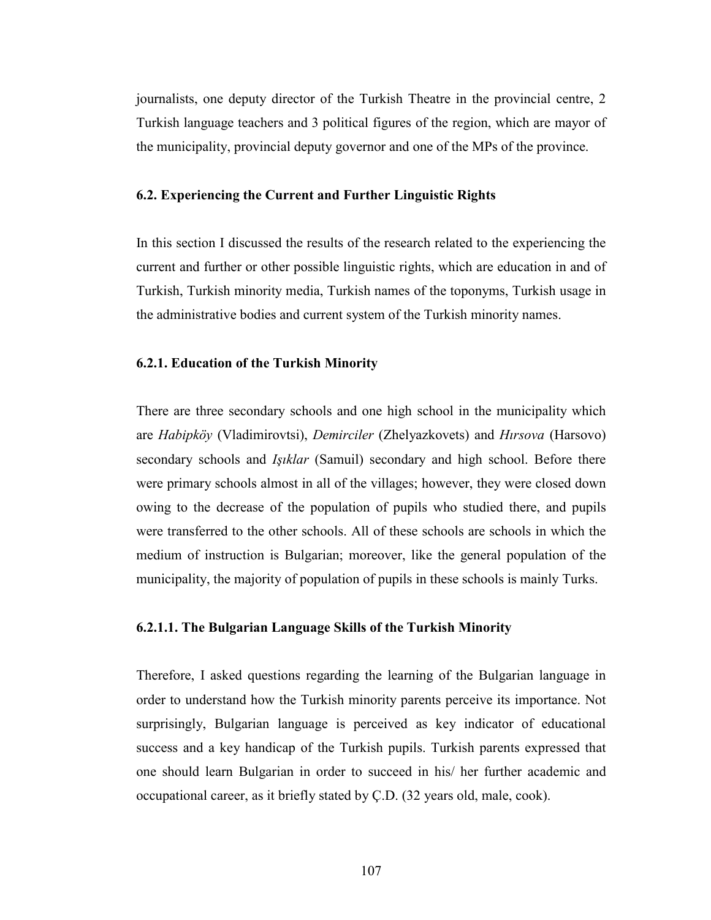journalists, one deputy director of the Turkish Theatre in the provincial centre, 2 Turkish language teachers and 3 political figures of the region, which are mayor of the municipality, provincial deputy governor and one of the MPs of the province.

#### 6.2. Experiencing the Current and Further Linguistic Rights

In this section I discussed the results of the research related to the experiencing the current and further or other possible linguistic rights, which are education in and of Turkish, Turkish minority media, Turkish names of the toponyms, Turkish usage in the administrative bodies and current system of the Turkish minority names.

#### 6.2.1. Education of the Turkish Minority

There are three secondary schools and one high school in the municipality which are Habipköy (Vladimirovtsi), Demirciler (Zhelyazkovets) and Hırsova (Harsovo) secondary schools and *Işıklar* (Samuil) secondary and high school. Before there were primary schools almost in all of the villages; however, they were closed down owing to the decrease of the population of pupils who studied there, and pupils were transferred to the other schools. All of these schools are schools in which the medium of instruction is Bulgarian; moreover, like the general population of the municipality, the majority of population of pupils in these schools is mainly Turks.

#### 6.2.1.1. The Bulgarian Language Skills of the Turkish Minority

Therefore, I asked questions regarding the learning of the Bulgarian language in order to understand how the Turkish minority parents perceive its importance. Not surprisingly, Bulgarian language is perceived as key indicator of educational success and a key handicap of the Turkish pupils. Turkish parents expressed that one should learn Bulgarian in order to succeed in his/ her further academic and occupational career, as it briefly stated by Ç.D. (32 years old, male, cook).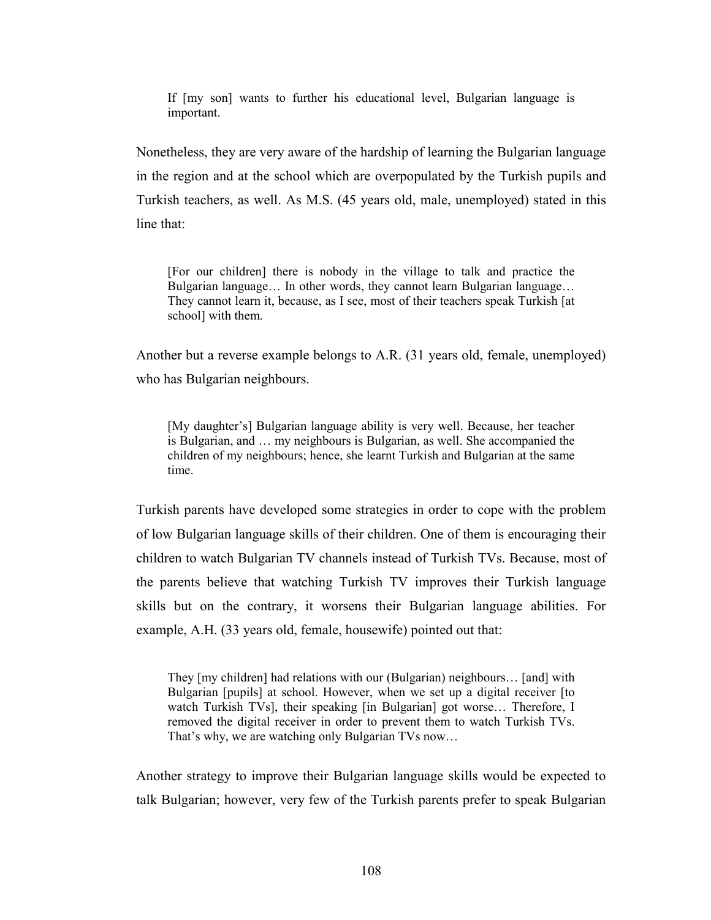If [my son] wants to further his educational level, Bulgarian language is important.

Nonetheless, they are very aware of the hardship of learning the Bulgarian language in the region and at the school which are overpopulated by the Turkish pupils and Turkish teachers, as well. As M.S. (45 years old, male, unemployed) stated in this line that:

[For our children] there is nobody in the village to talk and practice the Bulgarian language… In other words, they cannot learn Bulgarian language… They cannot learn it, because, as I see, most of their teachers speak Turkish [at school] with them.

Another but a reverse example belongs to A.R. (31 years old, female, unemployed) who has Bulgarian neighbours.

[My daughter's] Bulgarian language ability is very well. Because, her teacher is Bulgarian, and … my neighbours is Bulgarian, as well. She accompanied the children of my neighbours; hence, she learnt Turkish and Bulgarian at the same time.

Turkish parents have developed some strategies in order to cope with the problem of low Bulgarian language skills of their children. One of them is encouraging their children to watch Bulgarian TV channels instead of Turkish TVs. Because, most of the parents believe that watching Turkish TV improves their Turkish language skills but on the contrary, it worsens their Bulgarian language abilities. For example, A.H. (33 years old, female, housewife) pointed out that:

They [my children] had relations with our (Bulgarian) neighbours… [and] with Bulgarian [pupils] at school. However, when we set up a digital receiver [to watch Turkish TVs], their speaking [in Bulgarian] got worse... Therefore, I removed the digital receiver in order to prevent them to watch Turkish TVs. That's why, we are watching only Bulgarian TVs now…

Another strategy to improve their Bulgarian language skills would be expected to talk Bulgarian; however, very few of the Turkish parents prefer to speak Bulgarian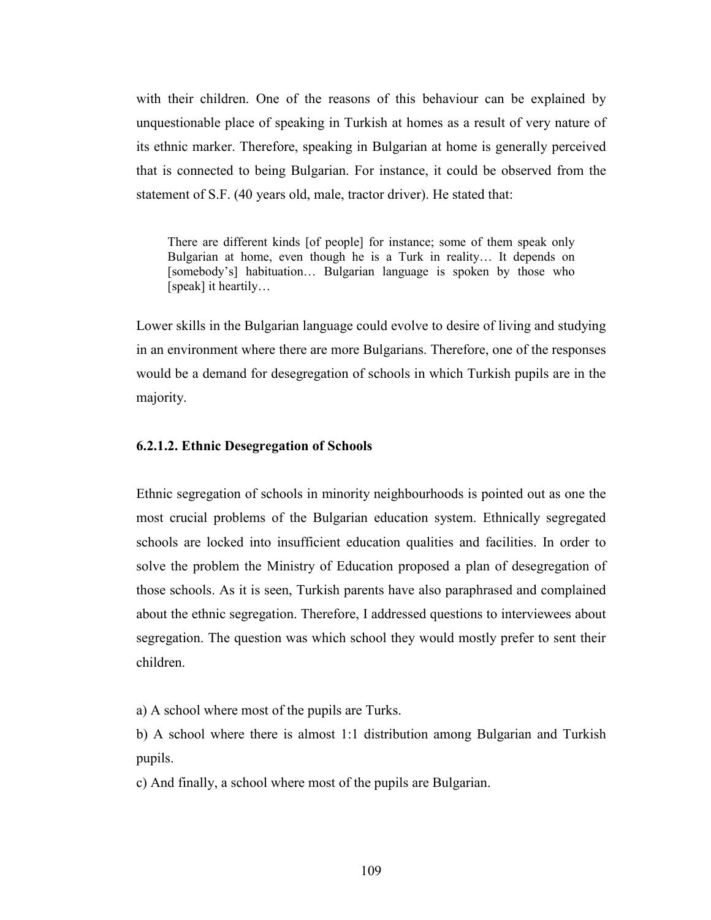with their children. One of the reasons of this behaviour can be explained by unquestionable place of speaking in Turkish at homes as a result of very nature of its ethnic marker. Therefore, speaking in Bulgarian at home is generally perceived that is connected to being Bulgarian. For instance, it could be observed from the statement of S.F. (40 years old, male, tractor driver). He stated that:

There are different kinds [of people] for instance; some of them speak only Bulgarian at home, even though he is a Turk in reality… It depends on [somebody's] habituation... Bulgarian language is spoken by those who [speak] it heartily…

Lower skills in the Bulgarian language could evolve to desire of living and studying in an environment where there are more Bulgarians. Therefore, one of the responses would be a demand for desegregation of schools in which Turkish pupils are in the majority.

#### 6.2.1.2. Ethnic Desegregation of Schools

Ethnic segregation of schools in minority neighbourhoods is pointed out as one the most crucial problems of the Bulgarian education system. Ethnically segregated schools are locked into insufficient education qualities and facilities. In order to solve the problem the Ministry of Education proposed a plan of desegregation of those schools. As it is seen, Turkish parents have also paraphrased and complained about the ethnic segregation. Therefore, I addressed questions to interviewees about segregation. The question was which school they would mostly prefer to sent their children.

a) A school where most of the pupils are Turks.

b) A school where there is almost 1:1 distribution among Bulgarian and Turkish pupils.

c) And finally, a school where most of the pupils are Bulgarian.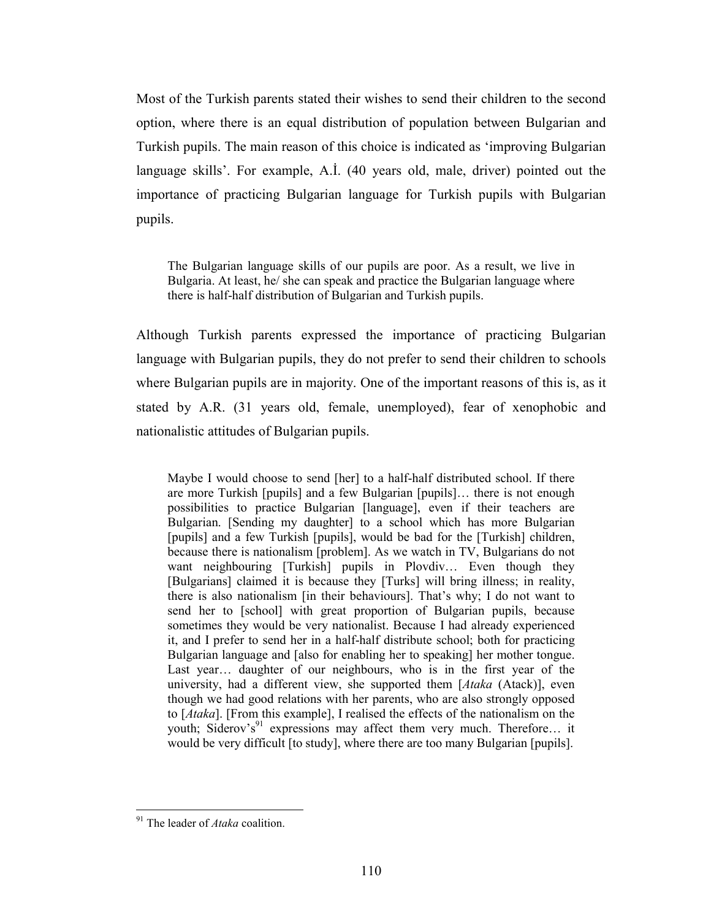Most of the Turkish parents stated their wishes to send their children to the second option, where there is an equal distribution of population between Bulgarian and Turkish pupils. The main reason of this choice is indicated as 'improving Bulgarian language skills'. For example, A.İ. (40 years old, male, driver) pointed out the importance of practicing Bulgarian language for Turkish pupils with Bulgarian pupils.

The Bulgarian language skills of our pupils are poor. As a result, we live in Bulgaria. At least, he/ she can speak and practice the Bulgarian language where there is half-half distribution of Bulgarian and Turkish pupils.

Although Turkish parents expressed the importance of practicing Bulgarian language with Bulgarian pupils, they do not prefer to send their children to schools where Bulgarian pupils are in majority. One of the important reasons of this is, as it stated by A.R. (31 years old, female, unemployed), fear of xenophobic and nationalistic attitudes of Bulgarian pupils.

Maybe I would choose to send [her] to a half-half distributed school. If there are more Turkish [pupils] and a few Bulgarian [pupils]… there is not enough possibilities to practice Bulgarian [language], even if their teachers are Bulgarian. [Sending my daughter] to a school which has more Bulgarian [pupils] and a few Turkish [pupils], would be bad for the [Turkish] children, because there is nationalism [problem]. As we watch in TV, Bulgarians do not want neighbouring [Turkish] pupils in Plovdiv... Even though they [Bulgarians] claimed it is because they [Turks] will bring illness; in reality, there is also nationalism [in their behaviours]. That's why; I do not want to send her to [school] with great proportion of Bulgarian pupils, because sometimes they would be very nationalist. Because I had already experienced it, and I prefer to send her in a half-half distribute school; both for practicing Bulgarian language and [also for enabling her to speaking] her mother tongue. Last year… daughter of our neighbours, who is in the first year of the university, had a different view, she supported them [Ataka (Atack)], even though we had good relations with her parents, who are also strongly opposed to [Ataka]. [From this example], I realised the effects of the nationalism on the youth; Siderov's<sup>91</sup> expressions may affect them very much. Therefore... it would be very difficult [to study], where there are too many Bulgarian [pupils].

 $\overline{a}$  $91$  The leader of *Ataka* coalition.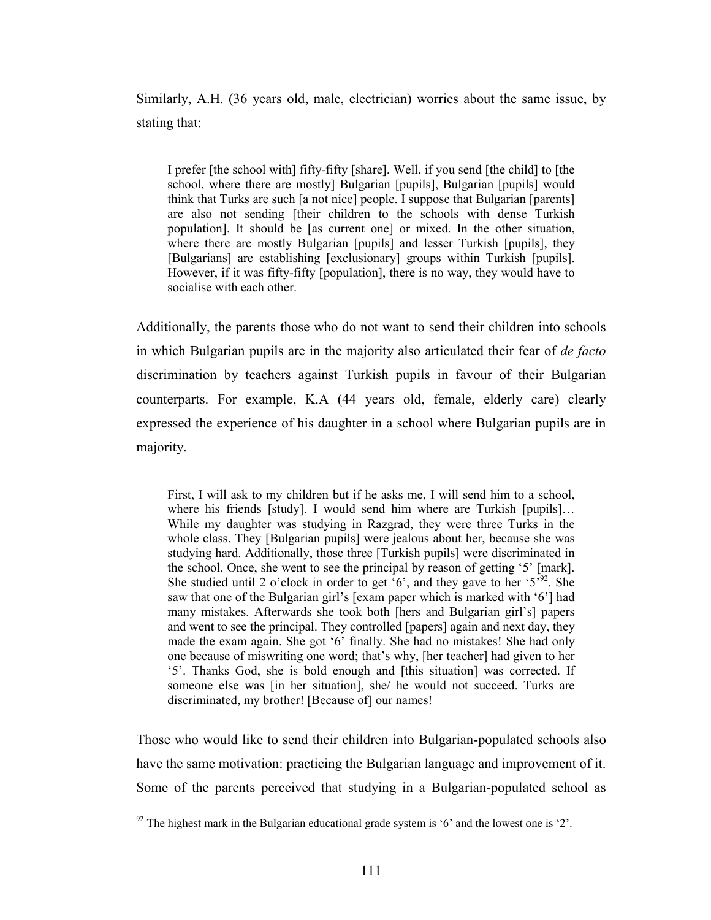Similarly, A.H. (36 years old, male, electrician) worries about the same issue, by stating that:

I prefer [the school with] fifty-fifty [share]. Well, if you send [the child] to [the school, where there are mostly] Bulgarian [pupils], Bulgarian [pupils] would think that Turks are such [a not nice] people. I suppose that Bulgarian [parents] are also not sending [their children to the schools with dense Turkish population]. It should be [as current one] or mixed. In the other situation, where there are mostly Bulgarian [pupils] and lesser Turkish [pupils], they [Bulgarians] are establishing [exclusionary] groups within Turkish [pupils]. However, if it was fifty-fifty [population], there is no way, they would have to socialise with each other.

Additionally, the parents those who do not want to send their children into schools in which Bulgarian pupils are in the majority also articulated their fear of de facto discrimination by teachers against Turkish pupils in favour of their Bulgarian counterparts. For example, K.A (44 years old, female, elderly care) clearly expressed the experience of his daughter in a school where Bulgarian pupils are in majority.

First, I will ask to my children but if he asks me, I will send him to a school, where his friends [study]. I would send him where are Turkish [pupils]... While my daughter was studying in Razgrad, they were three Turks in the whole class. They [Bulgarian pupils] were jealous about her, because she was studying hard. Additionally, those three [Turkish pupils] were discriminated in the school. Once, she went to see the principal by reason of getting '5' [mark]. She studied until 2 o'clock in order to get  $6'$ , and they gave to her  $5^{392}$ . She saw that one of the Bulgarian girl's [exam paper which is marked with '6'] had many mistakes. Afterwards she took both [hers and Bulgarian girl's] papers and went to see the principal. They controlled [papers] again and next day, they made the exam again. She got '6' finally. She had no mistakes! She had only one because of miswriting one word; that's why, [her teacher] had given to her '5'. Thanks God, she is bold enough and [this situation] was corrected. If someone else was [in her situation], she/ he would not succeed. Turks are discriminated, my brother! [Because of] our names!

Those who would like to send their children into Bulgarian-populated schools also have the same motivation: practicing the Bulgarian language and improvement of it. Some of the parents perceived that studying in a Bulgarian-populated school as

 $92$  The highest mark in the Bulgarian educational grade system is '6' and the lowest one is '2'.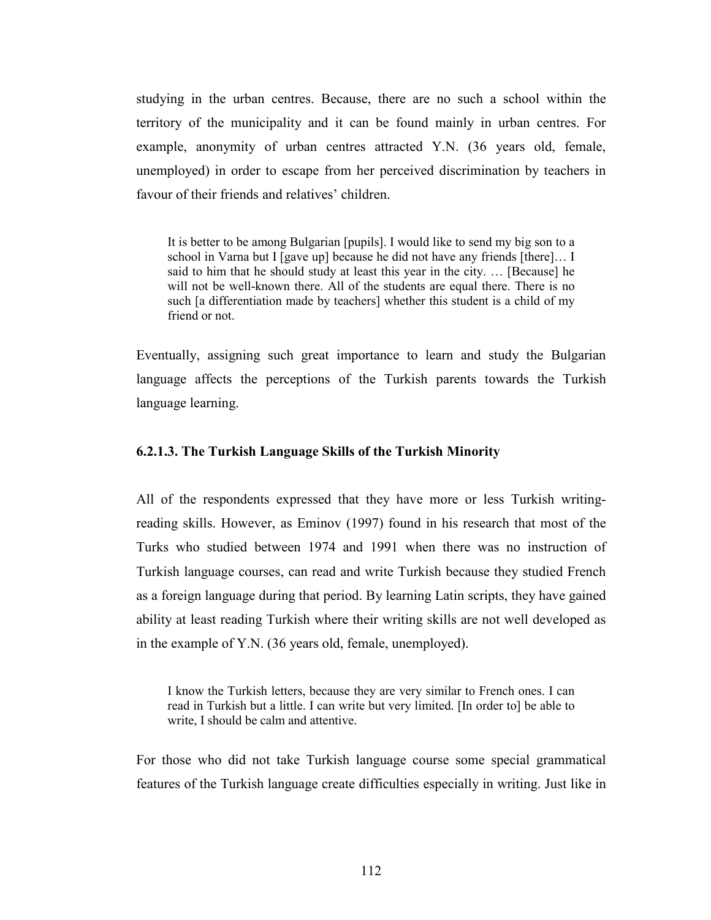studying in the urban centres. Because, there are no such a school within the territory of the municipality and it can be found mainly in urban centres. For example, anonymity of urban centres attracted Y.N. (36 years old, female, unemployed) in order to escape from her perceived discrimination by teachers in favour of their friends and relatives' children.

It is better to be among Bulgarian [pupils]. I would like to send my big son to a school in Varna but I [gave up] because he did not have any friends [there]… I said to him that he should study at least this year in the city. … [Because] he will not be well-known there. All of the students are equal there. There is no such [a differentiation made by teachers] whether this student is a child of my friend or not.

Eventually, assigning such great importance to learn and study the Bulgarian language affects the perceptions of the Turkish parents towards the Turkish language learning.

#### 6.2.1.3. The Turkish Language Skills of the Turkish Minority

All of the respondents expressed that they have more or less Turkish writingreading skills. However, as Eminov (1997) found in his research that most of the Turks who studied between 1974 and 1991 when there was no instruction of Turkish language courses, can read and write Turkish because they studied French as a foreign language during that period. By learning Latin scripts, they have gained ability at least reading Turkish where their writing skills are not well developed as in the example of Y.N. (36 years old, female, unemployed).

I know the Turkish letters, because they are very similar to French ones. I can read in Turkish but a little. I can write but very limited. [In order to] be able to write, I should be calm and attentive.

For those who did not take Turkish language course some special grammatical features of the Turkish language create difficulties especially in writing. Just like in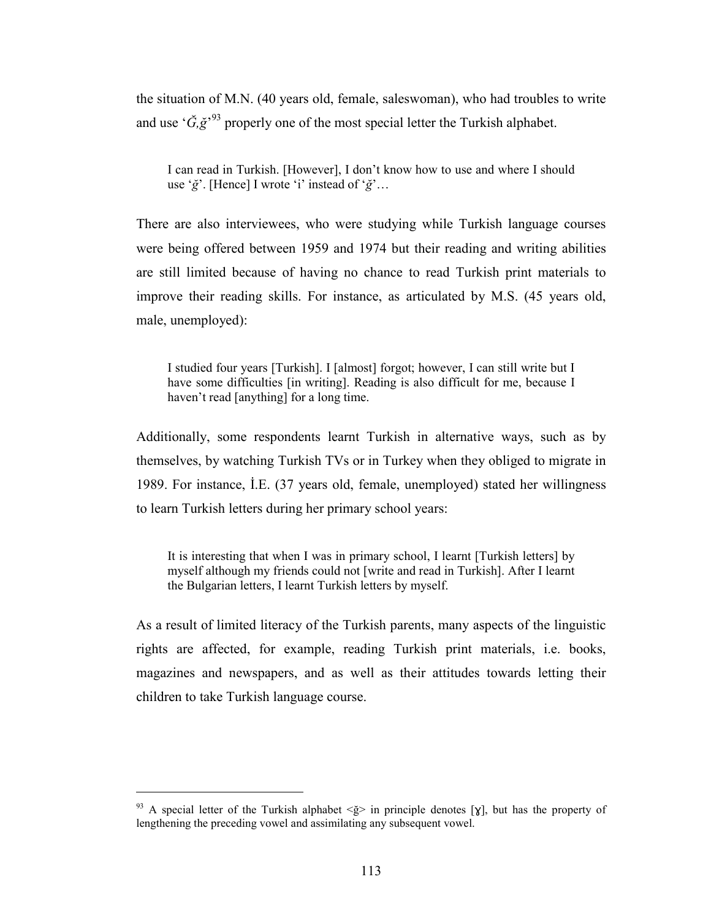the situation of M.N. (40 years old, female, saleswoman), who had troubles to write and use ' $\check{G}, \check{g}$ <sup>33</sup> properly one of the most special letter the Turkish alphabet.

I can read in Turkish. [However], I don't know how to use and where I should use ' $\check{g}$ '. [Hence] I wrote 'i' instead of ' $\check{g}$ '...

There are also interviewees, who were studying while Turkish language courses were being offered between 1959 and 1974 but their reading and writing abilities are still limited because of having no chance to read Turkish print materials to improve their reading skills. For instance, as articulated by M.S. (45 years old, male, unemployed):

I studied four years [Turkish]. I [almost] forgot; however, I can still write but I have some difficulties [in writing]. Reading is also difficult for me, because I haven't read [anything] for a long time.

Additionally, some respondents learnt Turkish in alternative ways, such as by themselves, by watching Turkish TVs or in Turkey when they obliged to migrate in 1989. For instance, İ.E. (37 years old, female, unemployed) stated her willingness to learn Turkish letters during her primary school years:

It is interesting that when I was in primary school, I learnt [Turkish letters] by myself although my friends could not [write and read in Turkish]. After I learnt the Bulgarian letters, I learnt Turkish letters by myself.

As a result of limited literacy of the Turkish parents, many aspects of the linguistic rights are affected, for example, reading Turkish print materials, i.e. books, magazines and newspapers, and as well as their attitudes towards letting their children to take Turkish language course.

<sup>&</sup>lt;sup>93</sup> A special letter of the Turkish alphabet  $\langle \xi \rangle$  in principle denotes [x], but has the property of lengthening the preceding vowel and assimilating any subsequent vowel.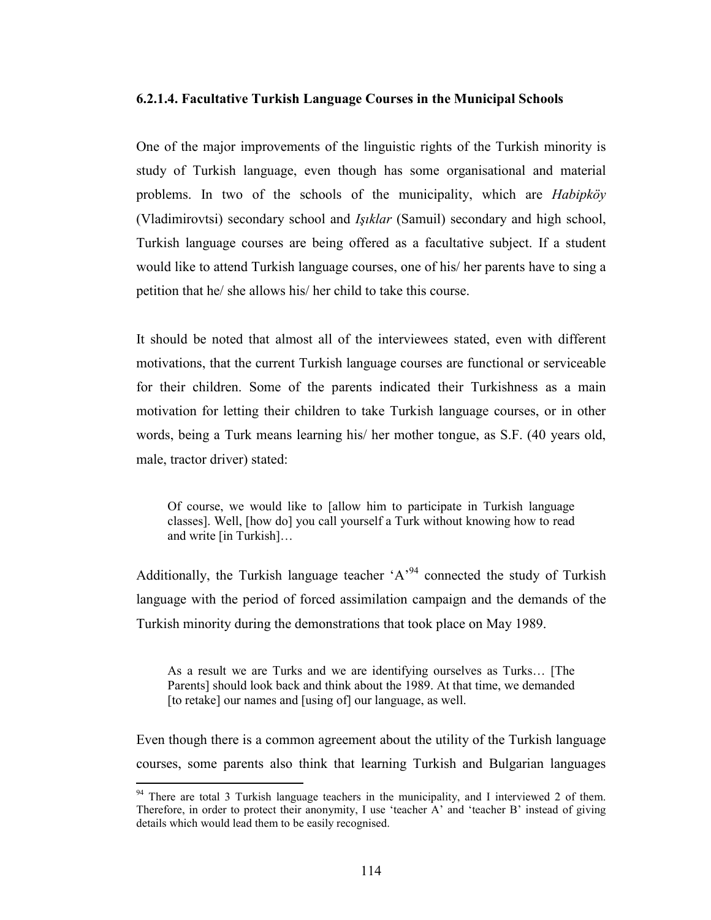#### 6.2.1.4. Facultative Turkish Language Courses in the Municipal Schools

One of the major improvements of the linguistic rights of the Turkish minority is study of Turkish language, even though has some organisational and material problems. In two of the schools of the municipality, which are Habipköy (Vladimirovtsi) secondary school and Işıklar (Samuil) secondary and high school, Turkish language courses are being offered as a facultative subject. If a student would like to attend Turkish language courses, one of his/ her parents have to sing a petition that he/ she allows his/ her child to take this course.

It should be noted that almost all of the interviewees stated, even with different motivations, that the current Turkish language courses are functional or serviceable for their children. Some of the parents indicated their Turkishness as a main motivation for letting their children to take Turkish language courses, or in other words, being a Turk means learning his/ her mother tongue, as S.F. (40 years old, male, tractor driver) stated:

Of course, we would like to [allow him to participate in Turkish language classes]. Well, [how do] you call yourself a Turk without knowing how to read and write [in Turkish]…

Additionally, the Turkish language teacher 'A'<sup>94</sup> connected the study of Turkish language with the period of forced assimilation campaign and the demands of the Turkish minority during the demonstrations that took place on May 1989.

As a result we are Turks and we are identifying ourselves as Turks… [The Parents] should look back and think about the 1989. At that time, we demanded [to retake] our names and [using of] our language, as well.

Even though there is a common agreement about the utility of the Turkish language courses, some parents also think that learning Turkish and Bulgarian languages

<sup>&</sup>lt;sup>94</sup> There are total 3 Turkish language teachers in the municipality, and I interviewed 2 of them. Therefore, in order to protect their anonymity, I use 'teacher A' and 'teacher B' instead of giving details which would lead them to be easily recognised.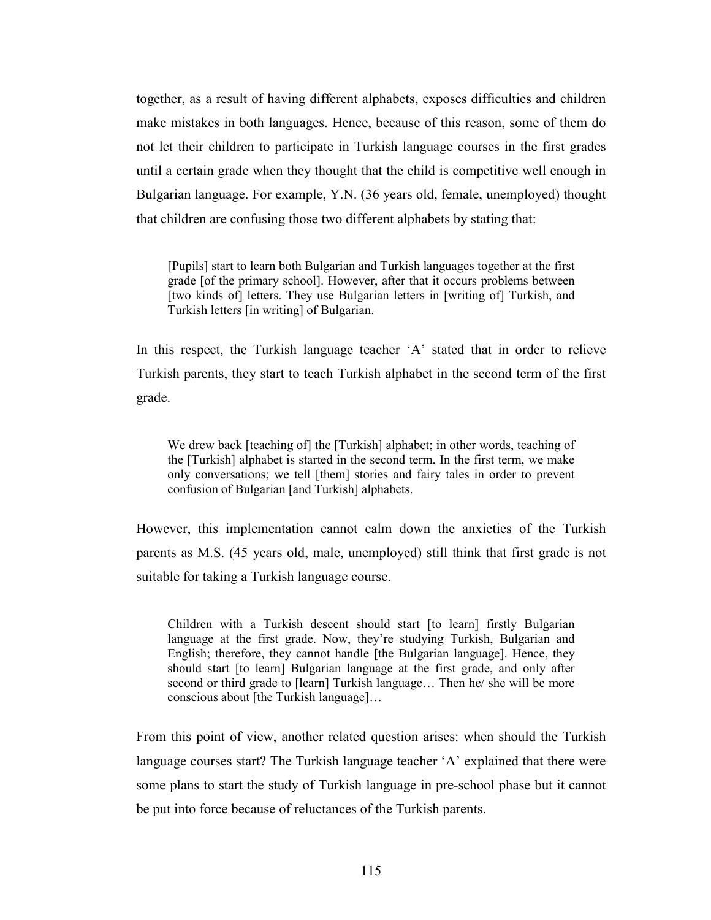together, as a result of having different alphabets, exposes difficulties and children make mistakes in both languages. Hence, because of this reason, some of them do not let their children to participate in Turkish language courses in the first grades until a certain grade when they thought that the child is competitive well enough in Bulgarian language. For example, Y.N. (36 years old, female, unemployed) thought that children are confusing those two different alphabets by stating that:

[Pupils] start to learn both Bulgarian and Turkish languages together at the first grade [of the primary school]. However, after that it occurs problems between [two kinds of] letters. They use Bulgarian letters in [writing of] Turkish, and Turkish letters [in writing] of Bulgarian.

In this respect, the Turkish language teacher 'A' stated that in order to relieve Turkish parents, they start to teach Turkish alphabet in the second term of the first grade.

We drew back [teaching of] the [Turkish] alphabet; in other words, teaching of the [Turkish] alphabet is started in the second term. In the first term, we make only conversations; we tell [them] stories and fairy tales in order to prevent confusion of Bulgarian [and Turkish] alphabets.

However, this implementation cannot calm down the anxieties of the Turkish parents as M.S. (45 years old, male, unemployed) still think that first grade is not suitable for taking a Turkish language course.

Children with a Turkish descent should start [to learn] firstly Bulgarian language at the first grade. Now, they're studying Turkish, Bulgarian and English; therefore, they cannot handle [the Bulgarian language]. Hence, they should start [to learn] Bulgarian language at the first grade, and only after second or third grade to [learn] Turkish language… Then he/ she will be more conscious about [the Turkish language]…

From this point of view, another related question arises: when should the Turkish language courses start? The Turkish language teacher 'A' explained that there were some plans to start the study of Turkish language in pre-school phase but it cannot be put into force because of reluctances of the Turkish parents.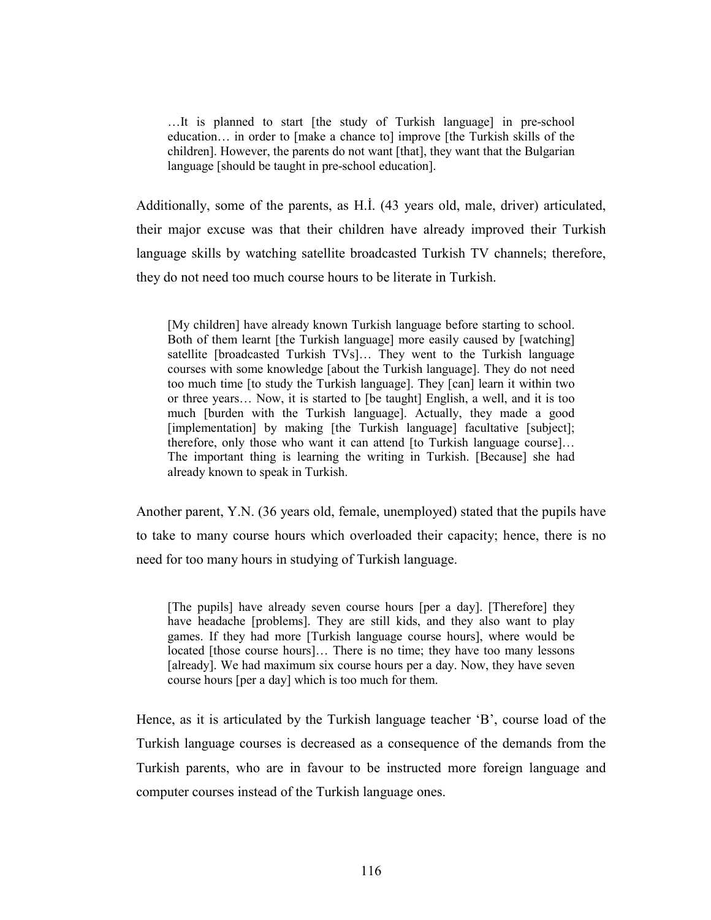…It is planned to start [the study of Turkish language] in pre-school education… in order to [make a chance to] improve [the Turkish skills of the children]. However, the parents do not want [that], they want that the Bulgarian language [should be taught in pre-school education].

Additionally, some of the parents, as H.İ. (43 years old, male, driver) articulated, their major excuse was that their children have already improved their Turkish language skills by watching satellite broadcasted Turkish TV channels; therefore, they do not need too much course hours to be literate in Turkish.

[My children] have already known Turkish language before starting to school. Both of them learnt [the Turkish language] more easily caused by [watching] satellite [broadcasted Turkish TVs]… They went to the Turkish language courses with some knowledge [about the Turkish language]. They do not need too much time [to study the Turkish language]. They [can] learn it within two or three years… Now, it is started to [be taught] English, a well, and it is too much [burden with the Turkish language]. Actually, they made a good [implementation] by making [the Turkish language] facultative [subject]; therefore, only those who want it can attend [to Turkish language course]… The important thing is learning the writing in Turkish. [Because] she had already known to speak in Turkish.

Another parent, Y.N. (36 years old, female, unemployed) stated that the pupils have to take to many course hours which overloaded their capacity; hence, there is no need for too many hours in studying of Turkish language.

[The pupils] have already seven course hours [per a day]. [Therefore] they have headache [problems]. They are still kids, and they also want to play games. If they had more [Turkish language course hours], where would be located [those course hours]... There is no time; they have too many lessons [already]. We had maximum six course hours per a day. Now, they have seven course hours [per a day] which is too much for them.

Hence, as it is articulated by the Turkish language teacher 'B', course load of the Turkish language courses is decreased as a consequence of the demands from the Turkish parents, who are in favour to be instructed more foreign language and computer courses instead of the Turkish language ones.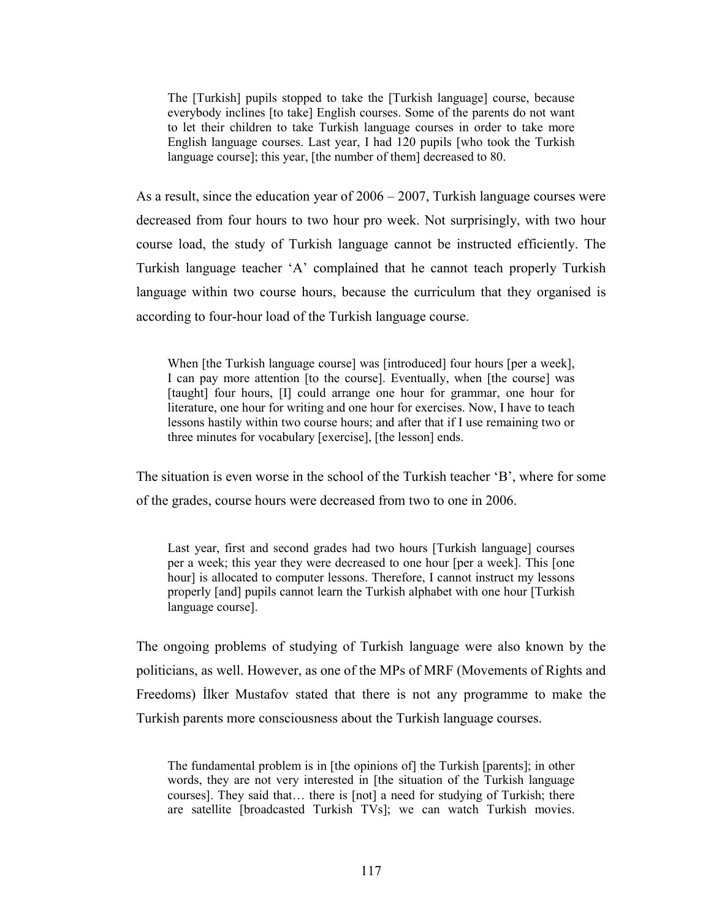The [Turkish] pupils stopped to take the [Turkish language] course, because everybody inclines [to take] English courses. Some of the parents do not want to let their children to take Turkish language courses in order to take more English language courses. Last year, I had 120 pupils [who took the Turkish language course]; this year, [the number of them] decreased to 80.

As a result, since the education year of 2006 – 2007, Turkish language courses were decreased from four hours to two hour pro week. Not surprisingly, with two hour course load, the study of Turkish language cannot be instructed efficiently. The Turkish language teacher 'A' complained that he cannot teach properly Turkish language within two course hours, because the curriculum that they organised is according to four-hour load of the Turkish language course.

When [the Turkish language course] was [introduced] four hours [per a week], I can pay more attention [to the course]. Eventually, when [the course] was [taught] four hours, [I] could arrange one hour for grammar, one hour for literature, one hour for writing and one hour for exercises. Now, I have to teach lessons hastily within two course hours; and after that if I use remaining two or three minutes for vocabulary [exercise], [the lesson] ends.

The situation is even worse in the school of the Turkish teacher 'B', where for some of the grades, course hours were decreased from two to one in 2006.

Last year, first and second grades had two hours [Turkish language] courses per a week; this year they were decreased to one hour [per a week]. This [one hour] is allocated to computer lessons. Therefore, I cannot instruct my lessons properly [and] pupils cannot learn the Turkish alphabet with one hour [Turkish language course].

The ongoing problems of studying of Turkish language were also known by the politicians, as well. However, as one of the MPs of MRF (Movements of Rights and Freedoms) İlker Mustafov stated that there is not any programme to make the Turkish parents more consciousness about the Turkish language courses.

The fundamental problem is in [the opinions of] the Turkish [parents]; in other words, they are not very interested in [the situation of the Turkish language courses]. They said that… there is [not] a need for studying of Turkish; there are satellite [broadcasted Turkish TVs]; we can watch Turkish movies.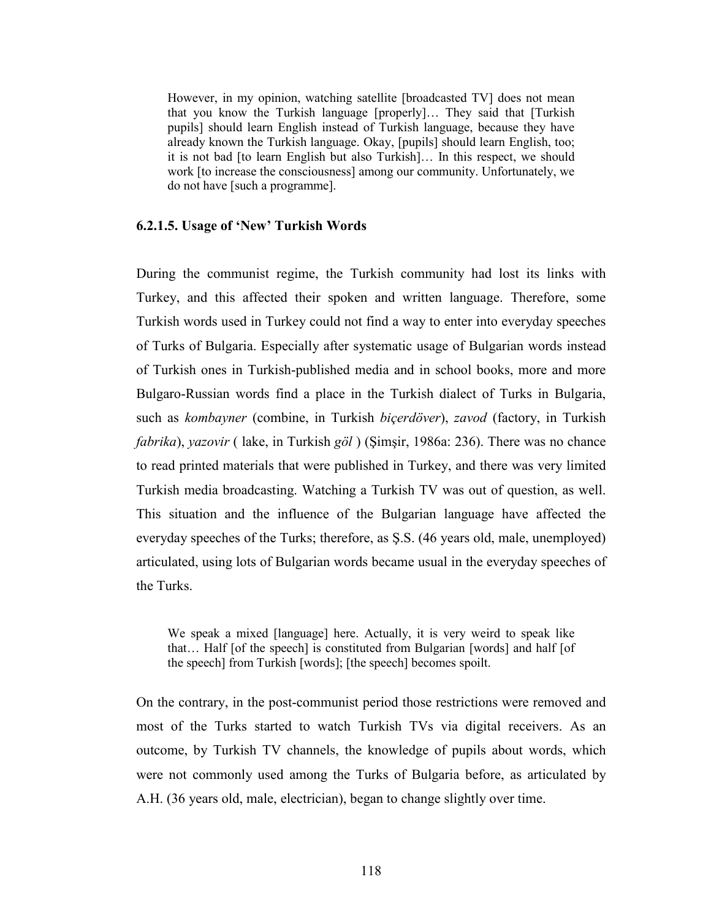However, in my opinion, watching satellite [broadcasted TV] does not mean that you know the Turkish language [properly]… They said that [Turkish pupils] should learn English instead of Turkish language, because they have already known the Turkish language. Okay, [pupils] should learn English, too; it is not bad [to learn English but also Turkish]… In this respect, we should work [to increase the consciousness] among our community. Unfortunately, we do not have [such a programme].

#### 6.2.1.5. Usage of 'New' Turkish Words

During the communist regime, the Turkish community had lost its links with Turkey, and this affected their spoken and written language. Therefore, some Turkish words used in Turkey could not find a way to enter into everyday speeches of Turks of Bulgaria. Especially after systematic usage of Bulgarian words instead of Turkish ones in Turkish-published media and in school books, more and more Bulgaro-Russian words find a place in the Turkish dialect of Turks in Bulgaria, such as kombayner (combine, in Turkish biçerdöver), zavod (factory, in Turkish fabrika), yazovir ( lake, in Turkish göl ) (Şimşir, 1986a: 236). There was no chance to read printed materials that were published in Turkey, and there was very limited Turkish media broadcasting. Watching a Turkish TV was out of question, as well. This situation and the influence of the Bulgarian language have affected the everyday speeches of the Turks; therefore, as Ş.S. (46 years old, male, unemployed) articulated, using lots of Bulgarian words became usual in the everyday speeches of the Turks.

We speak a mixed [language] here. Actually, it is very weird to speak like that… Half [of the speech] is constituted from Bulgarian [words] and half [of the speech] from Turkish [words]; [the speech] becomes spoilt.

On the contrary, in the post-communist period those restrictions were removed and most of the Turks started to watch Turkish TVs via digital receivers. As an outcome, by Turkish TV channels, the knowledge of pupils about words, which were not commonly used among the Turks of Bulgaria before, as articulated by A.H. (36 years old, male, electrician), began to change slightly over time.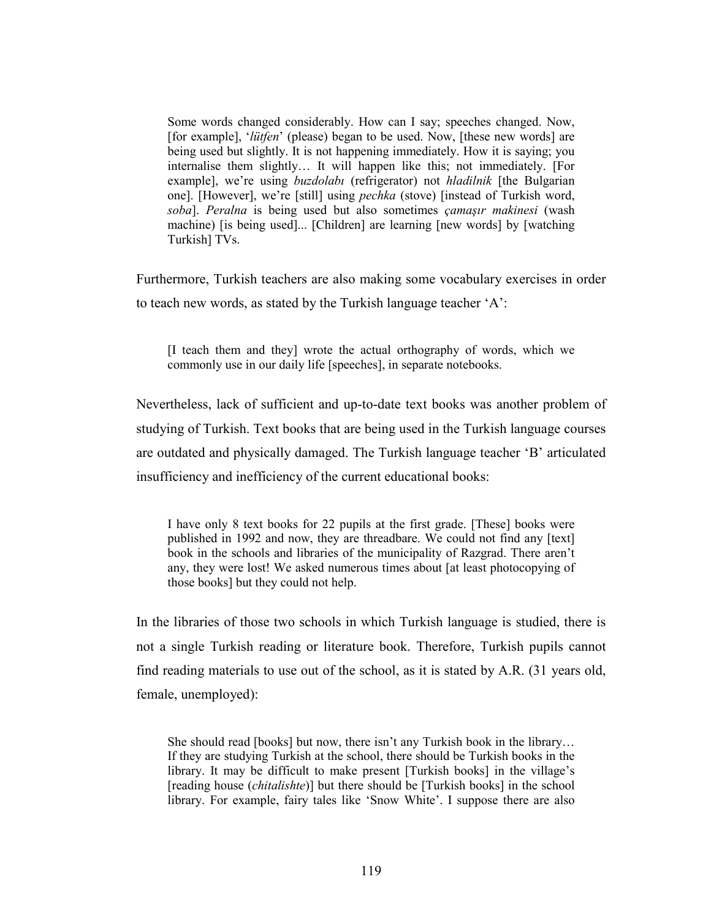Some words changed considerably. How can I say; speeches changed. Now, [for example], '*lütfen*' (please) began to be used. Now, [these new words] are being used but slightly. It is not happening immediately. How it is saying; you internalise them slightly… It will happen like this; not immediately. [For example], we're using *buzdolabı* (refrigerator) not *hladilnik* [the Bulgarian one]. [However], we're [still] using pechka (stove) [instead of Turkish word, soba]. Peralna is being used but also sometimes çamaşır makinesi (wash machine) [is being used]... [Children] are learning [new words] by [watching Turkish] TVs.

Furthermore, Turkish teachers are also making some vocabulary exercises in order to teach new words, as stated by the Turkish language teacher 'A':

[I teach them and they] wrote the actual orthography of words, which we commonly use in our daily life [speeches], in separate notebooks.

Nevertheless, lack of sufficient and up-to-date text books was another problem of studying of Turkish. Text books that are being used in the Turkish language courses are outdated and physically damaged. The Turkish language teacher 'B' articulated insufficiency and inefficiency of the current educational books:

I have only 8 text books for 22 pupils at the first grade. [These] books were published in 1992 and now, they are threadbare. We could not find any [text] book in the schools and libraries of the municipality of Razgrad. There aren't any, they were lost! We asked numerous times about [at least photocopying of those books] but they could not help.

In the libraries of those two schools in which Turkish language is studied, there is not a single Turkish reading or literature book. Therefore, Turkish pupils cannot find reading materials to use out of the school, as it is stated by A.R. (31 years old, female, unemployed):

She should read [books] but now, there isn't any Turkish book in the library… If they are studying Turkish at the school, there should be Turkish books in the library. It may be difficult to make present [Turkish books] in the village's [reading house (*chitalishte*)] but there should be [Turkish books] in the school library. For example, fairy tales like 'Snow White'. I suppose there are also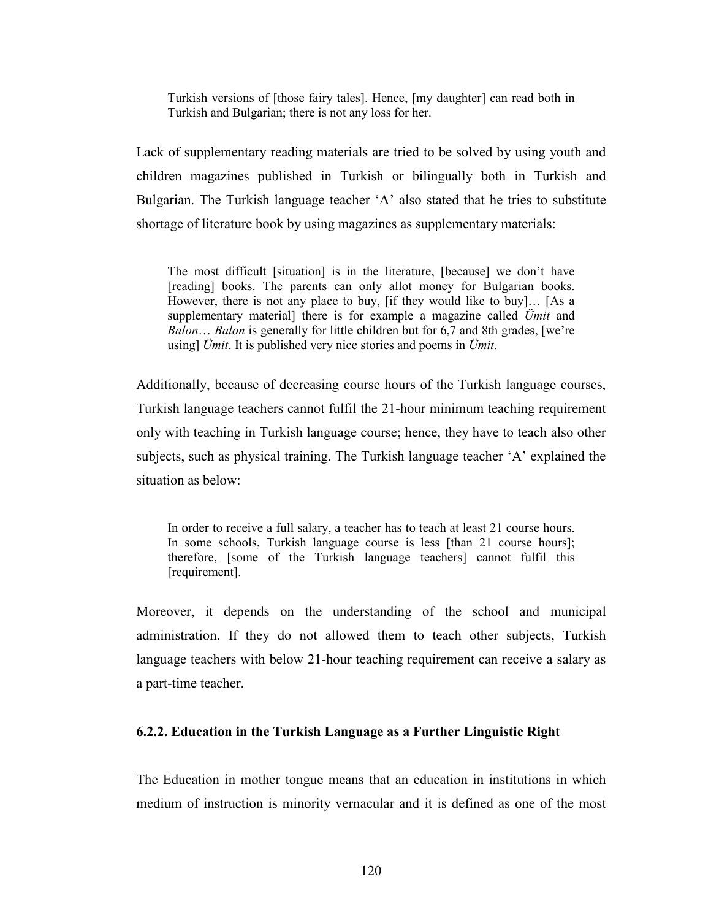Turkish versions of [those fairy tales]. Hence, [my daughter] can read both in Turkish and Bulgarian; there is not any loss for her.

Lack of supplementary reading materials are tried to be solved by using youth and children magazines published in Turkish or bilingually both in Turkish and Bulgarian. The Turkish language teacher 'A' also stated that he tries to substitute shortage of literature book by using magazines as supplementary materials:

The most difficult [situation] is in the literature, [because] we don't have [reading] books. The parents can only allot money for Bulgarian books. However, there is not any place to buy, [if they would like to buy]… [As a supplementary material] there is for example a magazine called  $\ddot{U}$ mit and Balon... Balon is generally for little children but for 6,7 and 8th grades, [we're using]  $\ddot{U}$ mit. It is published very nice stories and poems in  $\ddot{U}$ mit.

Additionally, because of decreasing course hours of the Turkish language courses, Turkish language teachers cannot fulfil the 21-hour minimum teaching requirement only with teaching in Turkish language course; hence, they have to teach also other subjects, such as physical training. The Turkish language teacher 'A' explained the situation as below:

In order to receive a full salary, a teacher has to teach at least 21 course hours. In some schools, Turkish language course is less [than 21 course hours]; therefore, [some of the Turkish language teachers] cannot fulfil this [requirement].

Moreover, it depends on the understanding of the school and municipal administration. If they do not allowed them to teach other subjects, Turkish language teachers with below 21-hour teaching requirement can receive a salary as a part-time teacher.

#### 6.2.2. Education in the Turkish Language as a Further Linguistic Right

The Education in mother tongue means that an education in institutions in which medium of instruction is minority vernacular and it is defined as one of the most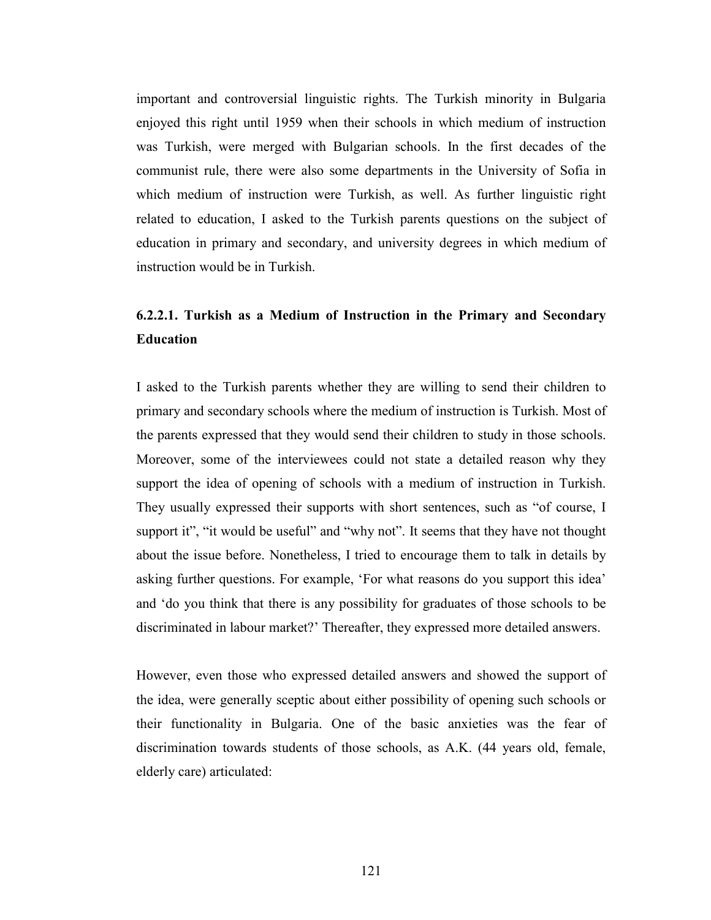important and controversial linguistic rights. The Turkish minority in Bulgaria enjoyed this right until 1959 when their schools in which medium of instruction was Turkish, were merged with Bulgarian schools. In the first decades of the communist rule, there were also some departments in the University of Sofia in which medium of instruction were Turkish, as well. As further linguistic right related to education, I asked to the Turkish parents questions on the subject of education in primary and secondary, and university degrees in which medium of instruction would be in Turkish.

## 6.2.2.1. Turkish as a Medium of Instruction in the Primary and Secondary Education

I asked to the Turkish parents whether they are willing to send their children to primary and secondary schools where the medium of instruction is Turkish. Most of the parents expressed that they would send their children to study in those schools. Moreover, some of the interviewees could not state a detailed reason why they support the idea of opening of schools with a medium of instruction in Turkish. They usually expressed their supports with short sentences, such as "of course, I support it", "it would be useful" and "why not". It seems that they have not thought about the issue before. Nonetheless, I tried to encourage them to talk in details by asking further questions. For example, 'For what reasons do you support this idea' and 'do you think that there is any possibility for graduates of those schools to be discriminated in labour market?' Thereafter, they expressed more detailed answers.

However, even those who expressed detailed answers and showed the support of the idea, were generally sceptic about either possibility of opening such schools or their functionality in Bulgaria. One of the basic anxieties was the fear of discrimination towards students of those schools, as A.K. (44 years old, female, elderly care) articulated: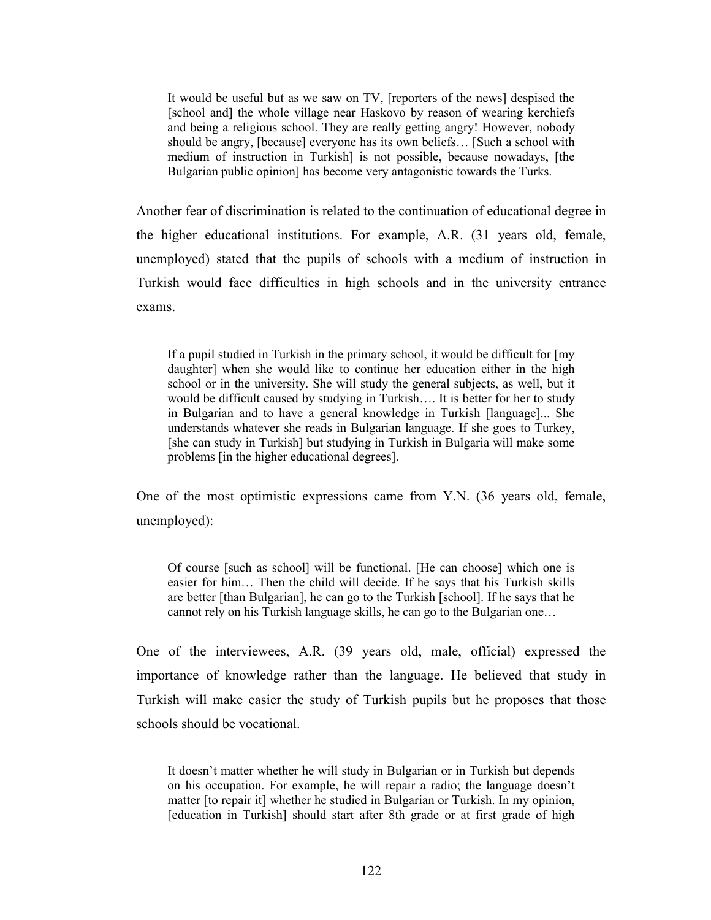It would be useful but as we saw on TV, [reporters of the news] despised the [school and] the whole village near Haskovo by reason of wearing kerchiefs and being a religious school. They are really getting angry! However, nobody should be angry, [because] everyone has its own beliefs… [Such a school with medium of instruction in Turkish] is not possible, because nowadays, [the Bulgarian public opinion] has become very antagonistic towards the Turks.

Another fear of discrimination is related to the continuation of educational degree in the higher educational institutions. For example, A.R. (31 years old, female, unemployed) stated that the pupils of schools with a medium of instruction in Turkish would face difficulties in high schools and in the university entrance exams.

If a pupil studied in Turkish in the primary school, it would be difficult for [my daughter] when she would like to continue her education either in the high school or in the university. She will study the general subjects, as well, but it would be difficult caused by studying in Turkish…. It is better for her to study in Bulgarian and to have a general knowledge in Turkish [language]... She understands whatever she reads in Bulgarian language. If she goes to Turkey, [she can study in Turkish] but studying in Turkish in Bulgaria will make some problems [in the higher educational degrees].

One of the most optimistic expressions came from Y.N. (36 years old, female, unemployed):

Of course [such as school] will be functional. [He can choose] which one is easier for him… Then the child will decide. If he says that his Turkish skills are better [than Bulgarian], he can go to the Turkish [school]. If he says that he cannot rely on his Turkish language skills, he can go to the Bulgarian one…

One of the interviewees, A.R. (39 years old, male, official) expressed the importance of knowledge rather than the language. He believed that study in Turkish will make easier the study of Turkish pupils but he proposes that those schools should be vocational.

It doesn't matter whether he will study in Bulgarian or in Turkish but depends on his occupation. For example, he will repair a radio; the language doesn't matter [to repair it] whether he studied in Bulgarian or Turkish. In my opinion, [education in Turkish] should start after 8th grade or at first grade of high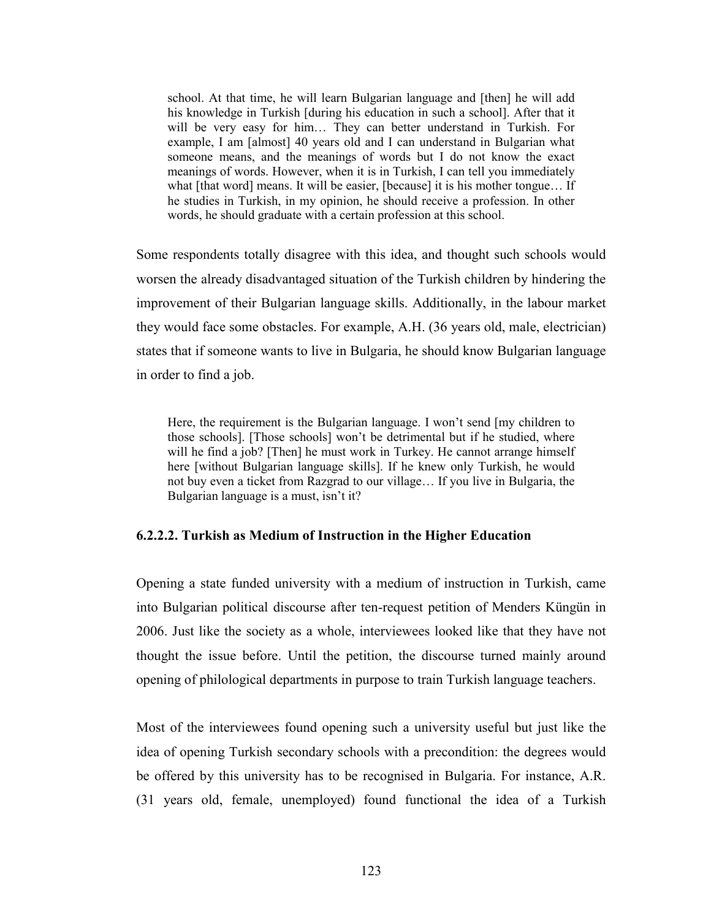school. At that time, he will learn Bulgarian language and [then] he will add his knowledge in Turkish [during his education in such a school]. After that it will be very easy for him… They can better understand in Turkish. For example, I am [almost] 40 years old and I can understand in Bulgarian what someone means, and the meanings of words but I do not know the exact meanings of words. However, when it is in Turkish, I can tell you immediately what [that word] means. It will be easier, [because] it is his mother tongue... If he studies in Turkish, in my opinion, he should receive a profession. In other words, he should graduate with a certain profession at this school.

Some respondents totally disagree with this idea, and thought such schools would worsen the already disadvantaged situation of the Turkish children by hindering the improvement of their Bulgarian language skills. Additionally, in the labour market they would face some obstacles. For example, A.H. (36 years old, male, electrician) states that if someone wants to live in Bulgaria, he should know Bulgarian language in order to find a job.

Here, the requirement is the Bulgarian language. I won't send [my children to those schools]. [Those schools] won't be detrimental but if he studied, where will he find a job? [Then] he must work in Turkey. He cannot arrange himself here [without Bulgarian language skills]. If he knew only Turkish, he would not buy even a ticket from Razgrad to our village… If you live in Bulgaria, the Bulgarian language is a must, isn't it?

#### 6.2.2.2. Turkish as Medium of Instruction in the Higher Education

Opening a state funded university with a medium of instruction in Turkish, came into Bulgarian political discourse after ten-request petition of Menders Küngün in 2006. Just like the society as a whole, interviewees looked like that they have not thought the issue before. Until the petition, the discourse turned mainly around opening of philological departments in purpose to train Turkish language teachers.

Most of the interviewees found opening such a university useful but just like the idea of opening Turkish secondary schools with a precondition: the degrees would be offered by this university has to be recognised in Bulgaria. For instance, A.R. (31 years old, female, unemployed) found functional the idea of a Turkish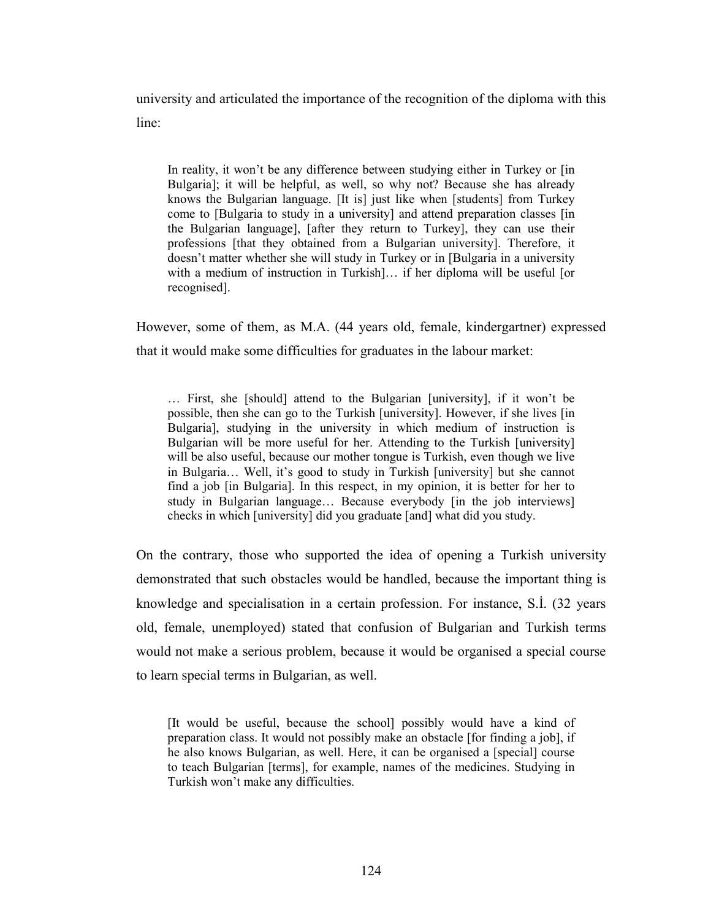university and articulated the importance of the recognition of the diploma with this line:

In reality, it won't be any difference between studying either in Turkey or [in Bulgaria]; it will be helpful, as well, so why not? Because she has already knows the Bulgarian language. [It is] just like when [students] from Turkey come to [Bulgaria to study in a university] and attend preparation classes [in the Bulgarian language], [after they return to Turkey], they can use their professions [that they obtained from a Bulgarian university]. Therefore, it doesn't matter whether she will study in Turkey or in [Bulgaria in a university with a medium of instruction in Turkish]... if her diploma will be useful [or recognised].

However, some of them, as M.A. (44 years old, female, kindergartner) expressed that it would make some difficulties for graduates in the labour market:

… First, she [should] attend to the Bulgarian [university], if it won't be possible, then she can go to the Turkish [university]. However, if she lives [in Bulgaria], studying in the university in which medium of instruction is Bulgarian will be more useful for her. Attending to the Turkish [university] will be also useful, because our mother tongue is Turkish, even though we live in Bulgaria… Well, it's good to study in Turkish [university] but she cannot find a job [in Bulgaria]. In this respect, in my opinion, it is better for her to study in Bulgarian language… Because everybody [in the job interviews] checks in which [university] did you graduate [and] what did you study.

On the contrary, those who supported the idea of opening a Turkish university demonstrated that such obstacles would be handled, because the important thing is knowledge and specialisation in a certain profession. For instance, S.İ. (32 years old, female, unemployed) stated that confusion of Bulgarian and Turkish terms would not make a serious problem, because it would be organised a special course to learn special terms in Bulgarian, as well.

[It would be useful, because the school] possibly would have a kind of preparation class. It would not possibly make an obstacle [for finding a job], if he also knows Bulgarian, as well. Here, it can be organised a [special] course to teach Bulgarian [terms], for example, names of the medicines. Studying in Turkish won't make any difficulties.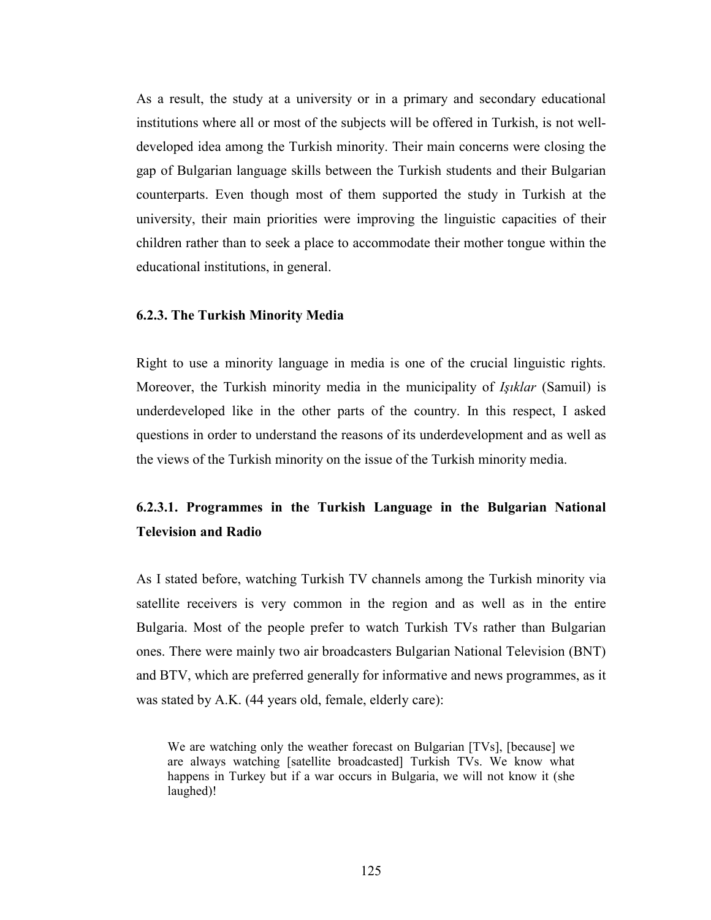As a result, the study at a university or in a primary and secondary educational institutions where all or most of the subjects will be offered in Turkish, is not welldeveloped idea among the Turkish minority. Their main concerns were closing the gap of Bulgarian language skills between the Turkish students and their Bulgarian counterparts. Even though most of them supported the study in Turkish at the university, their main priorities were improving the linguistic capacities of their children rather than to seek a place to accommodate their mother tongue within the educational institutions, in general.

#### 6.2.3. The Turkish Minority Media

Right to use a minority language in media is one of the crucial linguistic rights. Moreover, the Turkish minority media in the municipality of *Işıklar* (Samuil) is underdeveloped like in the other parts of the country. In this respect, I asked questions in order to understand the reasons of its underdevelopment and as well as the views of the Turkish minority on the issue of the Turkish minority media.

### 6.2.3.1. Programmes in the Turkish Language in the Bulgarian National Television and Radio

As I stated before, watching Turkish TV channels among the Turkish minority via satellite receivers is very common in the region and as well as in the entire Bulgaria. Most of the people prefer to watch Turkish TVs rather than Bulgarian ones. There were mainly two air broadcasters Bulgarian National Television (BNT) and BTV, which are preferred generally for informative and news programmes, as it was stated by A.K. (44 years old, female, elderly care):

We are watching only the weather forecast on Bulgarian [TVs], [because] we are always watching [satellite broadcasted] Turkish TVs. We know what happens in Turkey but if a war occurs in Bulgaria, we will not know it (she laughed)!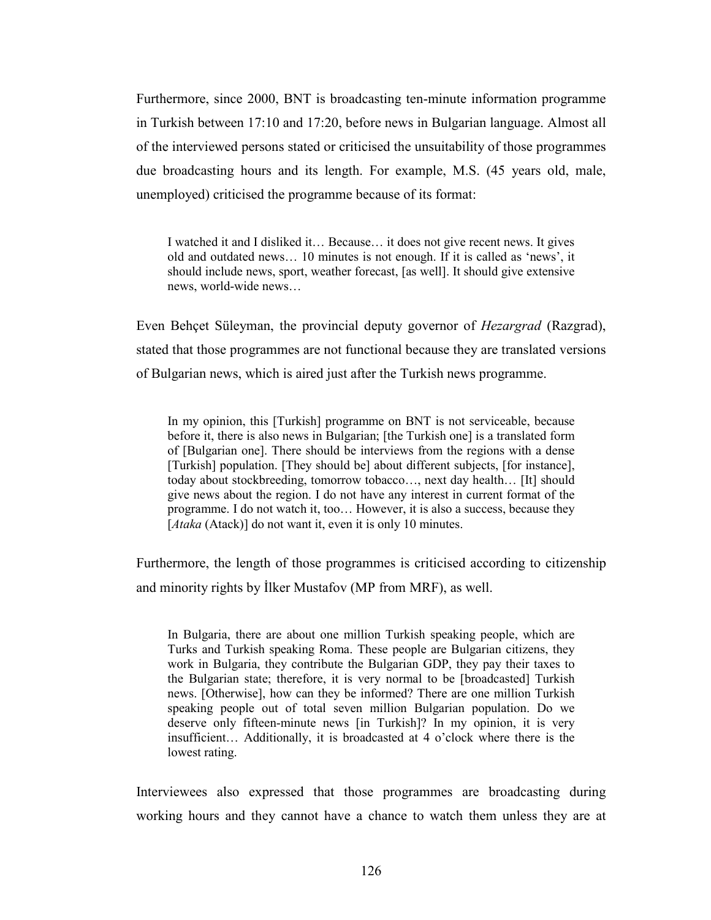Furthermore, since 2000, BNT is broadcasting ten-minute information programme in Turkish between 17:10 and 17:20, before news in Bulgarian language. Almost all of the interviewed persons stated or criticised the unsuitability of those programmes due broadcasting hours and its length. For example, M.S. (45 years old, male, unemployed) criticised the programme because of its format:

I watched it and I disliked it… Because… it does not give recent news. It gives old and outdated news… 10 minutes is not enough. If it is called as 'news', it should include news, sport, weather forecast, [as well]. It should give extensive news, world-wide news…

Even Behçet Süleyman, the provincial deputy governor of Hezargrad (Razgrad), stated that those programmes are not functional because they are translated versions of Bulgarian news, which is aired just after the Turkish news programme.

In my opinion, this [Turkish] programme on BNT is not serviceable, because before it, there is also news in Bulgarian; [the Turkish one] is a translated form of [Bulgarian one]. There should be interviews from the regions with a dense [Turkish] population. [They should be] about different subjects, [for instance], today about stockbreeding, tomorrow tobacco…, next day health… [It] should give news about the region. I do not have any interest in current format of the programme. I do not watch it, too… However, it is also a success, because they [Ataka (Atack)] do not want it, even it is only 10 minutes.

Furthermore, the length of those programmes is criticised according to citizenship and minority rights by İlker Mustafov (MP from MRF), as well.

In Bulgaria, there are about one million Turkish speaking people, which are Turks and Turkish speaking Roma. These people are Bulgarian citizens, they work in Bulgaria, they contribute the Bulgarian GDP, they pay their taxes to the Bulgarian state; therefore, it is very normal to be [broadcasted] Turkish news. [Otherwise], how can they be informed? There are one million Turkish speaking people out of total seven million Bulgarian population. Do we deserve only fifteen-minute news [in Turkish]? In my opinion, it is very insufficient… Additionally, it is broadcasted at 4 o'clock where there is the lowest rating.

Interviewees also expressed that those programmes are broadcasting during working hours and they cannot have a chance to watch them unless they are at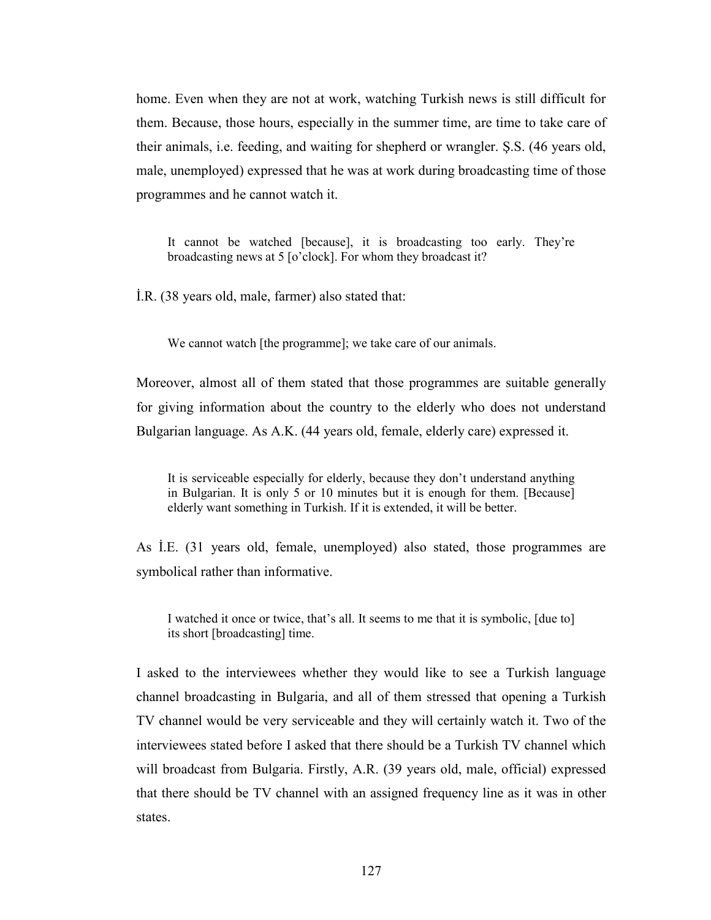home. Even when they are not at work, watching Turkish news is still difficult for them. Because, those hours, especially in the summer time, are time to take care of their animals, i.e. feeding, and waiting for shepherd or wrangler. Ş.S. (46 years old, male, unemployed) expressed that he was at work during broadcasting time of those programmes and he cannot watch it.

It cannot be watched [because], it is broadcasting too early. They're broadcasting news at 5 [o'clock]. For whom they broadcast it?

İ.R. (38 years old, male, farmer) also stated that:

We cannot watch [the programme]; we take care of our animals.

Moreover, almost all of them stated that those programmes are suitable generally for giving information about the country to the elderly who does not understand Bulgarian language. As A.K. (44 years old, female, elderly care) expressed it.

It is serviceable especially for elderly, because they don't understand anything in Bulgarian. It is only 5 or 10 minutes but it is enough for them. [Because] elderly want something in Turkish. If it is extended, it will be better.

As İ.E. (31 years old, female, unemployed) also stated, those programmes are symbolical rather than informative.

I watched it once or twice, that's all. It seems to me that it is symbolic, [due to] its short [broadcasting] time.

I asked to the interviewees whether they would like to see a Turkish language channel broadcasting in Bulgaria, and all of them stressed that opening a Turkish TV channel would be very serviceable and they will certainly watch it. Two of the interviewees stated before I asked that there should be a Turkish TV channel which will broadcast from Bulgaria. Firstly, A.R. (39 years old, male, official) expressed that there should be TV channel with an assigned frequency line as it was in other states.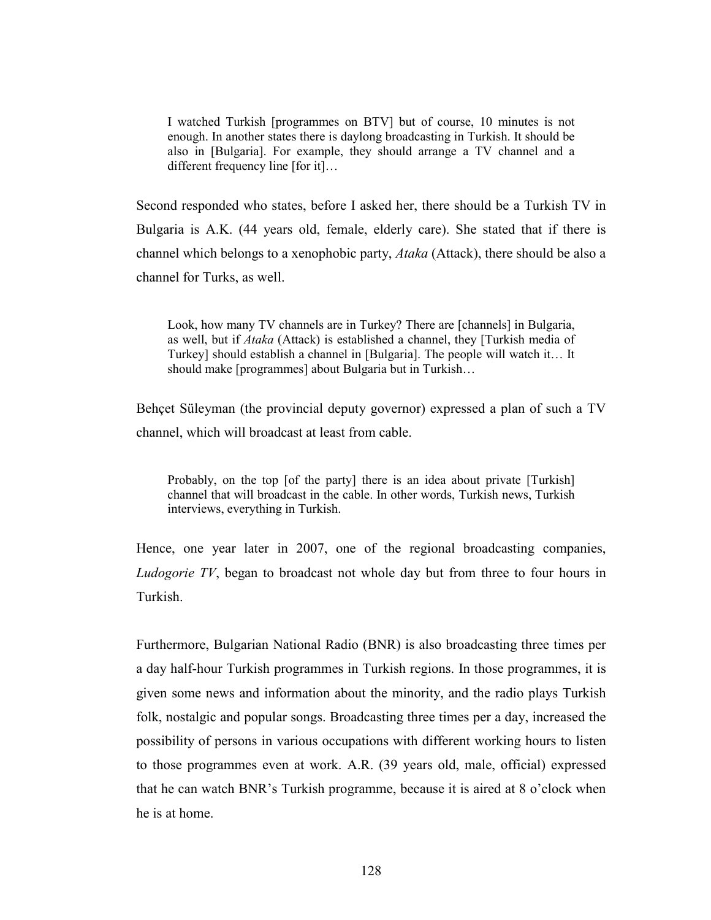I watched Turkish [programmes on BTV] but of course, 10 minutes is not enough. In another states there is daylong broadcasting in Turkish. It should be also in [Bulgaria]. For example, they should arrange a TV channel and a different frequency line [for it]…

Second responded who states, before I asked her, there should be a Turkish TV in Bulgaria is A.K. (44 years old, female, elderly care). She stated that if there is channel which belongs to a xenophobic party, Ataka (Attack), there should be also a channel for Turks, as well.

Look, how many TV channels are in Turkey? There are [channels] in Bulgaria, as well, but if Ataka (Attack) is established a channel, they [Turkish media of Turkey] should establish a channel in [Bulgaria]. The people will watch it… It should make [programmes] about Bulgaria but in Turkish…

Behçet Süleyman (the provincial deputy governor) expressed a plan of such a TV channel, which will broadcast at least from cable.

Probably, on the top [of the party] there is an idea about private [Turkish] channel that will broadcast in the cable. In other words, Turkish news, Turkish interviews, everything in Turkish.

Hence, one year later in 2007, one of the regional broadcasting companies, Ludogorie TV, began to broadcast not whole day but from three to four hours in Turkish.

Furthermore, Bulgarian National Radio (BNR) is also broadcasting three times per a day half-hour Turkish programmes in Turkish regions. In those programmes, it is given some news and information about the minority, and the radio plays Turkish folk, nostalgic and popular songs. Broadcasting three times per a day, increased the possibility of persons in various occupations with different working hours to listen to those programmes even at work. A.R. (39 years old, male, official) expressed that he can watch BNR's Turkish programme, because it is aired at 8 o'clock when he is at home.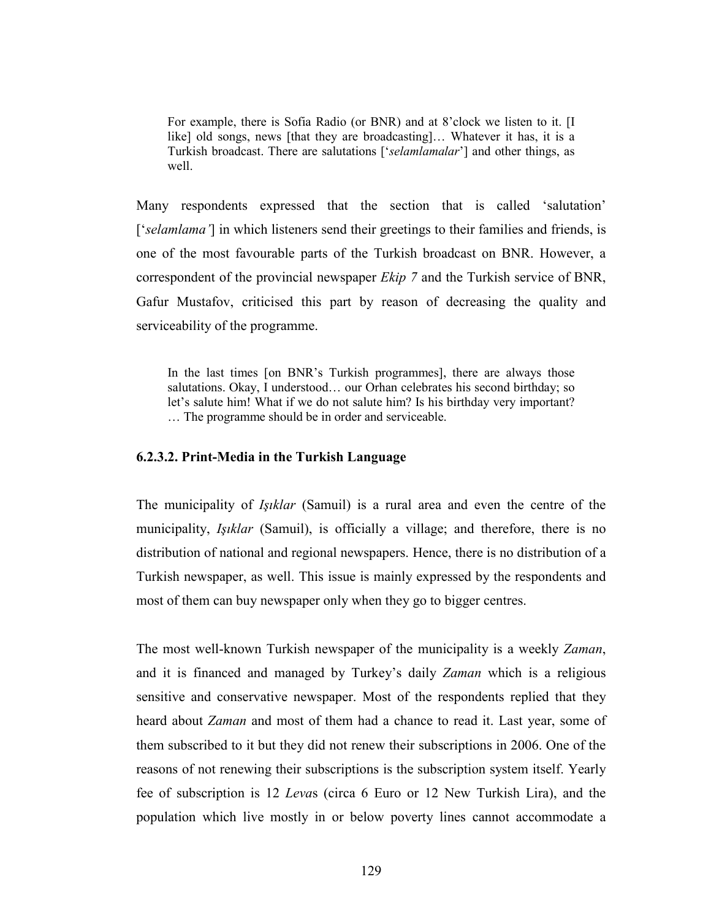For example, there is Sofia Radio (or BNR) and at 8'clock we listen to it. [I like] old songs, news [that they are broadcasting]… Whatever it has, it is a Turkish broadcast. There are salutations ['selamlamalar'] and other things, as well.

Many respondents expressed that the section that is called 'salutation' ['selamlama'] in which listeners send their greetings to their families and friends, is one of the most favourable parts of the Turkish broadcast on BNR. However, a correspondent of the provincial newspaper Ekip 7 and the Turkish service of BNR, Gafur Mustafov, criticised this part by reason of decreasing the quality and serviceability of the programme.

In the last times [on BNR's Turkish programmes], there are always those salutations. Okay, I understood… our Orhan celebrates his second birthday; so let's salute him! What if we do not salute him? Is his birthday very important? … The programme should be in order and serviceable.

#### 6.2.3.2. Print-Media in the Turkish Language

The municipality of Işıklar (Samuil) is a rural area and even the centre of the municipality, *Işıklar* (Samuil), is officially a village; and therefore, there is no distribution of national and regional newspapers. Hence, there is no distribution of a Turkish newspaper, as well. This issue is mainly expressed by the respondents and most of them can buy newspaper only when they go to bigger centres.

The most well-known Turkish newspaper of the municipality is a weekly Zaman, and it is financed and managed by Turkey's daily Zaman which is a religious sensitive and conservative newspaper. Most of the respondents replied that they heard about Zaman and most of them had a chance to read it. Last year, some of them subscribed to it but they did not renew their subscriptions in 2006. One of the reasons of not renewing their subscriptions is the subscription system itself. Yearly fee of subscription is 12 Levas (circa 6 Euro or 12 New Turkish Lira), and the population which live mostly in or below poverty lines cannot accommodate a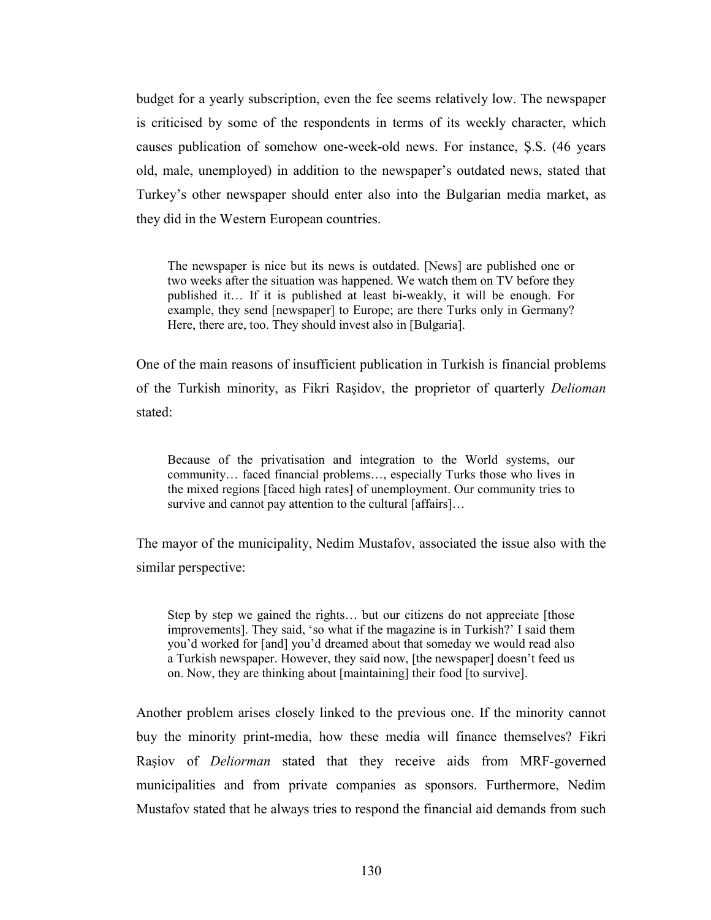budget for a yearly subscription, even the fee seems relatively low. The newspaper is criticised by some of the respondents in terms of its weekly character, which causes publication of somehow one-week-old news. For instance, Ş.S. (46 years old, male, unemployed) in addition to the newspaper's outdated news, stated that Turkey's other newspaper should enter also into the Bulgarian media market, as they did in the Western European countries.

The newspaper is nice but its news is outdated. [News] are published one or two weeks after the situation was happened. We watch them on TV before they published it… If it is published at least bi-weakly, it will be enough. For example, they send [newspaper] to Europe; are there Turks only in Germany? Here, there are, too. They should invest also in [Bulgaria].

One of the main reasons of insufficient publication in Turkish is financial problems of the Turkish minority, as Fikri Raşidov, the proprietor of quarterly Delioman stated:

Because of the privatisation and integration to the World systems, our community… faced financial problems…, especially Turks those who lives in the mixed regions [faced high rates] of unemployment. Our community tries to survive and cannot pay attention to the cultural [affairs]...

The mayor of the municipality, Nedim Mustafov, associated the issue also with the similar perspective:

Step by step we gained the rights… but our citizens do not appreciate [those improvements]. They said, 'so what if the magazine is in Turkish?' I said them you'd worked for [and] you'd dreamed about that someday we would read also a Turkish newspaper. However, they said now, [the newspaper] doesn't feed us on. Now, they are thinking about [maintaining] their food [to survive].

Another problem arises closely linked to the previous one. If the minority cannot buy the minority print-media, how these media will finance themselves? Fikri Raşiov of Deliorman stated that they receive aids from MRF-governed municipalities and from private companies as sponsors. Furthermore, Nedim Mustafov stated that he always tries to respond the financial aid demands from such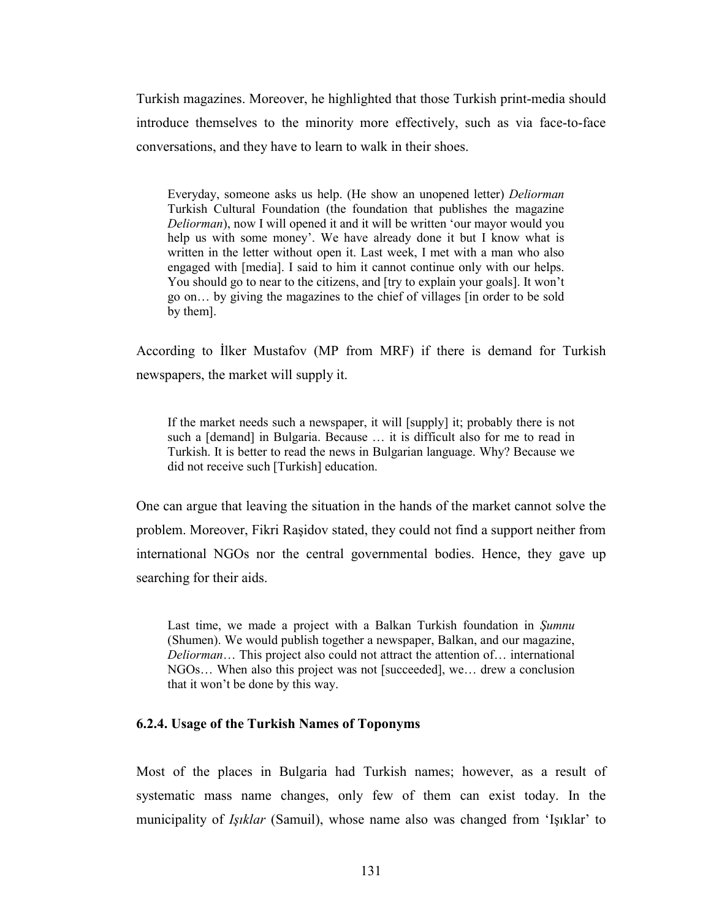Turkish magazines. Moreover, he highlighted that those Turkish print-media should introduce themselves to the minority more effectively, such as via face-to-face conversations, and they have to learn to walk in their shoes.

Everyday, someone asks us help. (He show an unopened letter) Deliorman Turkish Cultural Foundation (the foundation that publishes the magazine Deliorman), now I will opened it and it will be written 'our mayor would you help us with some money'. We have already done it but I know what is written in the letter without open it. Last week, I met with a man who also engaged with [media]. I said to him it cannot continue only with our helps. You should go to near to the citizens, and [try to explain your goals]. It won't go on… by giving the magazines to the chief of villages [in order to be sold by them].

According to İlker Mustafov (MP from MRF) if there is demand for Turkish newspapers, the market will supply it.

If the market needs such a newspaper, it will [supply] it; probably there is not such a [demand] in Bulgaria. Because … it is difficult also for me to read in Turkish. It is better to read the news in Bulgarian language. Why? Because we did not receive such [Turkish] education.

One can argue that leaving the situation in the hands of the market cannot solve the problem. Moreover, Fikri Raşidov stated, they could not find a support neither from international NGOs nor the central governmental bodies. Hence, they gave up searching for their aids.

Last time, we made a project with a Balkan Turkish foundation in Sumnu (Shumen). We would publish together a newspaper, Balkan, and our magazine, Deliorman… This project also could not attract the attention of… international NGOs… When also this project was not [succeeded], we… drew a conclusion that it won't be done by this way.

### 6.2.4. Usage of the Turkish Names of Toponyms

Most of the places in Bulgaria had Turkish names; however, as a result of systematic mass name changes, only few of them can exist today. In the municipality of Işıklar (Samuil), whose name also was changed from 'Işıklar' to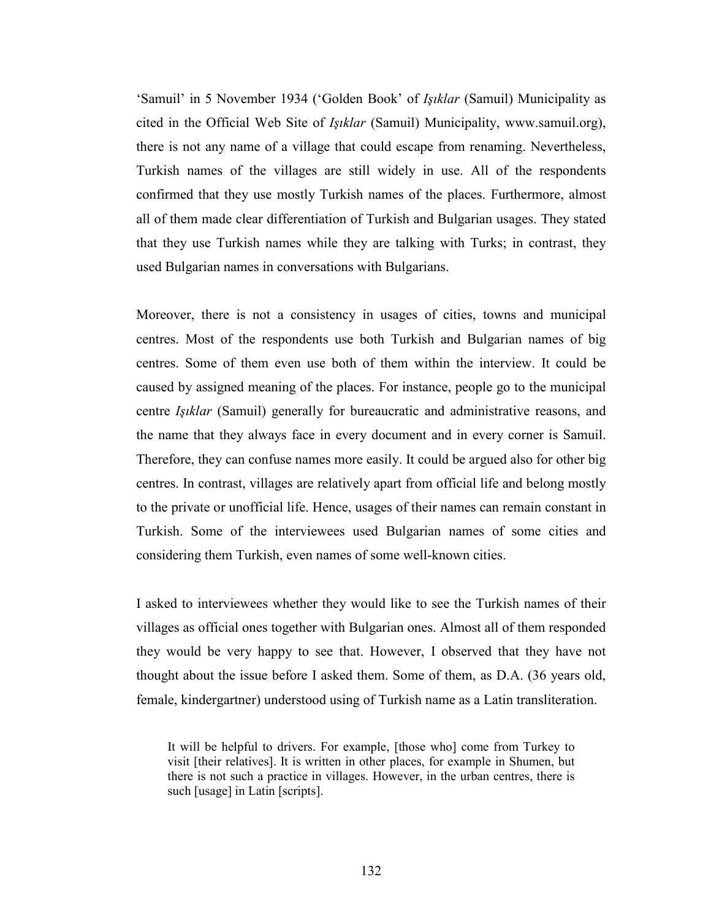'Samuil' in 5 November 1934 ('Golden Book' of Işıklar (Samuil) Municipality as cited in the Official Web Site of Işıklar (Samuil) Municipality, www.samuil.org), there is not any name of a village that could escape from renaming. Nevertheless, Turkish names of the villages are still widely in use. All of the respondents confirmed that they use mostly Turkish names of the places. Furthermore, almost all of them made clear differentiation of Turkish and Bulgarian usages. They stated that they use Turkish names while they are talking with Turks; in contrast, they used Bulgarian names in conversations with Bulgarians.

Moreover, there is not a consistency in usages of cities, towns and municipal centres. Most of the respondents use both Turkish and Bulgarian names of big centres. Some of them even use both of them within the interview. It could be caused by assigned meaning of the places. For instance, people go to the municipal centre Işıklar (Samuil) generally for bureaucratic and administrative reasons, and the name that they always face in every document and in every corner is Samuil. Therefore, they can confuse names more easily. It could be argued also for other big centres. In contrast, villages are relatively apart from official life and belong mostly to the private or unofficial life. Hence, usages of their names can remain constant in Turkish. Some of the interviewees used Bulgarian names of some cities and considering them Turkish, even names of some well-known cities.

I asked to interviewees whether they would like to see the Turkish names of their villages as official ones together with Bulgarian ones. Almost all of them responded they would be very happy to see that. However, I observed that they have not thought about the issue before I asked them. Some of them, as D.A. (36 years old, female, kindergartner) understood using of Turkish name as a Latin transliteration.

It will be helpful to drivers. For example, [those who] come from Turkey to visit [their relatives]. It is written in other places, for example in Shumen, but there is not such a practice in villages. However, in the urban centres, there is such [usage] in Latin [scripts].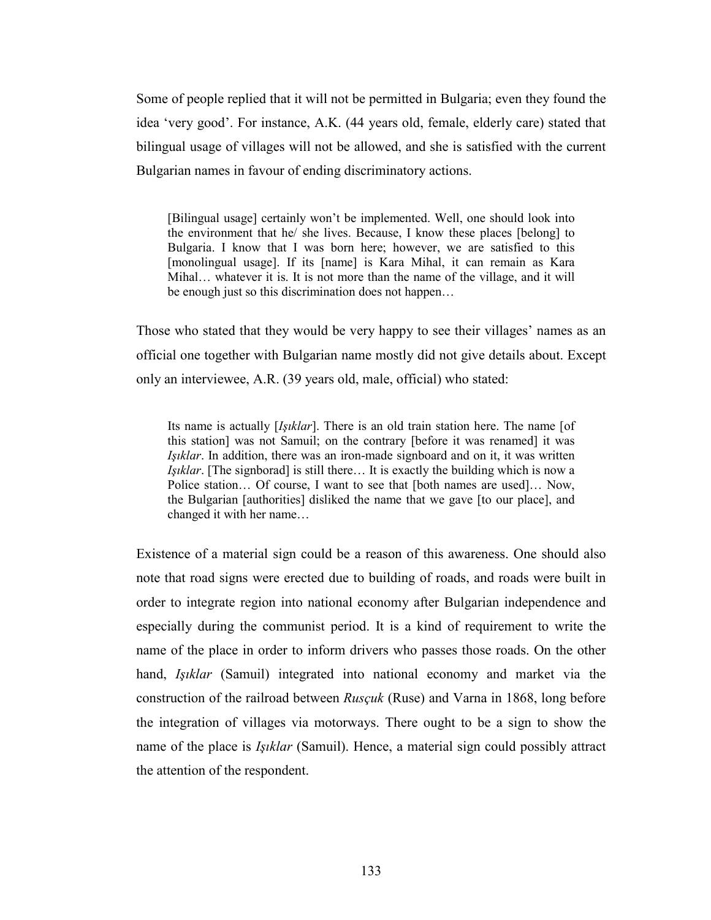Some of people replied that it will not be permitted in Bulgaria; even they found the idea 'very good'. For instance, A.K. (44 years old, female, elderly care) stated that bilingual usage of villages will not be allowed, and she is satisfied with the current Bulgarian names in favour of ending discriminatory actions.

[Bilingual usage] certainly won't be implemented. Well, one should look into the environment that he/ she lives. Because, I know these places [belong] to Bulgaria. I know that I was born here; however, we are satisfied to this [monolingual usage]. If its [name] is Kara Mihal, it can remain as Kara Mihal… whatever it is. It is not more than the name of the village, and it will be enough just so this discrimination does not happen…

Those who stated that they would be very happy to see their villages' names as an official one together with Bulgarian name mostly did not give details about. Except only an interviewee, A.R. (39 years old, male, official) who stated:

Its name is actually [*Isiklar*]. There is an old train station here. The name [of this station] was not Samuil; on the contrary [before it was renamed] it was Işıklar. In addition, there was an iron-made signboard and on it, it was written Işıklar. [The signborad] is still there… It is exactly the building which is now a Police station… Of course, I want to see that [both names are used]… Now, the Bulgarian [authorities] disliked the name that we gave [to our place], and changed it with her name…

Existence of a material sign could be a reason of this awareness. One should also note that road signs were erected due to building of roads, and roads were built in order to integrate region into national economy after Bulgarian independence and especially during the communist period. It is a kind of requirement to write the name of the place in order to inform drivers who passes those roads. On the other hand, *Işıklar* (Samuil) integrated into national economy and market via the construction of the railroad between Rusçuk (Ruse) and Varna in 1868, long before the integration of villages via motorways. There ought to be a sign to show the name of the place is *Işıklar* (Samuil). Hence, a material sign could possibly attract the attention of the respondent.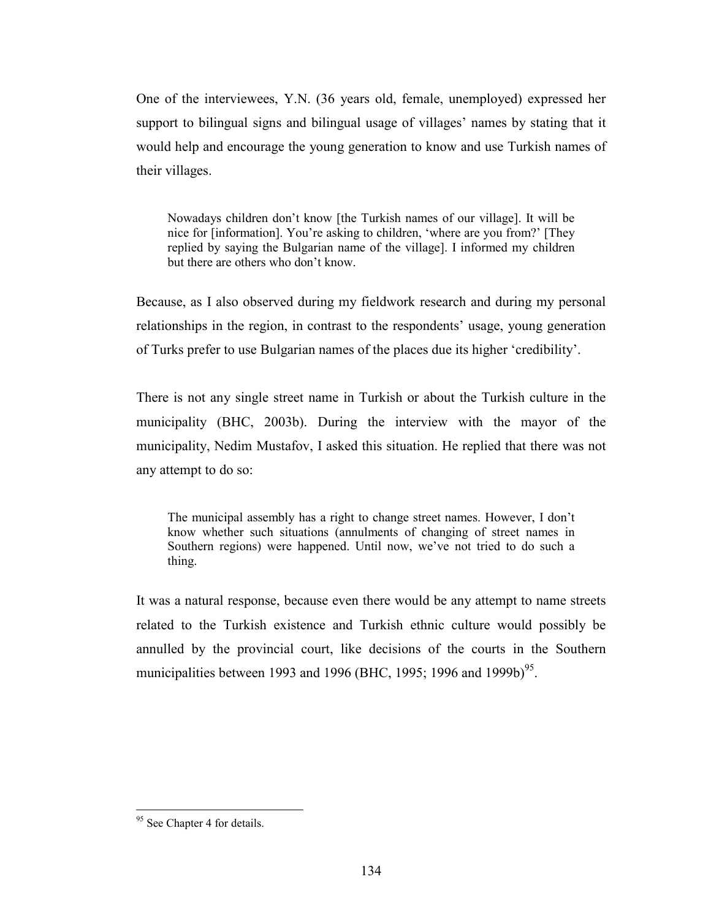One of the interviewees, Y.N. (36 years old, female, unemployed) expressed her support to bilingual signs and bilingual usage of villages' names by stating that it would help and encourage the young generation to know and use Turkish names of their villages.

Nowadays children don't know [the Turkish names of our village]. It will be nice for [information]. You're asking to children, 'where are you from?' [They replied by saying the Bulgarian name of the village]. I informed my children but there are others who don't know.

Because, as I also observed during my fieldwork research and during my personal relationships in the region, in contrast to the respondents' usage, young generation of Turks prefer to use Bulgarian names of the places due its higher 'credibility'.

There is not any single street name in Turkish or about the Turkish culture in the municipality (BHC, 2003b). During the interview with the mayor of the municipality, Nedim Mustafov, I asked this situation. He replied that there was not any attempt to do so:

The municipal assembly has a right to change street names. However, I don't know whether such situations (annulments of changing of street names in Southern regions) were happened. Until now, we've not tried to do such a thing.

It was a natural response, because even there would be any attempt to name streets related to the Turkish existence and Turkish ethnic culture would possibly be annulled by the provincial court, like decisions of the courts in the Southern municipalities between 1993 and 1996 (BHC, 1995; 1996 and 1999b)<sup>95</sup>.

 $\overline{a}$ 

<sup>&</sup>lt;sup>95</sup> See Chapter 4 for details.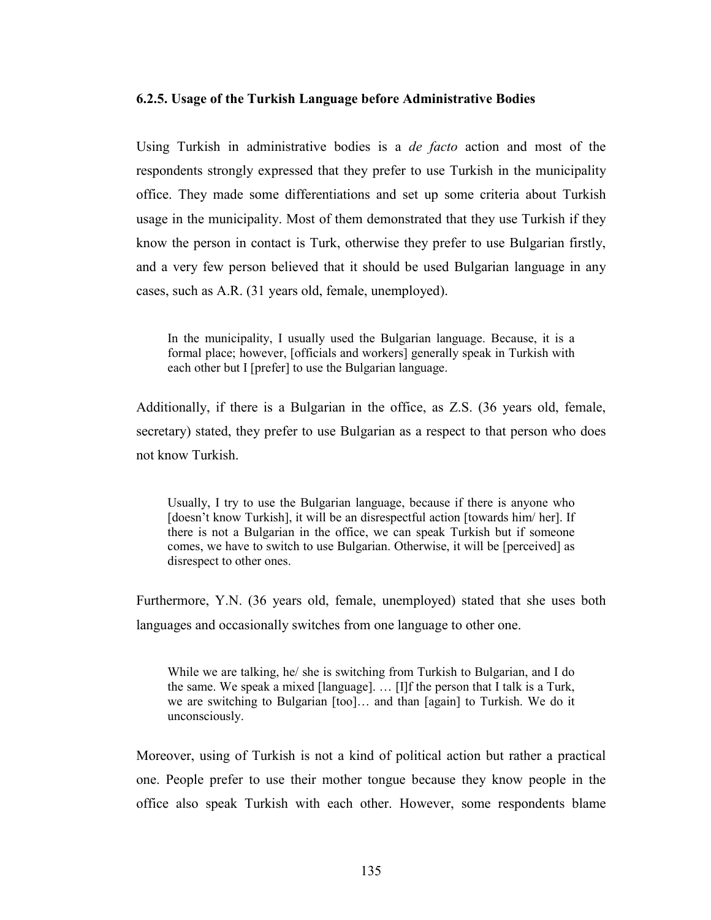### 6.2.5. Usage of the Turkish Language before Administrative Bodies

Using Turkish in administrative bodies is a *de facto* action and most of the respondents strongly expressed that they prefer to use Turkish in the municipality office. They made some differentiations and set up some criteria about Turkish usage in the municipality. Most of them demonstrated that they use Turkish if they know the person in contact is Turk, otherwise they prefer to use Bulgarian firstly, and a very few person believed that it should be used Bulgarian language in any cases, such as A.R. (31 years old, female, unemployed).

In the municipality, I usually used the Bulgarian language. Because, it is a formal place; however, [officials and workers] generally speak in Turkish with each other but I [prefer] to use the Bulgarian language.

Additionally, if there is a Bulgarian in the office, as Z.S. (36 years old, female, secretary) stated, they prefer to use Bulgarian as a respect to that person who does not know Turkish.

Usually, I try to use the Bulgarian language, because if there is anyone who [doesn't know Turkish], it will be an disrespectful action [towards him/ her]. If there is not a Bulgarian in the office, we can speak Turkish but if someone comes, we have to switch to use Bulgarian. Otherwise, it will be [perceived] as disrespect to other ones.

Furthermore, Y.N. (36 years old, female, unemployed) stated that she uses both languages and occasionally switches from one language to other one.

While we are talking, he/ she is switching from Turkish to Bulgarian, and I do the same. We speak a mixed [language]. … [I]f the person that I talk is a Turk, we are switching to Bulgarian [too]… and than [again] to Turkish. We do it unconsciously.

Moreover, using of Turkish is not a kind of political action but rather a practical one. People prefer to use their mother tongue because they know people in the office also speak Turkish with each other. However, some respondents blame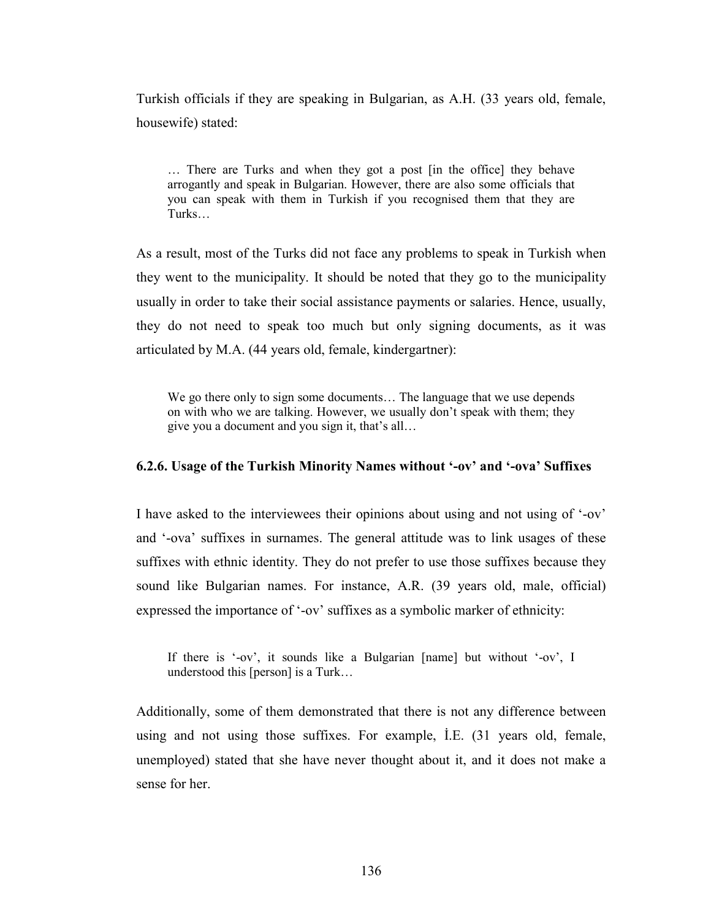Turkish officials if they are speaking in Bulgarian, as A.H. (33 years old, female, housewife) stated:

… There are Turks and when they got a post [in the office] they behave arrogantly and speak in Bulgarian. However, there are also some officials that you can speak with them in Turkish if you recognised them that they are Turks…

As a result, most of the Turks did not face any problems to speak in Turkish when they went to the municipality. It should be noted that they go to the municipality usually in order to take their social assistance payments or salaries. Hence, usually, they do not need to speak too much but only signing documents, as it was articulated by M.A. (44 years old, female, kindergartner):

We go there only to sign some documents… The language that we use depends on with who we are talking. However, we usually don't speak with them; they give you a document and you sign it, that's all…

#### 6.2.6. Usage of the Turkish Minority Names without '-ov' and '-ova' Suffixes

I have asked to the interviewees their opinions about using and not using of '-ov' and '-ova' suffixes in surnames. The general attitude was to link usages of these suffixes with ethnic identity. They do not prefer to use those suffixes because they sound like Bulgarian names. For instance, A.R. (39 years old, male, official) expressed the importance of '-ov' suffixes as a symbolic marker of ethnicity:

If there is '-ov', it sounds like a Bulgarian [name] but without '-ov', I understood this [person] is a Turk…

Additionally, some of them demonstrated that there is not any difference between using and not using those suffixes. For example, İ.E. (31 years old, female, unemployed) stated that she have never thought about it, and it does not make a sense for her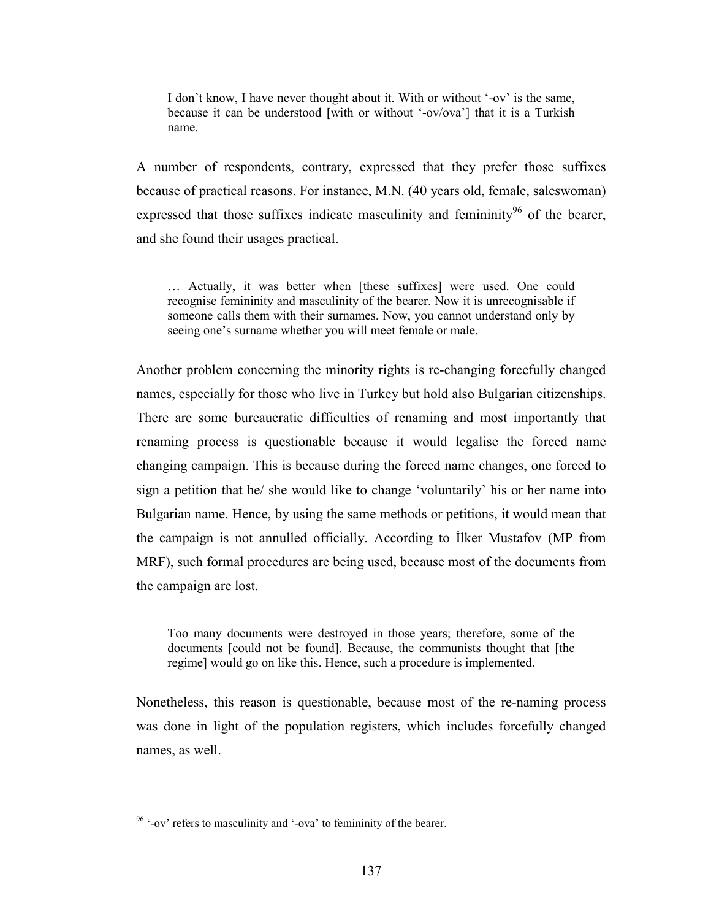I don't know, I have never thought about it. With or without '-ov' is the same, because it can be understood [with or without '-ov/ova'] that it is a Turkish name.

A number of respondents, contrary, expressed that they prefer those suffixes because of practical reasons. For instance, M.N. (40 years old, female, saleswoman) expressed that those suffixes indicate masculinity and femininity<sup>96</sup> of the bearer, and she found their usages practical.

… Actually, it was better when [these suffixes] were used. One could recognise femininity and masculinity of the bearer. Now it is unrecognisable if someone calls them with their surnames. Now, you cannot understand only by seeing one's surname whether you will meet female or male.

Another problem concerning the minority rights is re-changing forcefully changed names, especially for those who live in Turkey but hold also Bulgarian citizenships. There are some bureaucratic difficulties of renaming and most importantly that renaming process is questionable because it would legalise the forced name changing campaign. This is because during the forced name changes, one forced to sign a petition that he/ she would like to change 'voluntarily' his or her name into Bulgarian name. Hence, by using the same methods or petitions, it would mean that the campaign is not annulled officially. According to İlker Mustafov (MP from MRF), such formal procedures are being used, because most of the documents from the campaign are lost.

Too many documents were destroyed in those years; therefore, some of the documents [could not be found]. Because, the communists thought that [the regime] would go on like this. Hence, such a procedure is implemented.

Nonetheless, this reason is questionable, because most of the re-naming process was done in light of the population registers, which includes forcefully changed names, as well.

 $\overline{a}$ 

 $96$  '-ov' refers to masculinity and '-ova' to femininity of the bearer.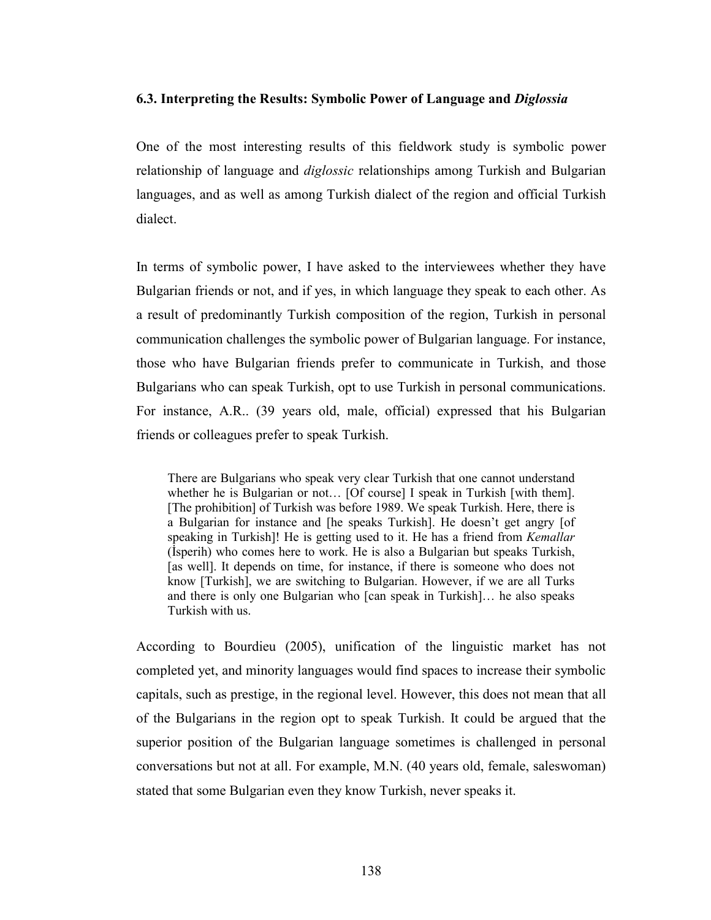#### 6.3. Interpreting the Results: Symbolic Power of Language and Diglossia

One of the most interesting results of this fieldwork study is symbolic power relationship of language and *diglossic* relationships among Turkish and Bulgarian languages, and as well as among Turkish dialect of the region and official Turkish dialect.

In terms of symbolic power, I have asked to the interviewees whether they have Bulgarian friends or not, and if yes, in which language they speak to each other. As a result of predominantly Turkish composition of the region, Turkish in personal communication challenges the symbolic power of Bulgarian language. For instance, those who have Bulgarian friends prefer to communicate in Turkish, and those Bulgarians who can speak Turkish, opt to use Turkish in personal communications. For instance, A.R.. (39 years old, male, official) expressed that his Bulgarian friends or colleagues prefer to speak Turkish.

There are Bulgarians who speak very clear Turkish that one cannot understand whether he is Bulgarian or not... [Of course] I speak in Turkish [with them]. [The prohibition] of Turkish was before 1989. We speak Turkish. Here, there is a Bulgarian for instance and [he speaks Turkish]. He doesn't get angry [of speaking in Turkish]! He is getting used to it. He has a friend from Kemallar (İsperih) who comes here to work. He is also a Bulgarian but speaks Turkish, [as well]. It depends on time, for instance, if there is someone who does not know [Turkish], we are switching to Bulgarian. However, if we are all Turks and there is only one Bulgarian who [can speak in Turkish]… he also speaks Turkish with us.

According to Bourdieu (2005), unification of the linguistic market has not completed yet, and minority languages would find spaces to increase their symbolic capitals, such as prestige, in the regional level. However, this does not mean that all of the Bulgarians in the region opt to speak Turkish. It could be argued that the superior position of the Bulgarian language sometimes is challenged in personal conversations but not at all. For example, M.N. (40 years old, female, saleswoman) stated that some Bulgarian even they know Turkish, never speaks it.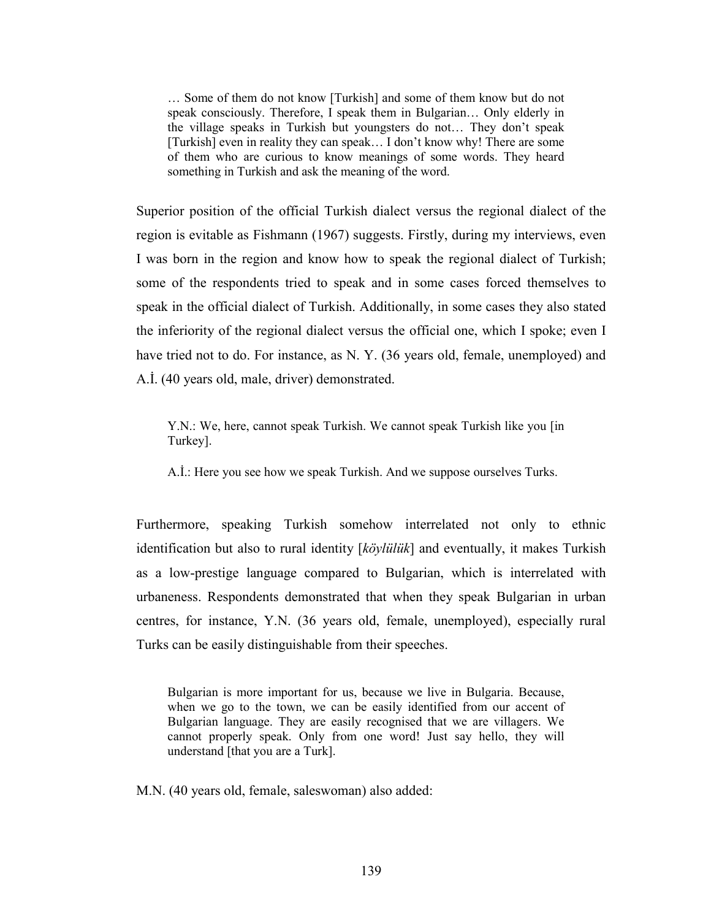… Some of them do not know [Turkish] and some of them know but do not speak consciously. Therefore, I speak them in Bulgarian… Only elderly in the village speaks in Turkish but youngsters do not… They don't speak [Turkish] even in reality they can speak... I don't know why! There are some of them who are curious to know meanings of some words. They heard something in Turkish and ask the meaning of the word.

Superior position of the official Turkish dialect versus the regional dialect of the region is evitable as Fishmann (1967) suggests. Firstly, during my interviews, even I was born in the region and know how to speak the regional dialect of Turkish; some of the respondents tried to speak and in some cases forced themselves to speak in the official dialect of Turkish. Additionally, in some cases they also stated the inferiority of the regional dialect versus the official one, which I spoke; even I have tried not to do. For instance, as N. Y. (36 years old, female, unemployed) and A.İ. (40 years old, male, driver) demonstrated.

Y.N.: We, here, cannot speak Turkish. We cannot speak Turkish like you [in Turkey].

A.İ.: Here you see how we speak Turkish. And we suppose ourselves Turks.

Furthermore, speaking Turkish somehow interrelated not only to ethnic identification but also to rural identity [köylülük] and eventually, it makes Turkish as a low-prestige language compared to Bulgarian, which is interrelated with urbaneness. Respondents demonstrated that when they speak Bulgarian in urban centres, for instance, Y.N. (36 years old, female, unemployed), especially rural Turks can be easily distinguishable from their speeches.

Bulgarian is more important for us, because we live in Bulgaria. Because, when we go to the town, we can be easily identified from our accent of Bulgarian language. They are easily recognised that we are villagers. We cannot properly speak. Only from one word! Just say hello, they will understand [that you are a Turk].

M.N. (40 years old, female, saleswoman) also added: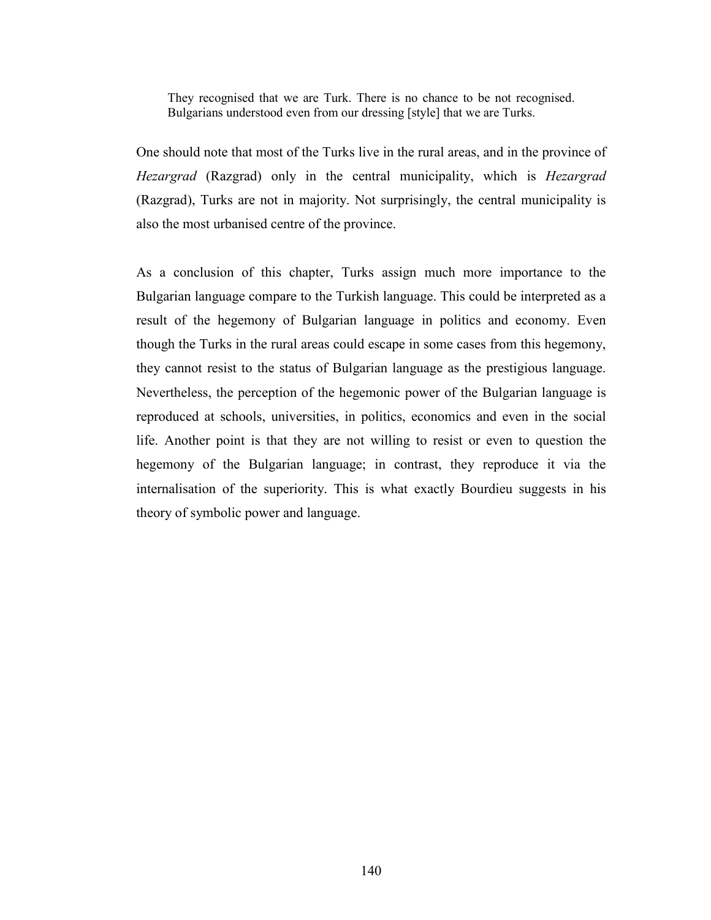They recognised that we are Turk. There is no chance to be not recognised. Bulgarians understood even from our dressing [style] that we are Turks.

One should note that most of the Turks live in the rural areas, and in the province of Hezargrad (Razgrad) only in the central municipality, which is Hezargrad (Razgrad), Turks are not in majority. Not surprisingly, the central municipality is also the most urbanised centre of the province.

As a conclusion of this chapter, Turks assign much more importance to the Bulgarian language compare to the Turkish language. This could be interpreted as a result of the hegemony of Bulgarian language in politics and economy. Even though the Turks in the rural areas could escape in some cases from this hegemony, they cannot resist to the status of Bulgarian language as the prestigious language. Nevertheless, the perception of the hegemonic power of the Bulgarian language is reproduced at schools, universities, in politics, economics and even in the social life. Another point is that they are not willing to resist or even to question the hegemony of the Bulgarian language; in contrast, they reproduce it via the internalisation of the superiority. This is what exactly Bourdieu suggests in his theory of symbolic power and language.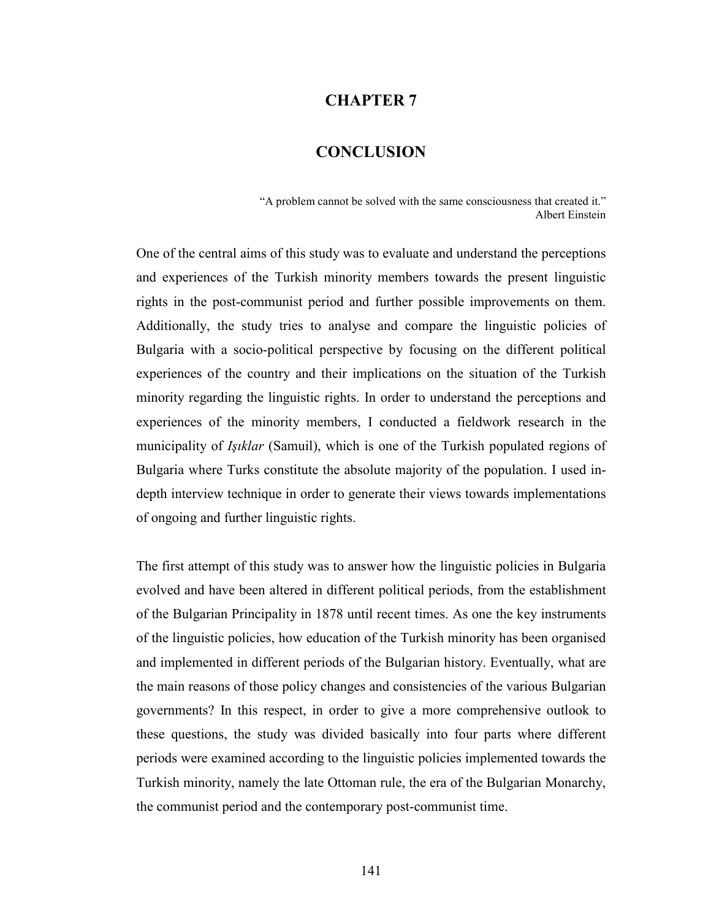## CHAPTER 7

# **CONCLUSION**

"A problem cannot be solved with the same consciousness that created it." Albert Einstein

One of the central aims of this study was to evaluate and understand the perceptions and experiences of the Turkish minority members towards the present linguistic rights in the post-communist period and further possible improvements on them. Additionally, the study tries to analyse and compare the linguistic policies of Bulgaria with a socio-political perspective by focusing on the different political experiences of the country and their implications on the situation of the Turkish minority regarding the linguistic rights. In order to understand the perceptions and experiences of the minority members, I conducted a fieldwork research in the municipality of *Isiklar* (Samuil), which is one of the Turkish populated regions of Bulgaria where Turks constitute the absolute majority of the population. I used indepth interview technique in order to generate their views towards implementations of ongoing and further linguistic rights.

The first attempt of this study was to answer how the linguistic policies in Bulgaria evolved and have been altered in different political periods, from the establishment of the Bulgarian Principality in 1878 until recent times. As one the key instruments of the linguistic policies, how education of the Turkish minority has been organised and implemented in different periods of the Bulgarian history. Eventually, what are the main reasons of those policy changes and consistencies of the various Bulgarian governments? In this respect, in order to give a more comprehensive outlook to these questions, the study was divided basically into four parts where different periods were examined according to the linguistic policies implemented towards the Turkish minority, namely the late Ottoman rule, the era of the Bulgarian Monarchy, the communist period and the contemporary post-communist time.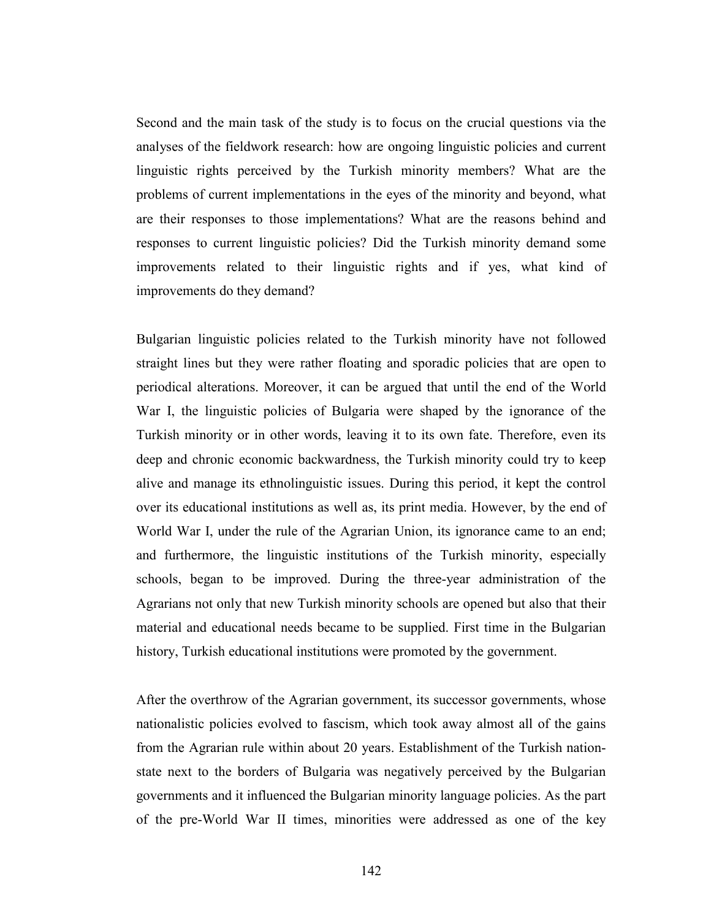Second and the main task of the study is to focus on the crucial questions via the analyses of the fieldwork research: how are ongoing linguistic policies and current linguistic rights perceived by the Turkish minority members? What are the problems of current implementations in the eyes of the minority and beyond, what are their responses to those implementations? What are the reasons behind and responses to current linguistic policies? Did the Turkish minority demand some improvements related to their linguistic rights and if yes, what kind of improvements do they demand?

Bulgarian linguistic policies related to the Turkish minority have not followed straight lines but they were rather floating and sporadic policies that are open to periodical alterations. Moreover, it can be argued that until the end of the World War I, the linguistic policies of Bulgaria were shaped by the ignorance of the Turkish minority or in other words, leaving it to its own fate. Therefore, even its deep and chronic economic backwardness, the Turkish minority could try to keep alive and manage its ethnolinguistic issues. During this period, it kept the control over its educational institutions as well as, its print media. However, by the end of World War I, under the rule of the Agrarian Union, its ignorance came to an end; and furthermore, the linguistic institutions of the Turkish minority, especially schools, began to be improved. During the three-year administration of the Agrarians not only that new Turkish minority schools are opened but also that their material and educational needs became to be supplied. First time in the Bulgarian history, Turkish educational institutions were promoted by the government.

After the overthrow of the Agrarian government, its successor governments, whose nationalistic policies evolved to fascism, which took away almost all of the gains from the Agrarian rule within about 20 years. Establishment of the Turkish nationstate next to the borders of Bulgaria was negatively perceived by the Bulgarian governments and it influenced the Bulgarian minority language policies. As the part of the pre-World War II times, minorities were addressed as one of the key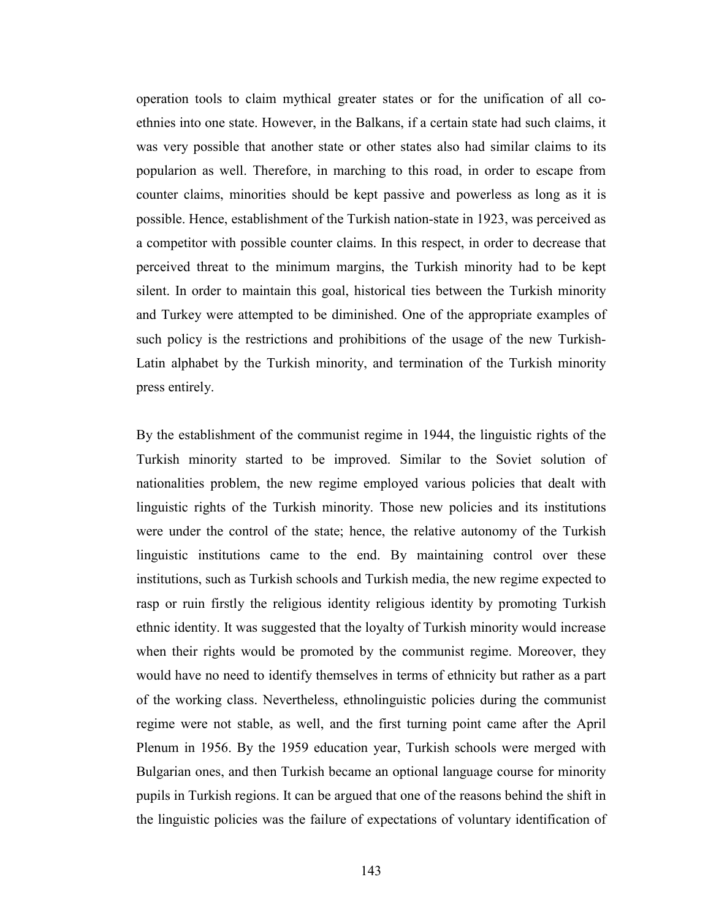operation tools to claim mythical greater states or for the unification of all coethnies into one state. However, in the Balkans, if a certain state had such claims, it was very possible that another state or other states also had similar claims to its popularion as well. Therefore, in marching to this road, in order to escape from counter claims, minorities should be kept passive and powerless as long as it is possible. Hence, establishment of the Turkish nation-state in 1923, was perceived as a competitor with possible counter claims. In this respect, in order to decrease that perceived threat to the minimum margins, the Turkish minority had to be kept silent. In order to maintain this goal, historical ties between the Turkish minority and Turkey were attempted to be diminished. One of the appropriate examples of such policy is the restrictions and prohibitions of the usage of the new Turkish-Latin alphabet by the Turkish minority, and termination of the Turkish minority press entirely.

By the establishment of the communist regime in 1944, the linguistic rights of the Turkish minority started to be improved. Similar to the Soviet solution of nationalities problem, the new regime employed various policies that dealt with linguistic rights of the Turkish minority. Those new policies and its institutions were under the control of the state; hence, the relative autonomy of the Turkish linguistic institutions came to the end. By maintaining control over these institutions, such as Turkish schools and Turkish media, the new regime expected to rasp or ruin firstly the religious identity religious identity by promoting Turkish ethnic identity. It was suggested that the loyalty of Turkish minority would increase when their rights would be promoted by the communist regime. Moreover, they would have no need to identify themselves in terms of ethnicity but rather as a part of the working class. Nevertheless, ethnolinguistic policies during the communist regime were not stable, as well, and the first turning point came after the April Plenum in 1956. By the 1959 education year, Turkish schools were merged with Bulgarian ones, and then Turkish became an optional language course for minority pupils in Turkish regions. It can be argued that one of the reasons behind the shift in the linguistic policies was the failure of expectations of voluntary identification of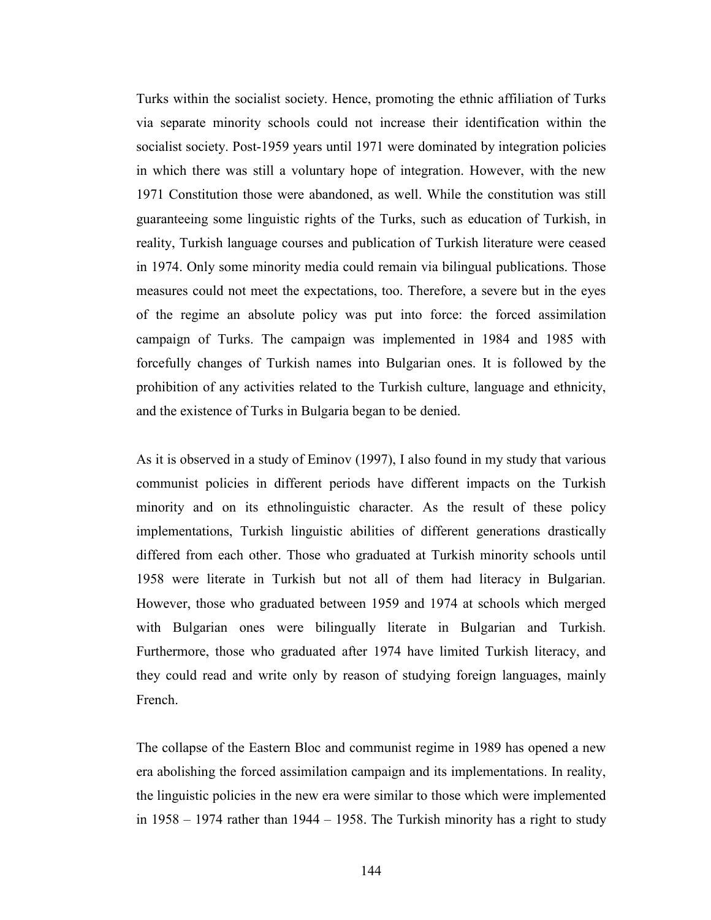Turks within the socialist society. Hence, promoting the ethnic affiliation of Turks via separate minority schools could not increase their identification within the socialist society. Post-1959 years until 1971 were dominated by integration policies in which there was still a voluntary hope of integration. However, with the new 1971 Constitution those were abandoned, as well. While the constitution was still guaranteeing some linguistic rights of the Turks, such as education of Turkish, in reality, Turkish language courses and publication of Turkish literature were ceased in 1974. Only some minority media could remain via bilingual publications. Those measures could not meet the expectations, too. Therefore, a severe but in the eyes of the regime an absolute policy was put into force: the forced assimilation campaign of Turks. The campaign was implemented in 1984 and 1985 with forcefully changes of Turkish names into Bulgarian ones. It is followed by the prohibition of any activities related to the Turkish culture, language and ethnicity, and the existence of Turks in Bulgaria began to be denied.

As it is observed in a study of Eminov (1997), I also found in my study that various communist policies in different periods have different impacts on the Turkish minority and on its ethnolinguistic character. As the result of these policy implementations, Turkish linguistic abilities of different generations drastically differed from each other. Those who graduated at Turkish minority schools until 1958 were literate in Turkish but not all of them had literacy in Bulgarian. However, those who graduated between 1959 and 1974 at schools which merged with Bulgarian ones were bilingually literate in Bulgarian and Turkish. Furthermore, those who graduated after 1974 have limited Turkish literacy, and they could read and write only by reason of studying foreign languages, mainly French.

The collapse of the Eastern Bloc and communist regime in 1989 has opened a new era abolishing the forced assimilation campaign and its implementations. In reality, the linguistic policies in the new era were similar to those which were implemented in 1958 – 1974 rather than 1944 – 1958. The Turkish minority has a right to study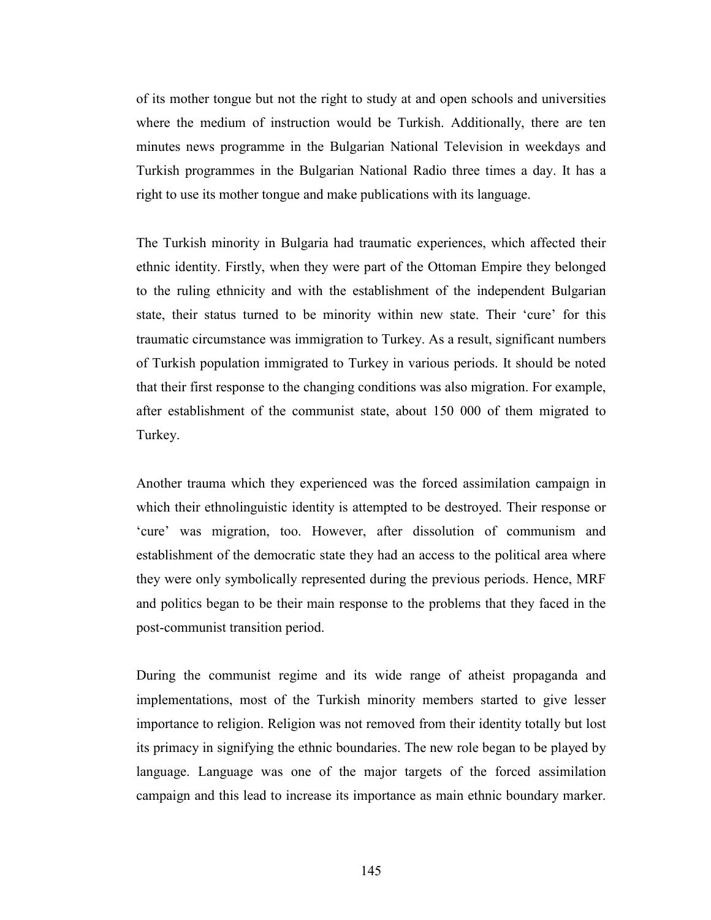of its mother tongue but not the right to study at and open schools and universities where the medium of instruction would be Turkish. Additionally, there are ten minutes news programme in the Bulgarian National Television in weekdays and Turkish programmes in the Bulgarian National Radio three times a day. It has a right to use its mother tongue and make publications with its language.

The Turkish minority in Bulgaria had traumatic experiences, which affected their ethnic identity. Firstly, when they were part of the Ottoman Empire they belonged to the ruling ethnicity and with the establishment of the independent Bulgarian state, their status turned to be minority within new state. Their 'cure' for this traumatic circumstance was immigration to Turkey. As a result, significant numbers of Turkish population immigrated to Turkey in various periods. It should be noted that their first response to the changing conditions was also migration. For example, after establishment of the communist state, about 150 000 of them migrated to Turkey.

Another trauma which they experienced was the forced assimilation campaign in which their ethnolinguistic identity is attempted to be destroyed. Their response or 'cure' was migration, too. However, after dissolution of communism and establishment of the democratic state they had an access to the political area where they were only symbolically represented during the previous periods. Hence, MRF and politics began to be their main response to the problems that they faced in the post-communist transition period.

During the communist regime and its wide range of atheist propaganda and implementations, most of the Turkish minority members started to give lesser importance to religion. Religion was not removed from their identity totally but lost its primacy in signifying the ethnic boundaries. The new role began to be played by language. Language was one of the major targets of the forced assimilation campaign and this lead to increase its importance as main ethnic boundary marker.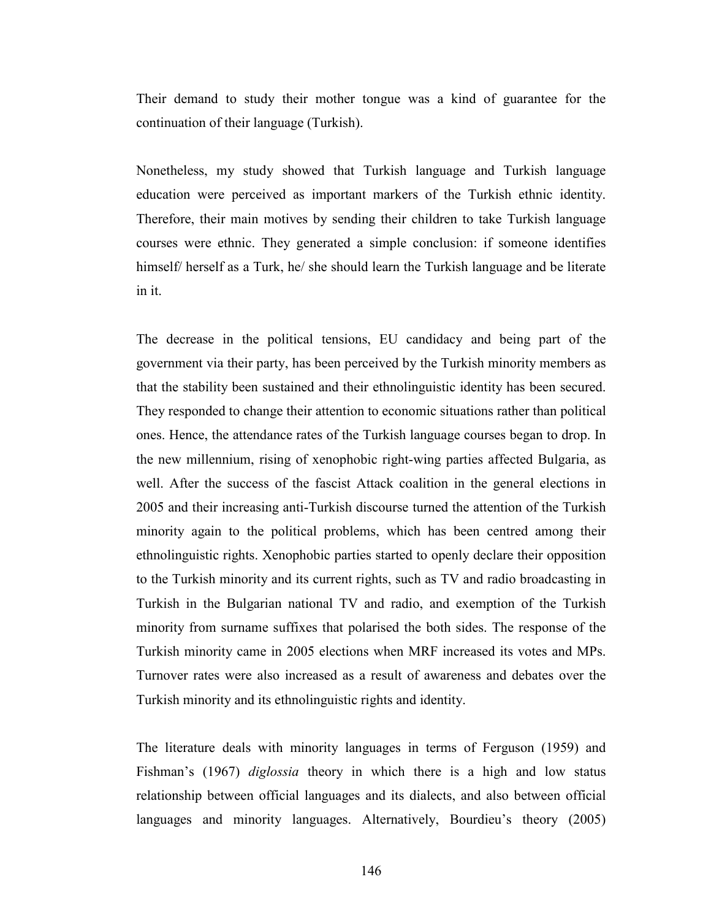Their demand to study their mother tongue was a kind of guarantee for the continuation of their language (Turkish).

Nonetheless, my study showed that Turkish language and Turkish language education were perceived as important markers of the Turkish ethnic identity. Therefore, their main motives by sending their children to take Turkish language courses were ethnic. They generated a simple conclusion: if someone identifies himself/ herself as a Turk, he/ should learn the Turkish language and be literate in it.

The decrease in the political tensions, EU candidacy and being part of the government via their party, has been perceived by the Turkish minority members as that the stability been sustained and their ethnolinguistic identity has been secured. They responded to change their attention to economic situations rather than political ones. Hence, the attendance rates of the Turkish language courses began to drop. In the new millennium, rising of xenophobic right-wing parties affected Bulgaria, as well. After the success of the fascist Attack coalition in the general elections in 2005 and their increasing anti-Turkish discourse turned the attention of the Turkish minority again to the political problems, which has been centred among their ethnolinguistic rights. Xenophobic parties started to openly declare their opposition to the Turkish minority and its current rights, such as TV and radio broadcasting in Turkish in the Bulgarian national TV and radio, and exemption of the Turkish minority from surname suffixes that polarised the both sides. The response of the Turkish minority came in 2005 elections when MRF increased its votes and MPs. Turnover rates were also increased as a result of awareness and debates over the Turkish minority and its ethnolinguistic rights and identity.

The literature deals with minority languages in terms of Ferguson (1959) and Fishman's (1967) diglossia theory in which there is a high and low status relationship between official languages and its dialects, and also between official languages and minority languages. Alternatively, Bourdieu's theory (2005)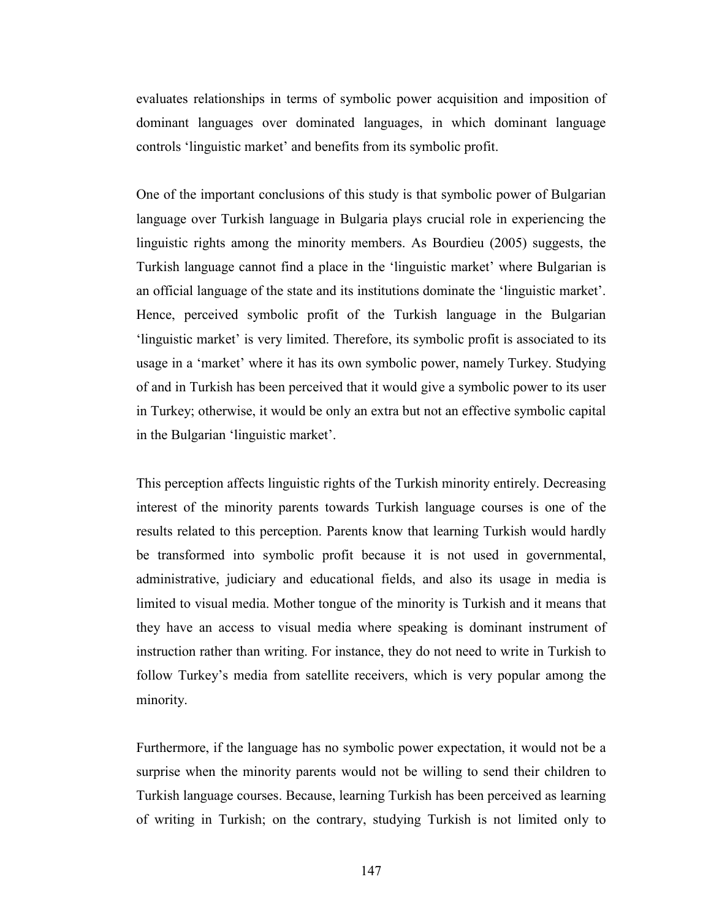evaluates relationships in terms of symbolic power acquisition and imposition of dominant languages over dominated languages, in which dominant language controls 'linguistic market' and benefits from its symbolic profit.

One of the important conclusions of this study is that symbolic power of Bulgarian language over Turkish language in Bulgaria plays crucial role in experiencing the linguistic rights among the minority members. As Bourdieu (2005) suggests, the Turkish language cannot find a place in the 'linguistic market' where Bulgarian is an official language of the state and its institutions dominate the 'linguistic market'. Hence, perceived symbolic profit of the Turkish language in the Bulgarian 'linguistic market' is very limited. Therefore, its symbolic profit is associated to its usage in a 'market' where it has its own symbolic power, namely Turkey. Studying of and in Turkish has been perceived that it would give a symbolic power to its user in Turkey; otherwise, it would be only an extra but not an effective symbolic capital in the Bulgarian 'linguistic market'.

This perception affects linguistic rights of the Turkish minority entirely. Decreasing interest of the minority parents towards Turkish language courses is one of the results related to this perception. Parents know that learning Turkish would hardly be transformed into symbolic profit because it is not used in governmental, administrative, judiciary and educational fields, and also its usage in media is limited to visual media. Mother tongue of the minority is Turkish and it means that they have an access to visual media where speaking is dominant instrument of instruction rather than writing. For instance, they do not need to write in Turkish to follow Turkey's media from satellite receivers, which is very popular among the minority.

Furthermore, if the language has no symbolic power expectation, it would not be a surprise when the minority parents would not be willing to send their children to Turkish language courses. Because, learning Turkish has been perceived as learning of writing in Turkish; on the contrary, studying Turkish is not limited only to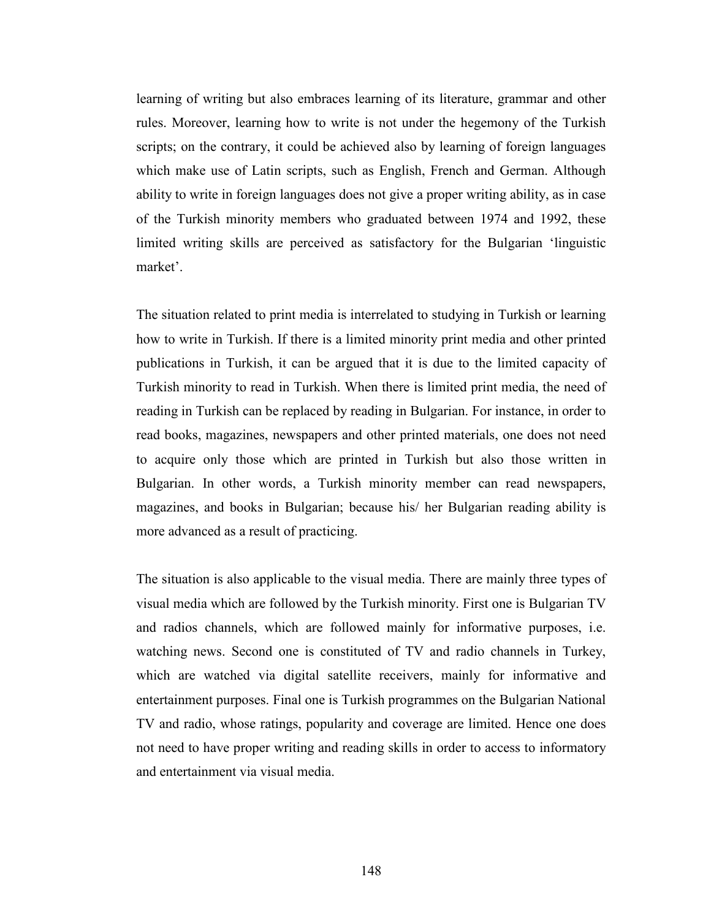learning of writing but also embraces learning of its literature, grammar and other rules. Moreover, learning how to write is not under the hegemony of the Turkish scripts; on the contrary, it could be achieved also by learning of foreign languages which make use of Latin scripts, such as English, French and German. Although ability to write in foreign languages does not give a proper writing ability, as in case of the Turkish minority members who graduated between 1974 and 1992, these limited writing skills are perceived as satisfactory for the Bulgarian 'linguistic market'.

The situation related to print media is interrelated to studying in Turkish or learning how to write in Turkish. If there is a limited minority print media and other printed publications in Turkish, it can be argued that it is due to the limited capacity of Turkish minority to read in Turkish. When there is limited print media, the need of reading in Turkish can be replaced by reading in Bulgarian. For instance, in order to read books, magazines, newspapers and other printed materials, one does not need to acquire only those which are printed in Turkish but also those written in Bulgarian. In other words, a Turkish minority member can read newspapers, magazines, and books in Bulgarian; because his/ her Bulgarian reading ability is more advanced as a result of practicing.

The situation is also applicable to the visual media. There are mainly three types of visual media which are followed by the Turkish minority. First one is Bulgarian TV and radios channels, which are followed mainly for informative purposes, i.e. watching news. Second one is constituted of TV and radio channels in Turkey, which are watched via digital satellite receivers, mainly for informative and entertainment purposes. Final one is Turkish programmes on the Bulgarian National TV and radio, whose ratings, popularity and coverage are limited. Hence one does not need to have proper writing and reading skills in order to access to informatory and entertainment via visual media.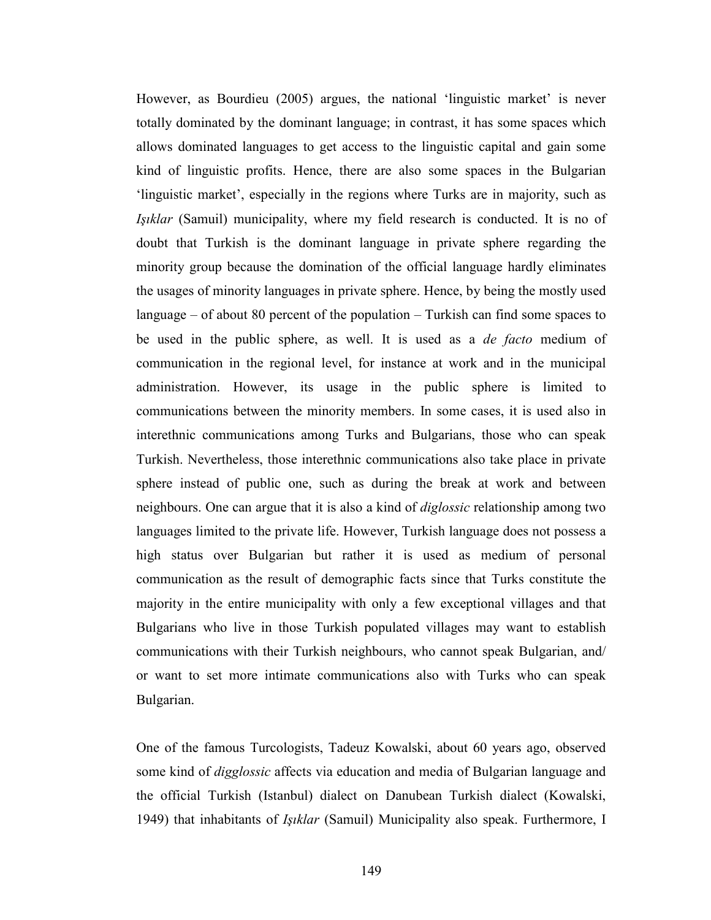However, as Bourdieu (2005) argues, the national 'linguistic market' is never totally dominated by the dominant language; in contrast, it has some spaces which allows dominated languages to get access to the linguistic capital and gain some kind of linguistic profits. Hence, there are also some spaces in the Bulgarian 'linguistic market', especially in the regions where Turks are in majority, such as Işıklar (Samuil) municipality, where my field research is conducted. It is no of doubt that Turkish is the dominant language in private sphere regarding the minority group because the domination of the official language hardly eliminates the usages of minority languages in private sphere. Hence, by being the mostly used language – of about 80 percent of the population – Turkish can find some spaces to be used in the public sphere, as well. It is used as a *de facto* medium of communication in the regional level, for instance at work and in the municipal administration. However, its usage in the public sphere is limited to communications between the minority members. In some cases, it is used also in interethnic communications among Turks and Bulgarians, those who can speak Turkish. Nevertheless, those interethnic communications also take place in private sphere instead of public one, such as during the break at work and between neighbours. One can argue that it is also a kind of diglossic relationship among two languages limited to the private life. However, Turkish language does not possess a high status over Bulgarian but rather it is used as medium of personal communication as the result of demographic facts since that Turks constitute the majority in the entire municipality with only a few exceptional villages and that Bulgarians who live in those Turkish populated villages may want to establish communications with their Turkish neighbours, who cannot speak Bulgarian, and/ or want to set more intimate communications also with Turks who can speak Bulgarian.

One of the famous Turcologists, Tadeuz Kowalski, about 60 years ago, observed some kind of *digglossic* affects via education and media of Bulgarian language and the official Turkish (Istanbul) dialect on Danubean Turkish dialect (Kowalski, 1949) that inhabitants of Işıklar (Samuil) Municipality also speak. Furthermore, I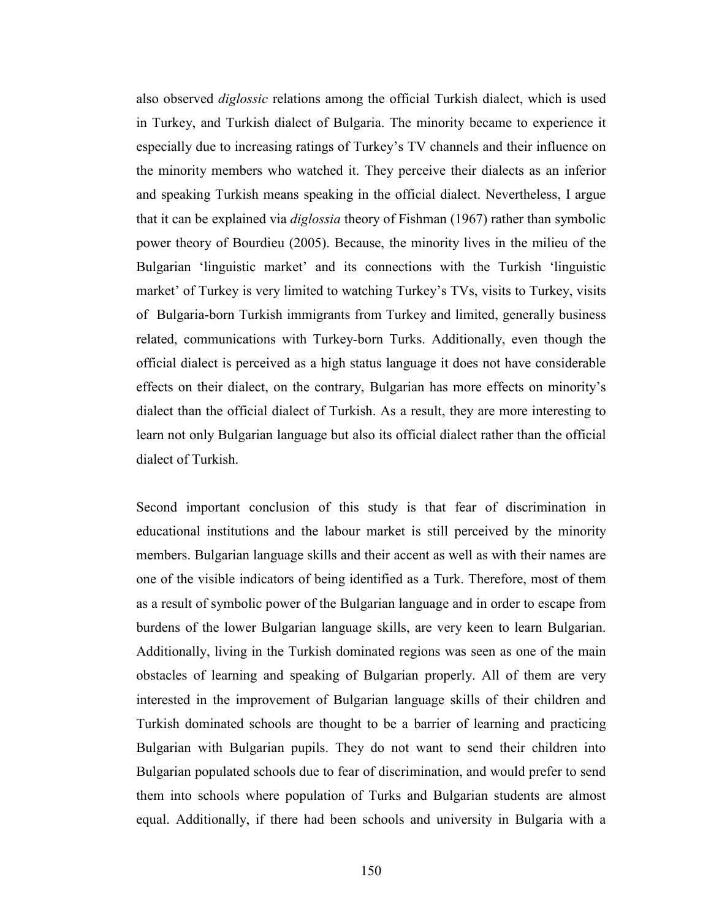also observed diglossic relations among the official Turkish dialect, which is used in Turkey, and Turkish dialect of Bulgaria. The minority became to experience it especially due to increasing ratings of Turkey's TV channels and their influence on the minority members who watched it. They perceive their dialects as an inferior and speaking Turkish means speaking in the official dialect. Nevertheless, I argue that it can be explained via diglossia theory of Fishman (1967) rather than symbolic power theory of Bourdieu (2005). Because, the minority lives in the milieu of the Bulgarian 'linguistic market' and its connections with the Turkish 'linguistic market' of Turkey is very limited to watching Turkey's TVs, visits to Turkey, visits of Bulgaria-born Turkish immigrants from Turkey and limited, generally business related, communications with Turkey-born Turks. Additionally, even though the official dialect is perceived as a high status language it does not have considerable effects on their dialect, on the contrary, Bulgarian has more effects on minority's dialect than the official dialect of Turkish. As a result, they are more interesting to learn not only Bulgarian language but also its official dialect rather than the official dialect of Turkish.

Second important conclusion of this study is that fear of discrimination in educational institutions and the labour market is still perceived by the minority members. Bulgarian language skills and their accent as well as with their names are one of the visible indicators of being identified as a Turk. Therefore, most of them as a result of symbolic power of the Bulgarian language and in order to escape from burdens of the lower Bulgarian language skills, are very keen to learn Bulgarian. Additionally, living in the Turkish dominated regions was seen as one of the main obstacles of learning and speaking of Bulgarian properly. All of them are very interested in the improvement of Bulgarian language skills of their children and Turkish dominated schools are thought to be a barrier of learning and practicing Bulgarian with Bulgarian pupils. They do not want to send their children into Bulgarian populated schools due to fear of discrimination, and would prefer to send them into schools where population of Turks and Bulgarian students are almost equal. Additionally, if there had been schools and university in Bulgaria with a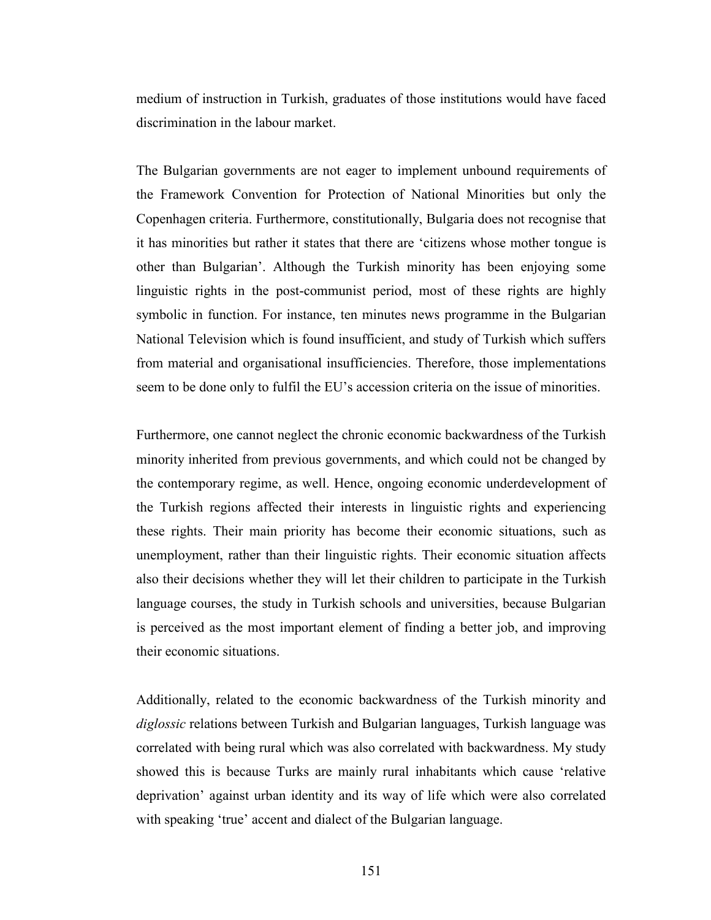medium of instruction in Turkish, graduates of those institutions would have faced discrimination in the labour market.

The Bulgarian governments are not eager to implement unbound requirements of the Framework Convention for Protection of National Minorities but only the Copenhagen criteria. Furthermore, constitutionally, Bulgaria does not recognise that it has minorities but rather it states that there are 'citizens whose mother tongue is other than Bulgarian'. Although the Turkish minority has been enjoying some linguistic rights in the post-communist period, most of these rights are highly symbolic in function. For instance, ten minutes news programme in the Bulgarian National Television which is found insufficient, and study of Turkish which suffers from material and organisational insufficiencies. Therefore, those implementations seem to be done only to fulfil the EU's accession criteria on the issue of minorities.

Furthermore, one cannot neglect the chronic economic backwardness of the Turkish minority inherited from previous governments, and which could not be changed by the contemporary regime, as well. Hence, ongoing economic underdevelopment of the Turkish regions affected their interests in linguistic rights and experiencing these rights. Their main priority has become their economic situations, such as unemployment, rather than their linguistic rights. Their economic situation affects also their decisions whether they will let their children to participate in the Turkish language courses, the study in Turkish schools and universities, because Bulgarian is perceived as the most important element of finding a better job, and improving their economic situations.

Additionally, related to the economic backwardness of the Turkish minority and diglossic relations between Turkish and Bulgarian languages, Turkish language was correlated with being rural which was also correlated with backwardness. My study showed this is because Turks are mainly rural inhabitants which cause 'relative deprivation' against urban identity and its way of life which were also correlated with speaking 'true' accent and dialect of the Bulgarian language.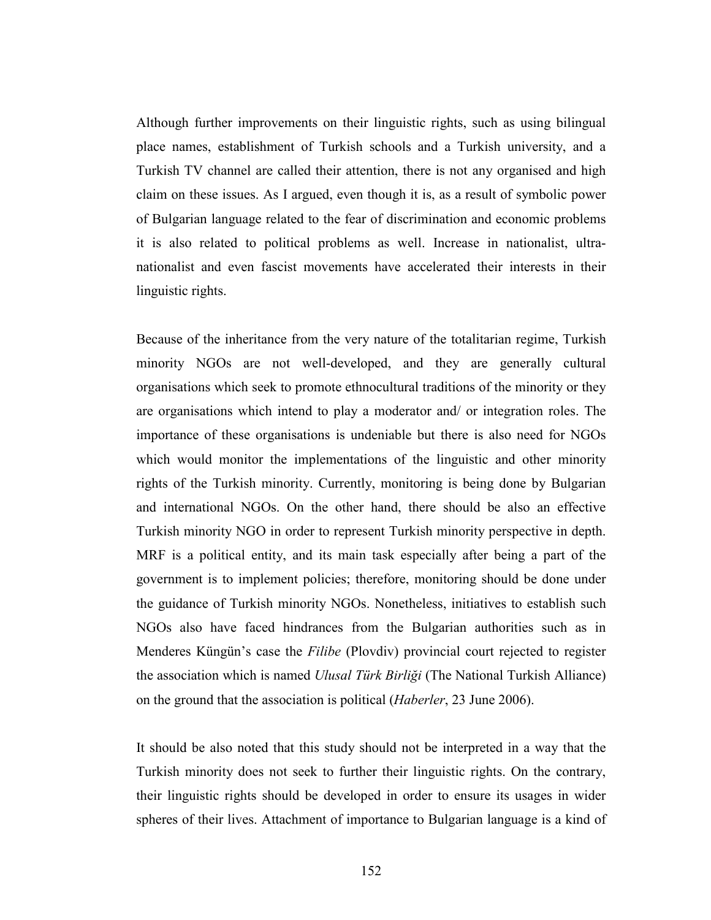Although further improvements on their linguistic rights, such as using bilingual place names, establishment of Turkish schools and a Turkish university, and a Turkish TV channel are called their attention, there is not any organised and high claim on these issues. As I argued, even though it is, as a result of symbolic power of Bulgarian language related to the fear of discrimination and economic problems it is also related to political problems as well. Increase in nationalist, ultranationalist and even fascist movements have accelerated their interests in their linguistic rights.

Because of the inheritance from the very nature of the totalitarian regime, Turkish minority NGOs are not well-developed, and they are generally cultural organisations which seek to promote ethnocultural traditions of the minority or they are organisations which intend to play a moderator and/ or integration roles. The importance of these organisations is undeniable but there is also need for NGOs which would monitor the implementations of the linguistic and other minority rights of the Turkish minority. Currently, monitoring is being done by Bulgarian and international NGOs. On the other hand, there should be also an effective Turkish minority NGO in order to represent Turkish minority perspective in depth. MRF is a political entity, and its main task especially after being a part of the government is to implement policies; therefore, monitoring should be done under the guidance of Turkish minority NGOs. Nonetheless, initiatives to establish such NGOs also have faced hindrances from the Bulgarian authorities such as in Menderes Küngün's case the Filibe (Plovdiv) provincial court rejected to register the association which is named Ulusal Türk Birliği (The National Turkish Alliance) on the ground that the association is political (Haberler, 23 June 2006).

It should be also noted that this study should not be interpreted in a way that the Turkish minority does not seek to further their linguistic rights. On the contrary, their linguistic rights should be developed in order to ensure its usages in wider spheres of their lives. Attachment of importance to Bulgarian language is a kind of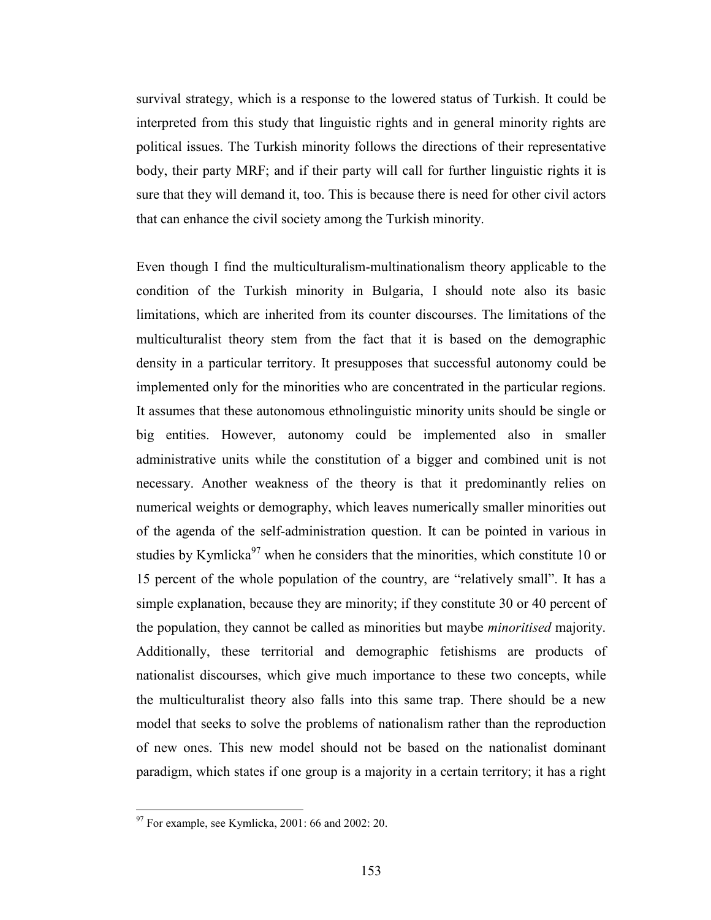survival strategy, which is a response to the lowered status of Turkish. It could be interpreted from this study that linguistic rights and in general minority rights are political issues. The Turkish minority follows the directions of their representative body, their party MRF; and if their party will call for further linguistic rights it is sure that they will demand it, too. This is because there is need for other civil actors that can enhance the civil society among the Turkish minority.

Even though I find the multiculturalism-multinationalism theory applicable to the condition of the Turkish minority in Bulgaria, I should note also its basic limitations, which are inherited from its counter discourses. The limitations of the multiculturalist theory stem from the fact that it is based on the demographic density in a particular territory. It presupposes that successful autonomy could be implemented only for the minorities who are concentrated in the particular regions. It assumes that these autonomous ethnolinguistic minority units should be single or big entities. However, autonomy could be implemented also in smaller administrative units while the constitution of a bigger and combined unit is not necessary. Another weakness of the theory is that it predominantly relies on numerical weights or demography, which leaves numerically smaller minorities out of the agenda of the self-administration question. It can be pointed in various in studies by Kymlicka $97$  when he considers that the minorities, which constitute 10 or 15 percent of the whole population of the country, are "relatively small". It has a simple explanation, because they are minority; if they constitute 30 or 40 percent of the population, they cannot be called as minorities but maybe minoritised majority. Additionally, these territorial and demographic fetishisms are products of nationalist discourses, which give much importance to these two concepts, while the multiculturalist theory also falls into this same trap. There should be a new model that seeks to solve the problems of nationalism rather than the reproduction of new ones. This new model should not be based on the nationalist dominant paradigm, which states if one group is a majority in a certain territory; it has a right

 $\overline{a}$ 

 $97$  For example, see Kymlicka, 2001: 66 and 2002: 20.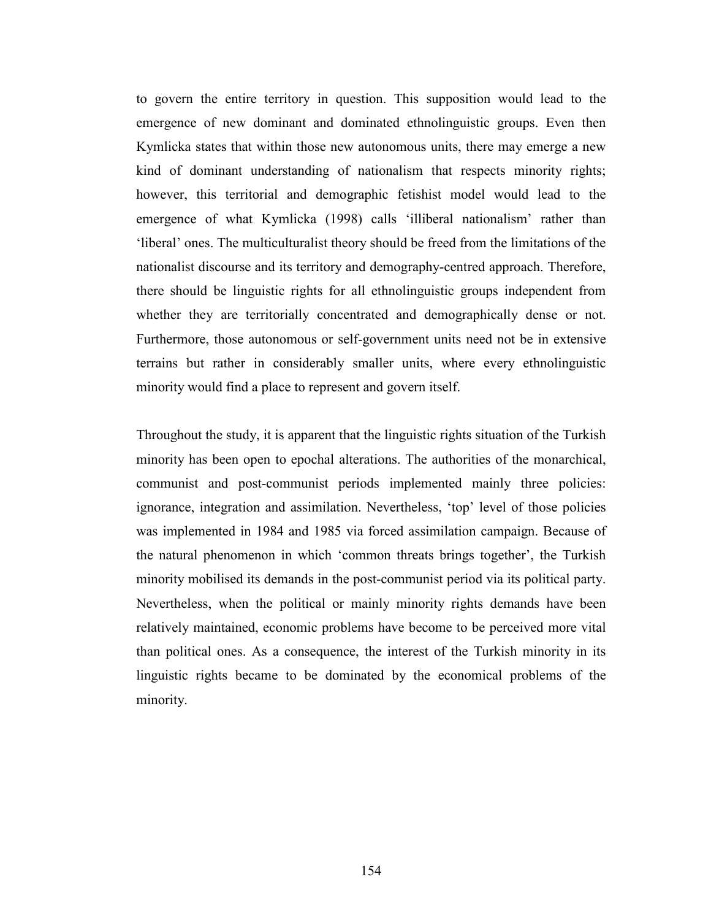to govern the entire territory in question. This supposition would lead to the emergence of new dominant and dominated ethnolinguistic groups. Even then Kymlicka states that within those new autonomous units, there may emerge a new kind of dominant understanding of nationalism that respects minority rights; however, this territorial and demographic fetishist model would lead to the emergence of what Kymlicka (1998) calls 'illiberal nationalism' rather than 'liberal' ones. The multiculturalist theory should be freed from the limitations of the nationalist discourse and its territory and demography-centred approach. Therefore, there should be linguistic rights for all ethnolinguistic groups independent from whether they are territorially concentrated and demographically dense or not. Furthermore, those autonomous or self-government units need not be in extensive terrains but rather in considerably smaller units, where every ethnolinguistic minority would find a place to represent and govern itself.

Throughout the study, it is apparent that the linguistic rights situation of the Turkish minority has been open to epochal alterations. The authorities of the monarchical, communist and post-communist periods implemented mainly three policies: ignorance, integration and assimilation. Nevertheless, 'top' level of those policies was implemented in 1984 and 1985 via forced assimilation campaign. Because of the natural phenomenon in which 'common threats brings together', the Turkish minority mobilised its demands in the post-communist period via its political party. Nevertheless, when the political or mainly minority rights demands have been relatively maintained, economic problems have become to be perceived more vital than political ones. As a consequence, the interest of the Turkish minority in its linguistic rights became to be dominated by the economical problems of the minority.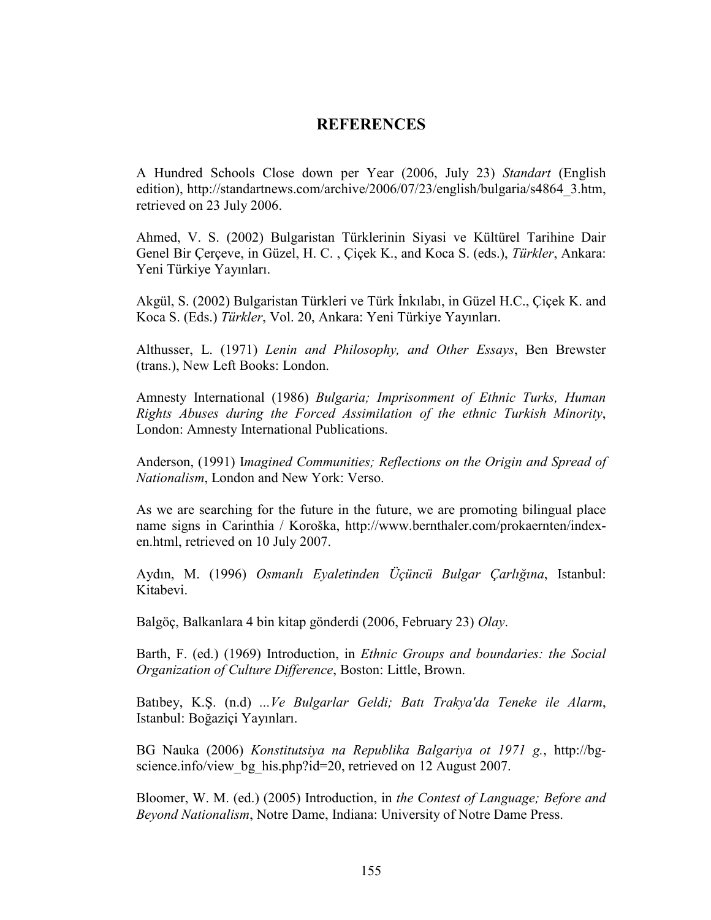# **REFERENCES**

A Hundred Schools Close down per Year (2006, July 23) Standart (English edition), http://standartnews.com/archive/2006/07/23/english/bulgaria/s4864\_3.htm, retrieved on 23 July 2006.

Ahmed, V. S. (2002) Bulgaristan Türklerinin Siyasi ve Kültürel Tarihine Dair Genel Bir Çerçeve, in Güzel, H. C. , Çiçek K., and Koca S. (eds.), Türkler, Ankara: Yeni Türkiye Yayınları.

Akgül, S. (2002) Bulgaristan Türkleri ve Türk İnkılabı, in Güzel H.C., Çiçek K. and Koca S. (Eds.) Türkler, Vol. 20, Ankara: Yeni Türkiye Yayınları.

Althusser, L. (1971) Lenin and Philosophy, and Other Essays, Ben Brewster (trans.), New Left Books: London.

Amnesty International (1986) Bulgaria; Imprisonment of Ethnic Turks, Human Rights Abuses during the Forced Assimilation of the ethnic Turkish Minority, London: Amnesty International Publications.

Anderson, (1991) Imagined Communities; Reflections on the Origin and Spread of Nationalism, London and New York: Verso.

As we are searching for the future in the future, we are promoting bilingual place name signs in Carinthia / Koroška, http://www.bernthaler.com/prokaernten/indexen.html, retrieved on 10 July 2007.

Aydın, M. (1996) Osmanlı Eyaletinden Üçüncü Bulgar Çarlığına, Istanbul: Kitabevi.

Balgöç, Balkanlara 4 bin kitap gönderdi (2006, February 23) Olay.

Barth, F. (ed.) (1969) Introduction, in Ethnic Groups and boundaries: the Social Organization of Culture Difference, Boston: Little, Brown.

Batıbey, K.Ş. (n.d) ...Ve Bulgarlar Geldi; Batı Trakya'da Teneke ile Alarm, Istanbul: Boğaziçi Yayınları.

BG Nauka (2006) Konstitutsiya na Republika Balgariya ot 1971 g., http://bgscience.info/view\_bg\_his.php?id=20, retrieved on 12 August 2007.

Bloomer, W. M. (ed.) (2005) Introduction, in the Contest of Language; Before and Beyond Nationalism, Notre Dame, Indiana: University of Notre Dame Press.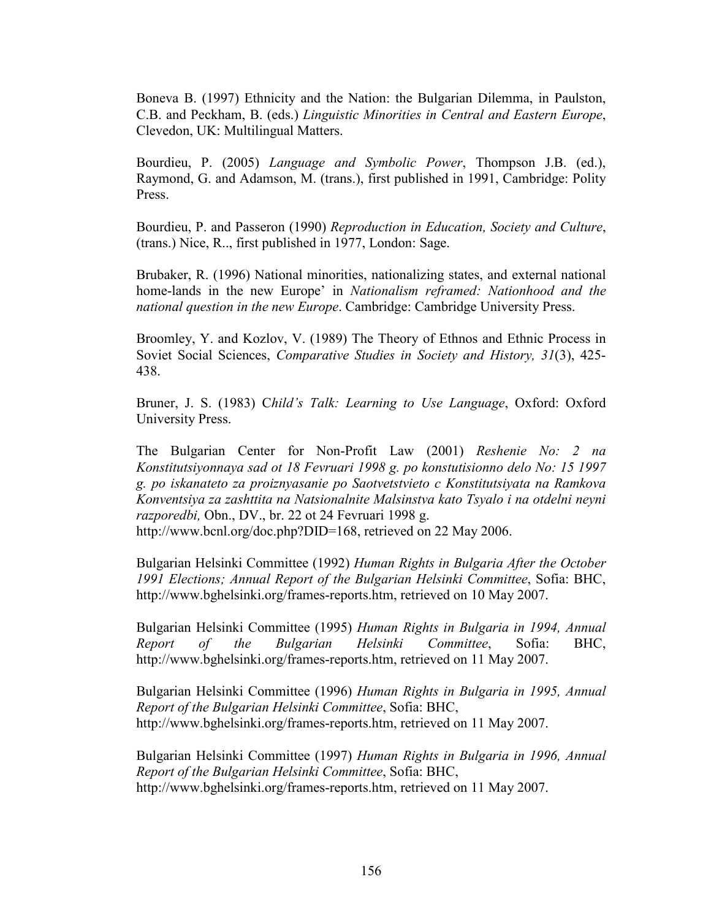Boneva B. (1997) Ethnicity and the Nation: the Bulgarian Dilemma, in Paulston, C.B. and Peckham, B. (eds.) Linguistic Minorities in Central and Eastern Europe, Clevedon, UK: Multilingual Matters.

Bourdieu, P. (2005) Language and Symbolic Power, Thompson J.B. (ed.), Raymond, G. and Adamson, M. (trans.), first published in 1991, Cambridge: Polity Press.

Bourdieu, P. and Passeron (1990) Reproduction in Education, Society and Culture, (trans.) Nice, R.., first published in 1977, London: Sage.

Brubaker, R. (1996) National minorities, nationalizing states, and external national home-lands in the new Europe' in Nationalism reframed: Nationhood and the national question in the new Europe. Cambridge: Cambridge University Press.

Broomley, Y. and Kozlov, V. (1989) The Theory of Ethnos and Ethnic Process in Soviet Social Sciences, Comparative Studies in Society and History, 31(3), 425- 438.

Bruner, J. S. (1983) Child's Talk: Learning to Use Language, Oxford: Oxford University Press.

The Bulgarian Center for Non-Profit Law (2001) Reshenie No: 2 na Konstitutsiyonnaya sad ot 18 Fevruari 1998 g. po konstutisionno delo No: 15 1997 g. po iskanateto za proiznyasanie po Saotvetstvieto c Konstitutsiyata na Ramkova Konventsiya za zashttita na Natsionalnite Malsinstva kato Tsyalo i na otdelni neyni razporedbi, Obn., DV., br. 22 ot 24 Fevruari 1998 g.

http://www.bcnl.org/doc.php?DID=168, retrieved on 22 May 2006.

Bulgarian Helsinki Committee (1992) Human Rights in Bulgaria After the October 1991 Elections; Annual Report of the Bulgarian Helsinki Committee, Sofia: BHC, http://www.bghelsinki.org/frames-reports.htm, retrieved on 10 May 2007.

Bulgarian Helsinki Committee (1995) Human Rights in Bulgaria in 1994, Annual Report of the Bulgarian Helsinki Committee, Sofia: BHC, http://www.bghelsinki.org/frames-reports.htm, retrieved on 11 May 2007.

Bulgarian Helsinki Committee (1996) Human Rights in Bulgaria in 1995, Annual Report of the Bulgarian Helsinki Committee, Sofia: BHC, http://www.bghelsinki.org/frames-reports.htm, retrieved on 11 May 2007.

Bulgarian Helsinki Committee (1997) Human Rights in Bulgaria in 1996, Annual Report of the Bulgarian Helsinki Committee, Sofia: BHC, http://www.bghelsinki.org/frames-reports.htm, retrieved on 11 May 2007.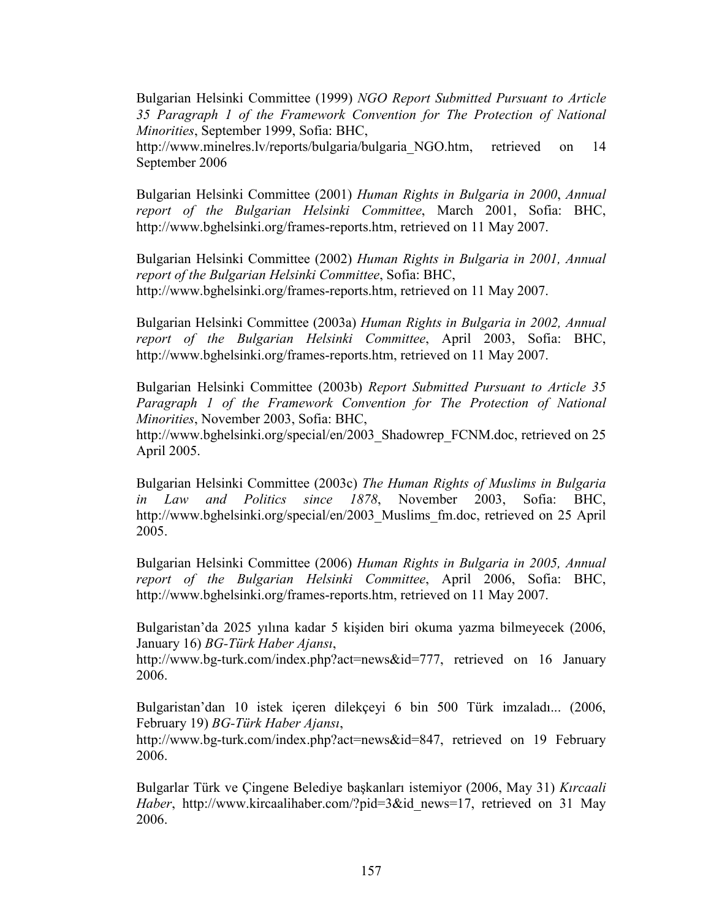Bulgarian Helsinki Committee (1999) NGO Report Submitted Pursuant to Article 35 Paragraph 1 of the Framework Convention for The Protection of National Minorities, September 1999, Sofia: BHC,

http://www.minelres.lv/reports/bulgaria/bulgaria\_NGO.htm, retrieved on 14 September 2006

Bulgarian Helsinki Committee (2001) Human Rights in Bulgaria in 2000, Annual report of the Bulgarian Helsinki Committee, March 2001, Sofia: BHC, http://www.bghelsinki.org/frames-reports.htm, retrieved on 11 May 2007.

Bulgarian Helsinki Committee (2002) Human Rights in Bulgaria in 2001, Annual report of the Bulgarian Helsinki Committee, Sofia: BHC, http://www.bghelsinki.org/frames-reports.htm, retrieved on 11 May 2007.

Bulgarian Helsinki Committee (2003a) Human Rights in Bulgaria in 2002, Annual report of the Bulgarian Helsinki Committee, April 2003, Sofia: BHC, http://www.bghelsinki.org/frames-reports.htm, retrieved on 11 May 2007.

Bulgarian Helsinki Committee (2003b) Report Submitted Pursuant to Article 35 Paragraph 1 of the Framework Convention for The Protection of National Minorities, November 2003, Sofia: BHC,

http://www.bghelsinki.org/special/en/2003\_Shadowrep\_FCNM.doc, retrieved on 25 April 2005.

Bulgarian Helsinki Committee (2003c) The Human Rights of Muslims in Bulgaria in Law and Politics since 1878, November 2003, Sofia: BHC, http://www.bghelsinki.org/special/en/2003\_Muslims\_fm.doc, retrieved on 25 April 2005.

Bulgarian Helsinki Committee (2006) Human Rights in Bulgaria in 2005, Annual report of the Bulgarian Helsinki Committee, April 2006, Sofia: BHC, http://www.bghelsinki.org/frames-reports.htm, retrieved on 11 May 2007.

Bulgaristan'da 2025 yılına kadar 5 kişiden biri okuma yazma bilmeyecek (2006, January 16) BG-Türk Haber Ajansı,

http://www.bg-turk.com/index.php?act=news&id=777, retrieved on 16 January 2006.

Bulgaristan'dan 10 istek içeren dilekçeyi 6 bin 500 Türk imzaladı... (2006, February 19) BG-Türk Haber Ajansı,

http://www.bg-turk.com/index.php?act=news&id=847, retrieved on 19 February 2006.

Bulgarlar Türk ve Çingene Belediye başkanları istemiyor (2006, May 31) Kırcaali Haber, http://www.kircaalihaber.com/?pid=3&id\_news=17, retrieved on 31 May 2006.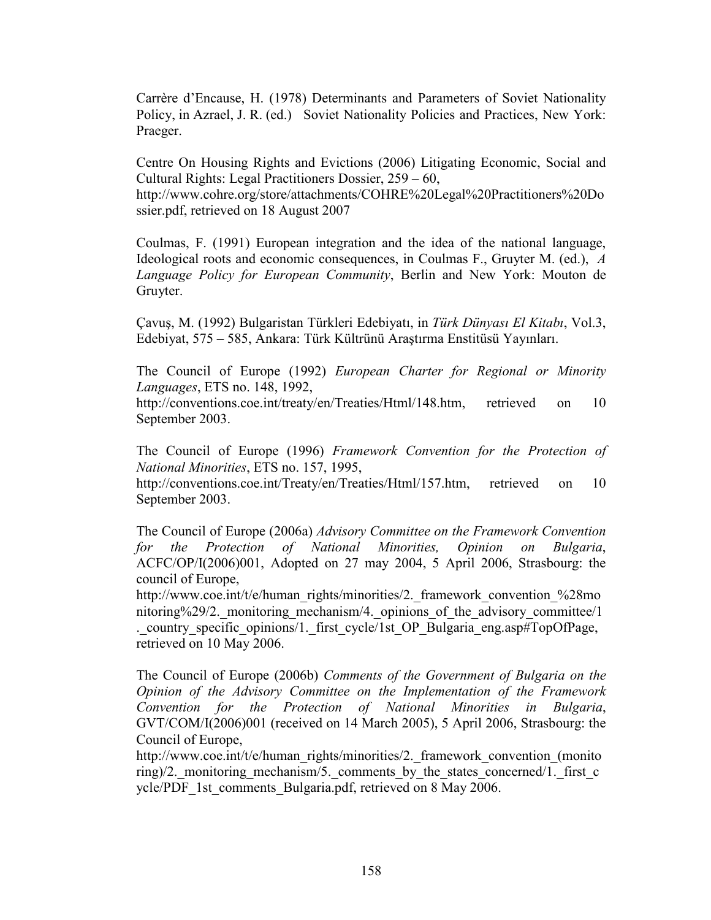Carrère d'Encause, H. (1978) Determinants and Parameters of Soviet Nationality Policy, in Azrael, J. R. (ed.) Soviet Nationality Policies and Practices, New York: Praeger.

Centre On Housing Rights and Evictions (2006) Litigating Economic, Social and Cultural Rights: Legal Practitioners Dossier, 259 – 60,

http://www.cohre.org/store/attachments/COHRE%20Legal%20Practitioners%20Do ssier.pdf, retrieved on 18 August 2007

Coulmas, F. (1991) European integration and the idea of the national language, Ideological roots and economic consequences, in Coulmas F., Gruyter M. (ed.), A Language Policy for European Community, Berlin and New York: Mouton de Gruyter.

Çavuş, M. (1992) Bulgaristan Türkleri Edebiyatı, in Türk Dünyası El Kitabı, Vol.3, Edebiyat, 575 – 585, Ankara: Türk Kültrünü Araştırma Enstitüsü Yayınları.

The Council of Europe (1992) European Charter for Regional or Minority Languages, ETS no. 148, 1992,

http://conventions.coe.int/treaty/en/Treaties/Html/148.htm, retrieved on 10 September 2003.

The Council of Europe (1996) Framework Convention for the Protection of National Minorities, ETS no. 157, 1995,

http://conventions.coe.int/Treaty/en/Treaties/Html/157.htm, retrieved on 10 September 2003.

The Council of Europe (2006a) Advisory Committee on the Framework Convention for the Protection of National Minorities, Opinion on Bulgaria, ACFC/OP/I(2006)001, Adopted on 27 may 2004, 5 April 2006, Strasbourg: the council of Europe,

http://www.coe.int/t/e/human\_rights/minorities/2.\_framework\_convention\_%28mo nitoring%29/2. monitoring mechanism/4. opinions of the advisory committee/1 . country specific opinions/1. first cycle/1st OP Bulgaria eng.asp#TopOfPage, retrieved on 10 May 2006.

The Council of Europe (2006b) Comments of the Government of Bulgaria on the Opinion of the Advisory Committee on the Implementation of the Framework Convention for the Protection of National Minorities in Bulgaria, GVT/COM/I(2006)001 (received on 14 March 2005), 5 April 2006, Strasbourg: the Council of Europe,

http://www.coe.int/t/e/human\_rights/minorities/2.\_framework\_convention\_(monito ring)/2. monitoring mechanism/5. comments by the states concerned/1. first  $c$ ycle/PDF\_1st\_comments\_Bulgaria.pdf, retrieved on 8 May 2006.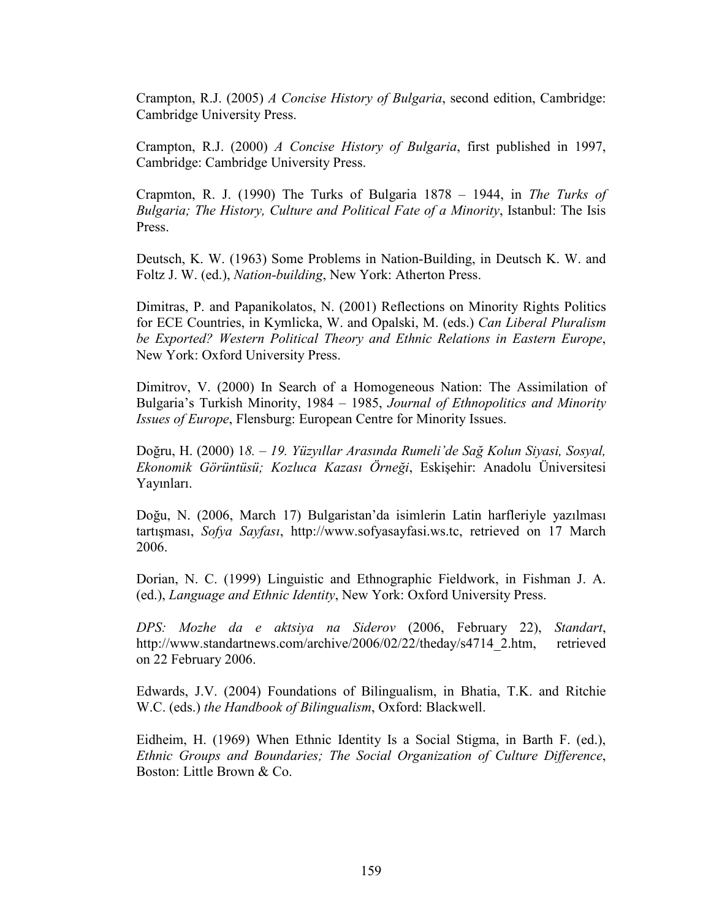Crampton, R.J. (2005) A Concise History of Bulgaria, second edition, Cambridge: Cambridge University Press.

Crampton, R.J. (2000) A Concise History of Bulgaria, first published in 1997, Cambridge: Cambridge University Press.

Crapmton, R. J. (1990) The Turks of Bulgaria 1878 – 1944, in The Turks of Bulgaria; The History, Culture and Political Fate of a Minority, Istanbul: The Isis Press.

Deutsch, K. W. (1963) Some Problems in Nation-Building, in Deutsch K. W. and Foltz J. W. (ed.), Nation-building, New York: Atherton Press.

Dimitras, P. and Papanikolatos, N. (2001) Reflections on Minority Rights Politics for ECE Countries, in Kymlicka, W. and Opalski, M. (eds.) Can Liberal Pluralism be Exported? Western Political Theory and Ethnic Relations in Eastern Europe, New York: Oxford University Press.

Dimitrov, V. (2000) In Search of a Homogeneous Nation: The Assimilation of Bulgaria's Turkish Minority, 1984 – 1985, Journal of Ethnopolitics and Minority Issues of Europe, Flensburg: European Centre for Minority Issues.

Doğru, H. (2000) 18. – 19. Yüzyıllar Arasında Rumeli'de Sağ Kolun Siyasi, Sosyal, Ekonomik Görüntüsü; Kozluca Kazası Örneği, Eskişehir: Anadolu Üniversitesi Yayınları.

Doğu, N. (2006, March 17) Bulgaristan'da isimlerin Latin harfleriyle yazılması tartışması, Sofya Sayfası, http://www.sofyasayfasi.ws.tc, retrieved on 17 March 2006.

Dorian, N. C. (1999) Linguistic and Ethnographic Fieldwork, in Fishman J. A. (ed.), Language and Ethnic Identity, New York: Oxford University Press.

DPS: Mozhe da e aktsiya na Siderov (2006, February 22), Standart, http://www.standartnews.com/archive/2006/02/22/theday/s4714\_2.htm, retrieved on 22 February 2006.

Edwards, J.V. (2004) Foundations of Bilingualism, in Bhatia, T.K. and Ritchie W.C. (eds.) the Handbook of Bilingualism, Oxford: Blackwell.

Eidheim, H. (1969) When Ethnic Identity Is a Social Stigma, in Barth F. (ed.), Ethnic Groups and Boundaries; The Social Organization of Culture Difference, Boston: Little Brown & Co.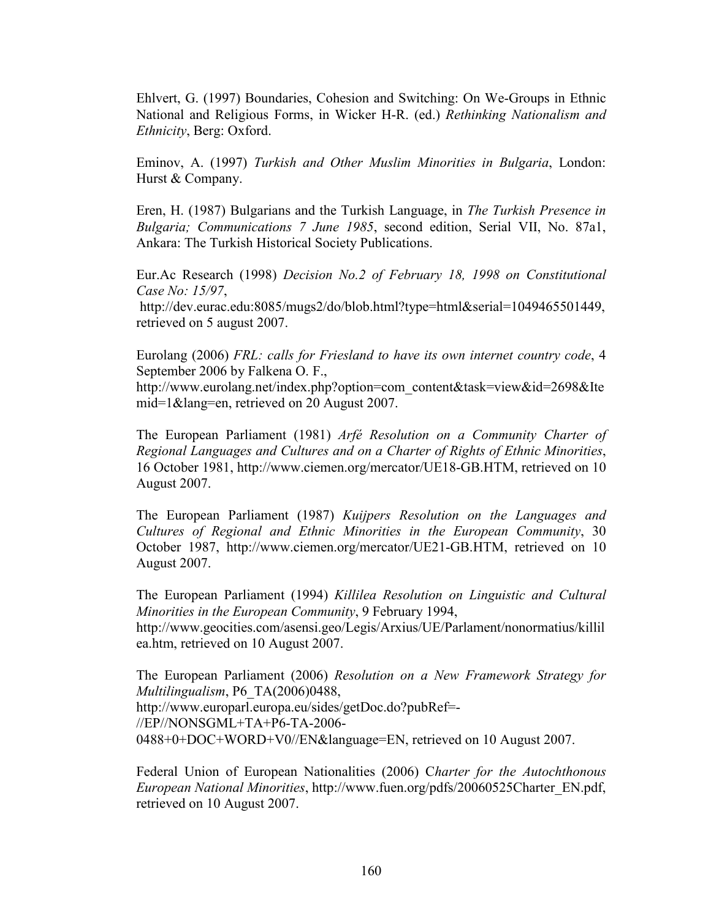Ehlvert, G. (1997) Boundaries, Cohesion and Switching: On We-Groups in Ethnic National and Religious Forms, in Wicker H-R. (ed.) Rethinking Nationalism and Ethnicity, Berg: Oxford.

Eminov, A. (1997) Turkish and Other Muslim Minorities in Bulgaria, London: Hurst & Company.

Eren, H. (1987) Bulgarians and the Turkish Language, in The Turkish Presence in Bulgaria; Communications 7 June 1985, second edition, Serial VII, No. 87a1, Ankara: The Turkish Historical Society Publications.

Eur.Ac Research (1998) Decision No.2 of February 18, 1998 on Constitutional Case No: 15/97,

 http://dev.eurac.edu:8085/mugs2/do/blob.html?type=html&serial=1049465501449, retrieved on 5 august 2007.

Eurolang (2006) FRL: calls for Friesland to have its own internet country code, 4 September 2006 by Falkena O. F.,

http://www.eurolang.net/index.php?option=com\_content&task=view&id=2698&Ite mid=1&lang=en, retrieved on 20 August 2007.

The European Parliament (1981) Arfé Resolution on a Community Charter of Regional Languages and Cultures and on a Charter of Rights of Ethnic Minorities, 16 October 1981, http://www.ciemen.org/mercator/UE18-GB.HTM, retrieved on 10 August 2007.

The European Parliament (1987) Kuijpers Resolution on the Languages and Cultures of Regional and Ethnic Minorities in the European Community, 30 October 1987, http://www.ciemen.org/mercator/UE21-GB.HTM, retrieved on 10 August 2007.

The European Parliament (1994) Killilea Resolution on Linguistic and Cultural Minorities in the European Community, 9 February 1994, http://www.geocities.com/asensi.geo/Legis/Arxius/UE/Parlament/nonormatius/killil ea.htm, retrieved on 10 August 2007.

The European Parliament (2006) Resolution on a New Framework Strategy for Multilingualism, P6\_TA(2006)0488, http://www.europarl.europa.eu/sides/getDoc.do?pubRef=- //EP//NONSGML+TA+P6-TA-2006- 0488+0+DOC+WORD+V0//EN&language=EN, retrieved on 10 August 2007.

Federal Union of European Nationalities (2006) Charter for the Autochthonous European National Minorities, http://www.fuen.org/pdfs/20060525Charter\_EN.pdf, retrieved on 10 August 2007.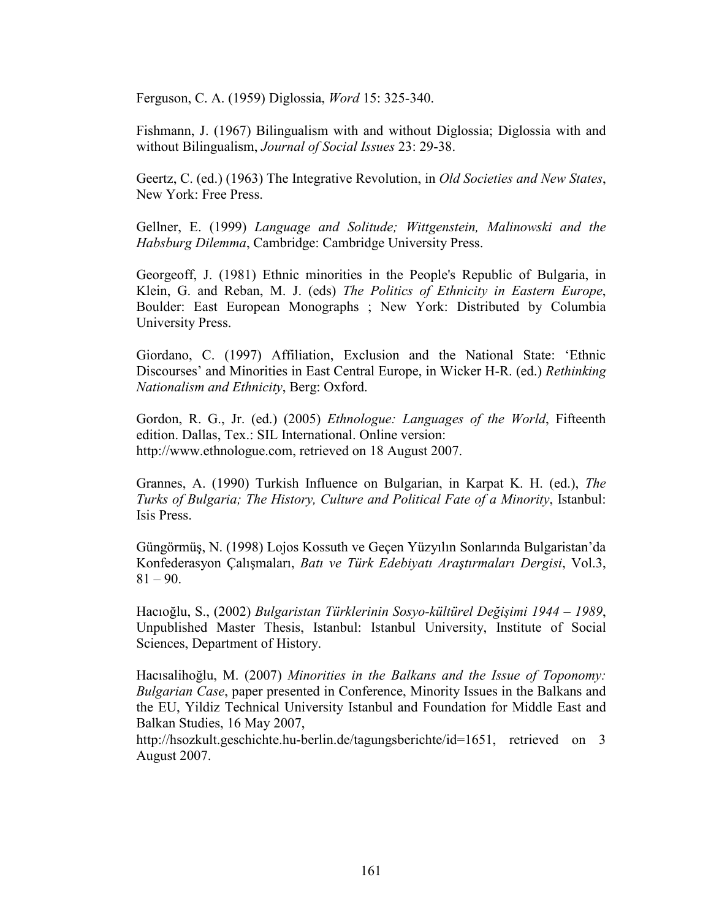Ferguson, C. A. (1959) Diglossia, Word 15: 325-340.

Fishmann, J. (1967) Bilingualism with and without Diglossia; Diglossia with and without Bilingualism, Journal of Social Issues 23: 29-38.

Geertz, C. (ed.) (1963) The Integrative Revolution, in *Old Societies and New States*, New York: Free Press.

Gellner, E. (1999) Language and Solitude; Wittgenstein, Malinowski and the Habsburg Dilemma, Cambridge: Cambridge University Press.

Georgeoff, J. (1981) Ethnic minorities in the People's Republic of Bulgaria, in Klein, G. and Reban, M. J. (eds) The Politics of Ethnicity in Eastern Europe, Boulder: East European Monographs ; New York: Distributed by Columbia University Press.

Giordano, C. (1997) Affiliation, Exclusion and the National State: 'Ethnic Discourses' and Minorities in East Central Europe, in Wicker H-R. (ed.) Rethinking Nationalism and Ethnicity, Berg: Oxford.

Gordon, R. G., Jr. (ed.) (2005) Ethnologue: Languages of the World, Fifteenth edition. Dallas, Tex.: SIL International. Online version: http://www.ethnologue.com, retrieved on 18 August 2007.

Grannes, A. (1990) Turkish Influence on Bulgarian, in Karpat K. H. (ed.), The Turks of Bulgaria; The History, Culture and Political Fate of a Minority, Istanbul: Isis Press.

Güngörmüş, N. (1998) Lojos Kossuth ve Geçen Yüzyılın Sonlarında Bulgaristan'da Konfederasyon Çalışmaları, Batı ve Türk Edebiyatı Araştırmaları Dergisi, Vol.3,  $81 - 90.$ 

Hacıoğlu, S., (2002) Bulgaristan Türklerinin Sosyo-kültürel Değişimi 1944 – 1989, Unpublished Master Thesis, Istanbul: Istanbul University, Institute of Social Sciences, Department of History.

Hacısalihoğlu, M. (2007) Minorities in the Balkans and the Issue of Toponomy: Bulgarian Case, paper presented in Conference, Minority Issues in the Balkans and the EU, Yildiz Technical University Istanbul and Foundation for Middle East and Balkan Studies, 16 May 2007,

http://hsozkult.geschichte.hu-berlin.de/tagungsberichte/id=1651, retrieved on 3 August 2007.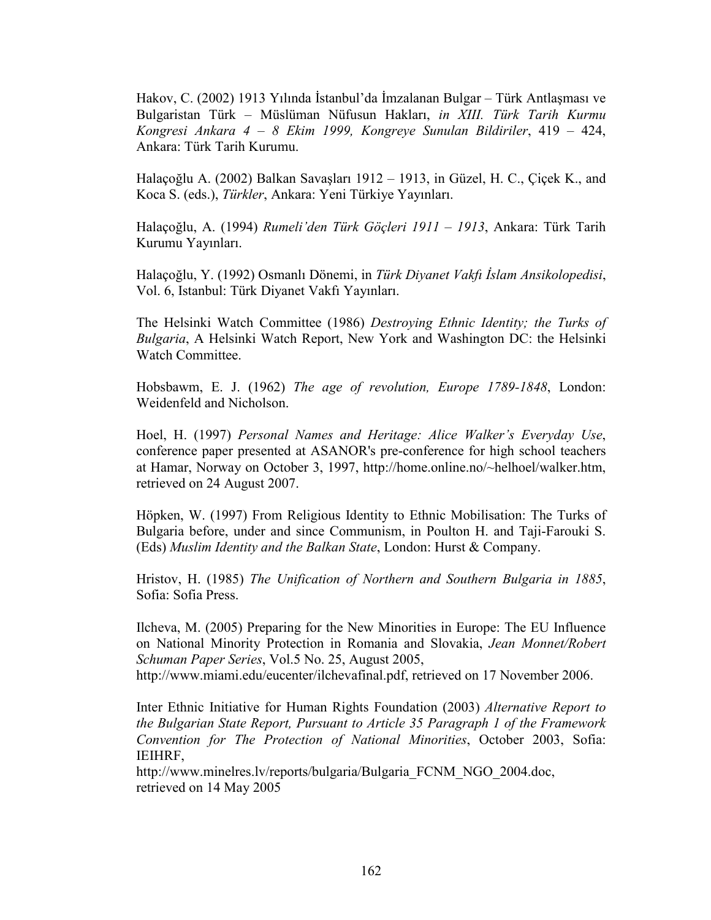Hakov, C. (2002) 1913 Yılında İstanbul'da İmzalanan Bulgar – Türk Antlaşması ve Bulgaristan Türk – Müslüman Nüfusun Hakları, in XIII. Türk Tarih Kurmu Kongresi Ankara 4 – 8 Ekim 1999, Kongreye Sunulan Bildiriler, 419 – 424, Ankara: Türk Tarih Kurumu.

Halaçoğlu A. (2002) Balkan Savaşları 1912 – 1913, in Güzel, H. C., Çiçek K., and Koca S. (eds.), Türkler, Ankara: Yeni Türkiye Yayınları.

Halaçoğlu, A. (1994) Rumeli'den Türk Göçleri 1911 – 1913, Ankara: Türk Tarih Kurumu Yayınları.

Halaçoğlu, Y. (1992) Osmanlı Dönemi, in Türk Diyanet Vakfı İslam Ansikolopedisi, Vol. 6, Istanbul: Türk Diyanet Vakfı Yayınları.

The Helsinki Watch Committee (1986) Destroying Ethnic Identity; the Turks of Bulgaria, A Helsinki Watch Report, New York and Washington DC: the Helsinki Watch Committee.

Hobsbawm, E. J. (1962) The age of revolution, Europe 1789-1848, London: Weidenfeld and Nicholson.

Hoel, H. (1997) Personal Names and Heritage: Alice Walker's Everyday Use, conference paper presented at ASANOR's pre-conference for high school teachers at Hamar, Norway on October 3, 1997, http://home.online.no/~helhoel/walker.htm, retrieved on 24 August 2007.

Höpken, W. (1997) From Religious Identity to Ethnic Mobilisation: The Turks of Bulgaria before, under and since Communism, in Poulton H. and Taji-Farouki S. (Eds) Muslim Identity and the Balkan State, London: Hurst & Company.

Hristov, H. (1985) The Unification of Northern and Southern Bulgaria in 1885, Sofia: Sofia Press.

Ilcheva, M. (2005) Preparing for the New Minorities in Europe: The EU Influence on National Minority Protection in Romania and Slovakia, Jean Monnet/Robert Schuman Paper Series, Vol.5 No. 25, August 2005,

http://www.miami.edu/eucenter/ilchevafinal.pdf, retrieved on 17 November 2006.

Inter Ethnic Initiative for Human Rights Foundation (2003) Alternative Report to the Bulgarian State Report, Pursuant to Article 35 Paragraph 1 of the Framework Convention for The Protection of National Minorities, October 2003, Sofia: IEIHRF,

http://www.minelres.lv/reports/bulgaria/Bulgaria\_FCNM\_NGO\_2004.doc, retrieved on 14 May 2005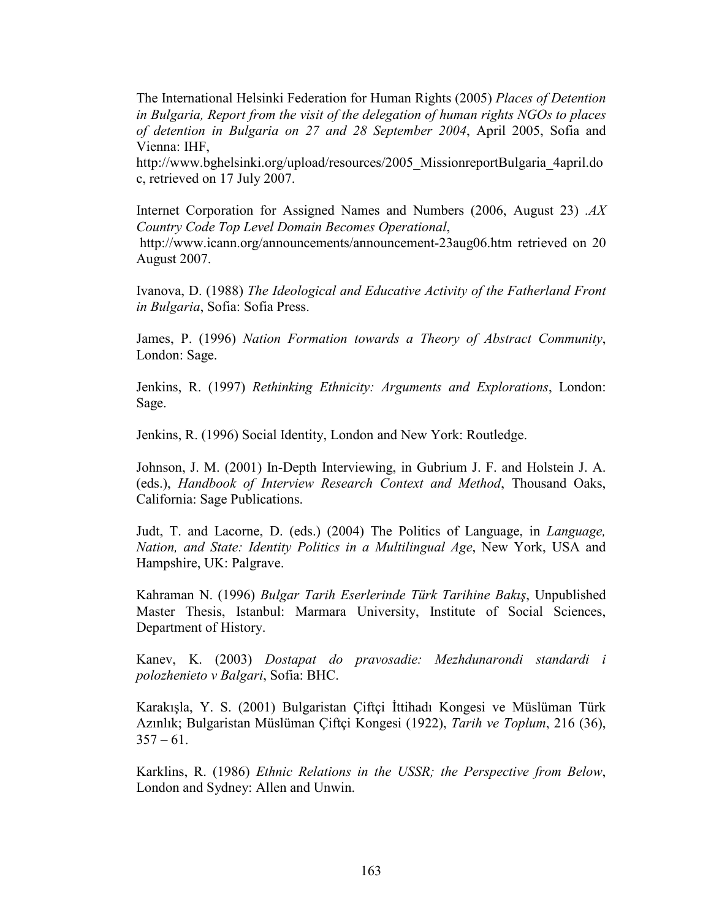The International Helsinki Federation for Human Rights (2005) Places of Detention in Bulgaria, Report from the visit of the delegation of human rights NGOs to places of detention in Bulgaria on 27 and 28 September 2004, April 2005, Sofia and Vienna: IHF,

http://www.bghelsinki.org/upload/resources/2005\_MissionreportBulgaria\_4april.do c, retrieved on 17 July 2007.

Internet Corporation for Assigned Names and Numbers (2006, August 23) .AX Country Code Top Level Domain Becomes Operational,

 http://www.icann.org/announcements/announcement-23aug06.htm retrieved on 20 August 2007.

Ivanova, D. (1988) The Ideological and Educative Activity of the Fatherland Front in Bulgaria, Sofia: Sofia Press.

James, P. (1996) Nation Formation towards a Theory of Abstract Community, London: Sage.

Jenkins, R. (1997) Rethinking Ethnicity: Arguments and Explorations, London: Sage.

Jenkins, R. (1996) Social Identity, London and New York: Routledge.

Johnson, J. M. (2001) In-Depth Interviewing, in Gubrium J. F. and Holstein J. A. (eds.), Handbook of Interview Research Context and Method, Thousand Oaks, California: Sage Publications.

Judt, T. and Lacorne, D. (eds.) (2004) The Politics of Language, in Language, Nation, and State: Identity Politics in a Multilingual Age, New York, USA and Hampshire, UK: Palgrave.

Kahraman N. (1996) Bulgar Tarih Eserlerinde Türk Tarihine Bakış, Unpublished Master Thesis, Istanbul: Marmara University, Institute of Social Sciences, Department of History.

Kanev, K. (2003) Dostapat do pravosadie: Mezhdunarondi standardi i polozhenieto v Balgari, Sofia: BHC.

Karakışla, Y. S. (2001) Bulgaristan Çiftçi İttihadı Kongesi ve Müslüman Türk Azınlık; Bulgaristan Müslüman Çiftçi Kongesi (1922), Tarih ve Toplum, 216 (36),  $357 - 61$ .

Karklins, R. (1986) Ethnic Relations in the USSR; the Perspective from Below, London and Sydney: Allen and Unwin.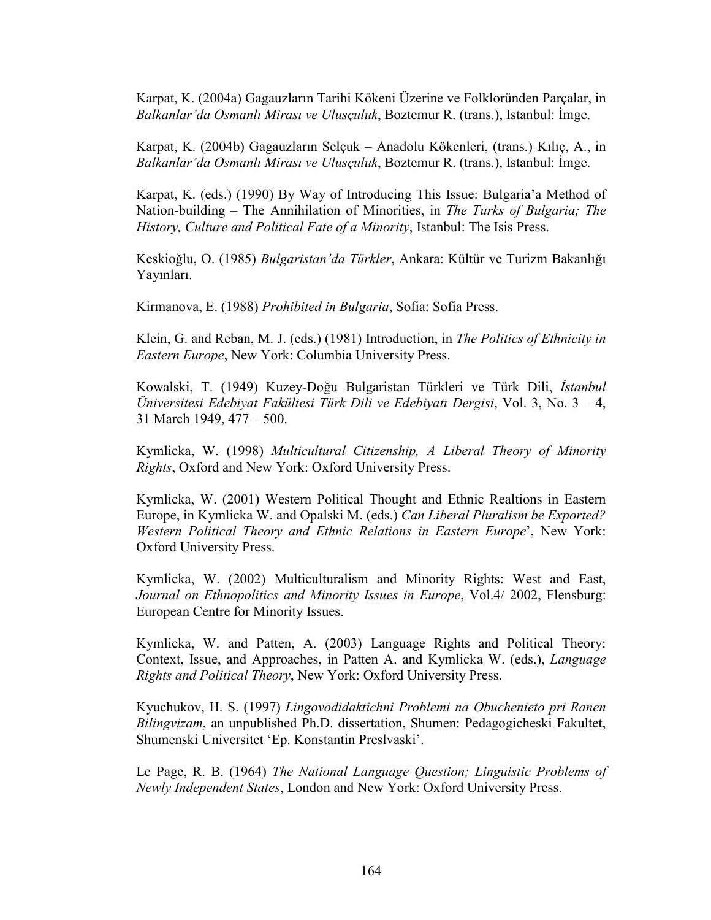Karpat, K. (2004a) Gagauzların Tarihi Kökeni Üzerine ve Folkloründen Parçalar, in Balkanlar'da Osmanlı Mirası ve Ulusçuluk, Boztemur R. (trans.), Istanbul: İmge.

Karpat, K. (2004b) Gagauzların Selçuk – Anadolu Kökenleri, (trans.) Kılıç, A., in Balkanlar'da Osmanlı Mirası ve Ulusçuluk, Boztemur R. (trans.), Istanbul: İmge.

Karpat, K. (eds.) (1990) By Way of Introducing This Issue: Bulgaria'a Method of Nation-building – The Annihilation of Minorities, in The Turks of Bulgaria; The History, Culture and Political Fate of a Minority, Istanbul: The Isis Press.

Keskioğlu, O. (1985) Bulgaristan'da Türkler, Ankara: Kültür ve Turizm Bakanlığı Yayınları.

Kirmanova, E. (1988) Prohibited in Bulgaria, Sofia: Sofia Press.

Klein, G. and Reban, M. J. (eds.) (1981) Introduction, in The Politics of Ethnicity in Eastern Europe, New York: Columbia University Press.

Kowalski, T. (1949) Kuzey-Doğu Bulgaristan Türkleri ve Türk Dili, İstanbul Üniversitesi Edebiyat Fakültesi Türk Dili ve Edebiyatı Dergisi, Vol. 3, No. 3 – 4, 31 March 1949, 477 – 500.

Kymlicka, W. (1998) Multicultural Citizenship, A Liberal Theory of Minority Rights, Oxford and New York: Oxford University Press.

Kymlicka, W. (2001) Western Political Thought and Ethnic Realtions in Eastern Europe, in Kymlicka W. and Opalski M. (eds.) Can Liberal Pluralism be Exported? Western Political Theory and Ethnic Relations in Eastern Europe', New York: Oxford University Press.

Kymlicka, W. (2002) Multiculturalism and Minority Rights: West and East, Journal on Ethnopolitics and Minority Issues in Europe, Vol.4/ 2002, Flensburg: European Centre for Minority Issues.

Kymlicka, W. and Patten, A. (2003) Language Rights and Political Theory: Context, Issue, and Approaches, in Patten A. and Kymlicka W. (eds.), Language Rights and Political Theory, New York: Oxford University Press.

Kyuchukov, H. S. (1997) Lingovodidaktichni Problemi na Obuchenieto pri Ranen Bilingvizam, an unpublished Ph.D. dissertation, Shumen: Pedagogicheski Fakultet, Shumenski Universitet 'Ep. Konstantin Preslvaski'.

Le Page, R. B. (1964) The National Language Question; Linguistic Problems of Newly Independent States, London and New York: Oxford University Press.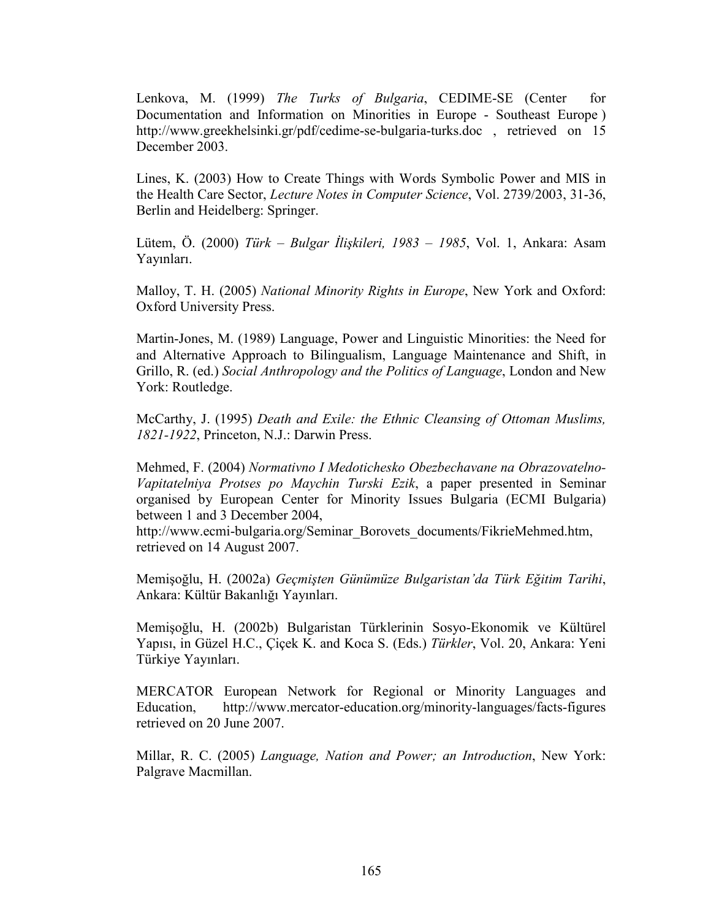Lenkova, M. (1999) The Turks of Bulgaria, CEDIME-SE (Center for Documentation and Information on Minorities in Europe - Southeast Europe ) http://www.greekhelsinki.gr/pdf/cedime-se-bulgaria-turks.doc , retrieved on 15 December 2003.

Lines, K. (2003) How to Create Things with Words Symbolic Power and MIS in the Health Care Sector, Lecture Notes in Computer Science, Vol. 2739/2003, 31-36, Berlin and Heidelberg: Springer.

Lütem, Ö. (2000) Türk – Bulgar İlişkileri, 1983 – 1985, Vol. 1, Ankara: Asam Yayınları.

Malloy, T. H. (2005) National Minority Rights in Europe, New York and Oxford: Oxford University Press.

Martin-Jones, M. (1989) Language, Power and Linguistic Minorities: the Need for and Alternative Approach to Bilingualism, Language Maintenance and Shift, in Grillo, R. (ed.) Social Anthropology and the Politics of Language, London and New York: Routledge.

McCarthy, J. (1995) Death and Exile: the Ethnic Cleansing of Ottoman Muslims, 1821-1922, Princeton, N.J.: Darwin Press.

Mehmed, F. (2004) Normativno I Medotichesko Obezbechavane na Obrazovatelno-Vapitatelniya Protses po Maychin Turski Ezik, a paper presented in Seminar organised by European Center for Minority Issues Bulgaria (ECMI Bulgaria) between 1 and 3 December 2004,

http://www.ecmi-bulgaria.org/Seminar\_Borovets\_documents/FikrieMehmed.htm, retrieved on 14 August 2007.

Memişoğlu, H. (2002a) Geçmişten Günümüze Bulgaristan'da Türk Eğitim Tarihi, Ankara: Kültür Bakanlığı Yayınları.

Memişoğlu, H. (2002b) Bulgaristan Türklerinin Sosyo-Ekonomik ve Kültürel Yapısı, in Güzel H.C., Çiçek K. and Koca S. (Eds.) Türkler, Vol. 20, Ankara: Yeni Türkiye Yayınları.

MERCATOR European Network for Regional or Minority Languages and Education, http://www.mercator-education.org/minority-languages/facts-figures retrieved on 20 June 2007.

Millar, R. C. (2005) Language, Nation and Power; an Introduction, New York: Palgrave Macmillan.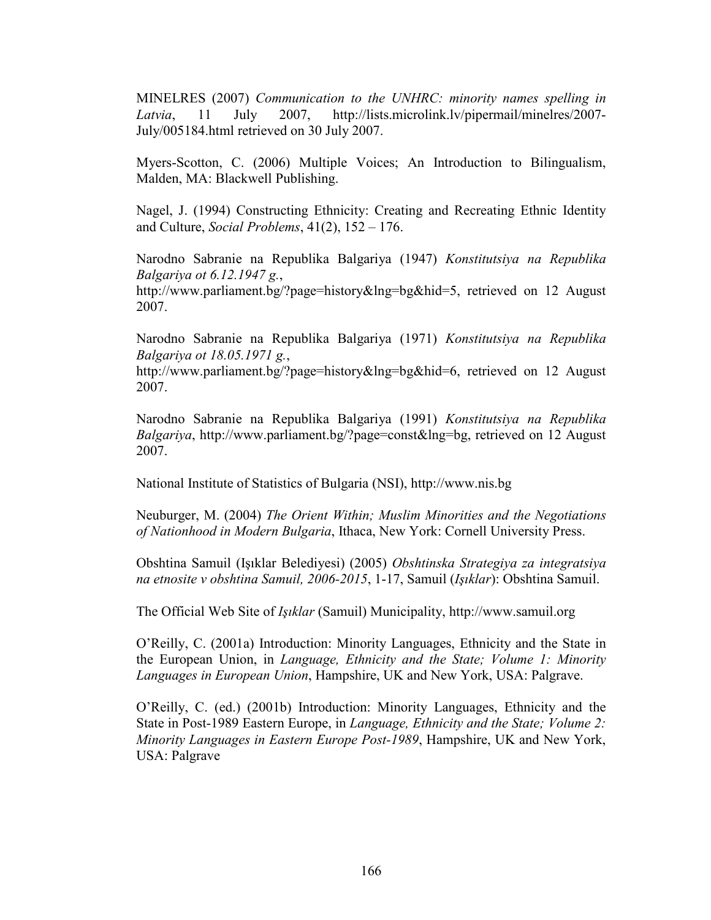MINELRES (2007) Communication to the UNHRC: minority names spelling in Latvia, 11 July 2007, http://lists.microlink.lv/pipermail/minelres/2007- July/005184.html retrieved on 30 July 2007.

Myers-Scotton, C. (2006) Multiple Voices; An Introduction to Bilingualism, Malden, MA: Blackwell Publishing.

Nagel, J. (1994) Constructing Ethnicity: Creating and Recreating Ethnic Identity and Culture, Social Problems, 41(2), 152 – 176.

Narodno Sabranie na Republika Balgariya (1947) Konstitutsiya na Republika Balgariya ot 6.12.1947 g., http://www.parliament.bg/?page=history&lng=bg&hid=5, retrieved on 12 August 2007.

Narodno Sabranie na Republika Balgariya (1971) Konstitutsiya na Republika Balgariya ot 18.05.1971 g.,

http://www.parliament.bg/?page=history&lng=bg&hid=6, retrieved on 12 August 2007.

Narodno Sabranie na Republika Balgariya (1991) Konstitutsiya na Republika Balgariya, http://www.parliament.bg/?page=const&lng=bg, retrieved on 12 August 2007.

National Institute of Statistics of Bulgaria (NSI), http://www.nis.bg

Neuburger, M. (2004) The Orient Within; Muslim Minorities and the Negotiations of Nationhood in Modern Bulgaria, Ithaca, New York: Cornell University Press.

Obshtina Samuil (Işıklar Belediyesi) (2005) Obshtinska Strategiya za integratsiya na etnosite v obshtina Samuil, 2006-2015, 1-17, Samuil (Işıklar): Obshtina Samuil.

The Official Web Site of Işıklar (Samuil) Municipality, http://www.samuil.org

O'Reilly, C. (2001a) Introduction: Minority Languages, Ethnicity and the State in the European Union, in Language, Ethnicity and the State; Volume 1: Minority Languages in European Union, Hampshire, UK and New York, USA: Palgrave.

O'Reilly, C. (ed.) (2001b) Introduction: Minority Languages, Ethnicity and the State in Post-1989 Eastern Europe, in Language, Ethnicity and the State; Volume 2: Minority Languages in Eastern Europe Post-1989, Hampshire, UK and New York, USA: Palgrave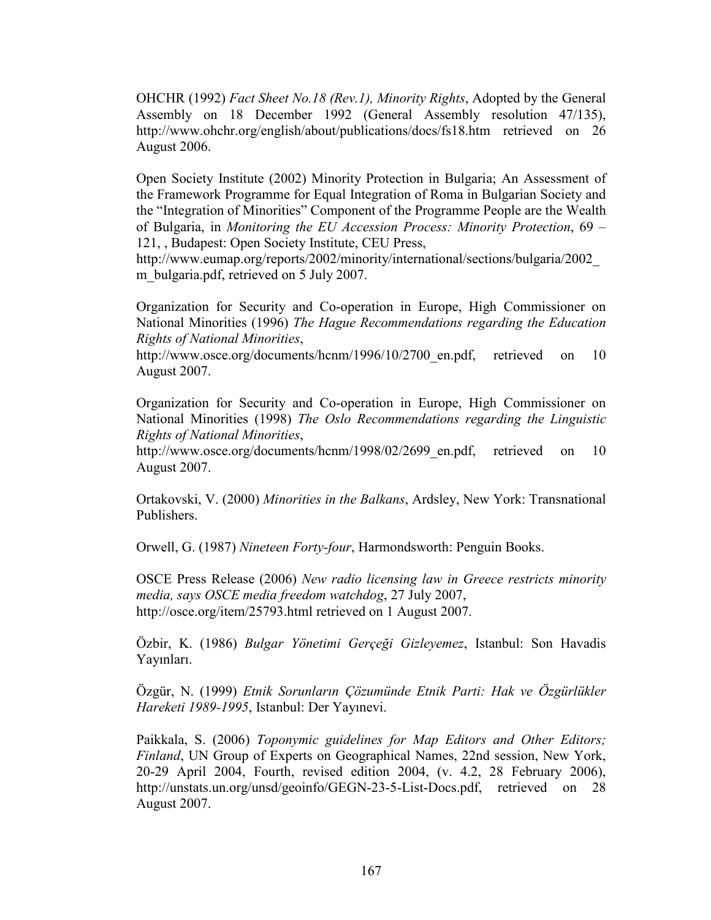OHCHR (1992) Fact Sheet No.18 (Rev.1), Minority Rights, Adopted by the General Assembly on 18 December 1992 (General Assembly resolution 47/135), http://www.ohchr.org/english/about/publications/docs/fs18.htm retrieved on 26 August 2006.

Open Society Institute (2002) Minority Protection in Bulgaria; An Assessment of the Framework Programme for Equal Integration of Roma in Bulgarian Society and the "Integration of Minorities" Component of the Programme People are the Wealth of Bulgaria, in Monitoring the EU Accession Process: Minority Protection, 69 – 121, , Budapest: Open Society Institute, CEU Press,

http://www.eumap.org/reports/2002/minority/international/sections/bulgaria/2002\_ m bulgaria.pdf, retrieved on 5 July 2007.

Organization for Security and Co-operation in Europe, High Commissioner on National Minorities (1996) The Hague Recommendations regarding the Education Rights of National Minorities,

http://www.osce.org/documents/hcnm/1996/10/2700\_en.pdf, retrieved on 10 August 2007.

Organization for Security and Co-operation in Europe, High Commissioner on National Minorities (1998) The Oslo Recommendations regarding the Linguistic Rights of National Minorities,

http://www.osce.org/documents/hcnm/1998/02/2699 en.pdf, retrieved on 10 August 2007.

Ortakovski, V. (2000) Minorities in the Balkans, Ardsley, New York: Transnational Publishers.

Orwell, G. (1987) Nineteen Forty-four, Harmondsworth: Penguin Books.

OSCE Press Release (2006) New radio licensing law in Greece restricts minority media, says OSCE media freedom watchdog, 27 July 2007, http://osce.org/item/25793.html retrieved on 1 August 2007.

Özbir, K. (1986) Bulgar Yönetimi Gerçeği Gizleyemez, Istanbul: Son Havadis Yayınları.

Özgür, N. (1999) Etnik Sorunların Çözumünde Etnik Parti: Hak ve Özgürlükler Hareketi 1989-1995, Istanbul: Der Yayınevi.

Paikkala, S. (2006) Toponymic guidelines for Map Editors and Other Editors; Finland, UN Group of Experts on Geographical Names, 22nd session, New York, 20-29 April 2004, Fourth, revised edition 2004, (v. 4.2, 28 February 2006), http://unstats.un.org/unsd/geoinfo/GEGN-23-5-List-Docs.pdf, retrieved on 28 August 2007.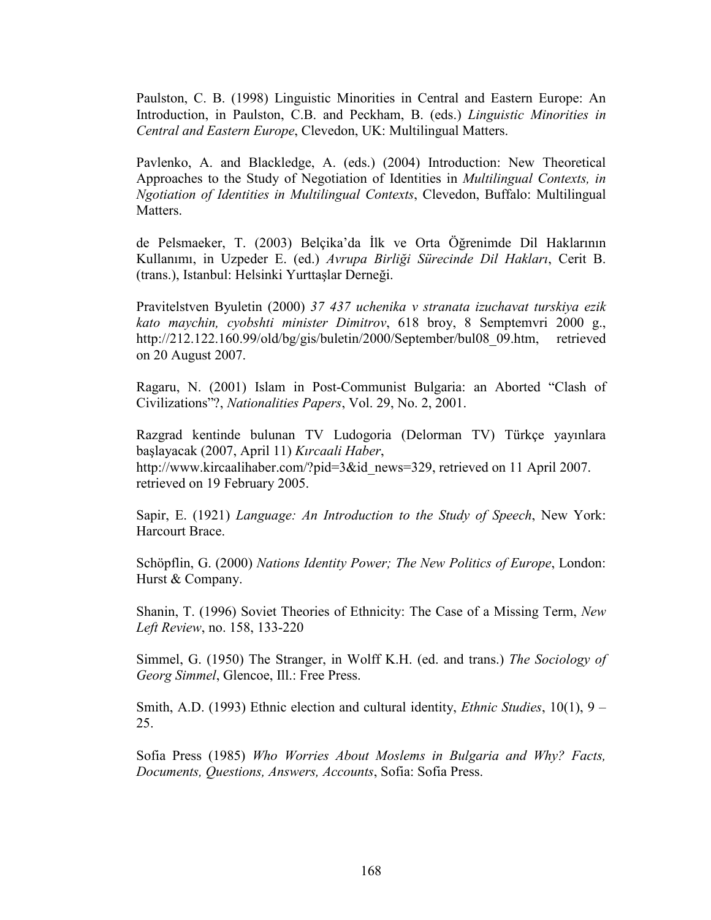Paulston, C. B. (1998) Linguistic Minorities in Central and Eastern Europe: An Introduction, in Paulston, C.B. and Peckham, B. (eds.) Linguistic Minorities in Central and Eastern Europe, Clevedon, UK: Multilingual Matters.

Pavlenko, A. and Blackledge, A. (eds.) (2004) Introduction: New Theoretical Approaches to the Study of Negotiation of Identities in Multilingual Contexts, in Ngotiation of Identities in Multilingual Contexts, Clevedon, Buffalo: Multilingual Matters.

de Pelsmaeker, T. (2003) Belçika'da İlk ve Orta Öğrenimde Dil Haklarının Kullanımı, in Uzpeder E. (ed.) Avrupa Birliği Sürecinde Dil Hakları, Cerit B. (trans.), Istanbul: Helsinki Yurttaşlar Derneği.

Pravitelstven Byuletin (2000) 37 437 uchenika v stranata izuchavat turskiya ezik kato maychin, cyobshti minister Dimitrov, 618 broy, 8 Semptemvri 2000 g., http://212.122.160.99/old/bg/gis/buletin/2000/September/bul08\_09.htm, retrieved on 20 August 2007.

Ragaru, N. (2001) Islam in Post-Communist Bulgaria: an Aborted "Clash of Civilizations"?, Nationalities Papers, Vol. 29, No. 2, 2001.

Razgrad kentinde bulunan TV Ludogoria (Delorman TV) Türkçe yayınlara başlayacak (2007, April 11) Kırcaali Haber, http://www.kircaalihaber.com/?pid=3&id\_news=329, retrieved on 11 April 2007. retrieved on 19 February 2005.

Sapir, E. (1921) Language: An Introduction to the Study of Speech, New York: Harcourt Brace.

Schöpflin, G. (2000) Nations Identity Power; The New Politics of Europe, London: Hurst & Company.

Shanin, T. (1996) Soviet Theories of Ethnicity: The Case of a Missing Term, New Left Review, no. 158, 133-220

Simmel, G. (1950) The Stranger, in Wolff K.H. (ed. and trans.) The Sociology of Georg Simmel, Glencoe, Ill.: Free Press.

Smith, A.D. (1993) Ethnic election and cultural identity, *Ethnic Studies*,  $10(1)$ ,  $9 -$ 25.

Sofia Press (1985) Who Worries About Moslems in Bulgaria and Why? Facts, Documents, Questions, Answers, Accounts, Sofia: Sofia Press.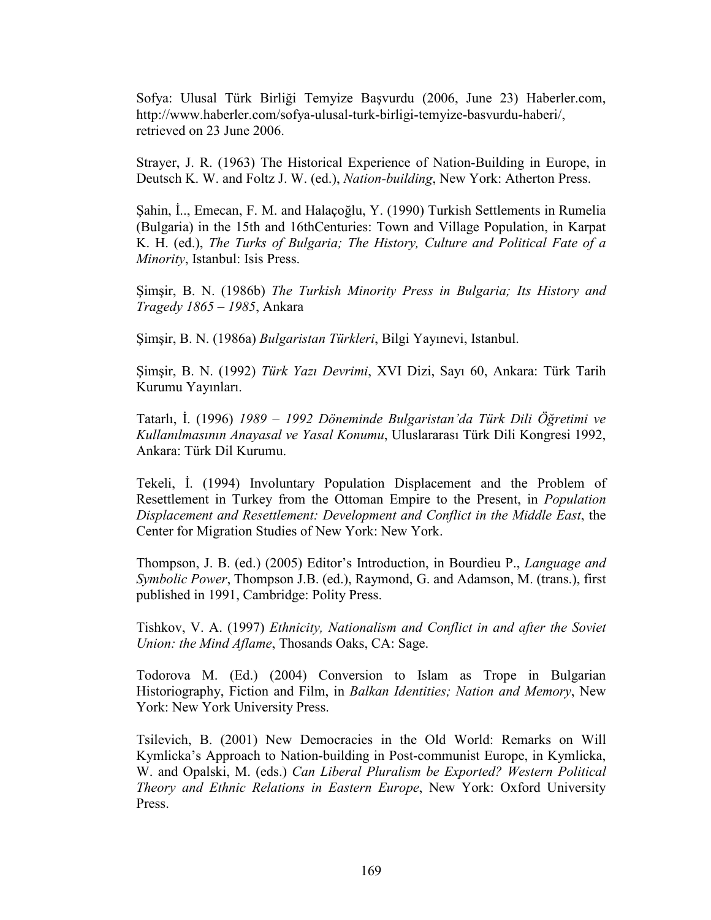Sofya: Ulusal Türk Birliği Temyize Başvurdu (2006, June 23) Haberler.com, http://www.haberler.com/sofya-ulusal-turk-birligi-temyize-basvurdu-haberi/, retrieved on 23 June 2006.

Strayer, J. R. (1963) The Historical Experience of Nation-Building in Europe, in Deutsch K. W. and Foltz J. W. (ed.), Nation-building, New York: Atherton Press.

Şahin, İ.., Emecan, F. M. and Halaçoğlu, Y. (1990) Turkish Settlements in Rumelia (Bulgaria) in the 15th and 16thCenturies: Town and Village Population, in Karpat K. H. (ed.), The Turks of Bulgaria; The History, Culture and Political Fate of a Minority, Istanbul: Isis Press.

Şimşir, B. N. (1986b) The Turkish Minority Press in Bulgaria; Its History and Tragedy 1865 – 1985, Ankara

Şimşir, B. N. (1986a) Bulgaristan Türkleri, Bilgi Yayınevi, Istanbul.

Şimşir, B. N. (1992) Türk Yazı Devrimi, XVI Dizi, Sayı 60, Ankara: Türk Tarih Kurumu Yayınları.

Tatarlı, İ. (1996) 1989 – 1992 Döneminde Bulgaristan'da Türk Dili Öğretimi ve Kullanılmasının Anayasal ve Yasal Konumu, Uluslararası Türk Dili Kongresi 1992, Ankara: Türk Dil Kurumu.

Tekeli, İ. (1994) Involuntary Population Displacement and the Problem of Resettlement in Turkey from the Ottoman Empire to the Present, in Population Displacement and Resettlement: Development and Conflict in the Middle East, the Center for Migration Studies of New York: New York.

Thompson, J. B. (ed.) (2005) Editor's Introduction, in Bourdieu P., Language and Symbolic Power, Thompson J.B. (ed.), Raymond, G. and Adamson, M. (trans.), first published in 1991, Cambridge: Polity Press.

Tishkov, V. A. (1997) Ethnicity, Nationalism and Conflict in and after the Soviet Union: the Mind Aflame, Thosands Oaks, CA: Sage.

Todorova M. (Ed.) (2004) Conversion to Islam as Trope in Bulgarian Historiography, Fiction and Film, in Balkan Identities; Nation and Memory, New York: New York University Press.

Tsilevich, B. (2001) New Democracies in the Old World: Remarks on Will Kymlicka's Approach to Nation-building in Post-communist Europe, in Kymlicka, W. and Opalski, M. (eds.) Can Liberal Pluralism be Exported? Western Political Theory and Ethnic Relations in Eastern Europe, New York: Oxford University Press.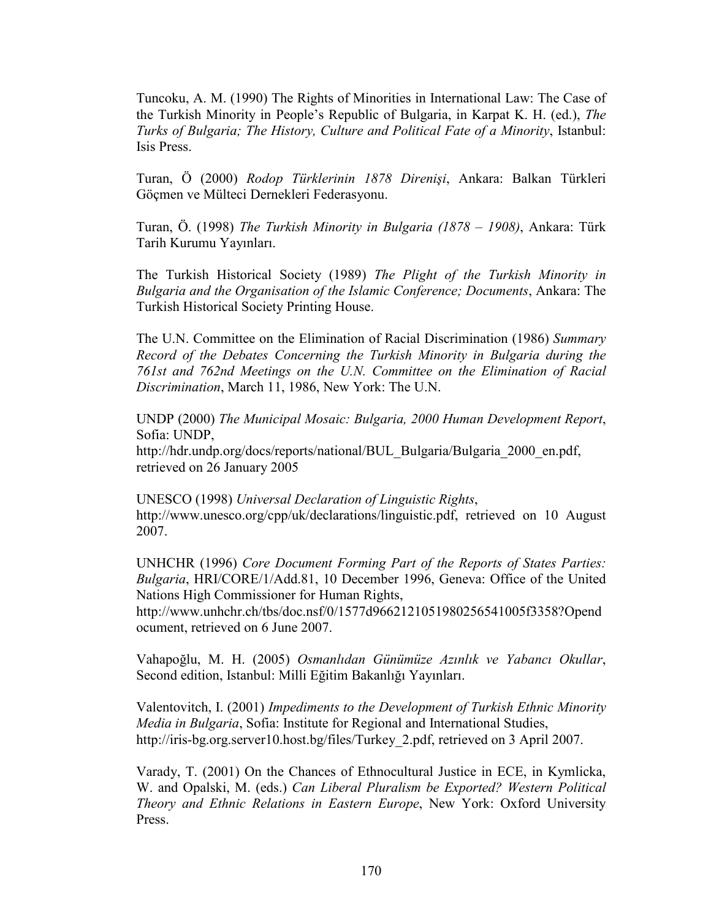Tuncoku, A. M. (1990) The Rights of Minorities in International Law: The Case of the Turkish Minority in People's Republic of Bulgaria, in Karpat K. H. (ed.), The Turks of Bulgaria; The History, Culture and Political Fate of a Minority, Istanbul: Isis Press.

Turan, Ö (2000) Rodop Türklerinin 1878 Direnişi, Ankara: Balkan Türkleri Göçmen ve Mülteci Dernekleri Federasyonu.

Turan, Ö. (1998) The Turkish Minority in Bulgaria (1878 – 1908), Ankara: Türk Tarih Kurumu Yayınları.

The Turkish Historical Society (1989) The Plight of the Turkish Minority in Bulgaria and the Organisation of the Islamic Conference; Documents, Ankara: The Turkish Historical Society Printing House.

The U.N. Committee on the Elimination of Racial Discrimination (1986) Summary Record of the Debates Concerning the Turkish Minority in Bulgaria during the 761st and 762nd Meetings on the U.N. Committee on the Elimination of Racial Discrimination, March 11, 1986, New York: The U.N.

UNDP (2000) The Municipal Mosaic: Bulgaria, 2000 Human Development Report, Sofia: UNDP,

http://hdr.undp.org/docs/reports/national/BUL\_Bulgaria/Bulgaria\_2000\_en.pdf, retrieved on 26 January 2005

UNESCO (1998) Universal Declaration of Linguistic Rights, http://www.unesco.org/cpp/uk/declarations/linguistic.pdf, retrieved on 10 August 2007.

UNHCHR (1996) Core Document Forming Part of the Reports of States Parties: Bulgaria, HRI/CORE/1/Add.81, 10 December 1996, Geneva: Office of the United Nations High Commissioner for Human Rights,

http://www.unhchr.ch/tbs/doc.nsf/0/1577d9662121051980256541005f3358?Opend ocument, retrieved on 6 June 2007.

Vahapoğlu, M. H. (2005) Osmanlıdan Günümüze Azınlık ve Yabancı Okullar, Second edition, Istanbul: Milli Eğitim Bakanlığı Yayınları.

Valentovitch, I. (2001) Impediments to the Development of Turkish Ethnic Minority Media in Bulgaria, Sofia: Institute for Regional and International Studies, http://iris-bg.org.server10.host.bg/files/Turkey\_2.pdf, retrieved on 3 April 2007.

Varady, T. (2001) On the Chances of Ethnocultural Justice in ECE, in Kymlicka, W. and Opalski, M. (eds.) Can Liberal Pluralism be Exported? Western Political Theory and Ethnic Relations in Eastern Europe, New York: Oxford University Press.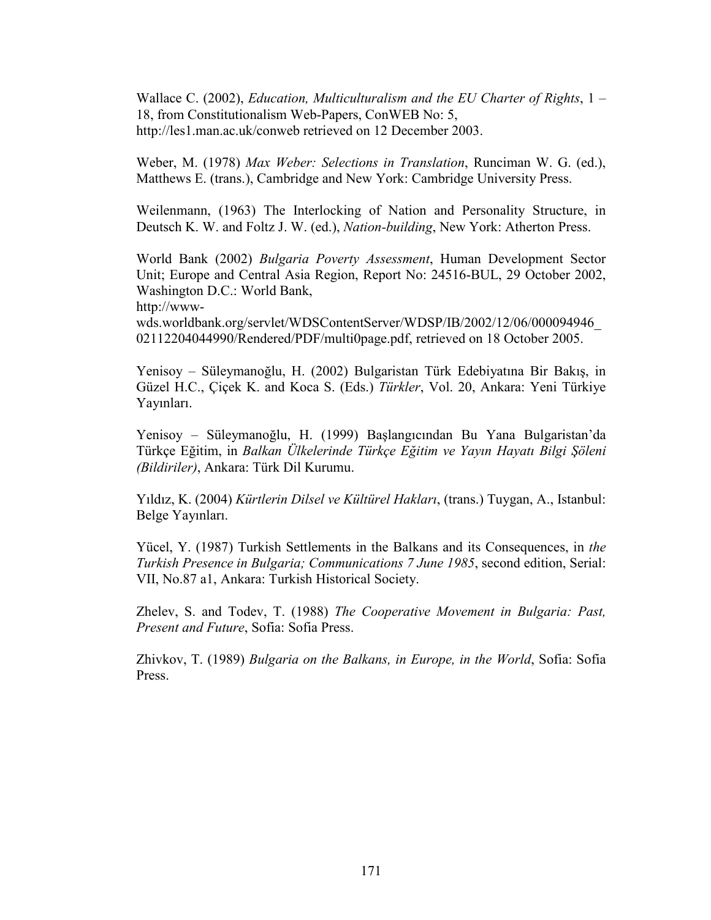Wallace C. (2002), Education, Multiculturalism and the EU Charter of Rights,  $1 -$ 18, from Constitutionalism Web-Papers, ConWEB No: 5, http://les1.man.ac.uk/conweb retrieved on 12 December 2003.

Weber, M. (1978) Max Weber: Selections in Translation, Runciman W. G. (ed.), Matthews E. (trans.), Cambridge and New York: Cambridge University Press.

Weilenmann, (1963) The Interlocking of Nation and Personality Structure, in Deutsch K. W. and Foltz J. W. (ed.), Nation-building, New York: Atherton Press.

World Bank (2002) Bulgaria Poverty Assessment, Human Development Sector Unit; Europe and Central Asia Region, Report No: 24516-BUL, 29 October 2002, Washington D.C.: World Bank,

http://www-

wds.worldbank.org/servlet/WDSContentServer/WDSP/IB/2002/12/06/000094946\_ 02112204044990/Rendered/PDF/multi0page.pdf, retrieved on 18 October 2005.

Yenisoy – Süleymanoğlu, H. (2002) Bulgaristan Türk Edebiyatına Bir Bakış, in Güzel H.C., Çiçek K. and Koca S. (Eds.) Türkler, Vol. 20, Ankara: Yeni Türkiye Yayınları.

Yenisoy – Süleymanoğlu, H. (1999) Başlangıcından Bu Yana Bulgaristan'da Türkçe Eğitim, in Balkan Ülkelerinde Türkçe Eğitim ve Yayın Hayatı Bilgi Şöleni (Bildiriler), Ankara: Türk Dil Kurumu.

Yıldız, K. (2004) Kürtlerin Dilsel ve Kültürel Hakları, (trans.) Tuygan, A., Istanbul: Belge Yayınları.

Yücel, Y. (1987) Turkish Settlements in the Balkans and its Consequences, in the Turkish Presence in Bulgaria; Communications 7 June 1985, second edition, Serial: VII, No.87 a1, Ankara: Turkish Historical Society.

Zhelev, S. and Todev, T. (1988) The Cooperative Movement in Bulgaria: Past, Present and Future, Sofia: Sofia Press.

Zhivkov, T. (1989) Bulgaria on the Balkans, in Europe, in the World, Sofia: Sofia Press.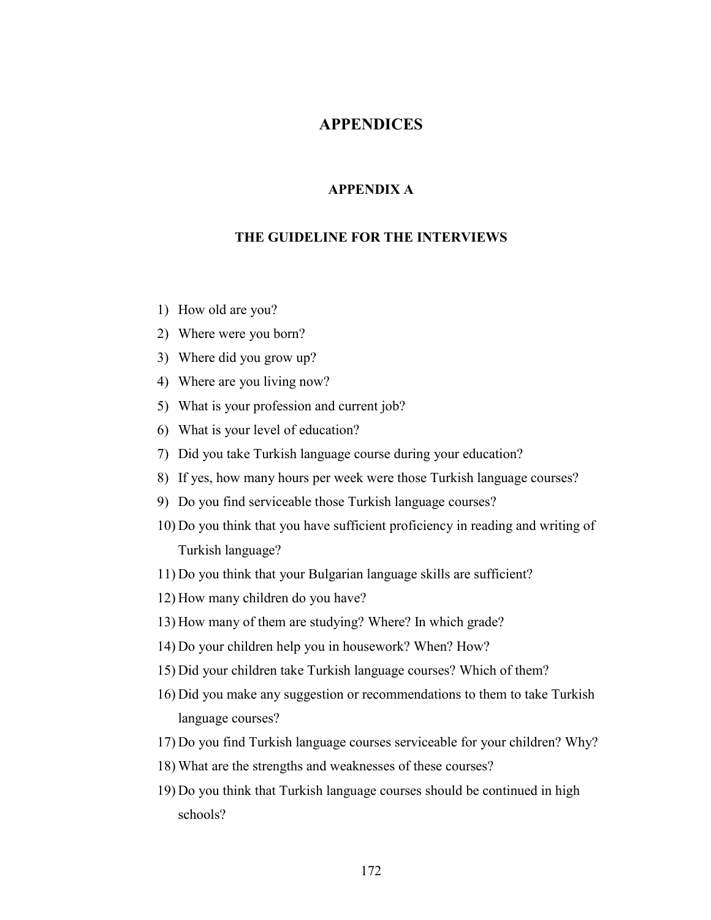### APPENDICES

#### APPENDIX A

#### THE GUIDELINE FOR THE INTERVIEWS

- 1) How old are you?
- 2) Where were you born?
- 3) Where did you grow up?
- 4) Where are you living now?
- 5) What is your profession and current job?
- 6) What is your level of education?
- 7) Did you take Turkish language course during your education?
- 8) If yes, how many hours per week were those Turkish language courses?
- 9) Do you find serviceable those Turkish language courses?
- 10) Do you think that you have sufficient proficiency in reading and writing of Turkish language?
- 11) Do you think that your Bulgarian language skills are sufficient?
- 12) How many children do you have?
- 13) How many of them are studying? Where? In which grade?
- 14) Do your children help you in housework? When? How?
- 15) Did your children take Turkish language courses? Which of them?
- 16) Did you make any suggestion or recommendations to them to take Turkish language courses?
- 17) Do you find Turkish language courses serviceable for your children? Why?
- 18) What are the strengths and weaknesses of these courses?
- 19) Do you think that Turkish language courses should be continued in high schools?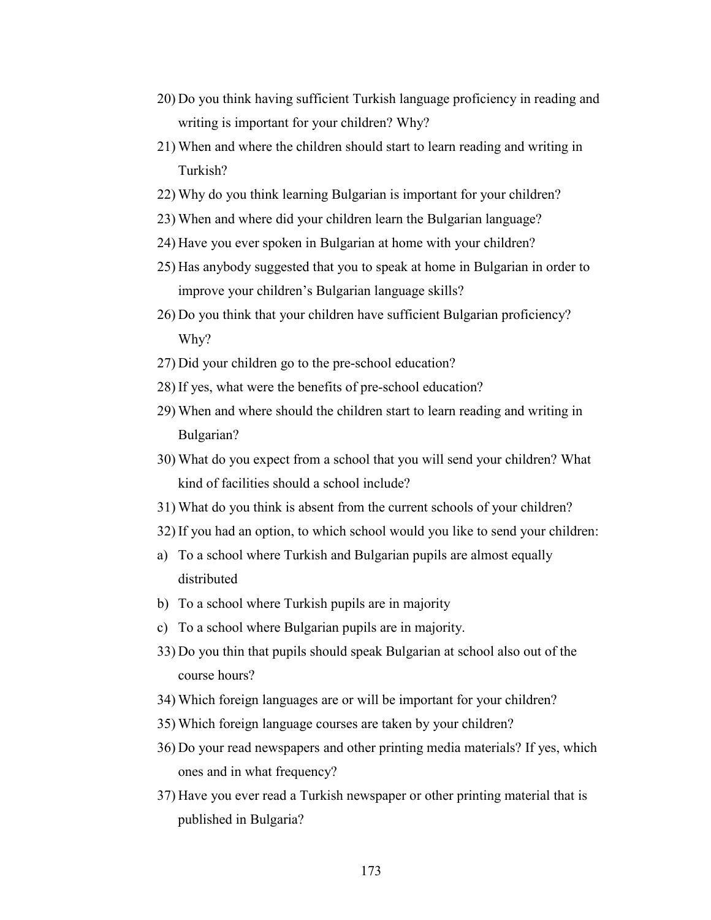- 20) Do you think having sufficient Turkish language proficiency in reading and writing is important for your children? Why?
- 21) When and where the children should start to learn reading and writing in Turkish?
- 22) Why do you think learning Bulgarian is important for your children?
- 23) When and where did your children learn the Bulgarian language?
- 24) Have you ever spoken in Bulgarian at home with your children?
- 25) Has anybody suggested that you to speak at home in Bulgarian in order to improve your children's Bulgarian language skills?
- 26) Do you think that your children have sufficient Bulgarian proficiency? Why?
- 27) Did your children go to the pre-school education?
- 28) If yes, what were the benefits of pre-school education?
- 29) When and where should the children start to learn reading and writing in Bulgarian?
- 30) What do you expect from a school that you will send your children? What kind of facilities should a school include?
- 31) What do you think is absent from the current schools of your children?
- 32) If you had an option, to which school would you like to send your children:
- a) To a school where Turkish and Bulgarian pupils are almost equally distributed
- b) To a school where Turkish pupils are in majority
- c) To a school where Bulgarian pupils are in majority.
- 33) Do you thin that pupils should speak Bulgarian at school also out of the course hours?
- 34) Which foreign languages are or will be important for your children?
- 35) Which foreign language courses are taken by your children?
- 36) Do your read newspapers and other printing media materials? If yes, which ones and in what frequency?
- 37) Have you ever read a Turkish newspaper or other printing material that is published in Bulgaria?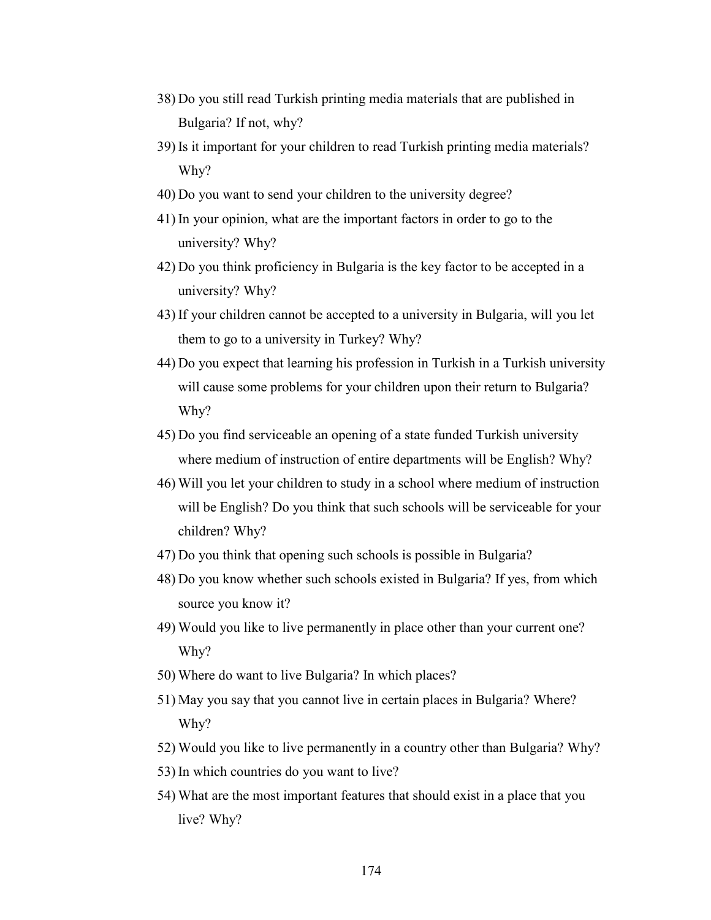- 38) Do you still read Turkish printing media materials that are published in Bulgaria? If not, why?
- 39) Is it important for your children to read Turkish printing media materials? Why?
- 40) Do you want to send your children to the university degree?
- 41) In your opinion, what are the important factors in order to go to the university? Why?
- 42) Do you think proficiency in Bulgaria is the key factor to be accepted in a university? Why?
- 43) If your children cannot be accepted to a university in Bulgaria, will you let them to go to a university in Turkey? Why?
- 44) Do you expect that learning his profession in Turkish in a Turkish university will cause some problems for your children upon their return to Bulgaria? Why?
- 45) Do you find serviceable an opening of a state funded Turkish university where medium of instruction of entire departments will be English? Why?
- 46) Will you let your children to study in a school where medium of instruction will be English? Do you think that such schools will be serviceable for your children? Why?
- 47) Do you think that opening such schools is possible in Bulgaria?
- 48) Do you know whether such schools existed in Bulgaria? If yes, from which source you know it?
- 49) Would you like to live permanently in place other than your current one? Why?
- 50) Where do want to live Bulgaria? In which places?
- 51) May you say that you cannot live in certain places in Bulgaria? Where? Why?
- 52) Would you like to live permanently in a country other than Bulgaria? Why?
- 53) In which countries do you want to live?
- 54) What are the most important features that should exist in a place that you live? Why?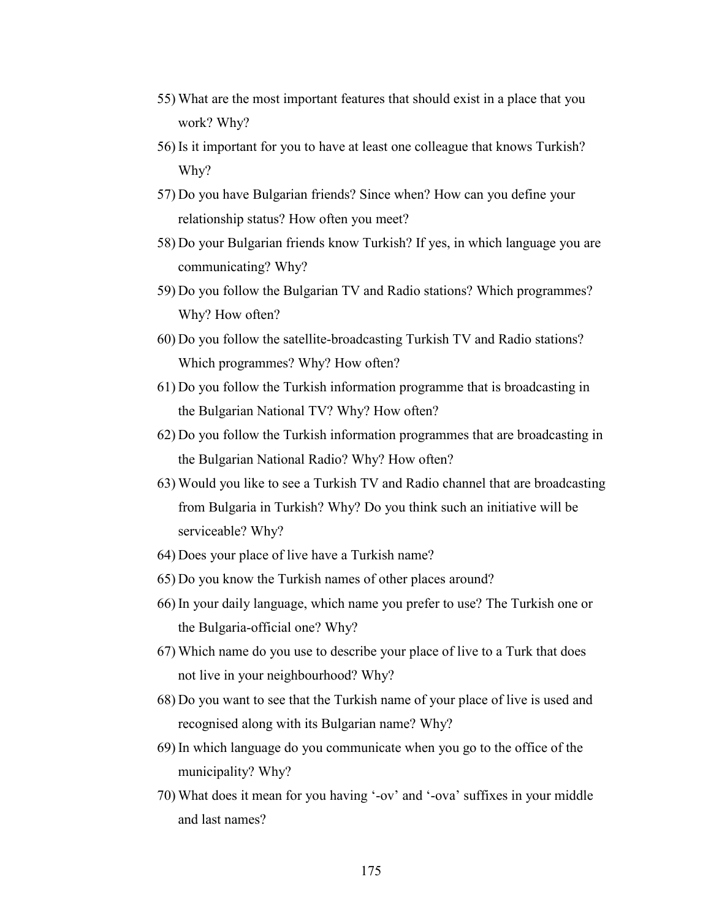- 55) What are the most important features that should exist in a place that you work? Why?
- 56) Is it important for you to have at least one colleague that knows Turkish? Why?
- 57) Do you have Bulgarian friends? Since when? How can you define your relationship status? How often you meet?
- 58) Do your Bulgarian friends know Turkish? If yes, in which language you are communicating? Why?
- 59) Do you follow the Bulgarian TV and Radio stations? Which programmes? Why? How often?
- 60) Do you follow the satellite-broadcasting Turkish TV and Radio stations? Which programmes? Why? How often?
- 61) Do you follow the Turkish information programme that is broadcasting in the Bulgarian National TV? Why? How often?
- 62) Do you follow the Turkish information programmes that are broadcasting in the Bulgarian National Radio? Why? How often?
- 63) Would you like to see a Turkish TV and Radio channel that are broadcasting from Bulgaria in Turkish? Why? Do you think such an initiative will be serviceable? Why?
- 64) Does your place of live have a Turkish name?
- 65) Do you know the Turkish names of other places around?
- 66) In your daily language, which name you prefer to use? The Turkish one or the Bulgaria-official one? Why?
- 67) Which name do you use to describe your place of live to a Turk that does not live in your neighbourhood? Why?
- 68) Do you want to see that the Turkish name of your place of live is used and recognised along with its Bulgarian name? Why?
- 69) In which language do you communicate when you go to the office of the municipality? Why?
- 70) What does it mean for you having '-ov' and '-ova' suffixes in your middle and last names?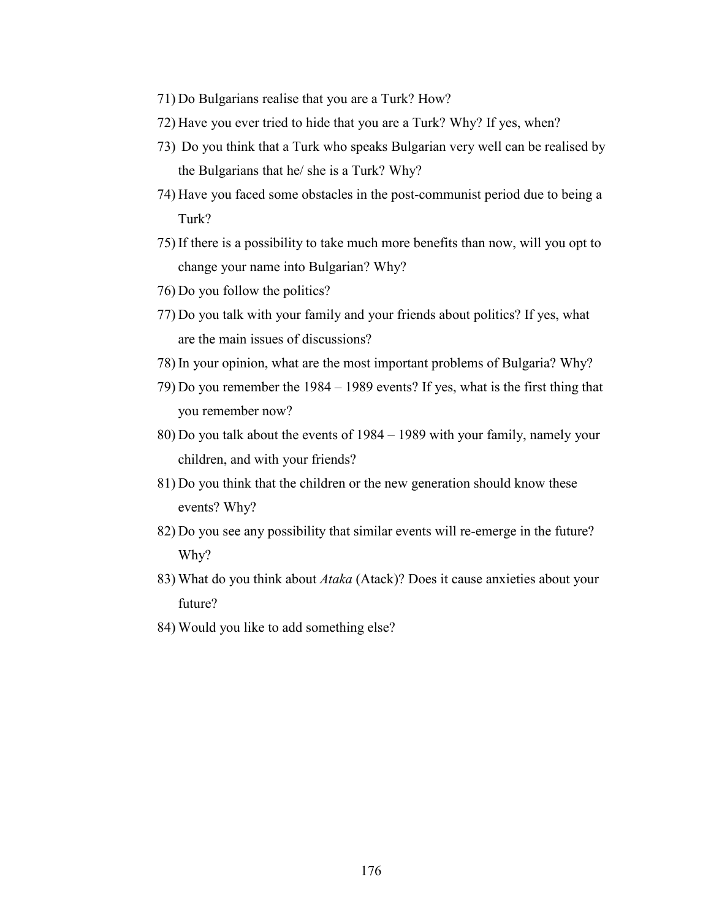- 71) Do Bulgarians realise that you are a Turk? How?
- 72) Have you ever tried to hide that you are a Turk? Why? If yes, when?
- 73) Do you think that a Turk who speaks Bulgarian very well can be realised by the Bulgarians that he/ she is a Turk? Why?
- 74) Have you faced some obstacles in the post-communist period due to being a Turk?
- 75) If there is a possibility to take much more benefits than now, will you opt to change your name into Bulgarian? Why?
- 76) Do you follow the politics?
- 77) Do you talk with your family and your friends about politics? If yes, what are the main issues of discussions?
- 78) In your opinion, what are the most important problems of Bulgaria? Why?
- 79) Do you remember the 1984 1989 events? If yes, what is the first thing that you remember now?
- 80) Do you talk about the events of 1984 1989 with your family, namely your children, and with your friends?
- 81) Do you think that the children or the new generation should know these events? Why?
- 82) Do you see any possibility that similar events will re-emerge in the future? Why?
- 83) What do you think about Ataka (Atack)? Does it cause anxieties about your future?
- 84) Would you like to add something else?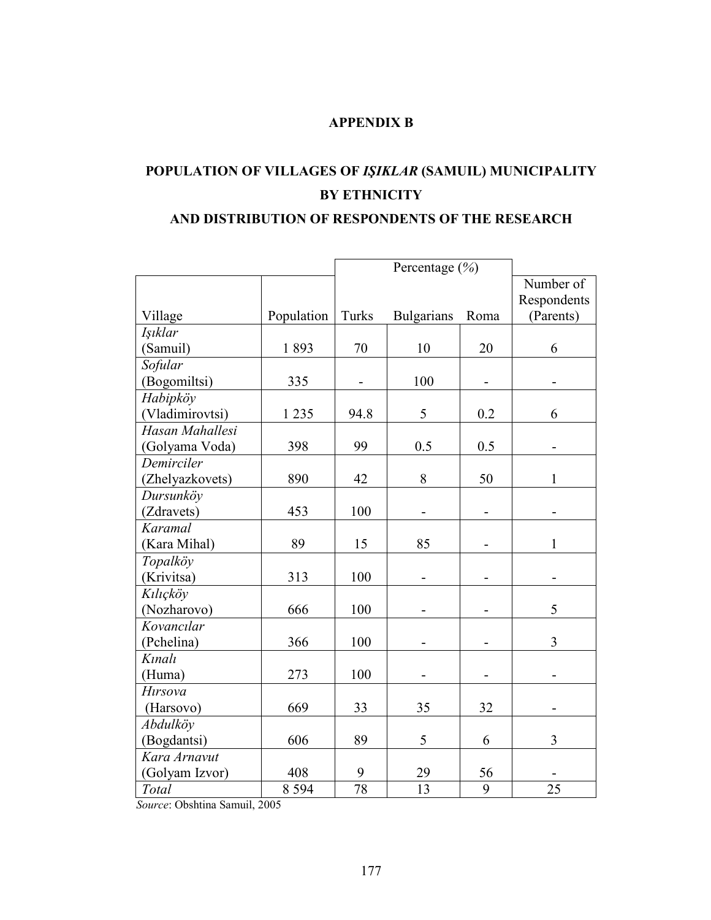### APPENDIX B

# POPULATION OF VILLAGES OF IŞIKLAR (SAMUIL) MUNICIPALITY BY ETHNICITY

#### AND DISTRIBUTION OF RESPONDENTS OF THE RESEARCH

|                 |            | Percentage $(\% )$       |                   |      |              |
|-----------------|------------|--------------------------|-------------------|------|--------------|
|                 |            |                          |                   |      | Number of    |
|                 |            |                          |                   |      | Respondents  |
| Village         | Population | Turks                    | <b>Bulgarians</b> | Roma | (Parents)    |
| Işıklar         |            |                          |                   |      |              |
| (Samuil)        | 1893       | 70                       | 10                | 20   | 6            |
| Sofular         |            |                          |                   |      |              |
| (Bogomiltsi)    | 335        | $\overline{\phantom{0}}$ | 100               |      |              |
| Habipköy        |            |                          |                   |      |              |
| (Vladimirovtsi) | 1 2 3 5    | 94.8                     | 5                 | 0.2  | 6            |
| Hasan Mahallesi |            |                          |                   |      |              |
| (Golyama Voda)  | 398        | 99                       | 0.5               | 0.5  |              |
| Demirciler      |            |                          |                   |      |              |
| (Zhelyazkovets) | 890        | 42                       | 8                 | 50   | 1            |
| Dursunköv       |            |                          |                   |      |              |
| (Zdravets)      | 453        | 100                      |                   |      |              |
| Karamal         |            |                          |                   |      |              |
| (Kara Mihal)    | 89         | 15                       | 85                |      | $\mathbf{1}$ |
| Topalköy        |            |                          |                   |      |              |
| (Krivitsa)      | 313        | 100                      |                   |      |              |
| Kılıçköy        |            |                          |                   |      |              |
| (Nozharovo)     | 666        | 100                      |                   |      | 5            |
| Kovancılar      |            |                          |                   |      |              |
| (Pchelina)      | 366        | 100                      |                   |      | 3            |
| Kınalı          |            |                          |                   |      |              |
| (Huma)          | 273        | 100                      |                   |      |              |
| <b>H</b> trsova |            |                          |                   |      |              |
| (Harsovo)       | 669        | 33                       | 35                | 32   |              |
| Abdulköy        |            |                          |                   |      |              |
| (Bogdantsi)     | 606        | 89                       | 5                 | 6    | 3            |
| Kara Arnavut    |            |                          |                   |      |              |
| (Golyam Izvor)  | 408        | 9                        | 29                | 56   |              |
| Total           | 8 5 9 4    | 78                       | 13                | 9    | 25           |

Source: Obshtina Samuil, 2005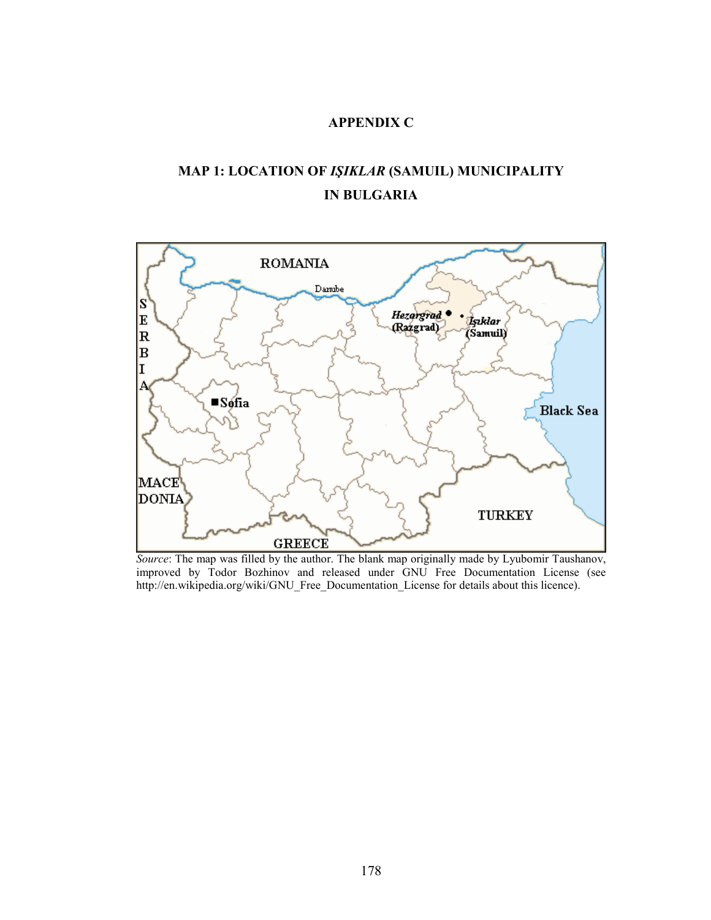### APPENDIX C

## MAP 1: LOCATION OF IŞIKLAR (SAMUIL) MUNICIPALITY IN BULGARIA



Source: The map was filled by the author. The blank map originally made by Lyubomir Taushanov, improved by Todor Bozhinov and released under GNU Free Documentation License (see http://en.wikipedia.org/wiki/GNU\_Free\_Documentation\_License for details about this licence).